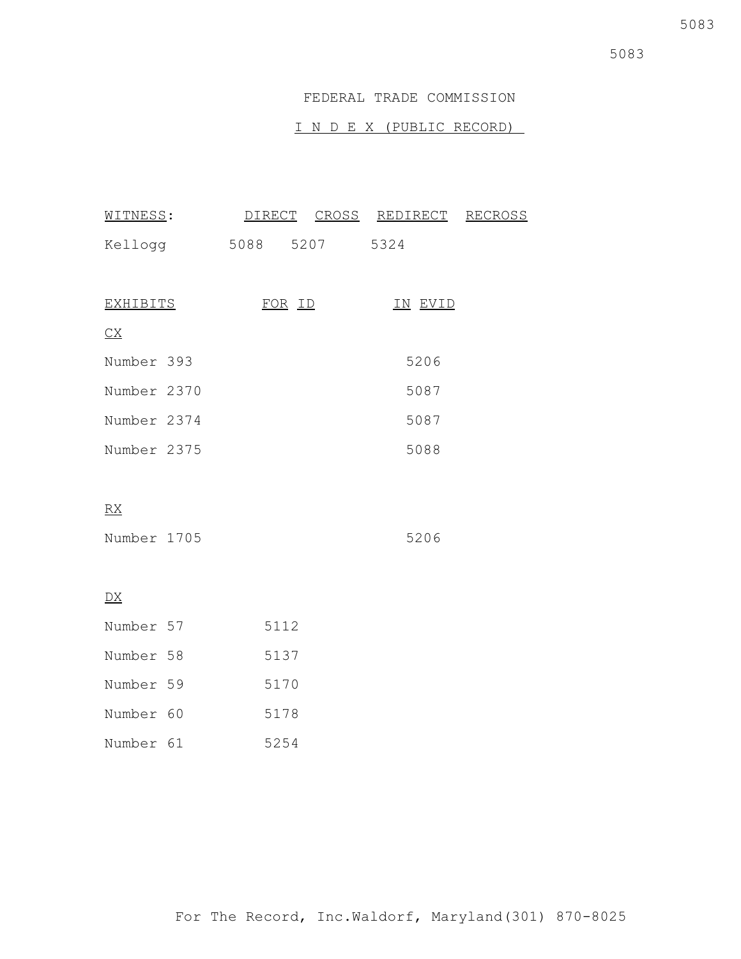## FEDERAL TRADE COMMISSION

# I N D E X (PUBLIC RECORD)

| WITNESS:               |                | DIRECT CROSS REDIRECT | <b>RECROSS</b> |
|------------------------|----------------|-----------------------|----------------|
| Kellogg                | 5088 5207 5324 |                       |                |
|                        |                |                       |                |
| <u>EXHIBITS</u>        | <u>FOR</u> ID  | IN EVID               |                |
| $\underline{CX}$       |                |                       |                |
| Number 393             |                | 5206                  |                |
| Number 2370            |                | 5087                  |                |
| Number 2374            |                | 5087                  |                |
| Number 2375            |                | 5088                  |                |
|                        |                |                       |                |
| $\underline{RX}$       |                |                       |                |
| Number 1705            |                | 5206                  |                |
|                        |                |                       |                |
| $\mathbf{D}\mathbf{X}$ |                |                       |                |
| Number 57              | 5112           |                       |                |
| Number 58              | 5137           |                       |                |
| Number 59              | 5170           |                       |                |
| Number 60              | 5178           |                       |                |
| Number 61              | 5254           |                       |                |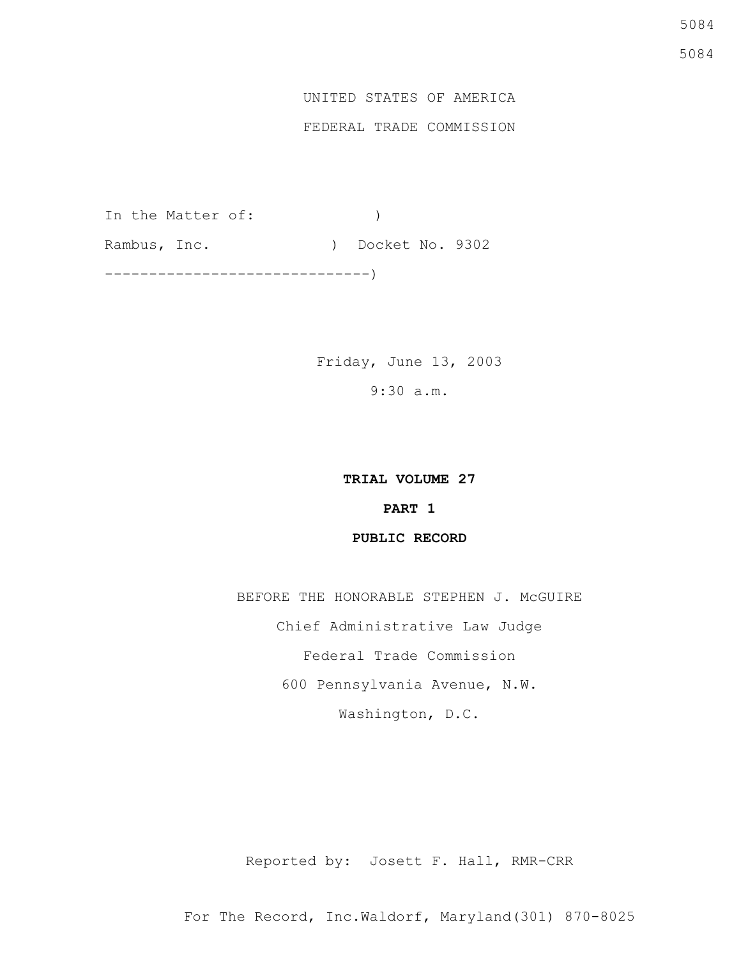# UNITED STATES OF AMERICA

# FEDERAL TRADE COMMISSION

In the Matter of:  $)$ Rambus, Inc. (a) Docket No. 9302 ------------------------------)

> Friday, June 13, 2003 9:30 a.m.

#### **TRIAL VOLUME 27**

# **PART 1**

### **PUBLIC RECORD**

BEFORE THE HONORABLE STEPHEN J. McGUIRE Chief Administrative Law Judge Federal Trade Commission 600 Pennsylvania Avenue, N.W. Washington, D.C.

Reported by: Josett F. Hall, RMR-CRR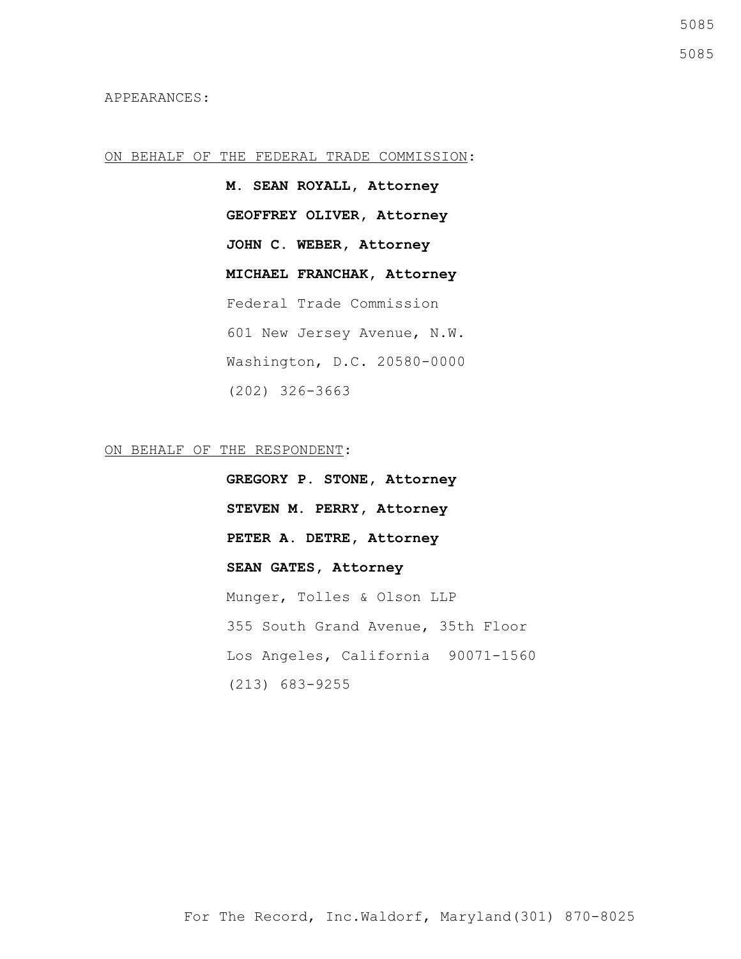APPEARANCES:

#### ON BEHALF OF THE FEDERAL TRADE COMMISSION:

**M. SEAN ROYALL, Attorney GEOFFREY OLIVER, Attorney JOHN C. WEBER, Attorney MICHAEL FRANCHAK, Attorney** Federal Trade Commission 601 New Jersey Avenue, N.W. Washington, D.C. 20580-0000 (202) 326-3663

ON BEHALF OF THE RESPONDENT:

**GREGORY P. STONE, Attorney STEVEN M. PERRY, Attorney PETER A. DETRE, Attorney SEAN GATES, Attorney** Munger, Tolles & Olson LLP 355 South Grand Avenue, 35th Floor Los Angeles, California 90071-1560 (213) 683-9255

For The Record, Inc.Waldorf, Maryland(301) 870-8025

5085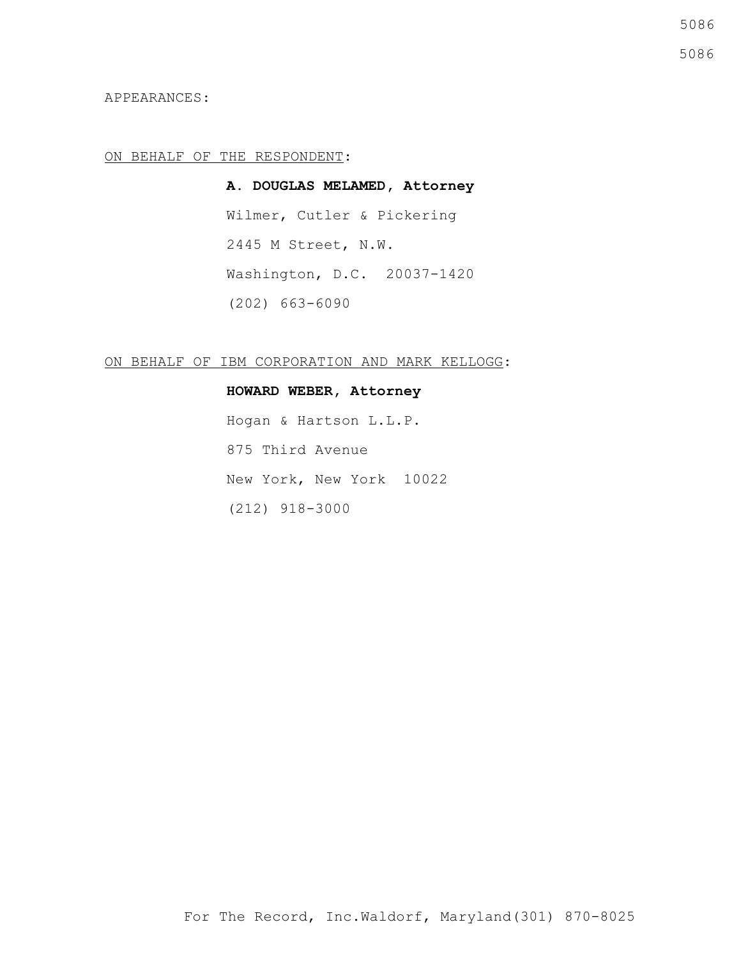5086

5086

### APPEARANCES:

## ON BEHALF OF THE RESPONDENT:

**A. DOUGLAS MELAMED, Attorney** Wilmer, Cutler & Pickering 2445 M Street, N.W. Washington, D.C. 20037-1420 (202) 663-6090

## ON BEHALF OF IBM CORPORATION AND MARK KELLOGG:

## **HOWARD WEBER, Attorney**

Hogan & Hartson L.L.P. 875 Third Avenue New York, New York 10022 (212) 918-3000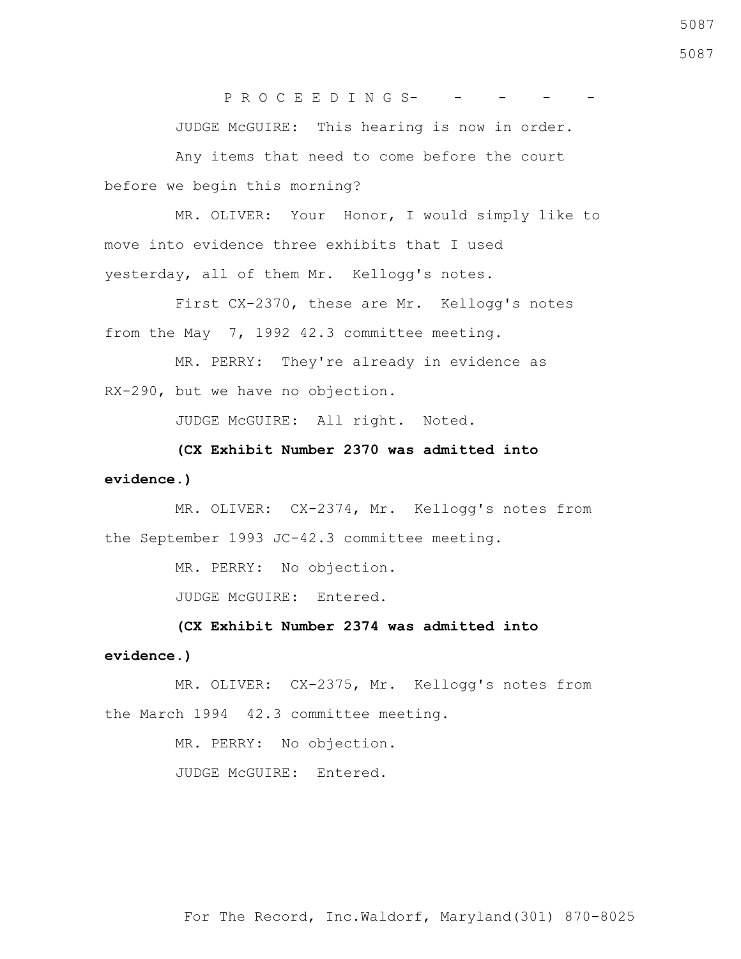5087

P R O C E E D I N G S- - - - -

JUDGE McGUIRE: This hearing is now in order.

 Any items that need to come before the court before we begin this morning?

 MR. OLIVER: Your Honor, I would simply like to move into evidence three exhibits that I used yesterday, all of them Mr. Kellogg's notes.

 First CX-2370, these are Mr. Kellogg's notes from the May 7, 1992 42.3 committee meeting.

 MR. PERRY: They're already in evidence as RX-290, but we have no objection.

JUDGE McGUIRE: All right. Noted.

 **(CX Exhibit Number 2370 was admitted into evidence.)**

 MR. OLIVER: CX-2374, Mr. Kellogg's notes from the September 1993 JC-42.3 committee meeting.

MR. PERRY: No objection.

JUDGE McGUIRE: Entered**.**

 **(CX Exhibit Number 2374 was admitted into** 

### **evidence.)**

 MR. OLIVER: CX-2375, Mr. Kellogg's notes from the March 1994 42.3 committee meeting.

MR. PERRY: No objection.

JUDGE McGUIRE: Entered.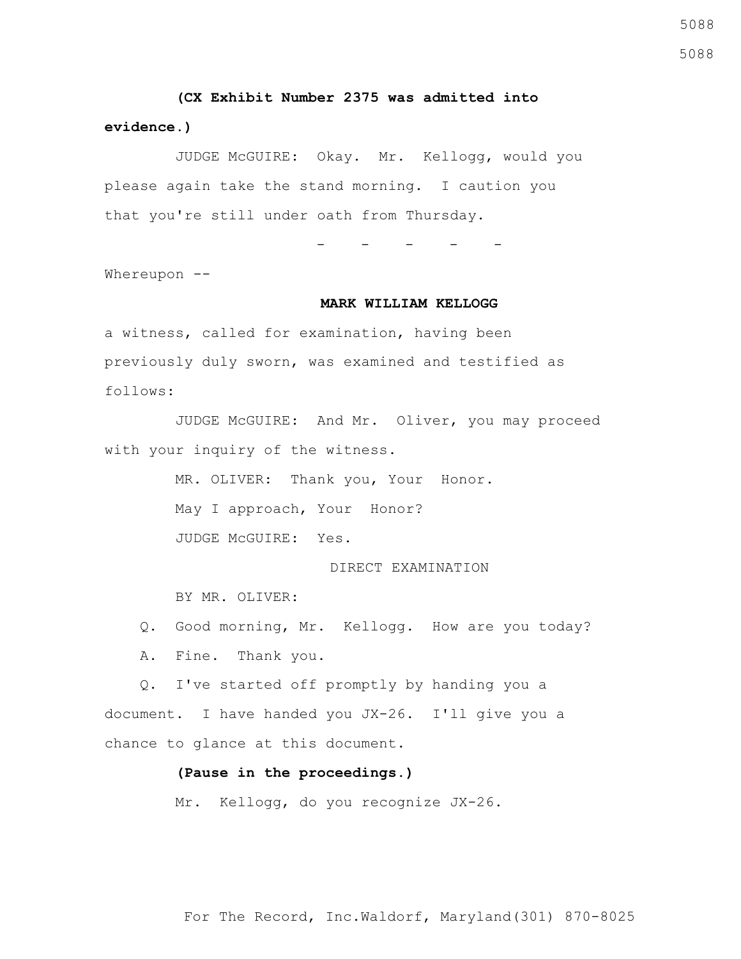#### **(CX Exhibit Number 2375 was admitted into**

**evidence.)**

 JUDGE McGUIRE: Okay. Mr. Kellogg, would you please again take the stand morning. I caution you that you're still under oath from Thursday.

- - - - -

Whereupon --

#### **MARK WILLIAM KELLOGG**

a witness, called for examination, having been previously duly sworn, was examined and testified as follows:

 JUDGE McGUIRE: And Mr. Oliver, you may proceed with your inquiry of the witness.

> MR. OLIVER: Thank you, Your Honor. May I approach, Your Honor? JUDGE McGUIRE: Yes.

> > DIRECT EXAMINATION

BY MR. OLIVER:

Q. Good morning, Mr. Kellogg. How are you today?

A. Fine. Thank you.

 Q. I've started off promptly by handing you a document. I have handed you JX-26. I'll give you a chance to glance at this document.

## **(Pause in the proceedings.)**

Mr. Kellogg, do you recognize JX-26.

5088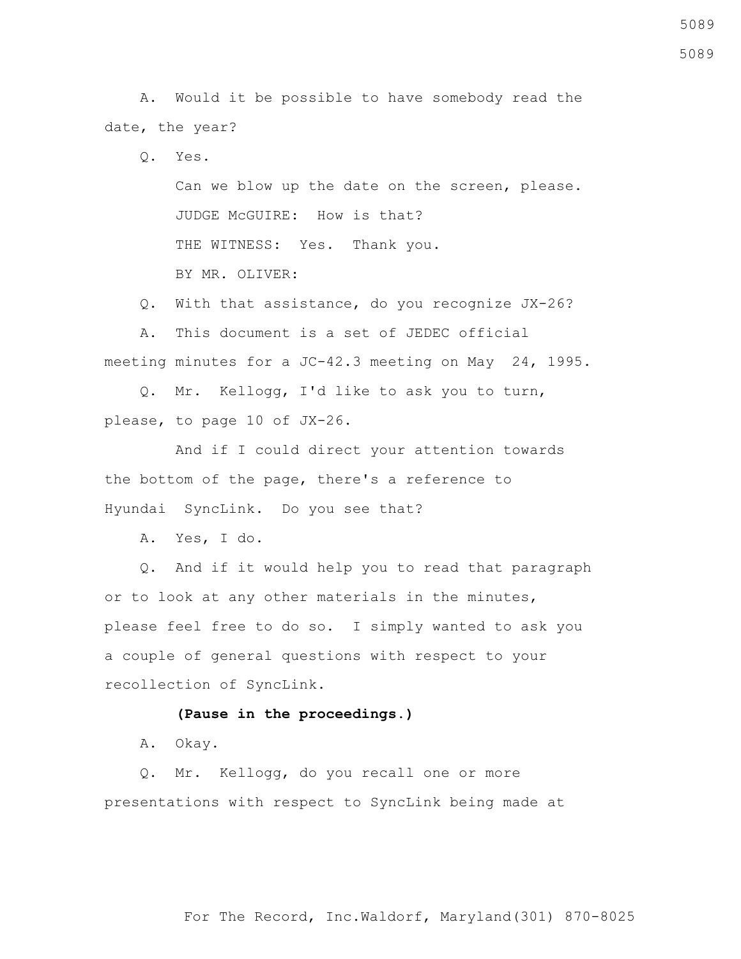A. Would it be possible to have somebody read the date, the year?

Q. Yes.

 Can we blow up the date on the screen, please. JUDGE McGUIRE: How is that? THE WITNESS: Yes. Thank you. BY MR. OLIVER:

Q. With that assistance, do you recognize JX-26?

 A. This document is a set of JEDEC official meeting minutes for a JC-42.3 meeting on May 24, 1995.

 Q. Mr. Kellogg, I'd like to ask you to turn, please, to page 10 of JX-26.

 And if I could direct your attention towards the bottom of the page, there's a reference to Hyundai SyncLink. Do you see that?

A. Yes, I do.

 Q. And if it would help you to read that paragraph or to look at any other materials in the minutes, please feel free to do so. I simply wanted to ask you a couple of general questions with respect to your recollection of SyncLink.

## **(Pause in the proceedings.)**

A. Okay.

 Q. Mr. Kellogg, do you recall one or more presentations with respect to SyncLink being made at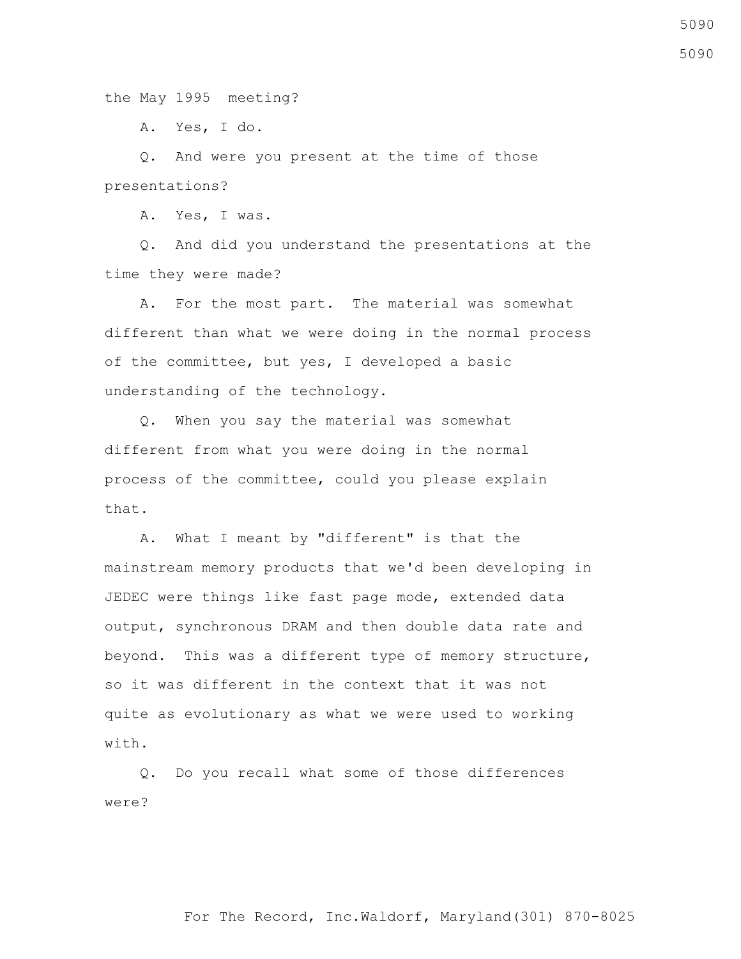the May 1995 meeting?

A. Yes, I do.

 Q. And were you present at the time of those presentations?

A. Yes, I was.

 Q. And did you understand the presentations at the time they were made?

 A. For the most part. The material was somewhat different than what we were doing in the normal process of the committee, but yes, I developed a basic understanding of the technology.

 Q. When you say the material was somewhat different from what you were doing in the normal process of the committee, could you please explain that.

 A. What I meant by "different" is that the mainstream memory products that we'd been developing in JEDEC were things like fast page mode, extended data output, synchronous DRAM and then double data rate and beyond. This was a different type of memory structure, so it was different in the context that it was not quite as evolutionary as what we were used to working with.

 Q. Do you recall what some of those differences were?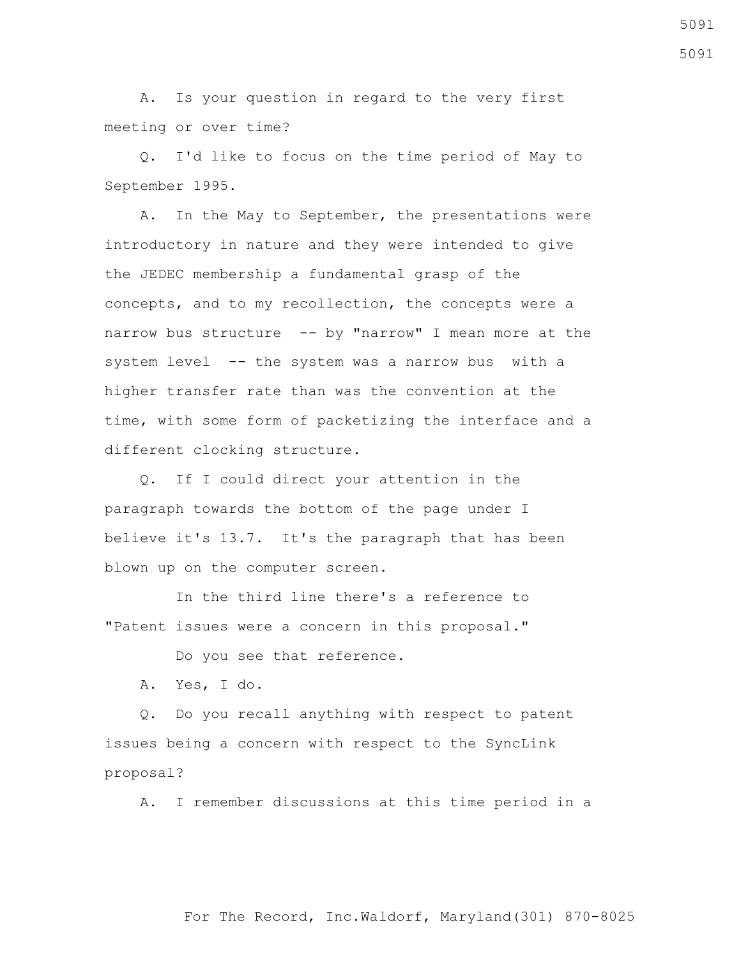A. Is your question in regard to the very first meeting or over time?

 Q. I'd like to focus on the time period of May to September 1995.

 A. In the May to September, the presentations were introductory in nature and they were intended to give the JEDEC membership a fundamental grasp of the concepts, and to my recollection, the concepts were a narrow bus structure -- by "narrow" I mean more at the system level -- the system was a narrow bus with a higher transfer rate than was the convention at the time, with some form of packetizing the interface and a different clocking structure.

 Q. If I could direct your attention in the paragraph towards the bottom of the page under I believe it's 13.7. It's the paragraph that has been blown up on the computer screen.

 In the third line there's a reference to "Patent issues were a concern in this proposal."

Do you see that reference.

A. Yes, I do.

 Q. Do you recall anything with respect to patent issues being a concern with respect to the SyncLink proposal?

A. I remember discussions at this time period in a

For The Record, Inc.Waldorf, Maryland(301) 870-8025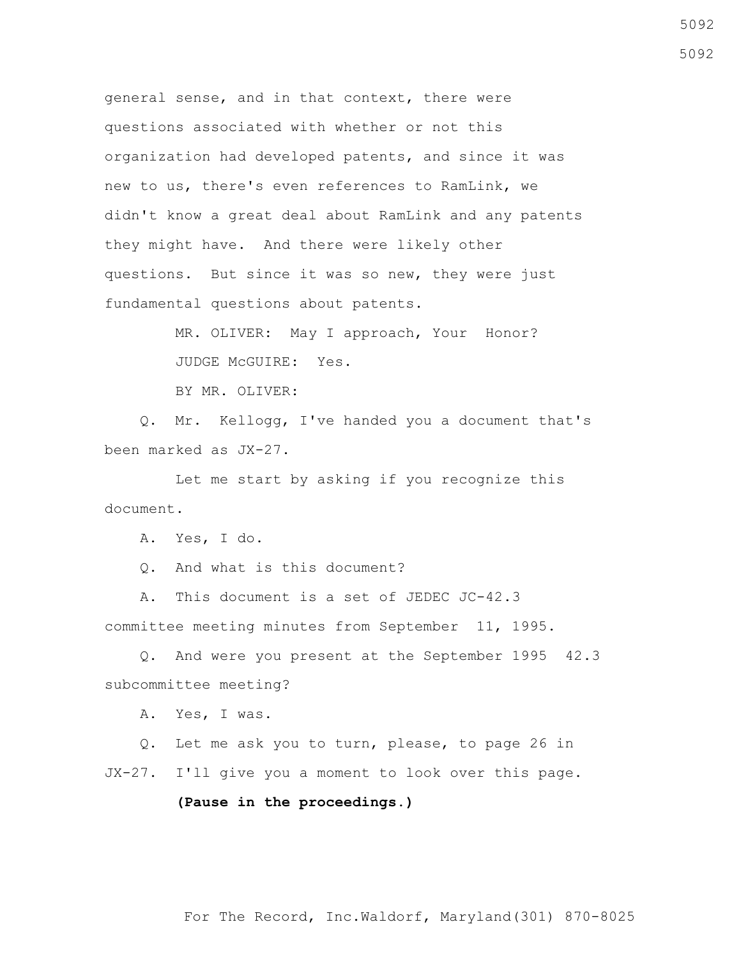general sense, and in that context, there were questions associated with whether or not this organization had developed patents, and since it was new to us, there's even references to RamLink, we didn't know a great deal about RamLink and any patents they might have. And there were likely other questions. But since it was so new, they were just fundamental questions about patents.

> MR. OLIVER: May I approach, Your Honor? JUDGE McGUIRE: Yes.

BY MR. OLIVER:

 Q. Mr. Kellogg, I've handed you a document that's been marked as JX-27.

 Let me start by asking if you recognize this document.

A. Yes, I do.

Q. And what is this document?

 A. This document is a set of JEDEC JC-42.3 committee meeting minutes from September 11, 1995.

 Q. And were you present at the September 1995 42.3 subcommittee meeting?

A. Yes, I was.

 Q. Let me ask you to turn, please, to page 26 in JX-27. I'll give you a moment to look over this page.

### **(Pause in the proceedings.)**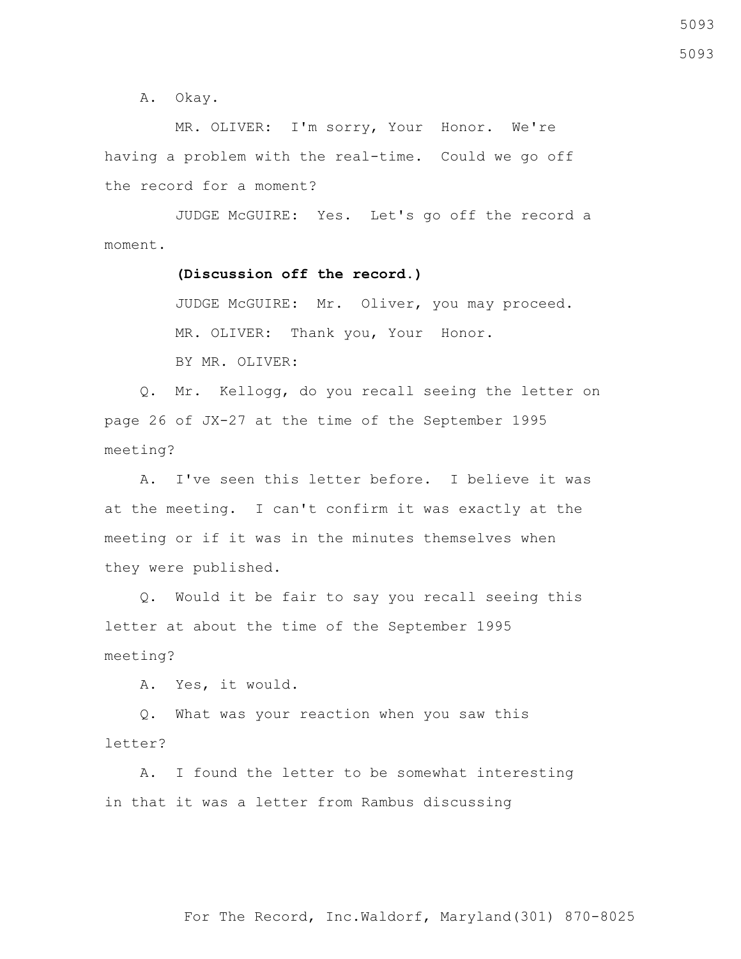A. Okay.

 MR. OLIVER: I'm sorry, Your Honor. We're having a problem with the real-time. Could we go off the record for a moment?

 JUDGE McGUIRE: Yes. Let's go off the record a moment.

### **(Discussion off the record.)**

 JUDGE McGUIRE: Mr. Oliver, you may proceed. MR. OLIVER: Thank you, Your Honor. BY MR. OLIVER:

 Q. Mr. Kellogg, do you recall seeing the letter on page 26 of JX-27 at the time of the September 1995 meeting?

 A. I've seen this letter before. I believe it was at the meeting. I can't confirm it was exactly at the meeting or if it was in the minutes themselves when they were published.

 Q. Would it be fair to say you recall seeing this letter at about the time of the September 1995 meeting?

A. Yes, it would.

 Q. What was your reaction when you saw this letter?

 A. I found the letter to be somewhat interesting in that it was a letter from Rambus discussing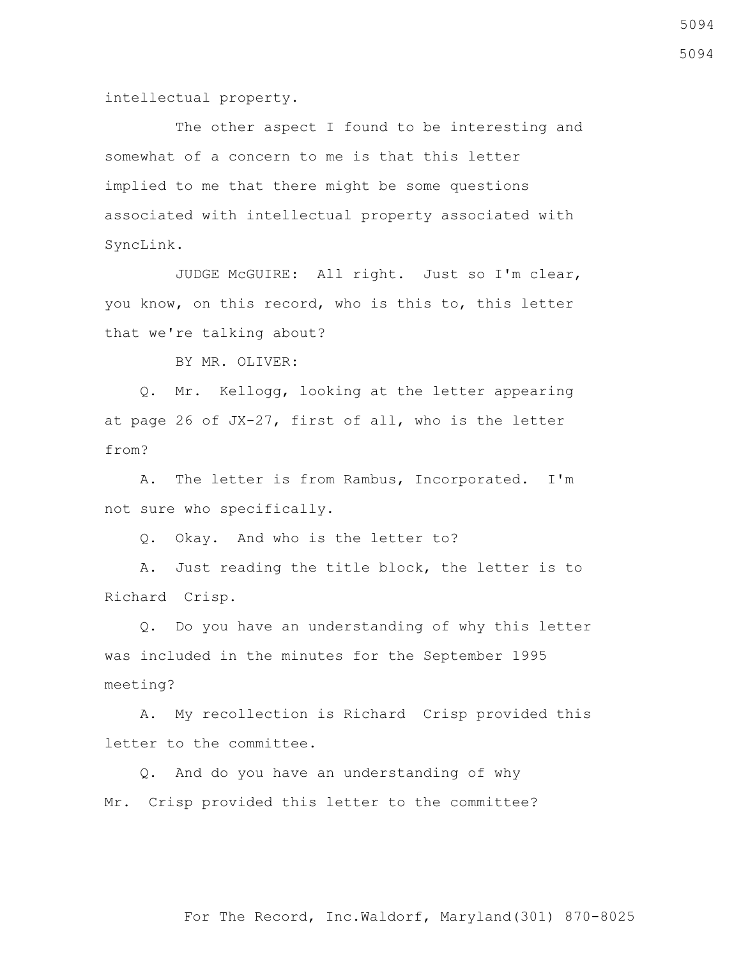intellectual property.

The other aspect I found to be interesting and somewhat of a concern to me is that this letter implied to me that there might be some questions associated with intellectual property associated with SyncLink.

 JUDGE McGUIRE: All right. Just so I'm clear, you know, on this record, who is this to, this letter that we're talking about?

BY MR. OLIVER:

 Q. Mr. Kellogg, looking at the letter appearing at page 26 of JX-27, first of all, who is the letter from?

 A. The letter is from Rambus, Incorporated. I'm not sure who specifically.

Q. Okay. And who is the letter to?

 A. Just reading the title block, the letter is to Richard Crisp.

 Q. Do you have an understanding of why this letter was included in the minutes for the September 1995 meeting?

 A. My recollection is Richard Crisp provided this letter to the committee.

 Q. And do you have an understanding of why Mr. Crisp provided this letter to the committee?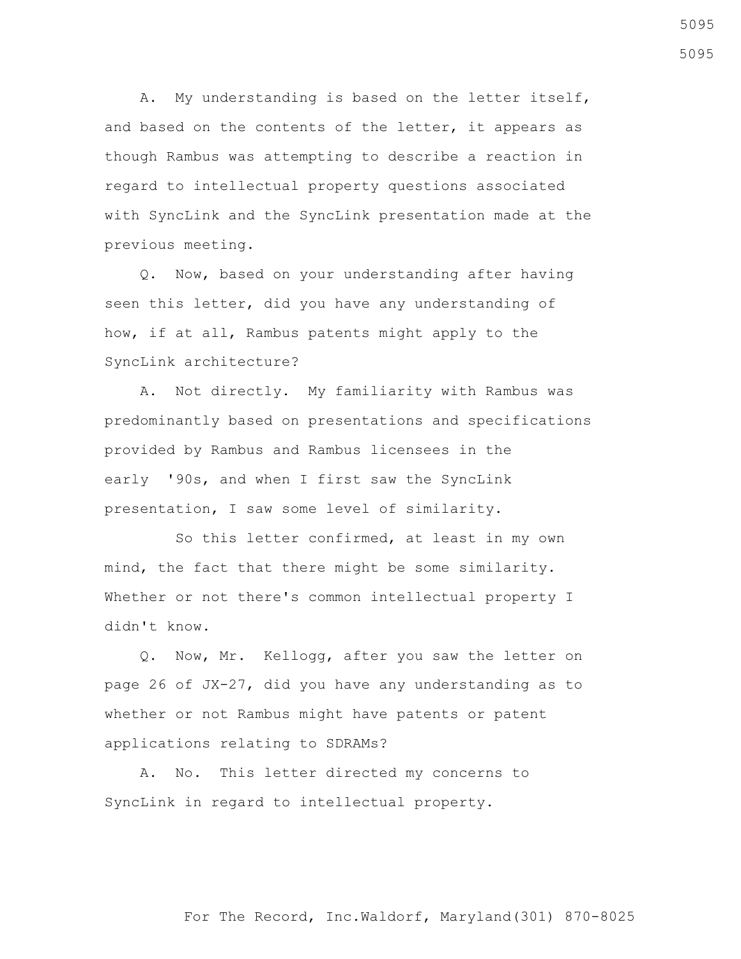A. My understanding is based on the letter itself, and based on the contents of the letter, it appears as though Rambus was attempting to describe a reaction in regard to intellectual property questions associated with SyncLink and the SyncLink presentation made at the previous meeting.

 Q. Now, based on your understanding after having seen this letter, did you have any understanding of how, if at all, Rambus patents might apply to the SyncLink architecture?

 A. Not directly. My familiarity with Rambus was predominantly based on presentations and specifications provided by Rambus and Rambus licensees in the early '90s, and when I first saw the SyncLink presentation, I saw some level of similarity.

 So this letter confirmed, at least in my own mind, the fact that there might be some similarity. Whether or not there's common intellectual property I didn't know.

 Q. Now, Mr. Kellogg, after you saw the letter on page 26 of JX-27, did you have any understanding as to whether or not Rambus might have patents or patent applications relating to SDRAMs?

 A. No. This letter directed my concerns to SyncLink in regard to intellectual property.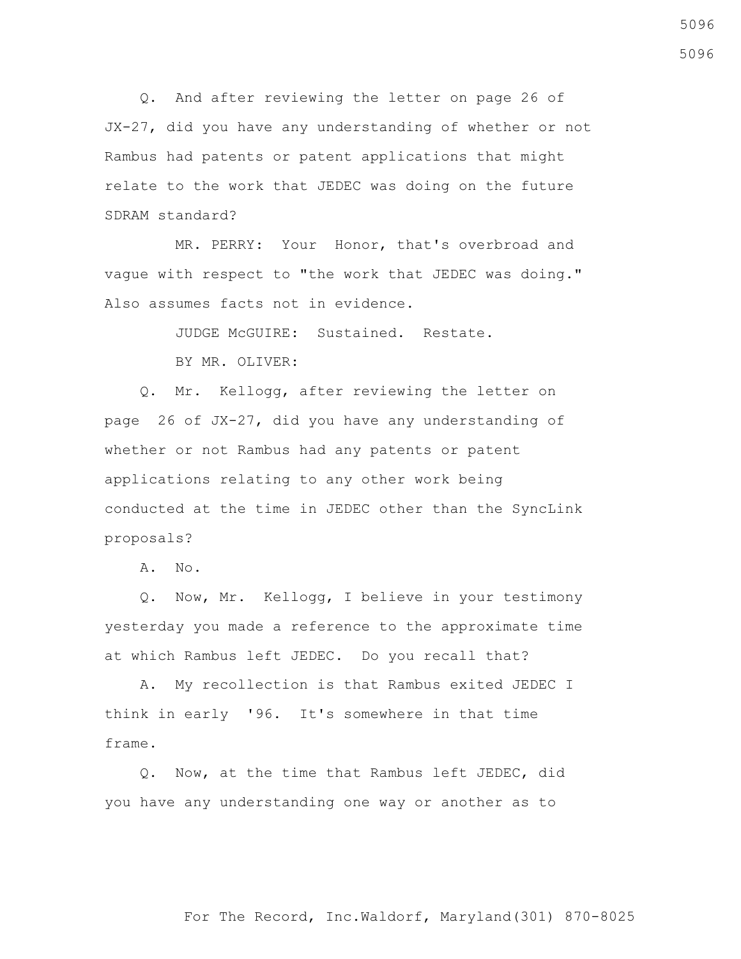Q. And after reviewing the letter on page 26 of JX-27, did you have any understanding of whether or not Rambus had patents or patent applications that might relate to the work that JEDEC was doing on the future SDRAM standard?

 MR. PERRY: Your Honor, that's overbroad and vague with respect to "the work that JEDEC was doing." Also assumes facts not in evidence.

JUDGE McGUIRE: Sustained. Restate.

BY MR. OLIVER:

 Q. Mr. Kellogg, after reviewing the letter on page 26 of JX-27, did you have any understanding of whether or not Rambus had any patents or patent applications relating to any other work being conducted at the time in JEDEC other than the SyncLink proposals?

A. No.

 Q. Now, Mr. Kellogg, I believe in your testimony yesterday you made a reference to the approximate time at which Rambus left JEDEC. Do you recall that?

 A. My recollection is that Rambus exited JEDEC I think in early '96. It's somewhere in that time frame.

 Q. Now, at the time that Rambus left JEDEC, did you have any understanding one way or another as to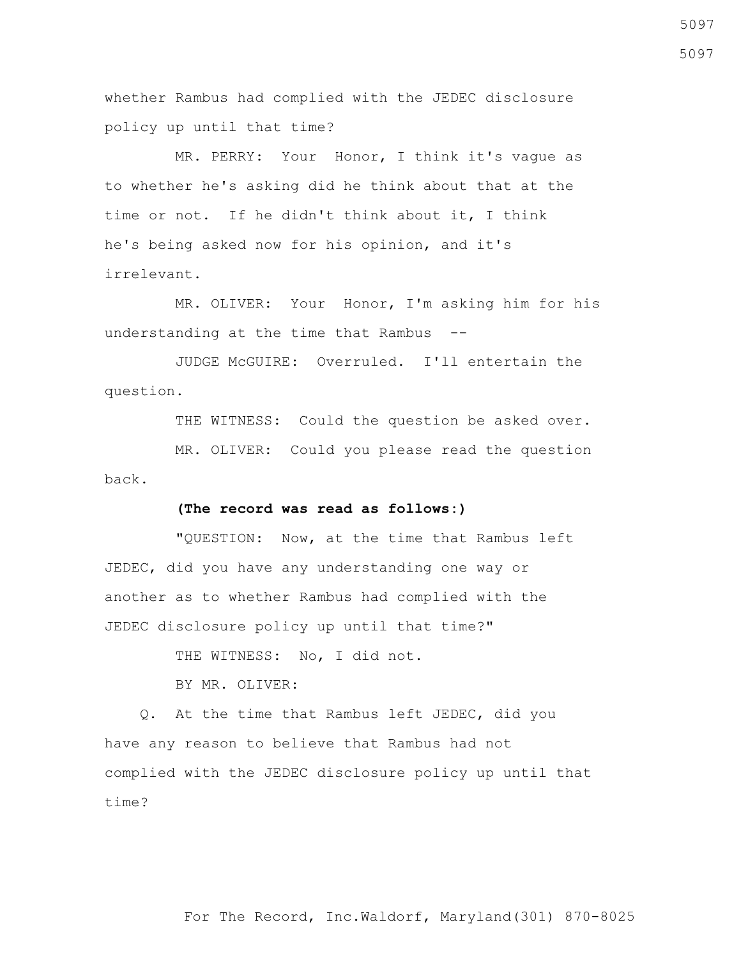whether Rambus had complied with the JEDEC disclosure policy up until that time?

 MR. PERRY: Your Honor, I think it's vague as to whether he's asking did he think about that at the time or not. If he didn't think about it, I think he's being asked now for his opinion, and it's irrelevant.

 MR. OLIVER: Your Honor, I'm asking him for his understanding at the time that Rambus --

 JUDGE McGUIRE: Overruled. I'll entertain the question.

THE WITNESS: Could the question be asked over.

 MR. OLIVER: Could you please read the question back.

#### **(The record was read as follows:)**

 "QUESTION: Now, at the time that Rambus left JEDEC, did you have any understanding one way or another as to whether Rambus had complied with the JEDEC disclosure policy up until that time?"

THE WITNESS: No, I did not.

BY MR. OLIVER:

 Q. At the time that Rambus left JEDEC, did you have any reason to believe that Rambus had not complied with the JEDEC disclosure policy up until that time?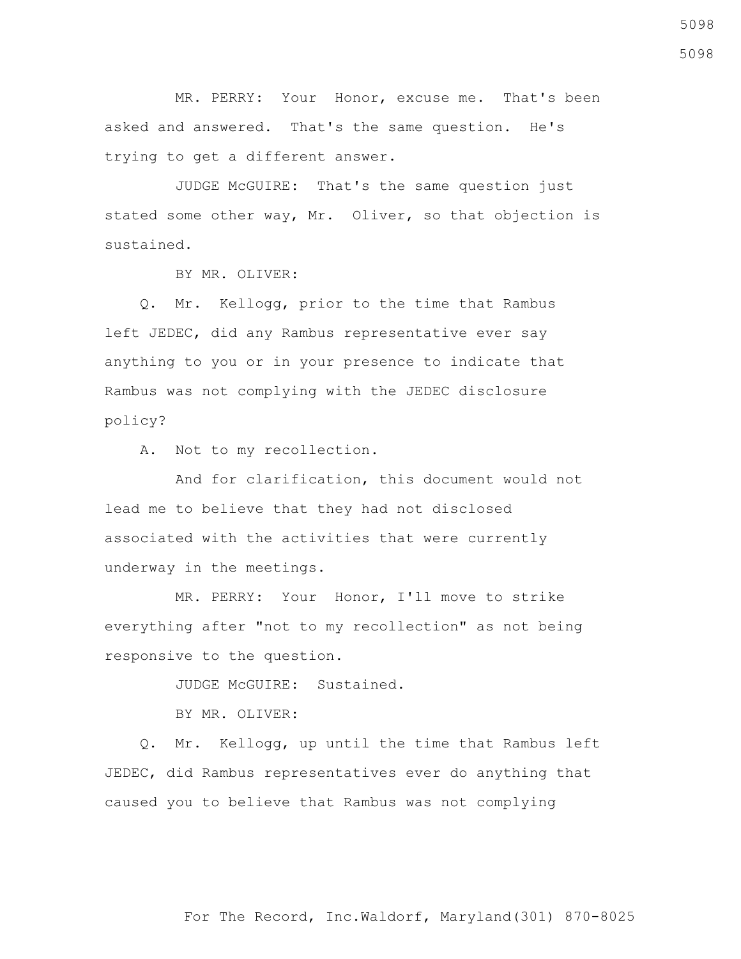MR. PERRY: Your Honor, excuse me. That's been asked and answered. That's the same question. He's trying to get a different answer.

 JUDGE McGUIRE: That's the same question just stated some other way, Mr. Oliver, so that objection is sustained.

BY MR. OLIVER:

 Q. Mr. Kellogg, prior to the time that Rambus left JEDEC, did any Rambus representative ever say anything to you or in your presence to indicate that Rambus was not complying with the JEDEC disclosure policy?

A. Not to my recollection.

 And for clarification, this document would not lead me to believe that they had not disclosed associated with the activities that were currently underway in the meetings.

 MR. PERRY: Your Honor, I'll move to strike everything after "not to my recollection" as not being responsive to the question.

JUDGE McGUIRE: Sustained.

BY MR. OLIVER:

 Q. Mr. Kellogg, up until the time that Rambus left JEDEC, did Rambus representatives ever do anything that caused you to believe that Rambus was not complying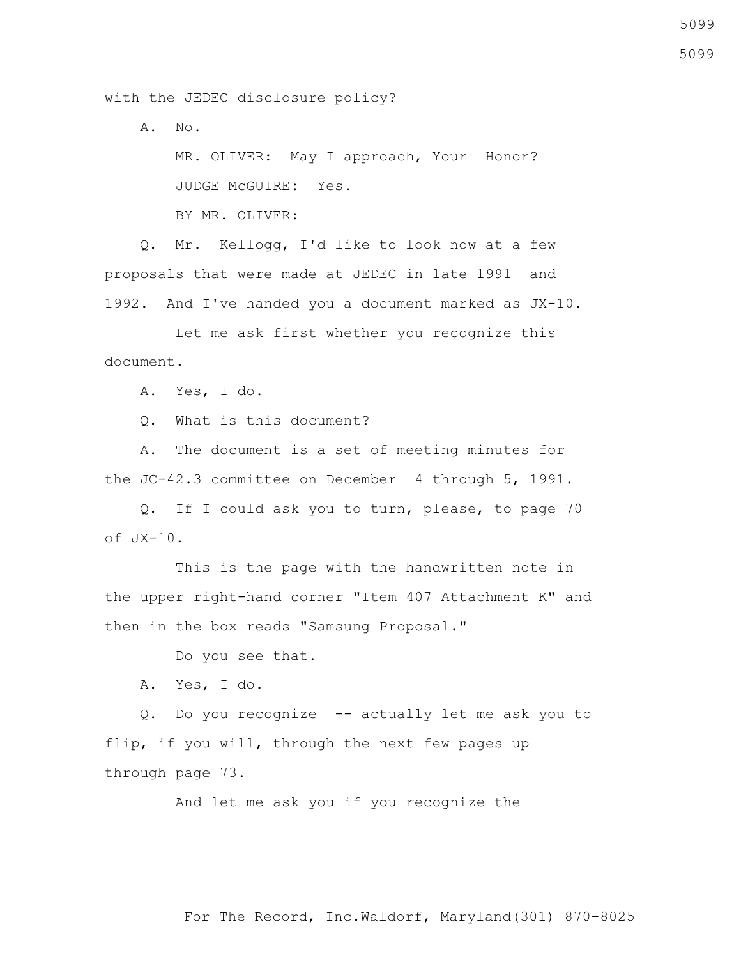with the JEDEC disclosure policy?

A. No.

 MR. OLIVER: May I approach, Your Honor? JUDGE McGUIRE: Yes.

BY MR. OLIVER:

 Q. Mr. Kellogg, I'd like to look now at a few proposals that were made at JEDEC in late 1991 and 1992. And I've handed you a document marked as JX-10.

 Let me ask first whether you recognize this document.

A. Yes, I do.

Q. What is this document?

 A. The document is a set of meeting minutes for the JC-42.3 committee on December 4 through 5, 1991.

 Q. If I could ask you to turn, please, to page 70 of  $JX-10$ .

 This is the page with the handwritten note in the upper right-hand corner "Item 407 Attachment K" and then in the box reads "Samsung Proposal."

Do you see that.

A. Yes, I do.

 Q. Do you recognize -- actually let me ask you to flip, if you will, through the next few pages up through page 73.

And let me ask you if you recognize the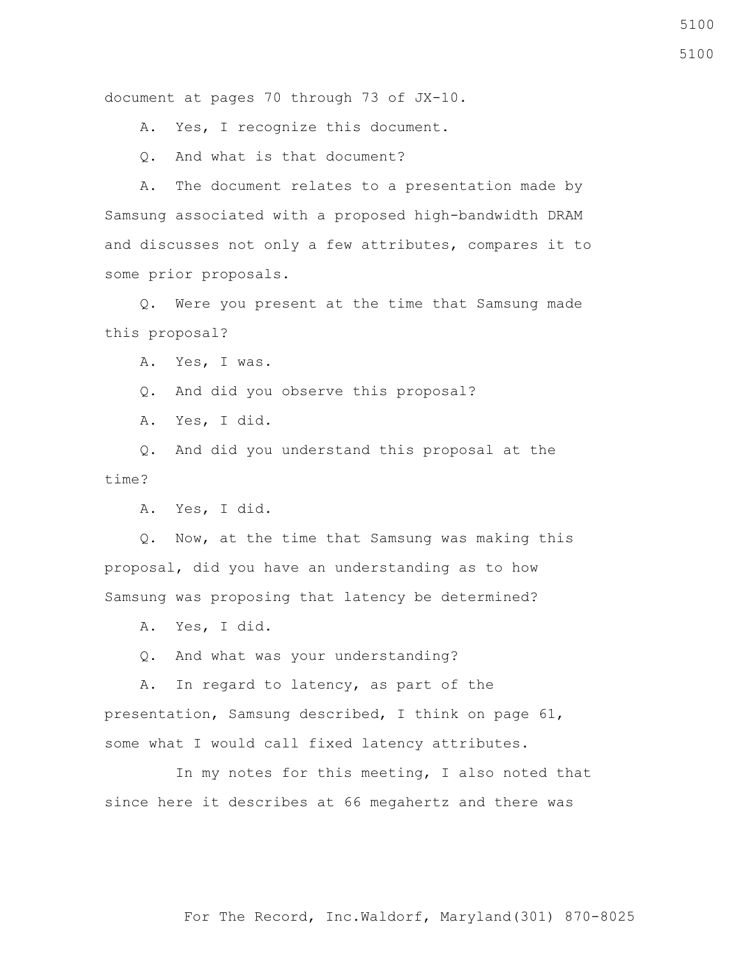document at pages 70 through 73 of JX-10.

A. Yes, I recognize this document.

Q. And what is that document?

 A. The document relates to a presentation made by Samsung associated with a proposed high-bandwidth DRAM and discusses not only a few attributes, compares it to some prior proposals.

 Q. Were you present at the time that Samsung made this proposal?

A. Yes, I was.

Q. And did you observe this proposal?

A. Yes, I did.

 Q. And did you understand this proposal at the time?

A. Yes, I did.

 Q. Now, at the time that Samsung was making this proposal, did you have an understanding as to how Samsung was proposing that latency be determined?

A. Yes, I did.

Q. And what was your understanding?

 A. In regard to latency, as part of the presentation, Samsung described, I think on page 61, some what I would call fixed latency attributes.

 In my notes for this meeting, I also noted that since here it describes at 66 megahertz and there was

5100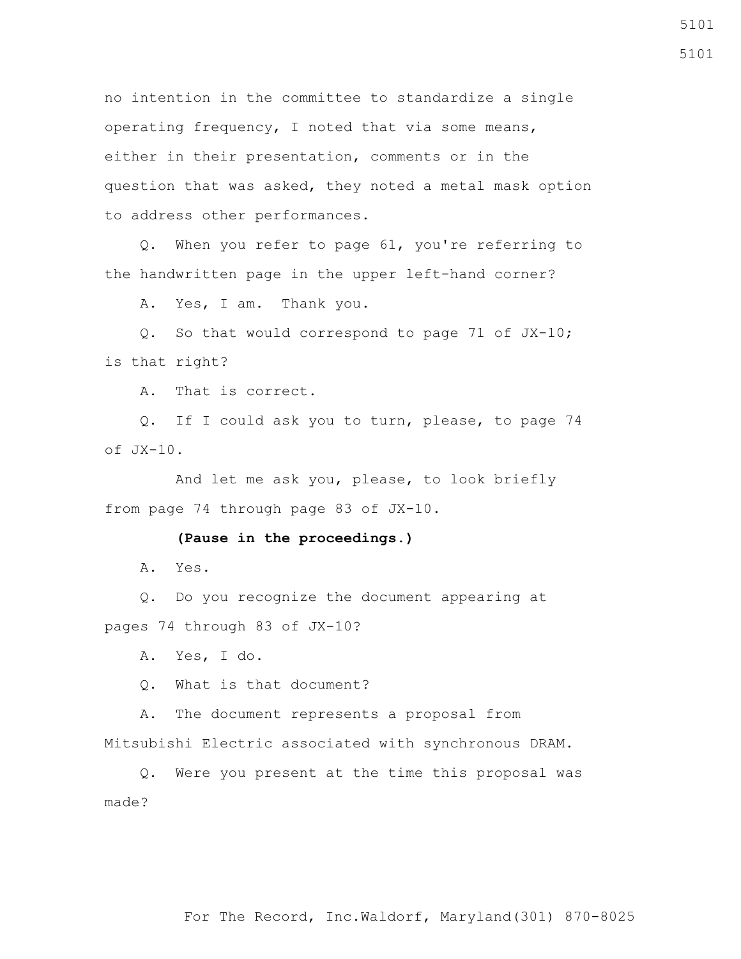no intention in the committee to standardize a single operating frequency, I noted that via some means, either in their presentation, comments or in the question that was asked, they noted a metal mask option to address other performances.

 Q. When you refer to page 61, you're referring to the handwritten page in the upper left-hand corner?

A. Yes, I am. Thank you.

 Q. So that would correspond to page 71 of JX-10; is that right?

A. That is correct.

 Q. If I could ask you to turn, please, to page 74  $of$  JX-10.

 And let me ask you, please, to look briefly from page 74 through page 83 of JX-10.

#### **(Pause in the proceedings.)**

A. Yes.

 Q. Do you recognize the document appearing at pages 74 through 83 of JX-10?

A. Yes, I do.

Q. What is that document?

A. The document represents a proposal from

Mitsubishi Electric associated with synchronous DRAM.

 Q. Were you present at the time this proposal was made?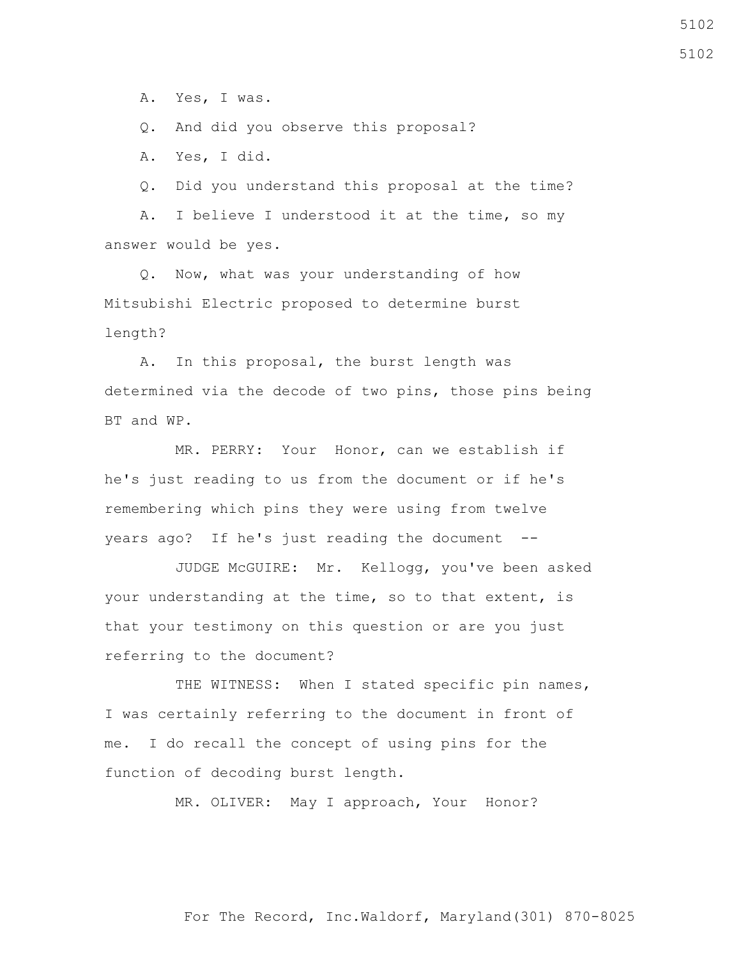A. Yes, I was.

Q. And did you observe this proposal?

A. Yes, I did.

Q. Did you understand this proposal at the time?

 A. I believe I understood it at the time, so my answer would be yes.

 Q. Now, what was your understanding of how Mitsubishi Electric proposed to determine burst length?

 A. In this proposal, the burst length was determined via the decode of two pins, those pins being BT and WP.

 MR. PERRY: Your Honor, can we establish if he's just reading to us from the document or if he's remembering which pins they were using from twelve years ago? If he's just reading the document --

 JUDGE McGUIRE: Mr. Kellogg, you've been asked your understanding at the time, so to that extent, is that your testimony on this question or are you just referring to the document?

THE WITNESS: When I stated specific pin names, I was certainly referring to the document in front of me. I do recall the concept of using pins for the function of decoding burst length.

MR. OLIVER: May I approach, Your Honor?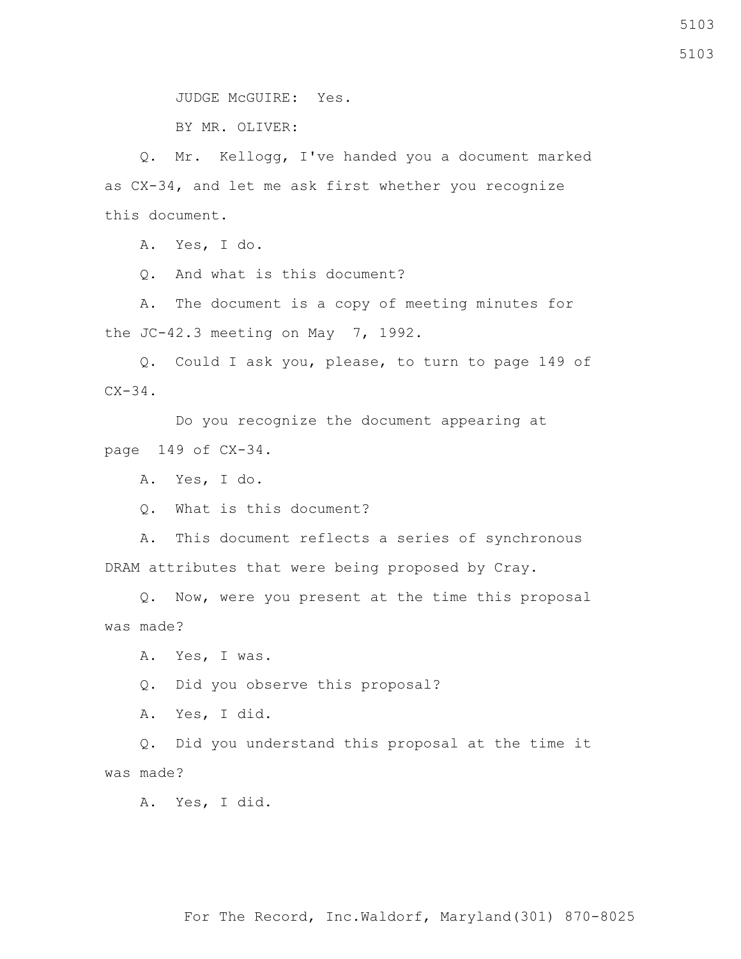JUDGE McGUIRE: Yes.

BY MR. OLIVER:

 Q. Mr. Kellogg, I've handed you a document marked as CX-34, and let me ask first whether you recognize this document.

A. Yes, I do.

Q. And what is this document?

 A. The document is a copy of meeting minutes for the JC-42.3 meeting on May 7, 1992.

 Q. Could I ask you, please, to turn to page 149 of  $CX-34$ .

 Do you recognize the document appearing at page 149 of CX-34.

A. Yes, I do.

Q. What is this document?

 A. This document reflects a series of synchronous DRAM attributes that were being proposed by Cray.

 Q. Now, were you present at the time this proposal was made?

A. Yes, I was.

Q. Did you observe this proposal?

A. Yes, I did.

 Q. Did you understand this proposal at the time it was made?

A. Yes, I did.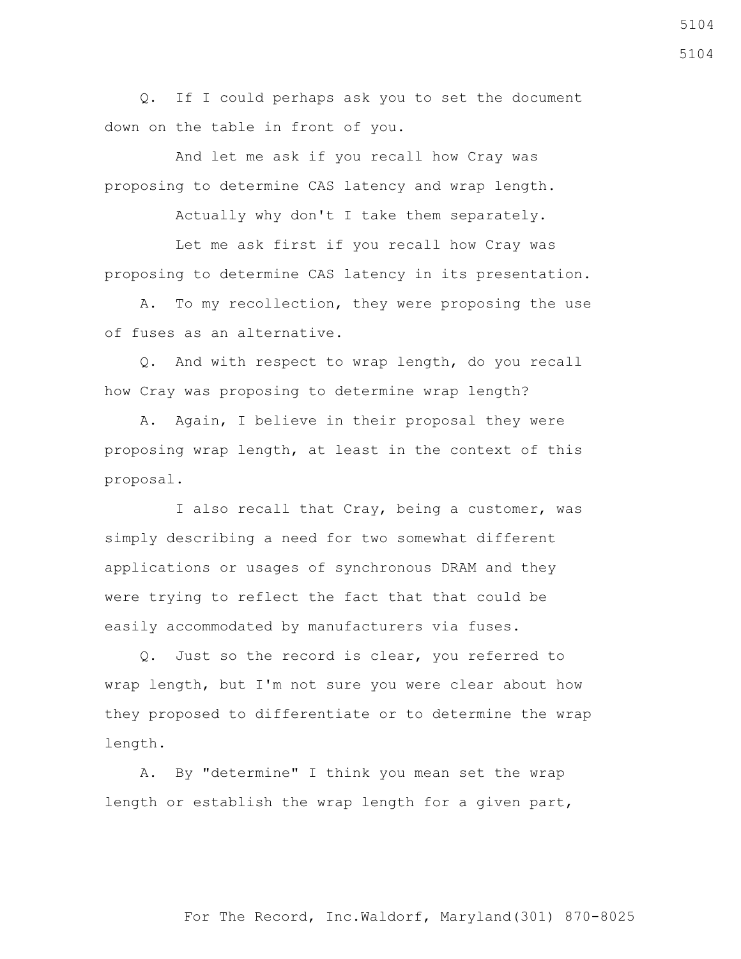Q. If I could perhaps ask you to set the document down on the table in front of you.

 And let me ask if you recall how Cray was proposing to determine CAS latency and wrap length.

Actually why don't I take them separately.

 Let me ask first if you recall how Cray was proposing to determine CAS latency in its presentation.

 A. To my recollection, they were proposing the use of fuses as an alternative.

 Q. And with respect to wrap length, do you recall how Cray was proposing to determine wrap length?

 A. Again, I believe in their proposal they were proposing wrap length, at least in the context of this proposal.

 I also recall that Cray, being a customer, was simply describing a need for two somewhat different applications or usages of synchronous DRAM and they were trying to reflect the fact that that could be easily accommodated by manufacturers via fuses.

 Q. Just so the record is clear, you referred to wrap length, but I'm not sure you were clear about how they proposed to differentiate or to determine the wrap length.

 A. By "determine" I think you mean set the wrap length or establish the wrap length for a given part, 5104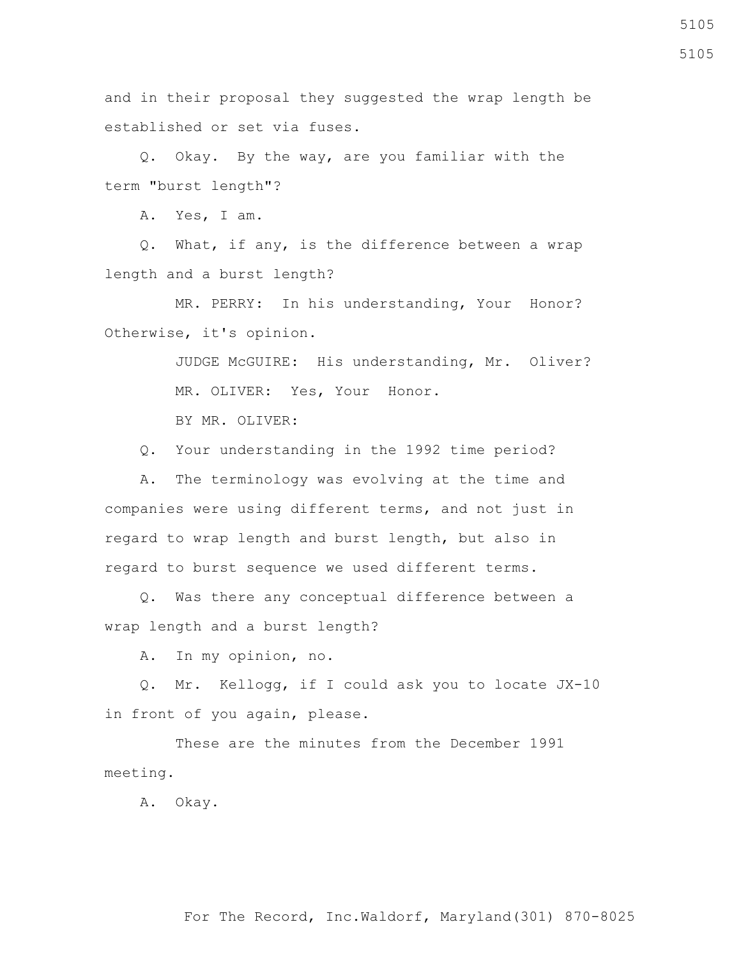and in their proposal they suggested the wrap length be established or set via fuses.

 Q. Okay. By the way, are you familiar with the term "burst length"?

A. Yes, I am.

 Q. What, if any, is the difference between a wrap length and a burst length?

 MR. PERRY: In his understanding, Your Honor? Otherwise, it's opinion.

> JUDGE McGUIRE: His understanding, Mr. Oliver? MR. OLIVER: Yes, Your Honor. BY MR. OLIVER:

Q. Your understanding in the 1992 time period?

 A. The terminology was evolving at the time and companies were using different terms, and not just in regard to wrap length and burst length, but also in regard to burst sequence we used different terms.

 Q. Was there any conceptual difference between a wrap length and a burst length?

A. In my opinion, no.

 Q. Mr. Kellogg, if I could ask you to locate JX-10 in front of you again, please.

 These are the minutes from the December 1991 meeting.

A. Okay.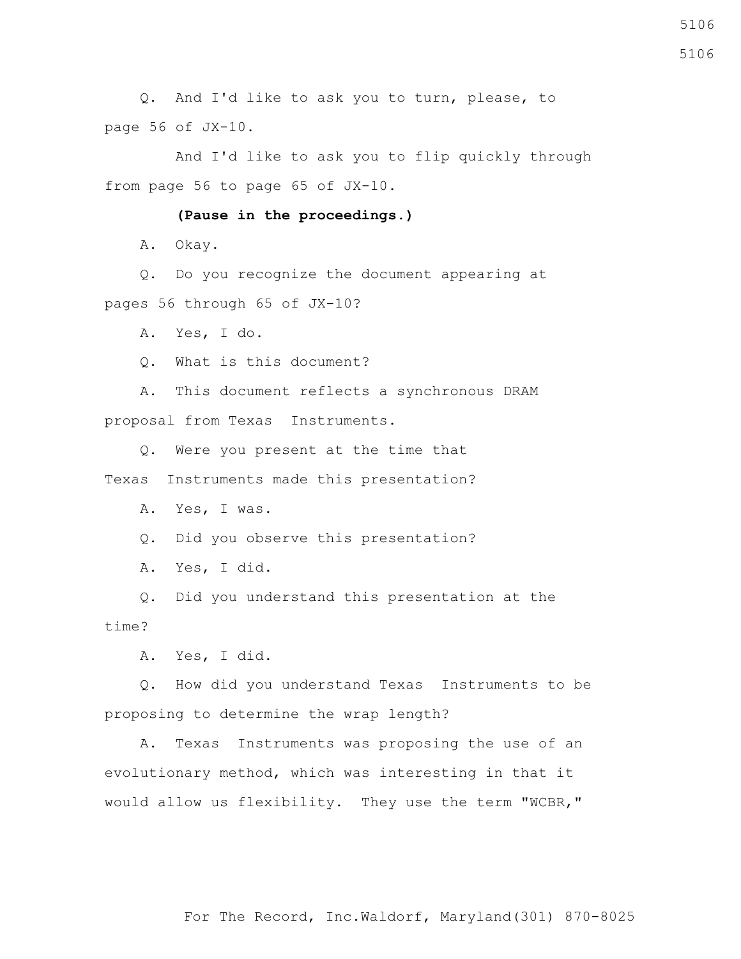Q. And I'd like to ask you to turn, please, to page 56 of JX-10.

 And I'd like to ask you to flip quickly through from page 56 to page 65 of JX-10.

## **(Pause in the proceedings.)**

A. Okay.

 Q. Do you recognize the document appearing at pages 56 through 65 of JX-10?

A. Yes, I do.

Q. What is this document?

 A. This document reflects a synchronous DRAM proposal from Texas Instruments.

 Q. Were you present at the time that Texas Instruments made this presentation?

A. Yes, I was.

Q. Did you observe this presentation?

A. Yes, I did.

 Q. Did you understand this presentation at the time?

A. Yes, I did.

 Q. How did you understand Texas Instruments to be proposing to determine the wrap length?

 A. Texas Instruments was proposing the use of an evolutionary method, which was interesting in that it would allow us flexibility. They use the term "WCBR,"

For The Record, Inc.Waldorf, Maryland(301) 870-8025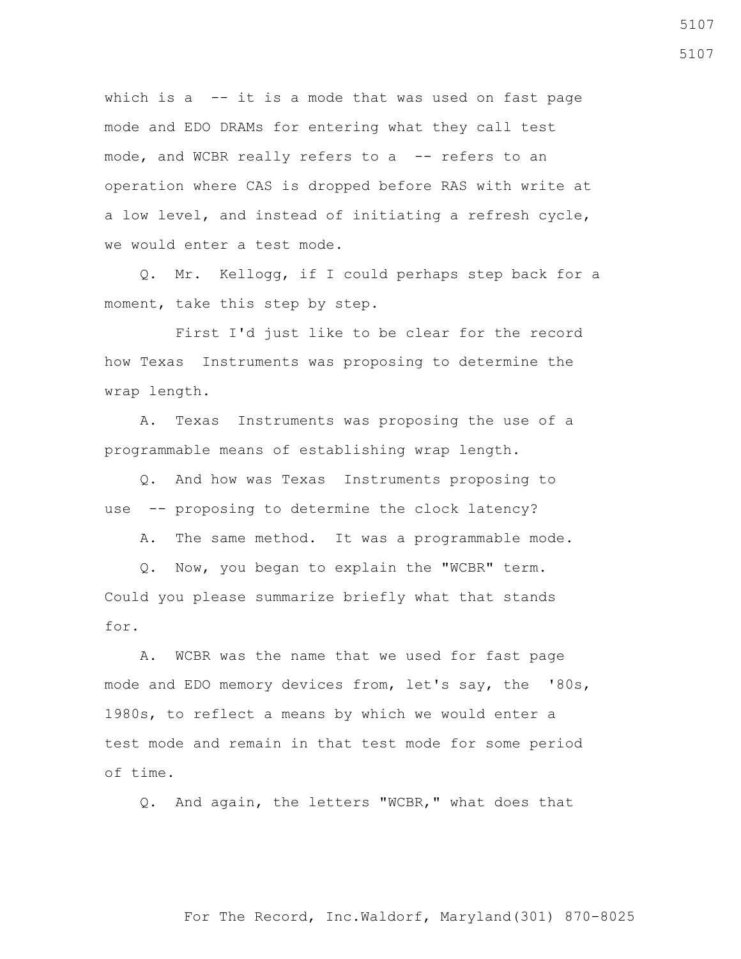which is a  $-$  it is a mode that was used on fast page mode and EDO DRAMs for entering what they call test mode, and WCBR really refers to a -- refers to an operation where CAS is dropped before RAS with write at a low level, and instead of initiating a refresh cycle, we would enter a test mode.

 Q. Mr. Kellogg, if I could perhaps step back for a moment, take this step by step.

 First I'd just like to be clear for the record how Texas Instruments was proposing to determine the wrap length.

 A. Texas Instruments was proposing the use of a programmable means of establishing wrap length.

 Q. And how was Texas Instruments proposing to use -- proposing to determine the clock latency?

A. The same method. It was a programmable mode.

 Q. Now, you began to explain the "WCBR" term. Could you please summarize briefly what that stands for.

 A. WCBR was the name that we used for fast page mode and EDO memory devices from, let's say, the '80s, 1980s, to reflect a means by which we would enter a test mode and remain in that test mode for some period of time.

Q. And again, the letters "WCBR," what does that

For The Record, Inc.Waldorf, Maryland(301) 870-8025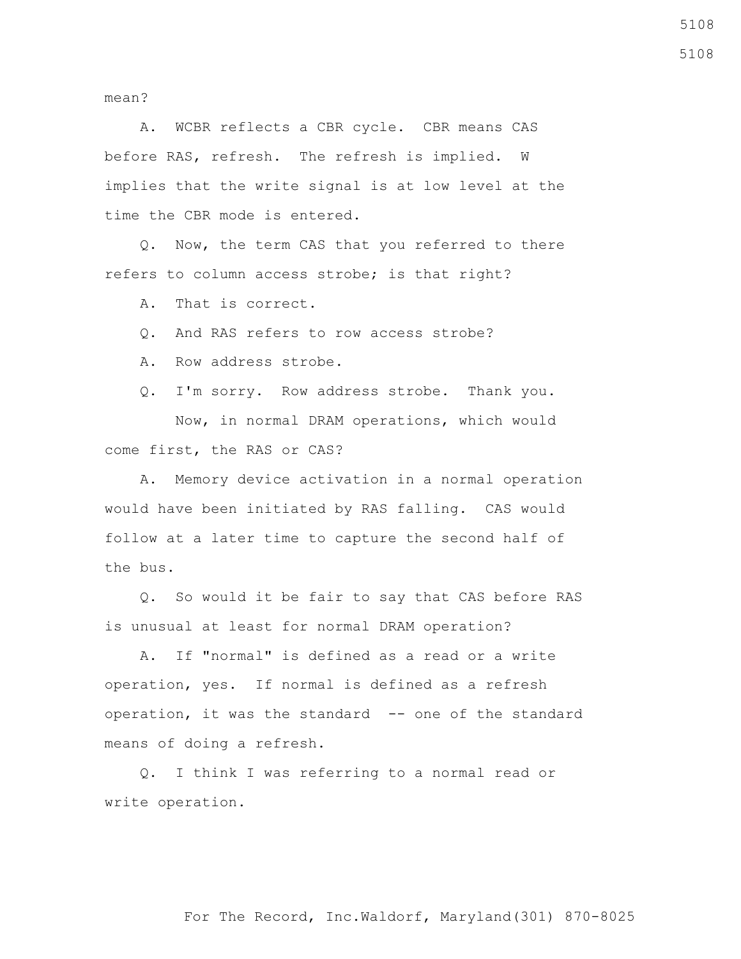mean?

 A. WCBR reflects a CBR cycle. CBR means CAS before RAS, refresh. The refresh is implied. W implies that the write signal is at low level at the time the CBR mode is entered.

 Q. Now, the term CAS that you referred to there refers to column access strobe; is that right?

A. That is correct.

Q. And RAS refers to row access strobe?

A. Row address strobe.

Q. I'm sorry. Row address strobe. Thank you.

 Now, in normal DRAM operations, which would come first, the RAS or CAS?

 A. Memory device activation in a normal operation would have been initiated by RAS falling. CAS would follow at a later time to capture the second half of the bus.

 Q. So would it be fair to say that CAS before RAS is unusual at least for normal DRAM operation?

 A. If "normal" is defined as a read or a write operation, yes. If normal is defined as a refresh operation, it was the standard -- one of the standard means of doing a refresh.

 Q. I think I was referring to a normal read or write operation.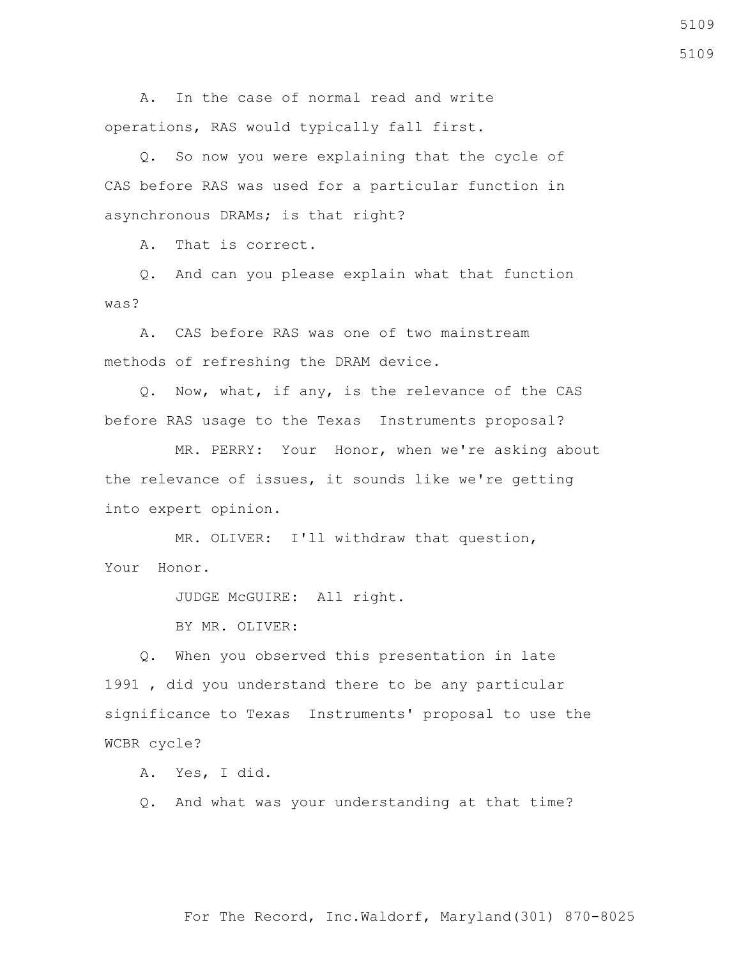A. In the case of normal read and write operations, RAS would typically fall first.

 Q. So now you were explaining that the cycle of CAS before RAS was used for a particular function in asynchronous DRAMs; is that right?

A. That is correct.

 Q. And can you please explain what that function was?

 A. CAS before RAS was one of two mainstream methods of refreshing the DRAM device.

 Q. Now, what, if any, is the relevance of the CAS before RAS usage to the Texas Instruments proposal?

 MR. PERRY: Your Honor, when we're asking about the relevance of issues, it sounds like we're getting into expert opinion.

 MR. OLIVER: I'll withdraw that question, Your Honor.

JUDGE McGUIRE: All right.

BY MR. OLIVER:

 Q. When you observed this presentation in late 1991 , did you understand there to be any particular significance to Texas Instruments' proposal to use the WCBR cycle?

A. Yes, I did.

Q. And what was your understanding at that time?

For The Record, Inc.Waldorf, Maryland(301) 870-8025

5109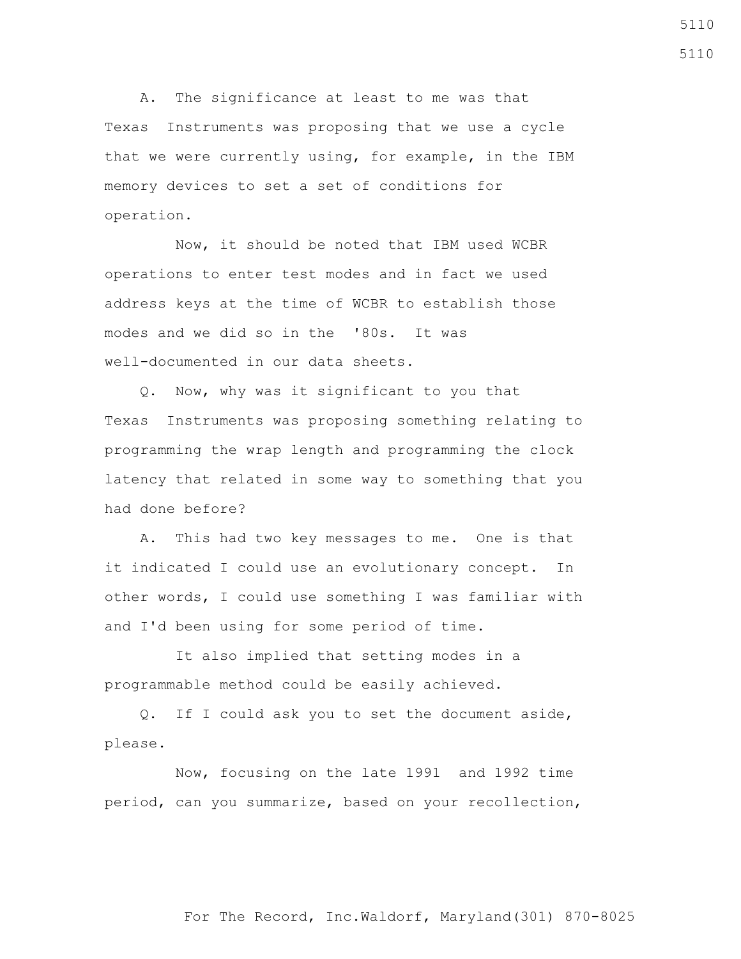A. The significance at least to me was that Texas Instruments was proposing that we use a cycle that we were currently using, for example, in the IBM memory devices to set a set of conditions for operation.

 Now, it should be noted that IBM used WCBR operations to enter test modes and in fact we used address keys at the time of WCBR to establish those modes and we did so in the '80s. It was well-documented in our data sheets.

 Q. Now, why was it significant to you that Texas Instruments was proposing something relating to programming the wrap length and programming the clock latency that related in some way to something that you had done before?

 A. This had two key messages to me. One is that it indicated I could use an evolutionary concept. In other words, I could use something I was familiar with and I'd been using for some period of time.

 It also implied that setting modes in a programmable method could be easily achieved.

 Q. If I could ask you to set the document aside, please.

 Now, focusing on the late 1991 and 1992 time period, can you summarize, based on your recollection,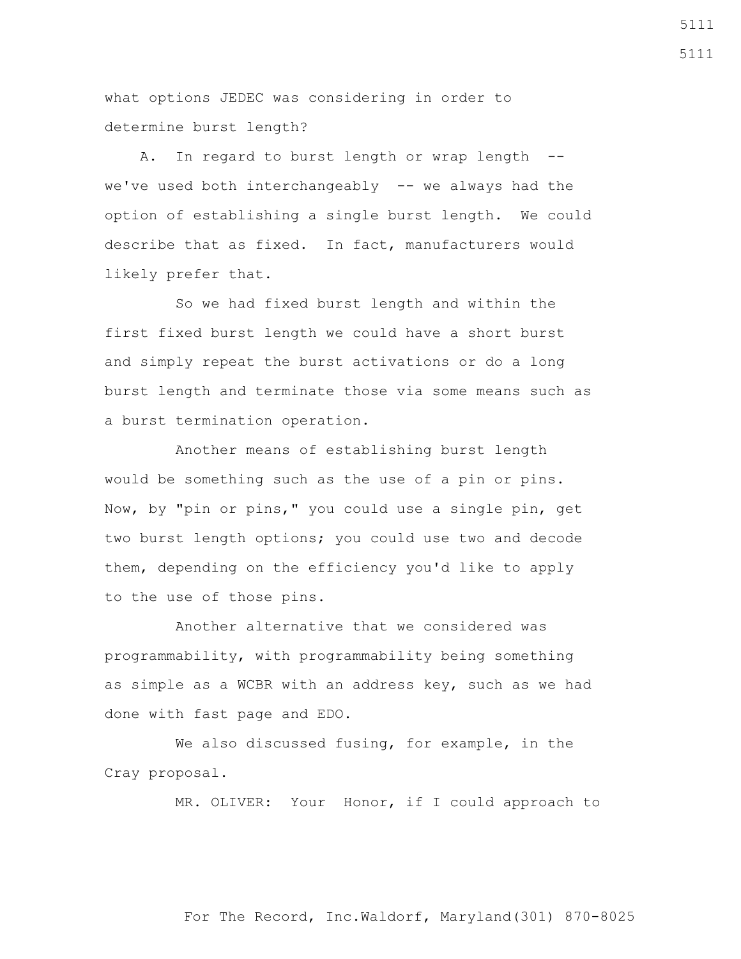what options JEDEC was considering in order to determine burst length?

 A. In regard to burst length or wrap length - we've used both interchangeably -- we always had the option of establishing a single burst length. We could describe that as fixed. In fact, manufacturers would likely prefer that.

 So we had fixed burst length and within the first fixed burst length we could have a short burst and simply repeat the burst activations or do a long burst length and terminate those via some means such as a burst termination operation.

 Another means of establishing burst length would be something such as the use of a pin or pins. Now, by "pin or pins," you could use a single pin, get two burst length options; you could use two and decode them, depending on the efficiency you'd like to apply to the use of those pins.

 Another alternative that we considered was programmability, with programmability being something as simple as a WCBR with an address key, such as we had done with fast page and EDO.

We also discussed fusing, for example, in the Cray proposal.

MR. OLIVER: Your Honor, if I could approach to

For The Record, Inc.Waldorf, Maryland(301) 870-8025

5111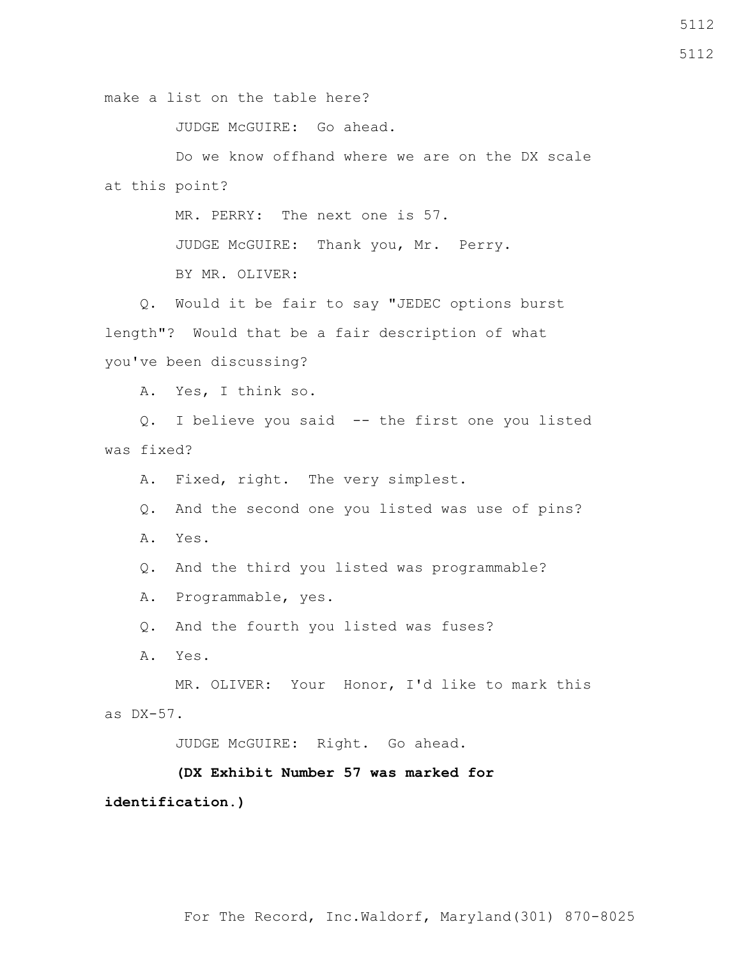make a list on the table here?

JUDGE McGUIRE: Go ahead.

 Do we know offhand where we are on the DX scale at this point?

MR. PERRY: The next one is 57.

JUDGE McGUIRE: Thank you, Mr. Perry.

BY MR. OLIVER:

 Q. Would it be fair to say "JEDEC options burst length"? Would that be a fair description of what you've been discussing?

A. Yes, I think so.

 Q. I believe you said -- the first one you listed was fixed?

A. Fixed, right. The very simplest.

Q. And the second one you listed was use of pins?

A. Yes.

Q. And the third you listed was programmable?

A. Programmable, yes.

Q. And the fourth you listed was fuses?

A. Yes.

 MR. OLIVER: Your Honor, I'd like to mark this as DX-57.

JUDGE McGUIRE: Right. Go ahead.

 **(DX Exhibit Number 57 was marked for** 

# **identification.)**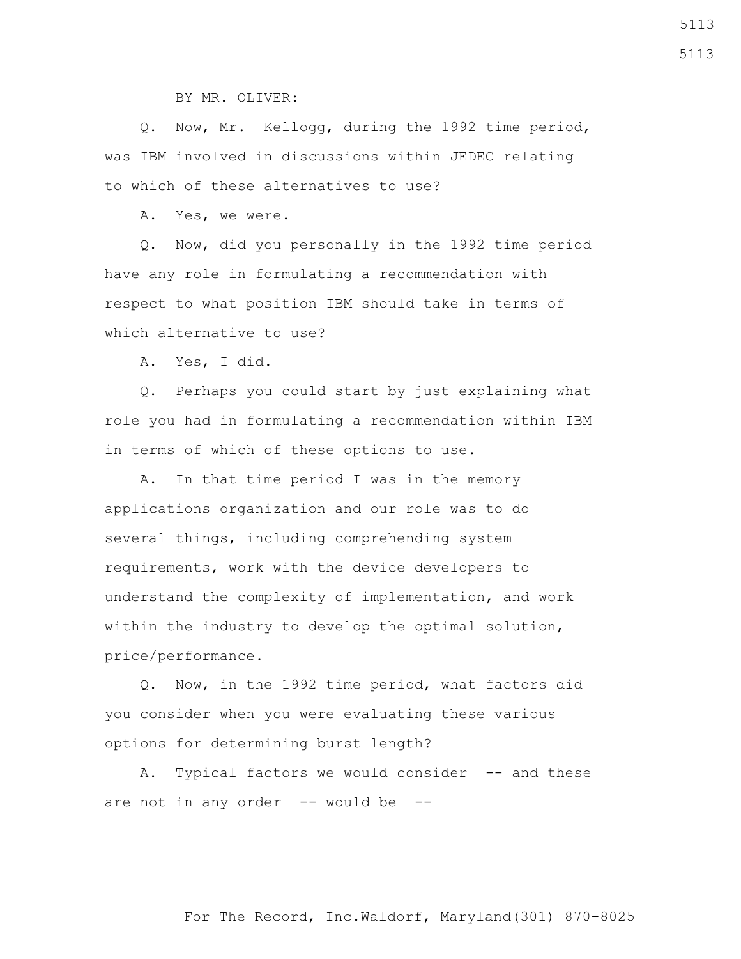BY MR. OLIVER:

 Q. Now, Mr. Kellogg, during the 1992 time period, was IBM involved in discussions within JEDEC relating to which of these alternatives to use?

A. Yes, we were.

 Q. Now, did you personally in the 1992 time period have any role in formulating a recommendation with respect to what position IBM should take in terms of which alternative to use?

A. Yes, I did.

 Q. Perhaps you could start by just explaining what role you had in formulating a recommendation within IBM in terms of which of these options to use.

 A. In that time period I was in the memory applications organization and our role was to do several things, including comprehending system requirements, work with the device developers to understand the complexity of implementation, and work within the industry to develop the optimal solution, price/performance.

 Q. Now, in the 1992 time period, what factors did you consider when you were evaluating these various options for determining burst length?

A. Typical factors we would consider -- and these are not in any order  $-$ - would be  $-$ -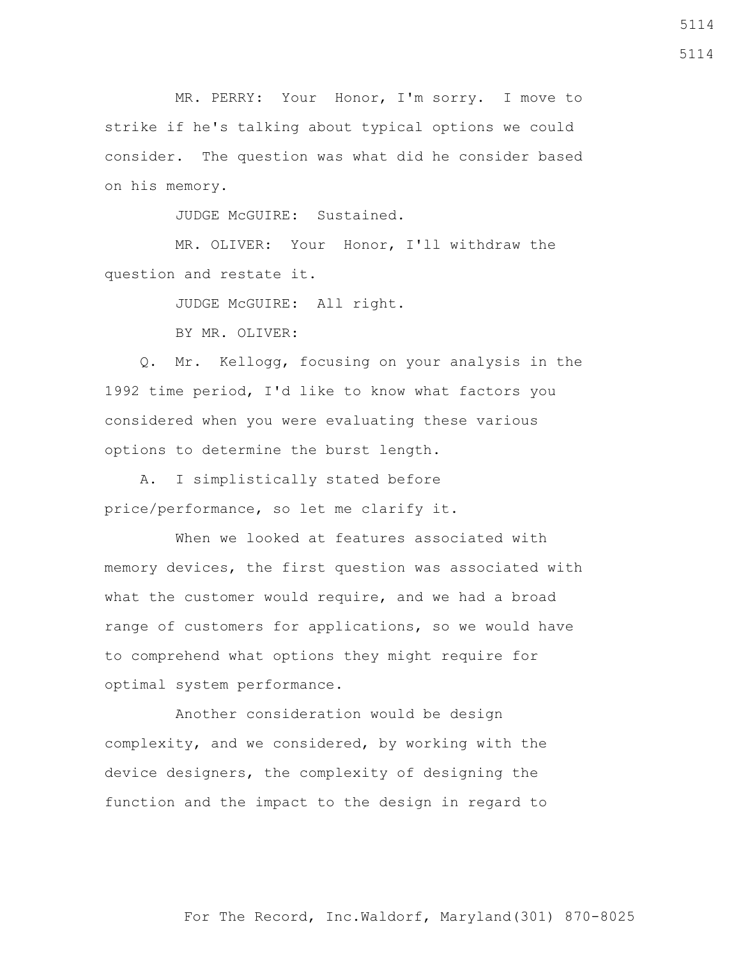MR. PERRY: Your Honor, I'm sorry. I move to strike if he's talking about typical options we could consider. The question was what did he consider based on his memory.

JUDGE McGUIRE: Sustained.

 MR. OLIVER: Your Honor, I'll withdraw the question and restate it.

JUDGE McGUIRE: All right.

BY MR. OLIVER:

 Q. Mr. Kellogg, focusing on your analysis in the 1992 time period, I'd like to know what factors you considered when you were evaluating these various options to determine the burst length.

 A. I simplistically stated before price/performance, so let me clarify it.

When we looked at features associated with memory devices, the first question was associated with what the customer would require, and we had a broad range of customers for applications, so we would have to comprehend what options they might require for optimal system performance.

 Another consideration would be design complexity, and we considered, by working with the device designers, the complexity of designing the function and the impact to the design in regard to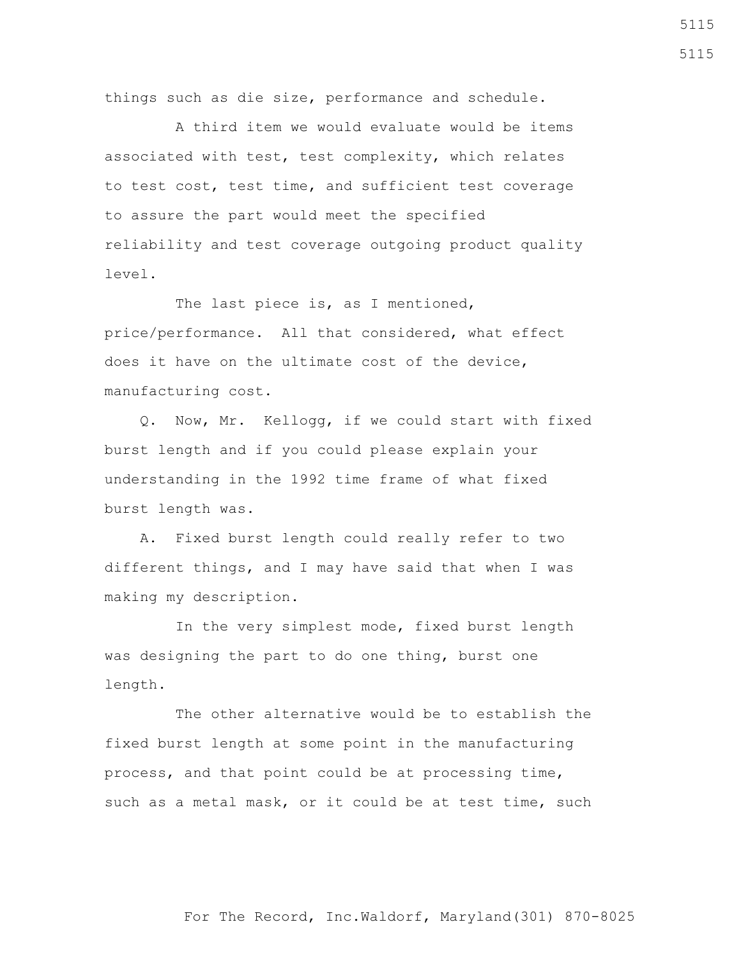things such as die size, performance and schedule.

 A third item we would evaluate would be items associated with test, test complexity, which relates to test cost, test time, and sufficient test coverage to assure the part would meet the specified reliability and test coverage outgoing product quality level.

The last piece is, as I mentioned, price/performance. All that considered, what effect does it have on the ultimate cost of the device, manufacturing cost.

 Q. Now, Mr. Kellogg, if we could start with fixed burst length and if you could please explain your understanding in the 1992 time frame of what fixed burst length was.

 A. Fixed burst length could really refer to two different things, and I may have said that when I was making my description.

 In the very simplest mode, fixed burst length was designing the part to do one thing, burst one length.

 The other alternative would be to establish the fixed burst length at some point in the manufacturing process, and that point could be at processing time, such as a metal mask, or it could be at test time, such

For The Record, Inc.Waldorf, Maryland(301) 870-8025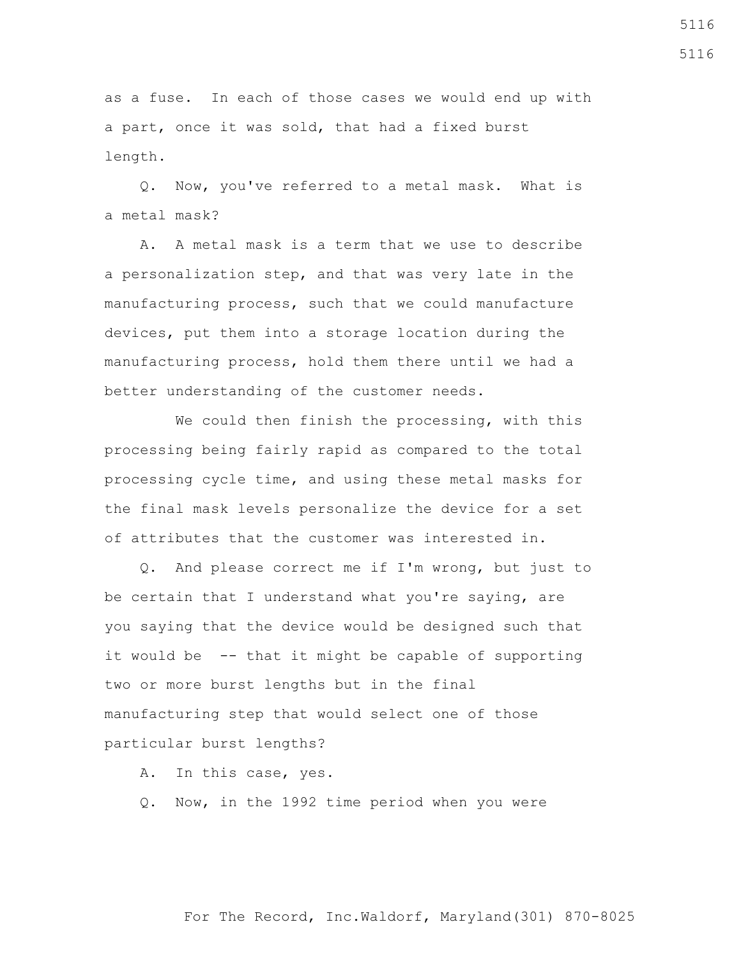as a fuse. In each of those cases we would end up with a part, once it was sold, that had a fixed burst length.

 Q. Now, you've referred to a metal mask. What is a metal mask?

 A. A metal mask is a term that we use to describe a personalization step, and that was very late in the manufacturing process, such that we could manufacture devices, put them into a storage location during the manufacturing process, hold them there until we had a better understanding of the customer needs.

 We could then finish the processing, with this processing being fairly rapid as compared to the total processing cycle time, and using these metal masks for the final mask levels personalize the device for a set of attributes that the customer was interested in.

 Q. And please correct me if I'm wrong, but just to be certain that I understand what you're saying, are you saying that the device would be designed such that it would be -- that it might be capable of supporting two or more burst lengths but in the final manufacturing step that would select one of those particular burst lengths?

A. In this case, yes.

Q. Now, in the 1992 time period when you were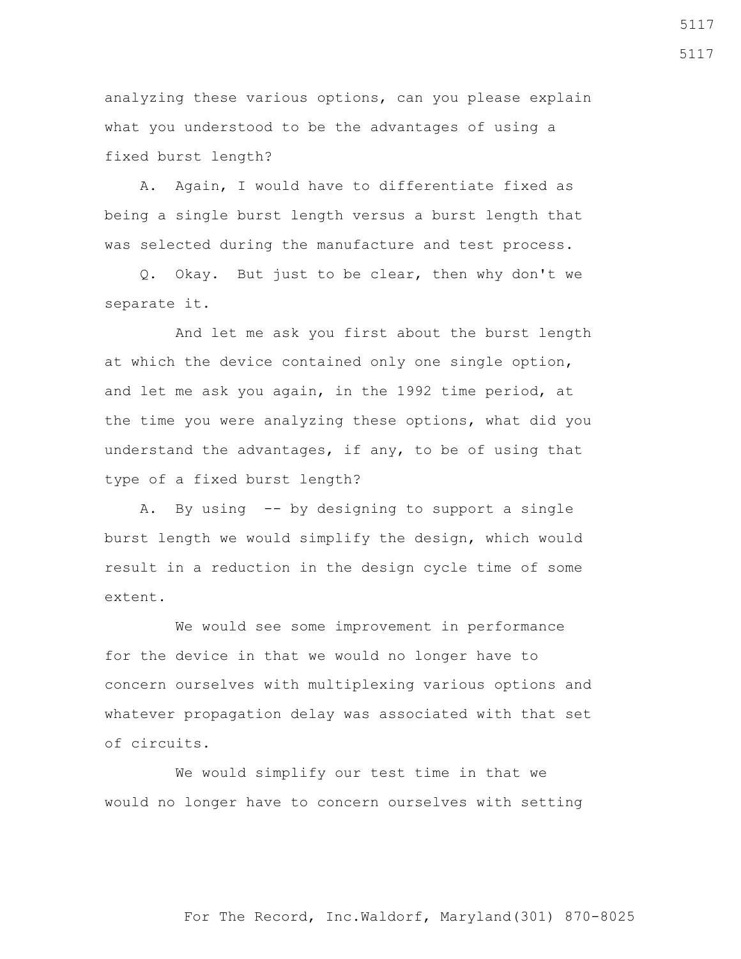analyzing these various options, can you please explain what you understood to be the advantages of using a fixed burst length?

 A. Again, I would have to differentiate fixed as being a single burst length versus a burst length that was selected during the manufacture and test process.

 Q. Okay. But just to be clear, then why don't we separate it.

 And let me ask you first about the burst length at which the device contained only one single option, and let me ask you again, in the 1992 time period, at the time you were analyzing these options, what did you understand the advantages, if any, to be of using that type of a fixed burst length?

 A. By using -- by designing to support a single burst length we would simplify the design, which would result in a reduction in the design cycle time of some extent.

 We would see some improvement in performance for the device in that we would no longer have to concern ourselves with multiplexing various options and whatever propagation delay was associated with that set of circuits.

 We would simplify our test time in that we would no longer have to concern ourselves with setting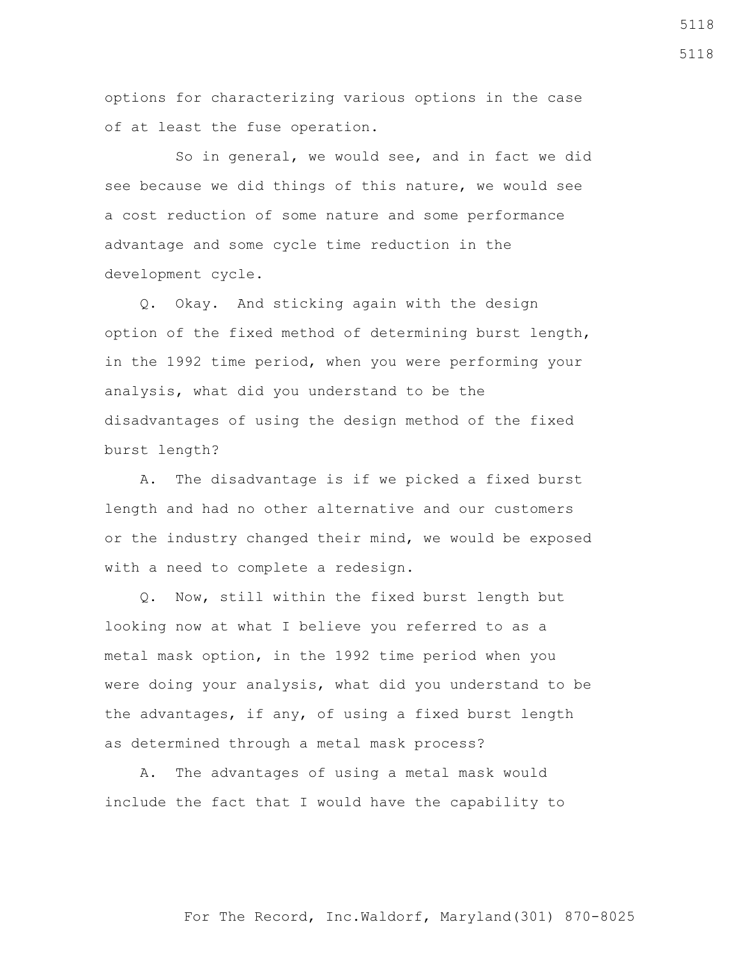options for characterizing various options in the case of at least the fuse operation.

 So in general, we would see, and in fact we did see because we did things of this nature, we would see a cost reduction of some nature and some performance advantage and some cycle time reduction in the development cycle.

 Q. Okay. And sticking again with the design option of the fixed method of determining burst length, in the 1992 time period, when you were performing your analysis, what did you understand to be the disadvantages of using the design method of the fixed burst length?

 A. The disadvantage is if we picked a fixed burst length and had no other alternative and our customers or the industry changed their mind, we would be exposed with a need to complete a redesign.

 Q. Now, still within the fixed burst length but looking now at what I believe you referred to as a metal mask option, in the 1992 time period when you were doing your analysis, what did you understand to be the advantages, if any, of using a fixed burst length as determined through a metal mask process?

 A. The advantages of using a metal mask would include the fact that I would have the capability to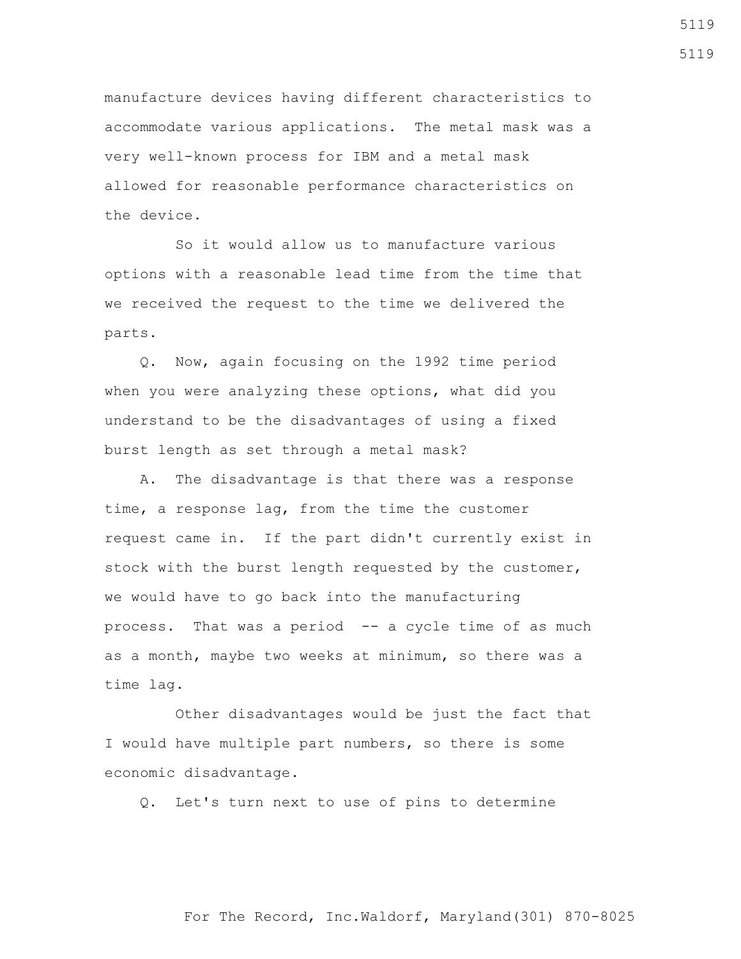manufacture devices having different characteristics to accommodate various applications. The metal mask was a very well-known process for IBM and a metal mask allowed for reasonable performance characteristics on the device.

 So it would allow us to manufacture various options with a reasonable lead time from the time that we received the request to the time we delivered the parts.

 Q. Now, again focusing on the 1992 time period when you were analyzing these options, what did you understand to be the disadvantages of using a fixed burst length as set through a metal mask?

 A. The disadvantage is that there was a response time, a response lag, from the time the customer request came in. If the part didn't currently exist in stock with the burst length requested by the customer, we would have to go back into the manufacturing process. That was a period -- a cycle time of as much as a month, maybe two weeks at minimum, so there was a time lag.

 Other disadvantages would be just the fact that I would have multiple part numbers, so there is some economic disadvantage.

Q. Let's turn next to use of pins to determine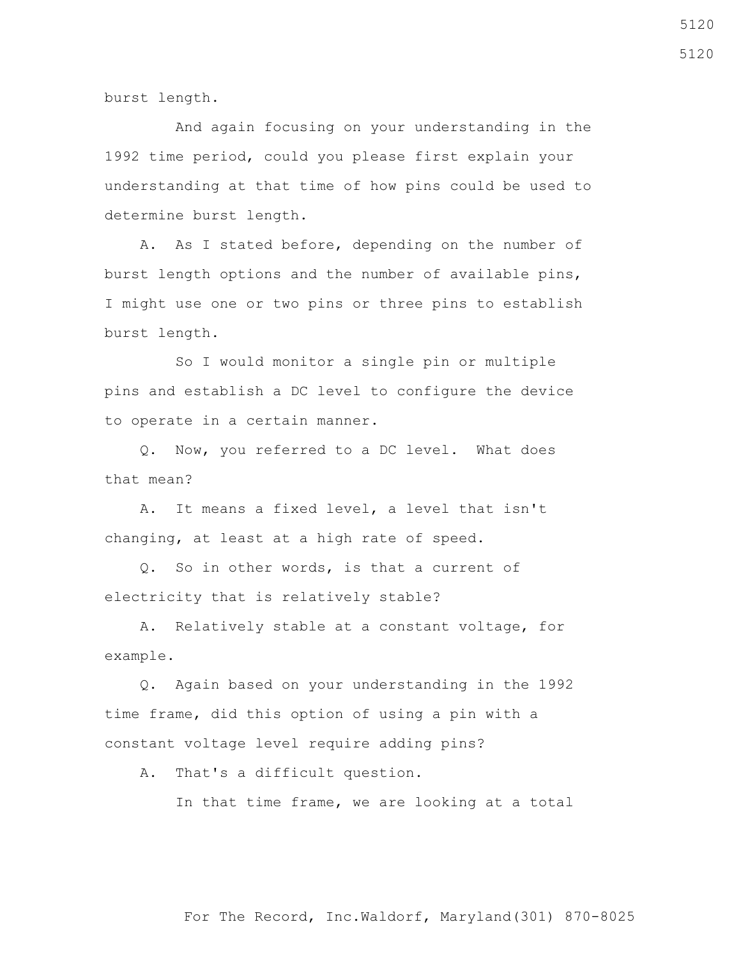burst length.

 And again focusing on your understanding in the 1992 time period, could you please first explain your understanding at that time of how pins could be used to determine burst length.

 A. As I stated before, depending on the number of burst length options and the number of available pins, I might use one or two pins or three pins to establish burst length.

 So I would monitor a single pin or multiple pins and establish a DC level to configure the device to operate in a certain manner.

 Q. Now, you referred to a DC level. What does that mean?

 A. It means a fixed level, a level that isn't changing, at least at a high rate of speed.

 Q. So in other words, is that a current of electricity that is relatively stable?

 A. Relatively stable at a constant voltage, for example.

 Q. Again based on your understanding in the 1992 time frame, did this option of using a pin with a constant voltage level require adding pins?

A. That's a difficult question.

In that time frame, we are looking at a total

For The Record, Inc.Waldorf, Maryland(301) 870-8025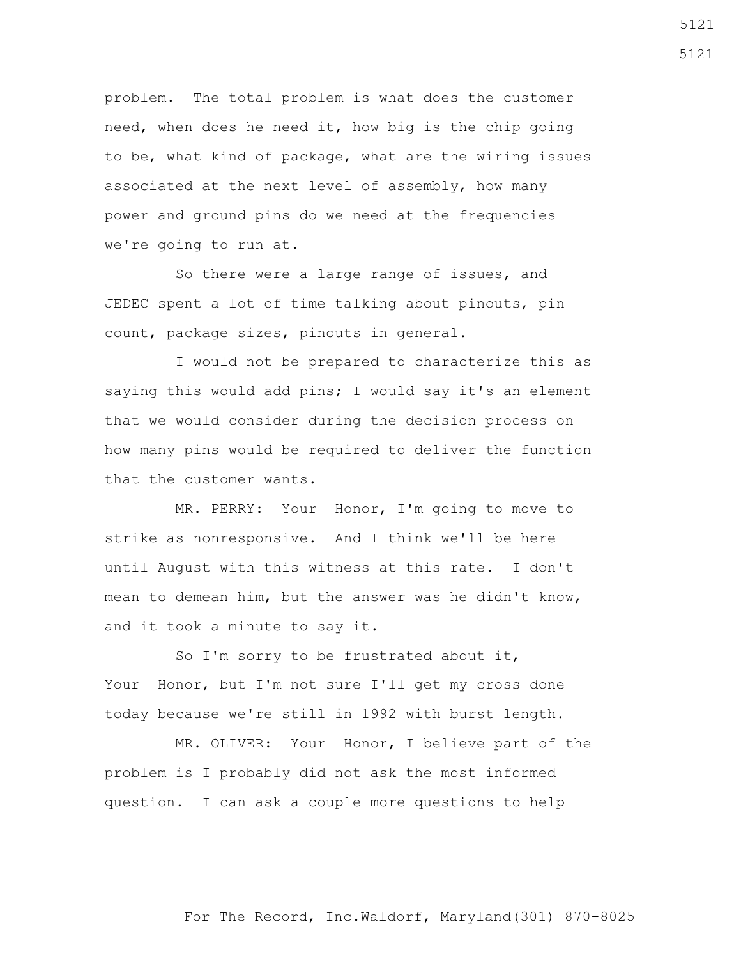problem. The total problem is what does the customer need, when does he need it, how big is the chip going to be, what kind of package, what are the wiring issues associated at the next level of assembly, how many power and ground pins do we need at the frequencies we're going to run at.

 So there were a large range of issues, and JEDEC spent a lot of time talking about pinouts, pin count, package sizes, pinouts in general.

 I would not be prepared to characterize this as saying this would add pins; I would say it's an element that we would consider during the decision process on how many pins would be required to deliver the function that the customer wants.

 MR. PERRY: Your Honor, I'm going to move to strike as nonresponsive. And I think we'll be here until August with this witness at this rate. I don't mean to demean him, but the answer was he didn't know, and it took a minute to say it.

 So I'm sorry to be frustrated about it, Your Honor, but I'm not sure I'll get my cross done today because we're still in 1992 with burst length.

 MR. OLIVER: Your Honor, I believe part of the problem is I probably did not ask the most informed question. I can ask a couple more questions to help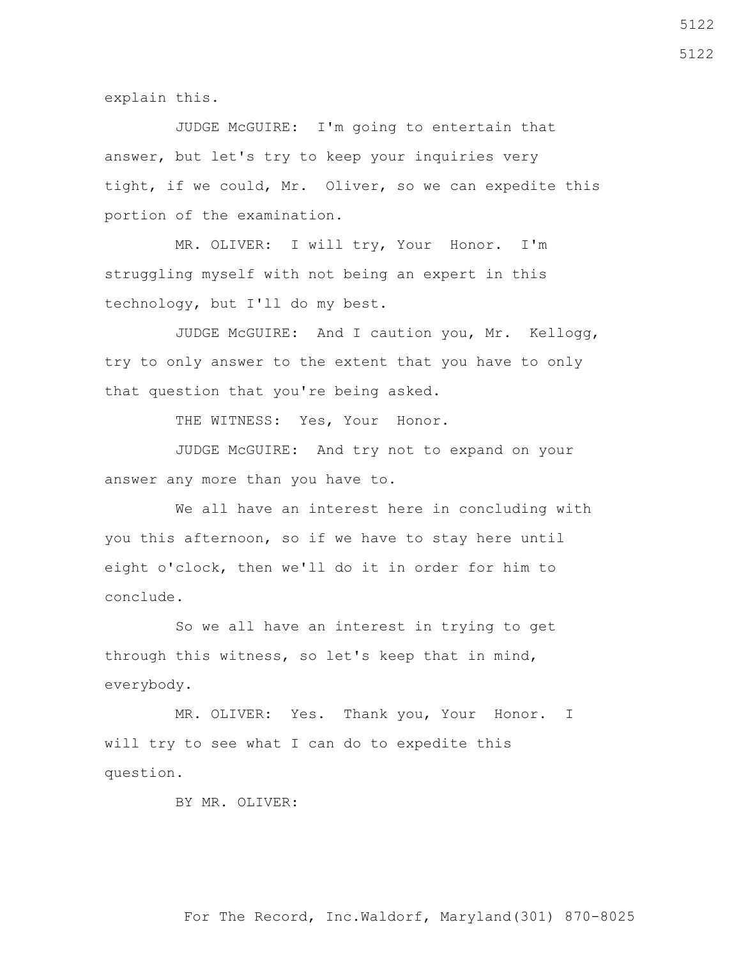explain this.

 JUDGE McGUIRE: I'm going to entertain that answer, but let's try to keep your inquiries very tight, if we could, Mr. Oliver, so we can expedite this portion of the examination.

 MR. OLIVER: I will try, Your Honor. I'm struggling myself with not being an expert in this technology, but I'll do my best.

 JUDGE McGUIRE: And I caution you, Mr. Kellogg, try to only answer to the extent that you have to only that question that you're being asked.

THE WITNESS: Yes, Your Honor.

 JUDGE McGUIRE: And try not to expand on your answer any more than you have to.

 We all have an interest here in concluding with you this afternoon, so if we have to stay here until eight o'clock, then we'll do it in order for him to conclude.

 So we all have an interest in trying to get through this witness, so let's keep that in mind, everybody.

 MR. OLIVER: Yes. Thank you, Your Honor. I will try to see what I can do to expedite this question.

BY MR. OLIVER: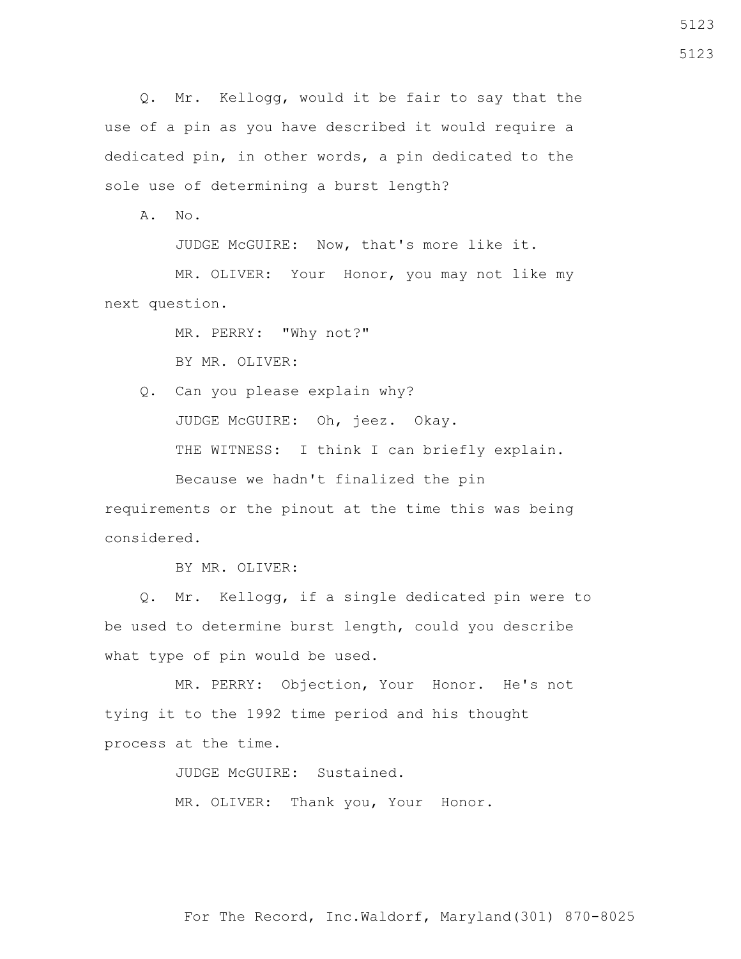Q. Mr. Kellogg, would it be fair to say that the use of a pin as you have described it would require a dedicated pin, in other words, a pin dedicated to the sole use of determining a burst length?

A. No.

JUDGE McGUIRE: Now, that's more like it.

 MR. OLIVER: Your Honor, you may not like my next question.

> MR. PERRY: "Why not?" BY MR. OLIVER:

 Q. Can you please explain why? JUDGE McGUIRE: Oh, jeez. Okay. THE WITNESS: I think I can briefly explain. Because we hadn't finalized the pin

requirements or the pinout at the time this was being considered.

BY MR. OLIVER:

 Q. Mr. Kellogg, if a single dedicated pin were to be used to determine burst length, could you describe what type of pin would be used.

 MR. PERRY: Objection, Your Honor. He's not tying it to the 1992 time period and his thought process at the time.

JUDGE McGUIRE: Sustained.

MR. OLIVER: Thank you, Your Honor.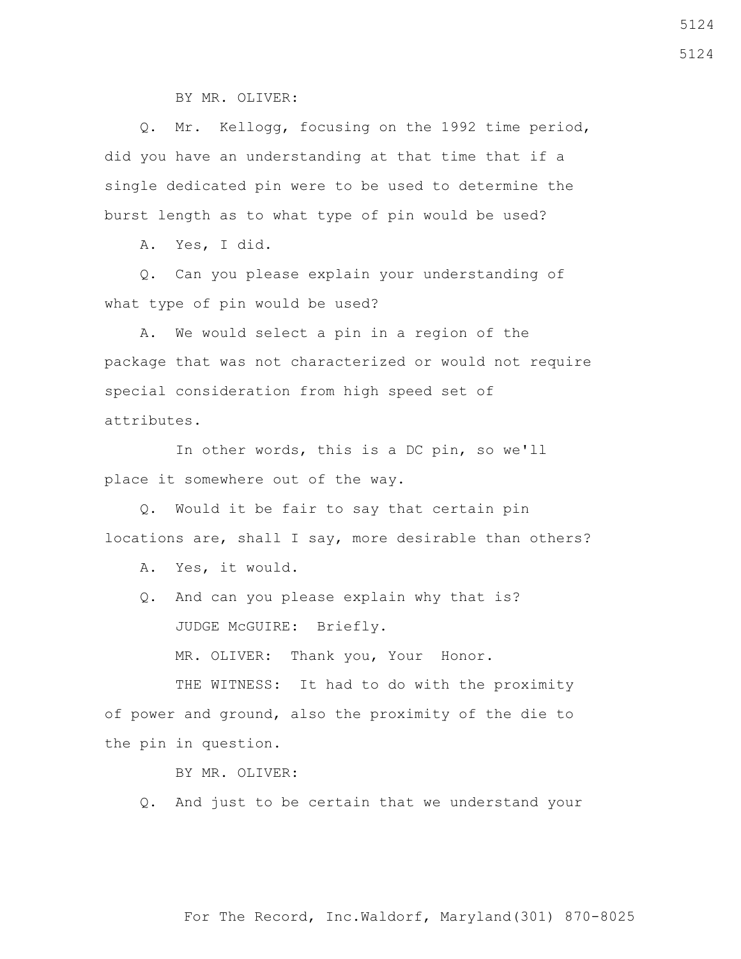BY MR. OLIVER:

 Q. Mr. Kellogg, focusing on the 1992 time period, did you have an understanding at that time that if a single dedicated pin were to be used to determine the burst length as to what type of pin would be used?

A. Yes, I did.

 Q. Can you please explain your understanding of what type of pin would be used?

 A. We would select a pin in a region of the package that was not characterized or would not require special consideration from high speed set of attributes.

 In other words, this is a DC pin, so we'll place it somewhere out of the way.

 Q. Would it be fair to say that certain pin locations are, shall I say, more desirable than others?

A. Yes, it would.

 Q. And can you please explain why that is? JUDGE McGUIRE: Briefly.

MR. OLIVER: Thank you, Your Honor.

THE WITNESS: It had to do with the proximity of power and ground, also the proximity of the die to the pin in question.

BY MR. OLIVER:

Q. And just to be certain that we understand your

For The Record, Inc.Waldorf, Maryland(301) 870-8025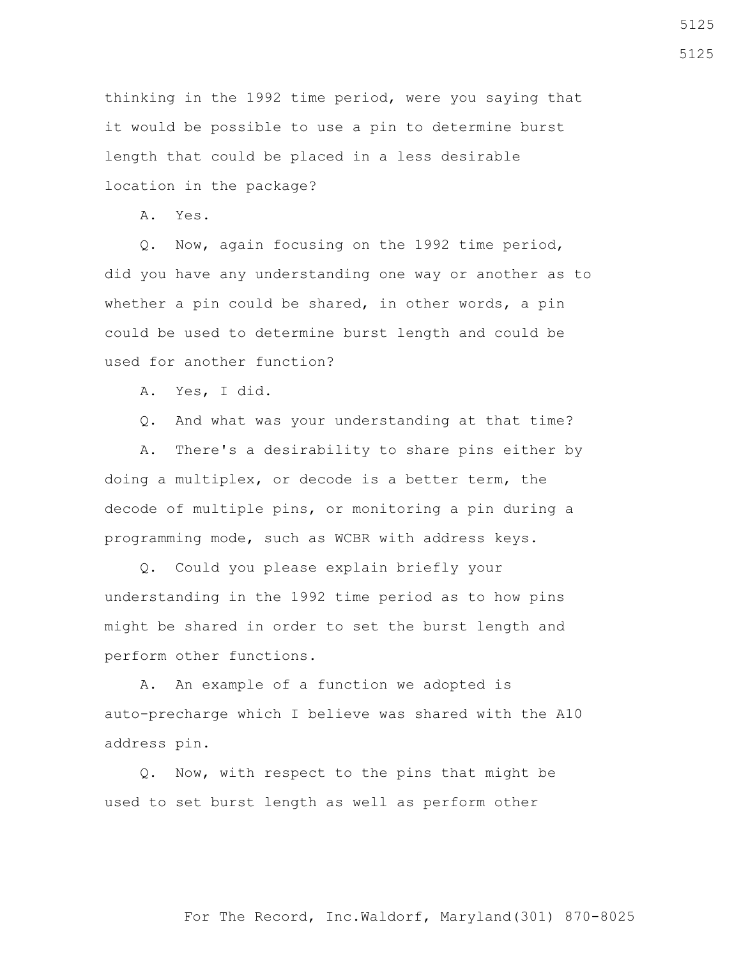thinking in the 1992 time period, were you saying that it would be possible to use a pin to determine burst length that could be placed in a less desirable location in the package?

A. Yes.

 Q. Now, again focusing on the 1992 time period, did you have any understanding one way or another as to whether a pin could be shared, in other words, a pin could be used to determine burst length and could be used for another function?

A. Yes, I did.

Q. And what was your understanding at that time?

 A. There's a desirability to share pins either by doing a multiplex, or decode is a better term, the decode of multiple pins, or monitoring a pin during a programming mode, such as WCBR with address keys.

 Q. Could you please explain briefly your understanding in the 1992 time period as to how pins might be shared in order to set the burst length and perform other functions.

 A. An example of a function we adopted is auto-precharge which I believe was shared with the A10 address pin.

 Q. Now, with respect to the pins that might be used to set burst length as well as perform other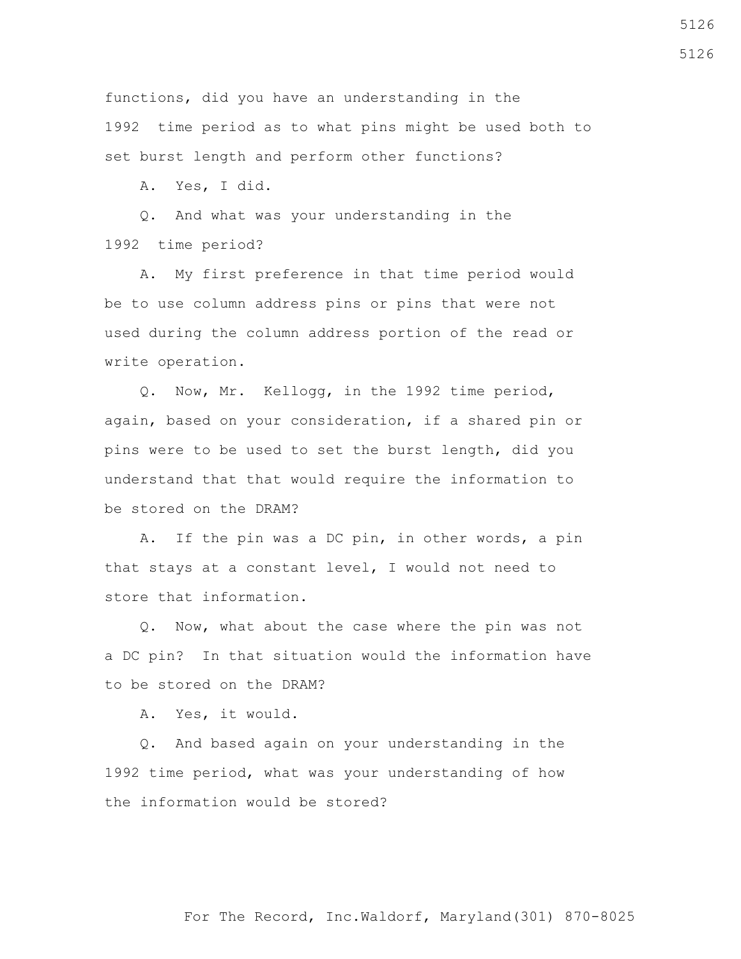functions, did you have an understanding in the 1992 time period as to what pins might be used both to set burst length and perform other functions?

A. Yes, I did.

 Q. And what was your understanding in the 1992 time period?

 A. My first preference in that time period would be to use column address pins or pins that were not used during the column address portion of the read or write operation.

 Q. Now, Mr. Kellogg, in the 1992 time period, again, based on your consideration, if a shared pin or pins were to be used to set the burst length, did you understand that that would require the information to be stored on the DRAM?

 A. If the pin was a DC pin, in other words, a pin that stays at a constant level, I would not need to store that information.

 Q. Now, what about the case where the pin was not a DC pin? In that situation would the information have to be stored on the DRAM?

A. Yes, it would.

 Q. And based again on your understanding in the 1992 time period, what was your understanding of how the information would be stored?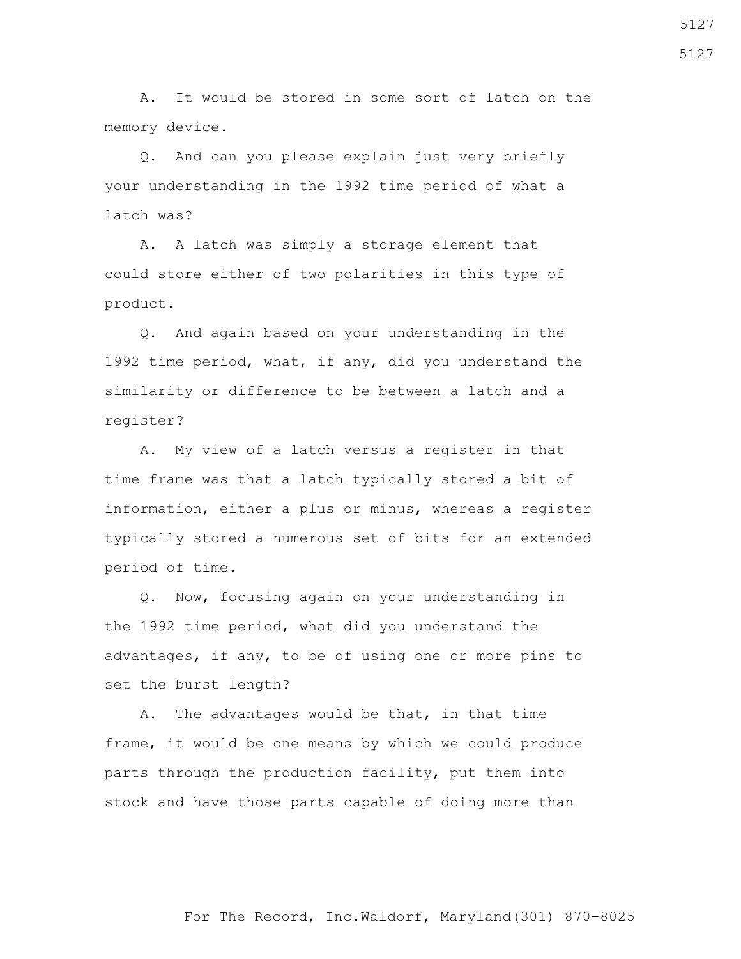A. It would be stored in some sort of latch on the memory device.

 Q. And can you please explain just very briefly your understanding in the 1992 time period of what a latch was?

 A. A latch was simply a storage element that could store either of two polarities in this type of product.

 Q. And again based on your understanding in the 1992 time period, what, if any, did you understand the similarity or difference to be between a latch and a register?

 A. My view of a latch versus a register in that time frame was that a latch typically stored a bit of information, either a plus or minus, whereas a register typically stored a numerous set of bits for an extended period of time.

 Q. Now, focusing again on your understanding in the 1992 time period, what did you understand the advantages, if any, to be of using one or more pins to set the burst length?

 A. The advantages would be that, in that time frame, it would be one means by which we could produce parts through the production facility, put them into stock and have those parts capable of doing more than

For The Record, Inc.Waldorf, Maryland(301) 870-8025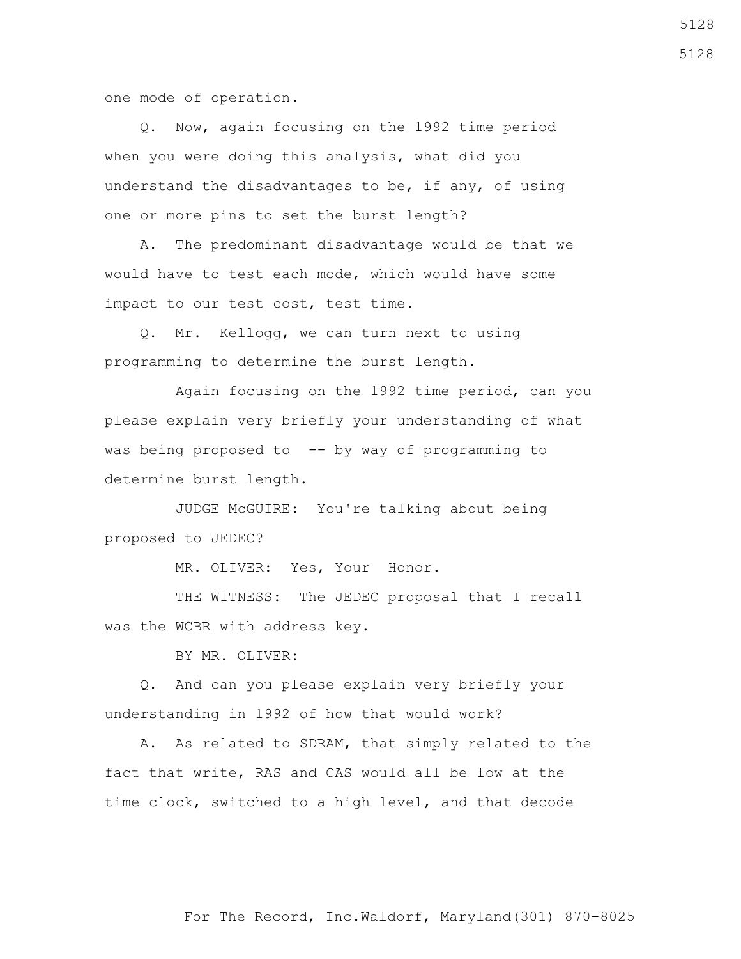one mode of operation.

 Q. Now, again focusing on the 1992 time period when you were doing this analysis, what did you understand the disadvantages to be, if any, of using one or more pins to set the burst length?

 A. The predominant disadvantage would be that we would have to test each mode, which would have some impact to our test cost, test time.

 Q. Mr. Kellogg, we can turn next to using programming to determine the burst length.

 Again focusing on the 1992 time period, can you please explain very briefly your understanding of what was being proposed to -- by way of programming to determine burst length.

 JUDGE McGUIRE: You're talking about being proposed to JEDEC?

MR. OLIVER: Yes, Your Honor.

 THE WITNESS: The JEDEC proposal that I recall was the WCBR with address key.

BY MR. OLIVER:

 Q. And can you please explain very briefly your understanding in 1992 of how that would work?

 A. As related to SDRAM, that simply related to the fact that write, RAS and CAS would all be low at the time clock, switched to a high level, and that decode

For The Record, Inc.Waldorf, Maryland(301) 870-8025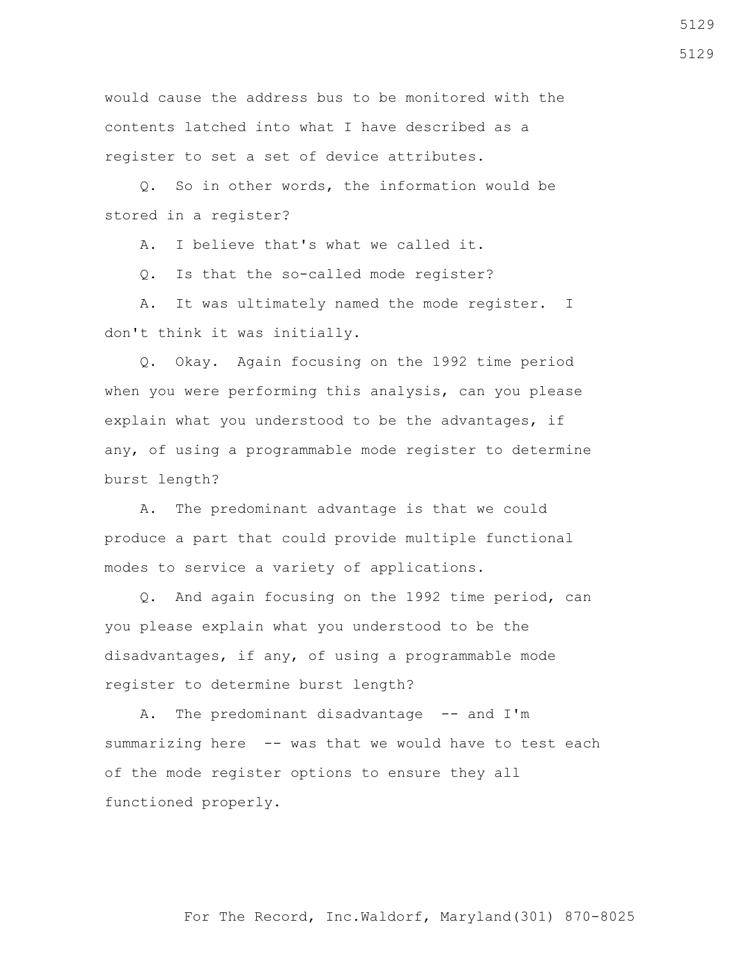would cause the address bus to be monitored with the contents latched into what I have described as a register to set a set of device attributes.

 Q. So in other words, the information would be stored in a register?

A. I believe that's what we called it.

Q. Is that the so-called mode register?

 A. It was ultimately named the mode register. I don't think it was initially.

 Q. Okay. Again focusing on the 1992 time period when you were performing this analysis, can you please explain what you understood to be the advantages, if any, of using a programmable mode register to determine burst length?

 A. The predominant advantage is that we could produce a part that could provide multiple functional modes to service a variety of applications.

 Q. And again focusing on the 1992 time period, can you please explain what you understood to be the disadvantages, if any, of using a programmable mode register to determine burst length?

A. The predominant disadvantage -- and I'm summarizing here -- was that we would have to test each of the mode register options to ensure they all functioned properly.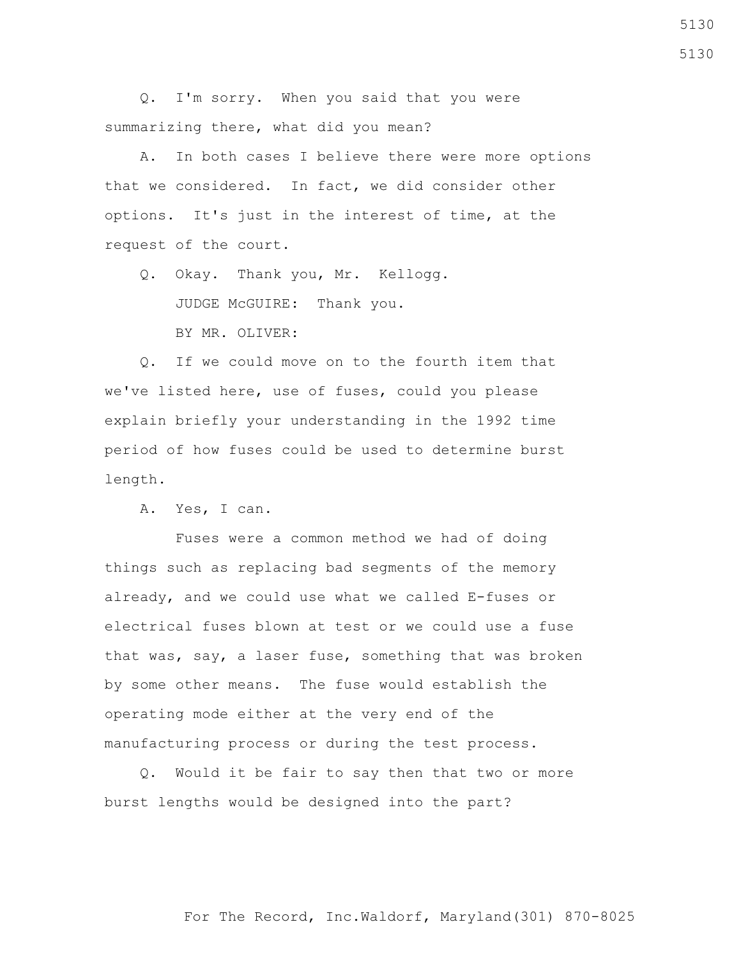Q. I'm sorry. When you said that you were summarizing there, what did you mean?

 A. In both cases I believe there were more options that we considered. In fact, we did consider other options. It's just in the interest of time, at the request of the court.

 Q. Okay. Thank you, Mr. Kellogg. JUDGE McGUIRE: Thank you. BY MR. OLIVER:

 Q. If we could move on to the fourth item that we've listed here, use of fuses, could you please explain briefly your understanding in the 1992 time period of how fuses could be used to determine burst length.

A. Yes, I can.

 Fuses were a common method we had of doing things such as replacing bad segments of the memory already, and we could use what we called E-fuses or electrical fuses blown at test or we could use a fuse that was, say, a laser fuse, something that was broken by some other means. The fuse would establish the operating mode either at the very end of the manufacturing process or during the test process.

 Q. Would it be fair to say then that two or more burst lengths would be designed into the part?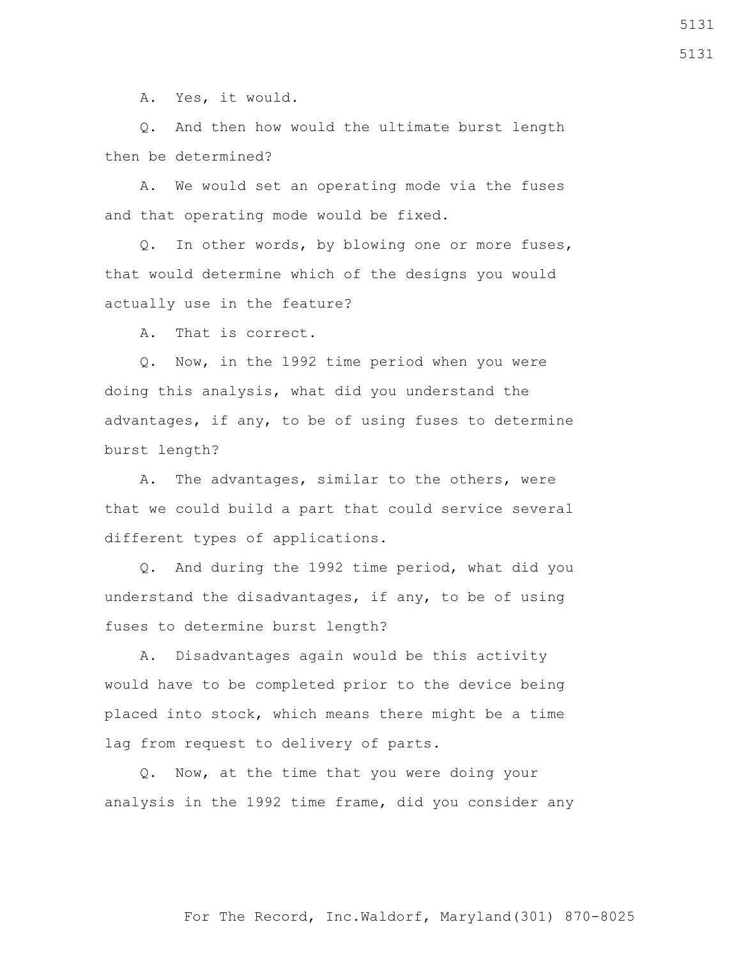A. Yes, it would.

 Q. And then how would the ultimate burst length then be determined?

 A. We would set an operating mode via the fuses and that operating mode would be fixed.

 Q. In other words, by blowing one or more fuses, that would determine which of the designs you would actually use in the feature?

A. That is correct.

 Q. Now, in the 1992 time period when you were doing this analysis, what did you understand the advantages, if any, to be of using fuses to determine burst length?

 A. The advantages, similar to the others, were that we could build a part that could service several different types of applications.

 Q. And during the 1992 time period, what did you understand the disadvantages, if any, to be of using fuses to determine burst length?

 A. Disadvantages again would be this activity would have to be completed prior to the device being placed into stock, which means there might be a time lag from request to delivery of parts.

 Q. Now, at the time that you were doing your analysis in the 1992 time frame, did you consider any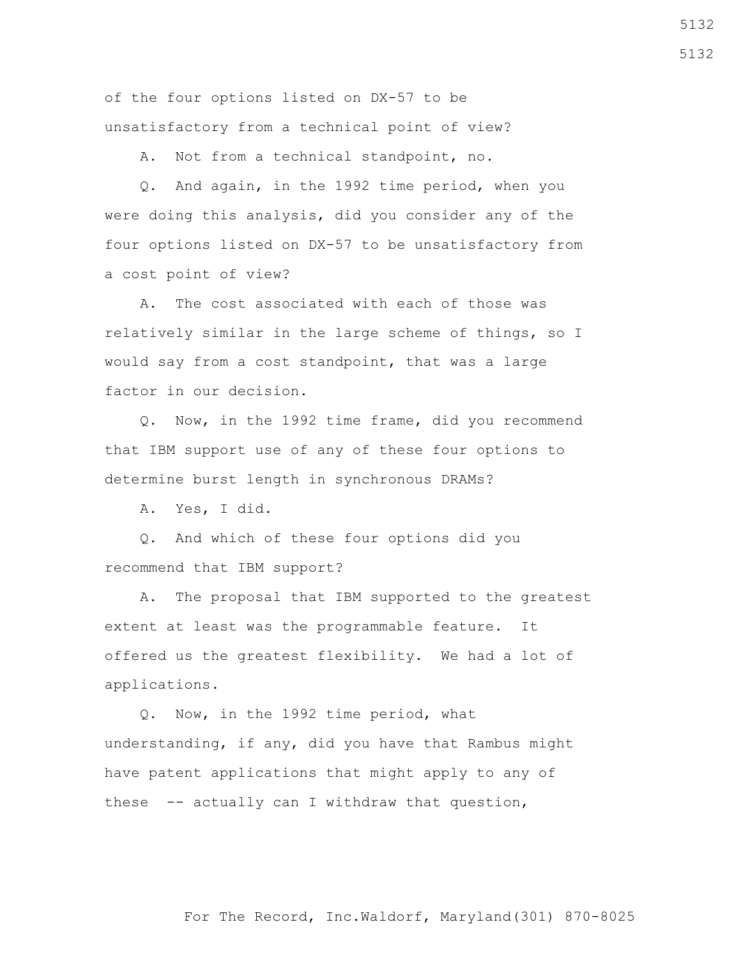of the four options listed on DX-57 to be unsatisfactory from a technical point of view?

A. Not from a technical standpoint, no.

 Q. And again, in the 1992 time period, when you were doing this analysis, did you consider any of the four options listed on DX-57 to be unsatisfactory from a cost point of view?

 A. The cost associated with each of those was relatively similar in the large scheme of things, so I would say from a cost standpoint, that was a large factor in our decision.

 Q. Now, in the 1992 time frame, did you recommend that IBM support use of any of these four options to determine burst length in synchronous DRAMs?

A. Yes, I did.

 Q. And which of these four options did you recommend that IBM support?

 A. The proposal that IBM supported to the greatest extent at least was the programmable feature. It offered us the greatest flexibility. We had a lot of applications.

 Q. Now, in the 1992 time period, what understanding, if any, did you have that Rambus might have patent applications that might apply to any of these -- actually can I withdraw that question,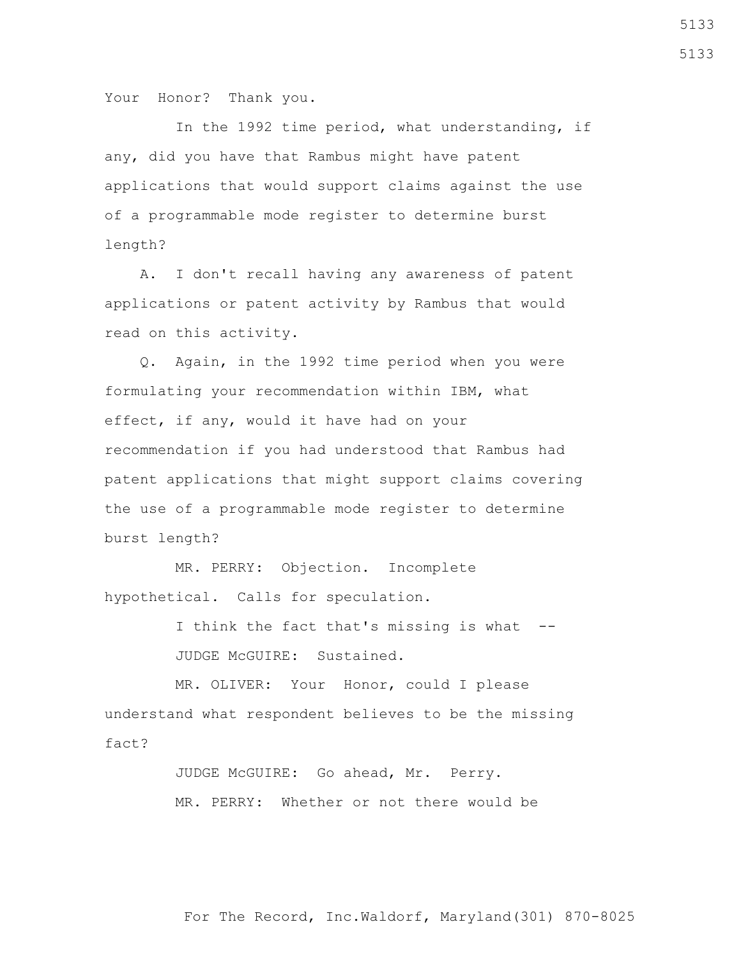Your Honor? Thank you.

 In the 1992 time period, what understanding, if any, did you have that Rambus might have patent applications that would support claims against the use of a programmable mode register to determine burst length?

 A. I don't recall having any awareness of patent applications or patent activity by Rambus that would read on this activity.

 Q. Again, in the 1992 time period when you were formulating your recommendation within IBM, what effect, if any, would it have had on your recommendation if you had understood that Rambus had patent applications that might support claims covering the use of a programmable mode register to determine burst length?

 MR. PERRY: Objection. Incomplete hypothetical. Calls for speculation.

> I think the fact that's missing is what --JUDGE McGUIRE: Sustained.

 MR. OLIVER: Your Honor, could I please understand what respondent believes to be the missing fact?

> JUDGE McGUIRE: Go ahead, Mr. Perry. MR. PERRY: Whether or not there would be

5133

For The Record, Inc.Waldorf, Maryland(301) 870-8025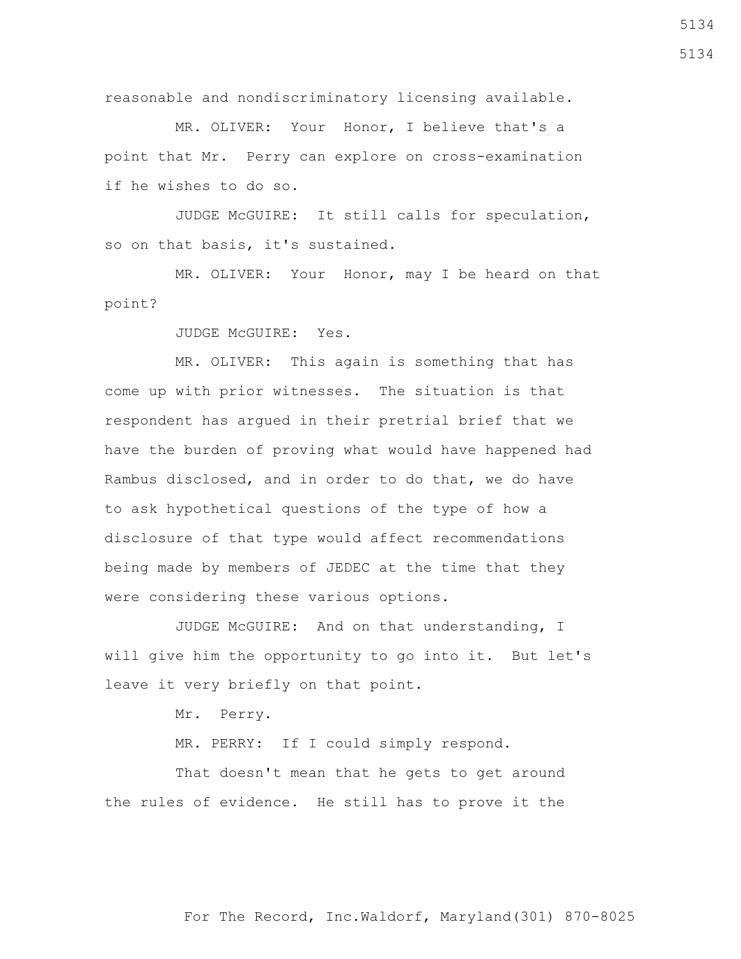reasonable and nondiscriminatory licensing available.

 MR. OLIVER: Your Honor, I believe that's a point that Mr. Perry can explore on cross-examination if he wishes to do so.

 JUDGE McGUIRE: It still calls for speculation, so on that basis, it's sustained.

 MR. OLIVER: Your Honor, may I be heard on that point?

JUDGE McGUIRE: Yes.

 MR. OLIVER: This again is something that has come up with prior witnesses. The situation is that respondent has argued in their pretrial brief that we have the burden of proving what would have happened had Rambus disclosed, and in order to do that, we do have to ask hypothetical questions of the type of how a disclosure of that type would affect recommendations being made by members of JEDEC at the time that they were considering these various options.

 JUDGE McGUIRE: And on that understanding, I will give him the opportunity to go into it. But let's leave it very briefly on that point.

Mr. Perry.

MR. PERRY: If I could simply respond.

That doesn't mean that he gets to get around the rules of evidence. He still has to prove it the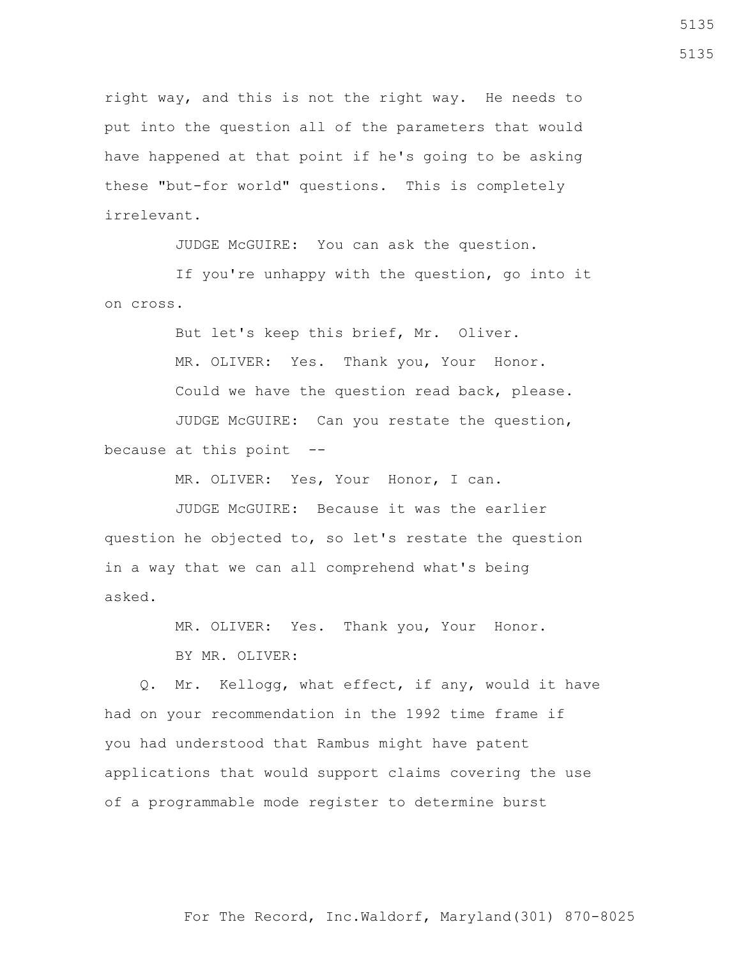right way, and this is not the right way. He needs to put into the question all of the parameters that would have happened at that point if he's going to be asking these "but-for world" questions. This is completely irrelevant.

JUDGE McGUIRE: You can ask the question.

 If you're unhappy with the question, go into it on cross.

 But let's keep this brief, Mr. Oliver. MR. OLIVER: Yes. Thank you, Your Honor. Could we have the question read back, please. JUDGE McGUIRE: Can you restate the question, because at this point --

MR. OLIVER: Yes, Your Honor, I can.

 JUDGE McGUIRE: Because it was the earlier question he objected to, so let's restate the question in a way that we can all comprehend what's being asked.

MR. OLIVER: Yes. Thank you, Your Honor.

BY MR. OLIVER:

 Q. Mr. Kellogg, what effect, if any, would it have had on your recommendation in the 1992 time frame if you had understood that Rambus might have patent applications that would support claims covering the use of a programmable mode register to determine burst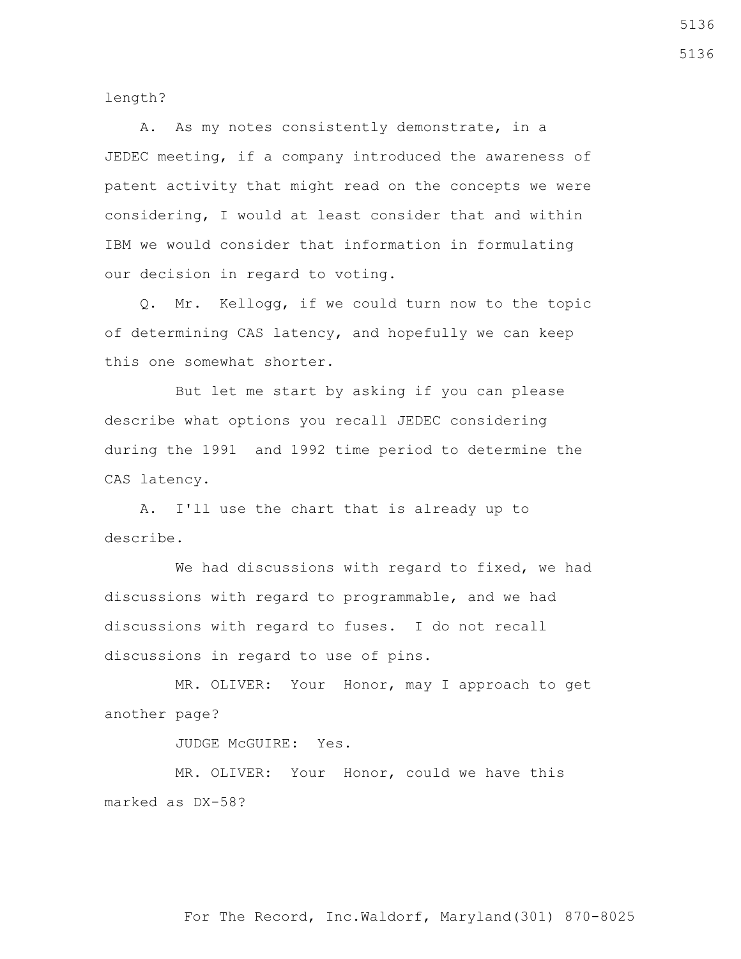length?

 A. As my notes consistently demonstrate, in a JEDEC meeting, if a company introduced the awareness of patent activity that might read on the concepts we were considering, I would at least consider that and within IBM we would consider that information in formulating our decision in regard to voting.

 Q. Mr. Kellogg, if we could turn now to the topic of determining CAS latency, and hopefully we can keep this one somewhat shorter.

 But let me start by asking if you can please describe what options you recall JEDEC considering during the 1991 and 1992 time period to determine the CAS latency.

 A. I'll use the chart that is already up to describe.

 We had discussions with regard to fixed, we had discussions with regard to programmable, and we had discussions with regard to fuses. I do not recall discussions in regard to use of pins.

 MR. OLIVER: Your Honor, may I approach to get another page?

JUDGE McGUIRE: Yes.

 MR. OLIVER: Your Honor, could we have this marked as DX-58?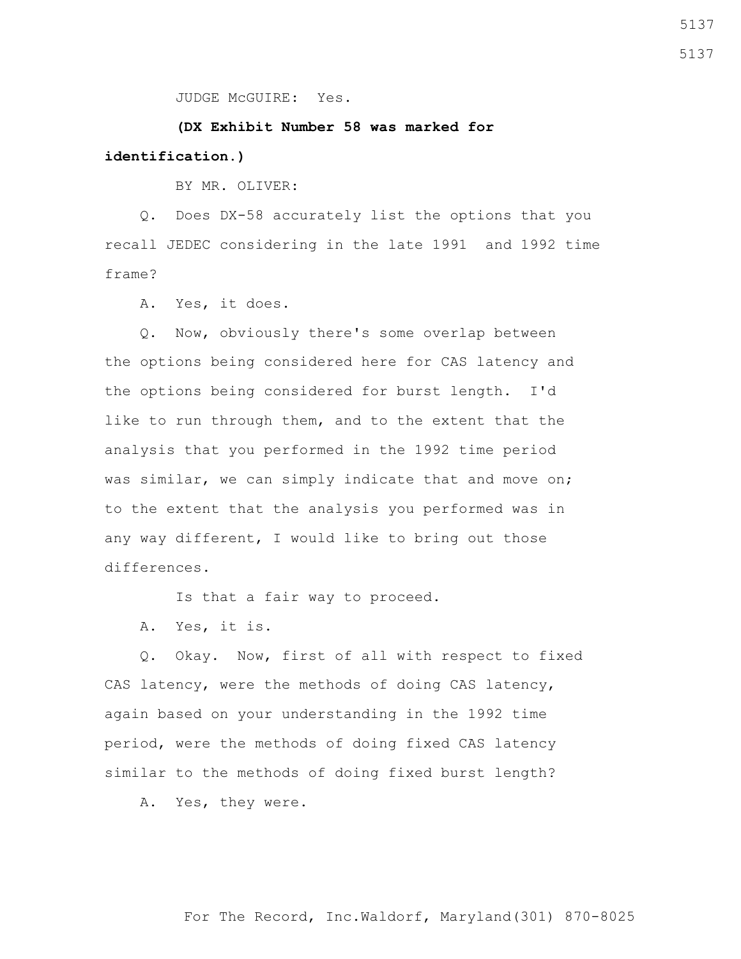JUDGE McGUIRE: Yes.

 **(DX Exhibit Number 58 was marked for identification.)**

BY MR. OLIVER:

 Q. Does DX-58 accurately list the options that you recall JEDEC considering in the late 1991 and 1992 time frame?

A. Yes, it does.

 Q. Now, obviously there's some overlap between the options being considered here for CAS latency and the options being considered for burst length. I'd like to run through them, and to the extent that the analysis that you performed in the 1992 time period was similar, we can simply indicate that and move on; to the extent that the analysis you performed was in any way different, I would like to bring out those differences.

Is that a fair way to proceed.

A. Yes, it is.

 Q. Okay. Now, first of all with respect to fixed CAS latency, were the methods of doing CAS latency, again based on your understanding in the 1992 time period, were the methods of doing fixed CAS latency similar to the methods of doing fixed burst length?

A. Yes, they were.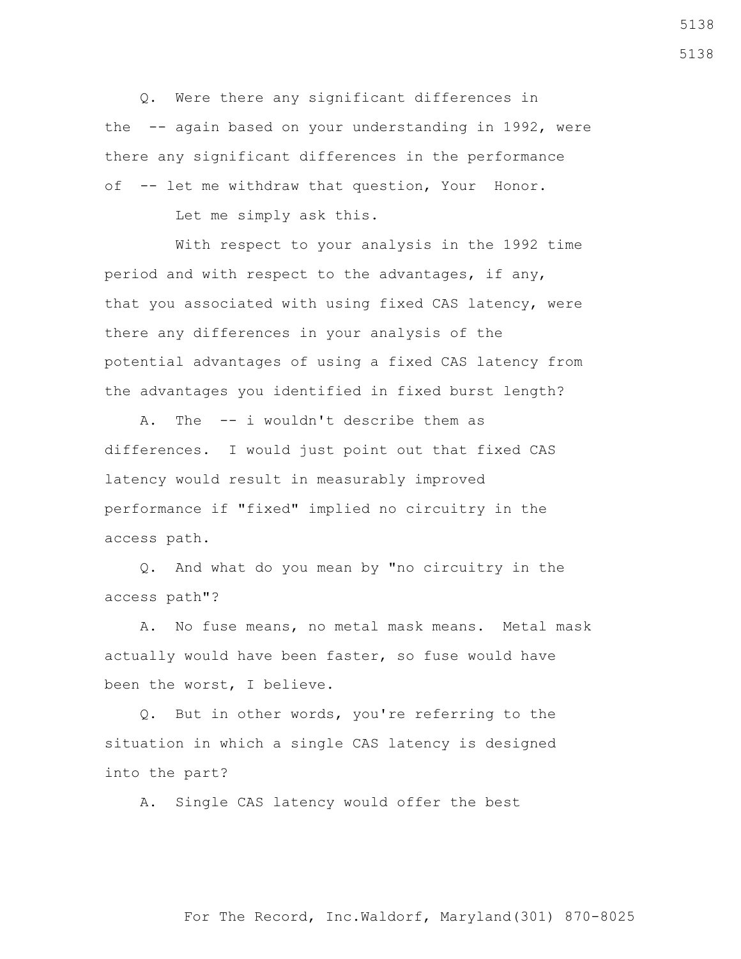Q. Were there any significant differences in the -- again based on your understanding in 1992, were there any significant differences in the performance of -- let me withdraw that question, Your Honor.

Let me simply ask this.

 With respect to your analysis in the 1992 time period and with respect to the advantages, if any, that you associated with using fixed CAS latency, were there any differences in your analysis of the potential advantages of using a fixed CAS latency from the advantages you identified in fixed burst length?

 A. The -- i wouldn't describe them as differences. I would just point out that fixed CAS latency would result in measurably improved performance if "fixed" implied no circuitry in the access path.

 Q. And what do you mean by "no circuitry in the access path"?

 A. No fuse means, no metal mask means. Metal mask actually would have been faster, so fuse would have been the worst, I believe.

 Q. But in other words, you're referring to the situation in which a single CAS latency is designed into the part?

A. Single CAS latency would offer the best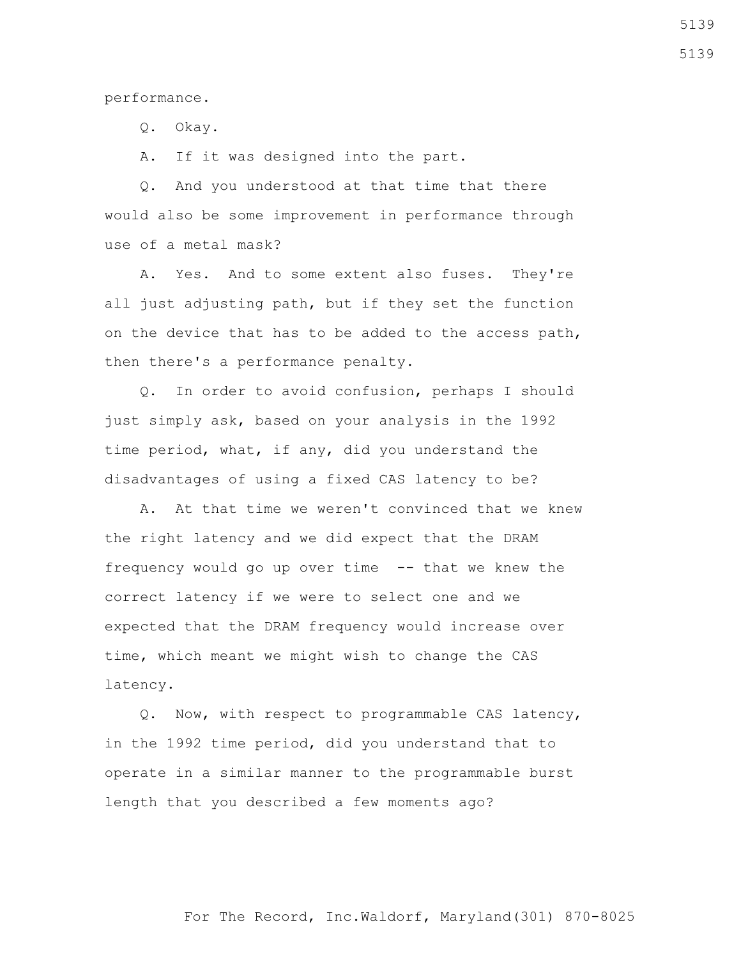performance.

Q. Okay.

A. If it was designed into the part.

 Q. And you understood at that time that there would also be some improvement in performance through use of a metal mask?

 A. Yes. And to some extent also fuses. They're all just adjusting path, but if they set the function on the device that has to be added to the access path, then there's a performance penalty.

 Q. In order to avoid confusion, perhaps I should just simply ask, based on your analysis in the 1992 time period, what, if any, did you understand the disadvantages of using a fixed CAS latency to be?

 A. At that time we weren't convinced that we knew the right latency and we did expect that the DRAM frequency would go up over time -- that we knew the correct latency if we were to select one and we expected that the DRAM frequency would increase over time, which meant we might wish to change the CAS latency.

 Q. Now, with respect to programmable CAS latency, in the 1992 time period, did you understand that to operate in a similar manner to the programmable burst length that you described a few moments ago?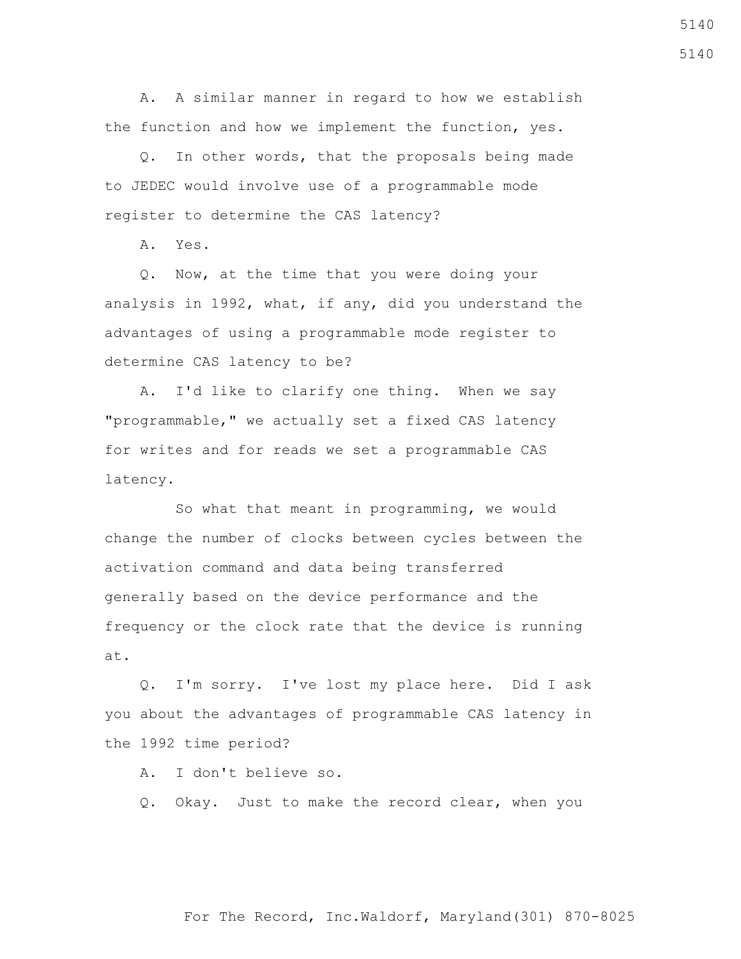A. A similar manner in regard to how we establish the function and how we implement the function, yes.

 Q. In other words, that the proposals being made to JEDEC would involve use of a programmable mode register to determine the CAS latency?

A. Yes.

 Q. Now, at the time that you were doing your analysis in 1992, what, if any, did you understand the advantages of using a programmable mode register to determine CAS latency to be?

 A. I'd like to clarify one thing. When we say "programmable," we actually set a fixed CAS latency for writes and for reads we set a programmable CAS latency.

 So what that meant in programming, we would change the number of clocks between cycles between the activation command and data being transferred generally based on the device performance and the frequency or the clock rate that the device is running at.

 Q. I'm sorry. I've lost my place here. Did I ask you about the advantages of programmable CAS latency in the 1992 time period?

A. I don't believe so.

Q. Okay. Just to make the record clear, when you

5140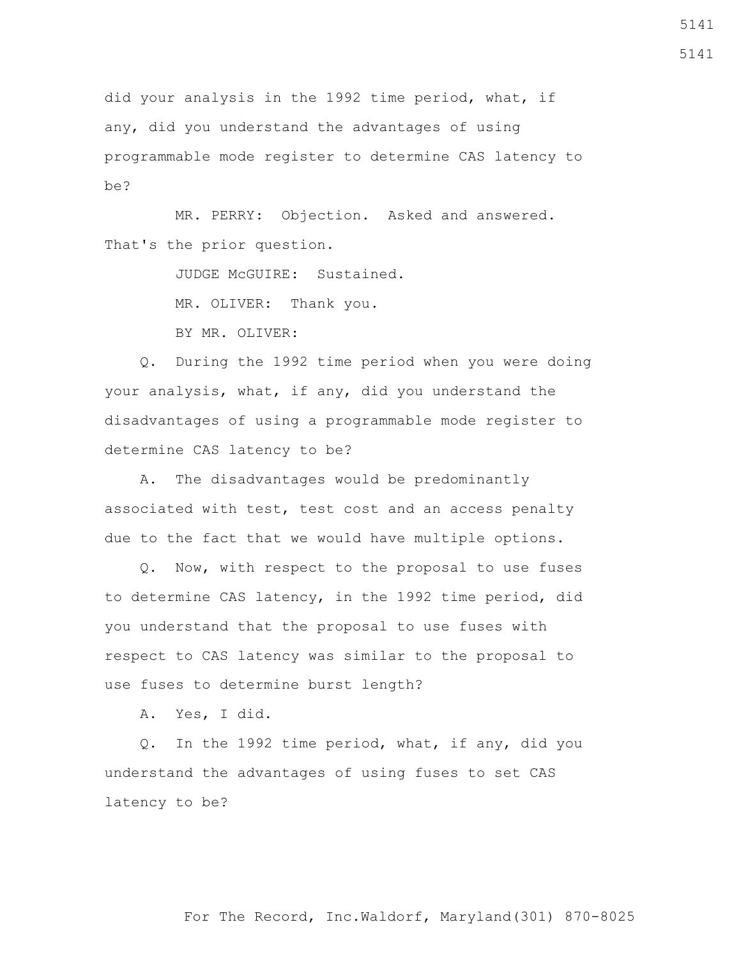did your analysis in the 1992 time period, what, if any, did you understand the advantages of using programmable mode register to determine CAS latency to be?

 MR. PERRY: Objection. Asked and answered. That's the prior question.

JUDGE McGUIRE: Sustained.

MR. OLIVER: Thank you.

BY MR. OLIVER:

 Q. During the 1992 time period when you were doing your analysis, what, if any, did you understand the disadvantages of using a programmable mode register to determine CAS latency to be?

 A. The disadvantages would be predominantly associated with test, test cost and an access penalty due to the fact that we would have multiple options.

 Q. Now, with respect to the proposal to use fuses to determine CAS latency, in the 1992 time period, did you understand that the proposal to use fuses with respect to CAS latency was similar to the proposal to use fuses to determine burst length?

A. Yes, I did.

 Q. In the 1992 time period, what, if any, did you understand the advantages of using fuses to set CAS latency to be?

## For The Record, Inc.Waldorf, Maryland(301) 870-8025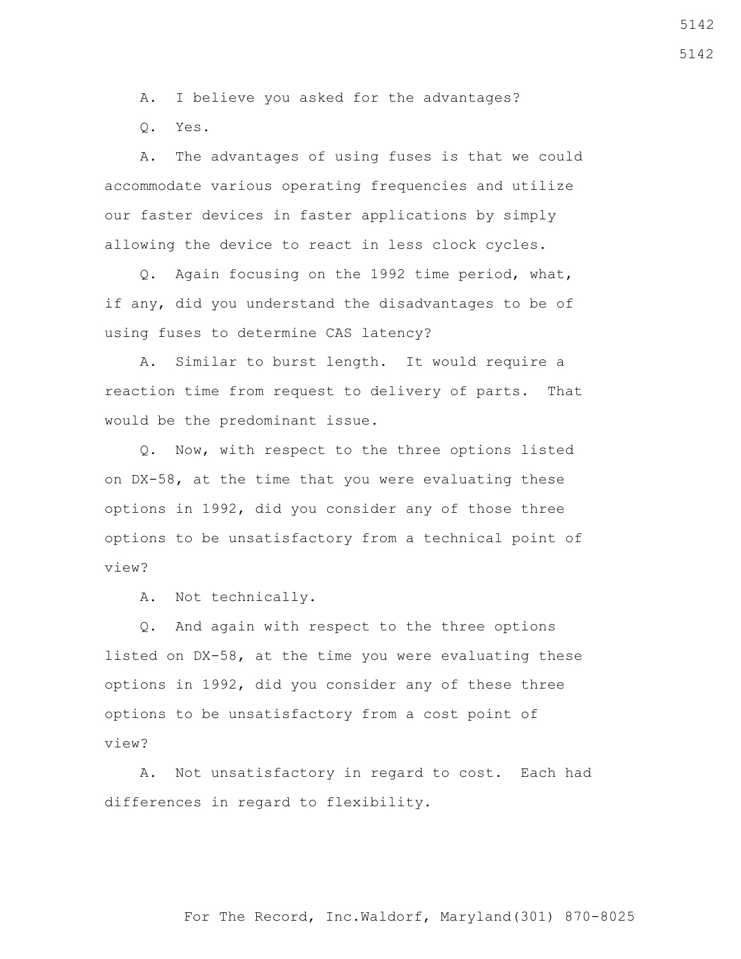A. I believe you asked for the advantages?

Q. Yes.

 A. The advantages of using fuses is that we could accommodate various operating frequencies and utilize our faster devices in faster applications by simply allowing the device to react in less clock cycles.

 Q. Again focusing on the 1992 time period, what, if any, did you understand the disadvantages to be of using fuses to determine CAS latency?

 A. Similar to burst length. It would require a reaction time from request to delivery of parts. That would be the predominant issue.

 Q. Now, with respect to the three options listed on DX-58, at the time that you were evaluating these options in 1992, did you consider any of those three options to be unsatisfactory from a technical point of view?

A. Not technically.

 Q. And again with respect to the three options listed on DX-58, at the time you were evaluating these options in 1992, did you consider any of these three options to be unsatisfactory from a cost point of view?

 A. Not unsatisfactory in regard to cost. Each had differences in regard to flexibility.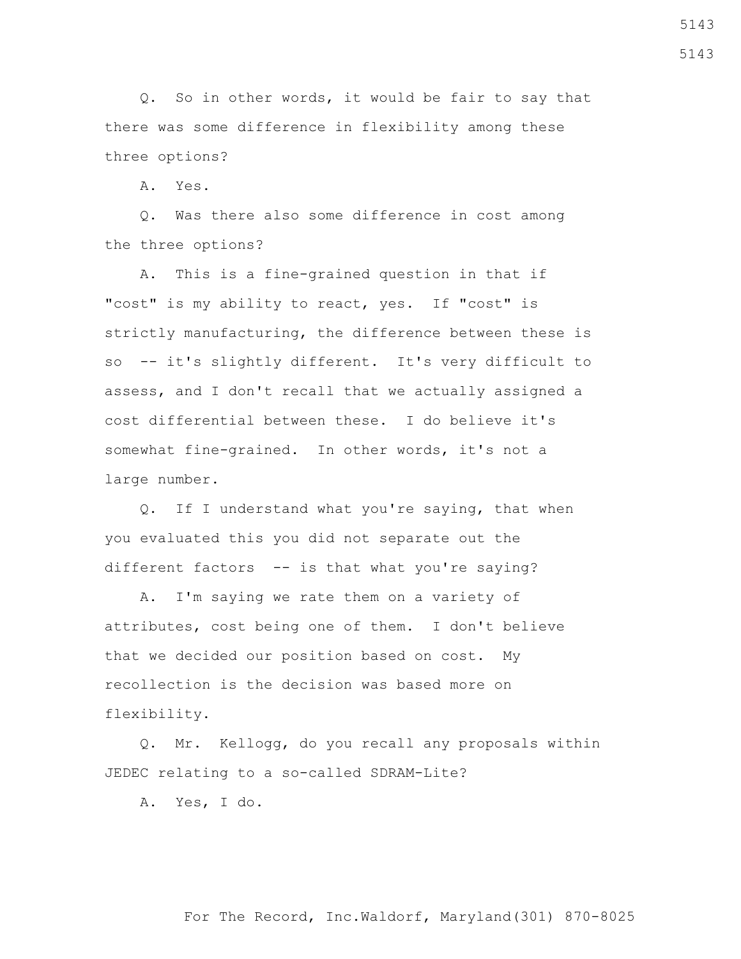Q. So in other words, it would be fair to say that there was some difference in flexibility among these three options?

A. Yes.

 Q. Was there also some difference in cost among the three options?

 A. This is a fine-grained question in that if "cost" is my ability to react, yes. If "cost" is strictly manufacturing, the difference between these is so -- it's slightly different. It's very difficult to assess, and I don't recall that we actually assigned a cost differential between these. I do believe it's somewhat fine-grained. In other words, it's not a large number.

 Q. If I understand what you're saying, that when you evaluated this you did not separate out the different factors -- is that what you're saying?

 A. I'm saying we rate them on a variety of attributes, cost being one of them. I don't believe that we decided our position based on cost. My recollection is the decision was based more on flexibility.

 Q. Mr. Kellogg, do you recall any proposals within JEDEC relating to a so-called SDRAM-Lite?

A. Yes, I do.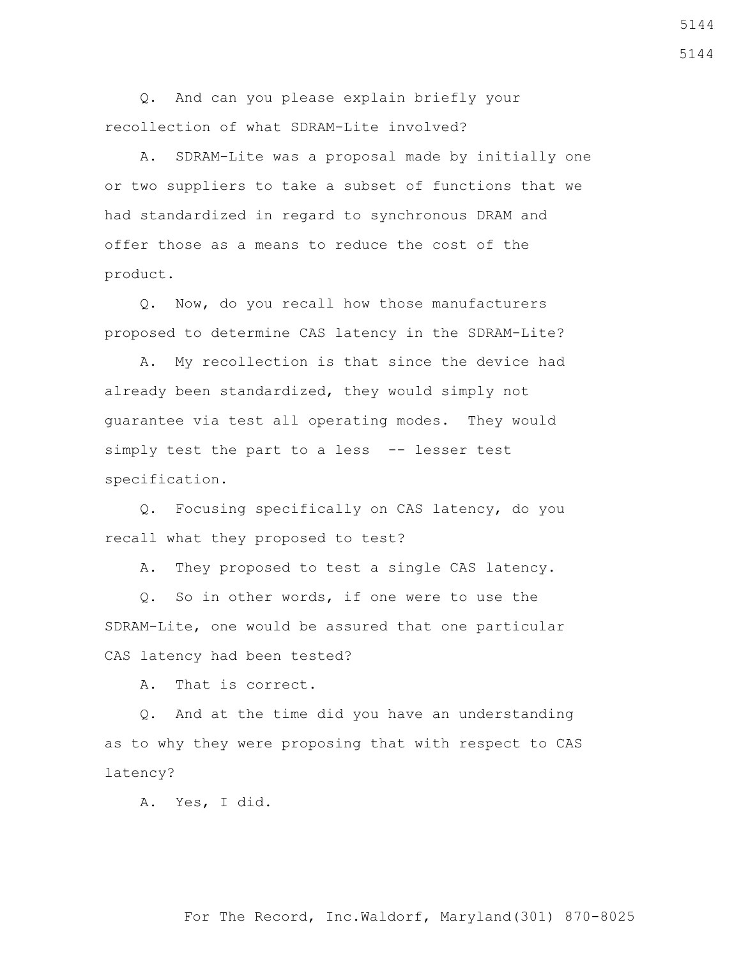Q. And can you please explain briefly your recollection of what SDRAM-Lite involved?

 A. SDRAM-Lite was a proposal made by initially one or two suppliers to take a subset of functions that we had standardized in regard to synchronous DRAM and offer those as a means to reduce the cost of the product.

 Q. Now, do you recall how those manufacturers proposed to determine CAS latency in the SDRAM-Lite?

 A. My recollection is that since the device had already been standardized, they would simply not guarantee via test all operating modes. They would simply test the part to a less -- lesser test specification.

 Q. Focusing specifically on CAS latency, do you recall what they proposed to test?

A. They proposed to test a single CAS latency.

 Q. So in other words, if one were to use the SDRAM-Lite, one would be assured that one particular CAS latency had been tested?

A. That is correct.

 Q. And at the time did you have an understanding as to why they were proposing that with respect to CAS latency?

A. Yes, I did.

5144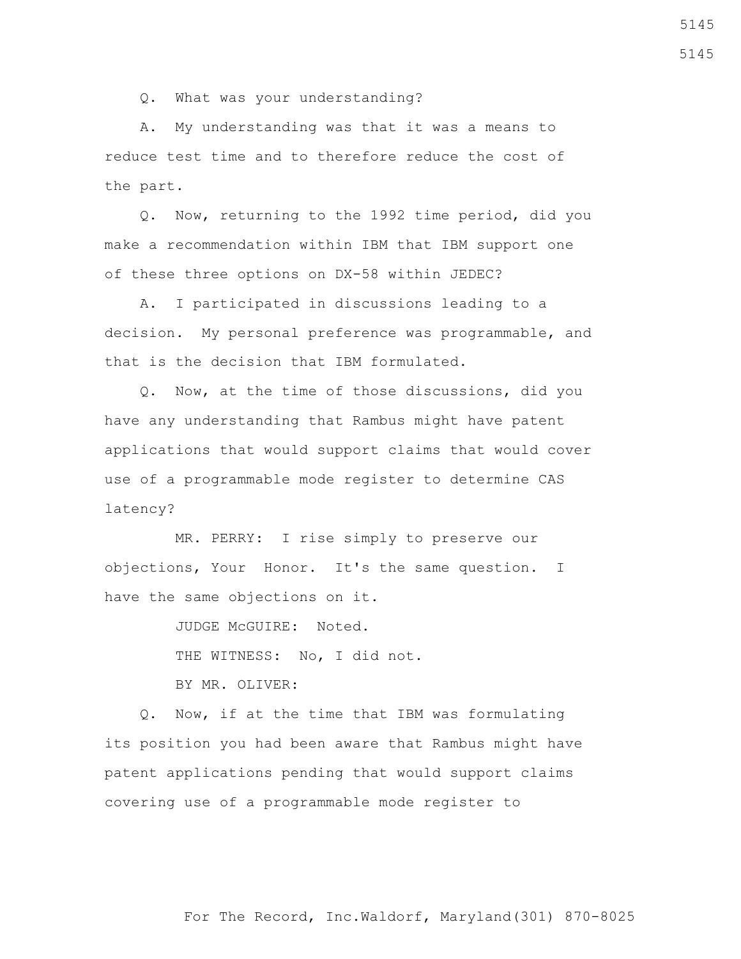Q. What was your understanding?

 A. My understanding was that it was a means to reduce test time and to therefore reduce the cost of the part.

 Q. Now, returning to the 1992 time period, did you make a recommendation within IBM that IBM support one of these three options on DX-58 within JEDEC?

 A. I participated in discussions leading to a decision. My personal preference was programmable, and that is the decision that IBM formulated.

 Q. Now, at the time of those discussions, did you have any understanding that Rambus might have patent applications that would support claims that would cover use of a programmable mode register to determine CAS latency?

 MR. PERRY: I rise simply to preserve our objections, Your Honor. It's the same question. I have the same objections on it.

JUDGE McGUIRE: Noted.

THE WITNESS: No, I did not.

BY MR. OLIVER:

 Q. Now, if at the time that IBM was formulating its position you had been aware that Rambus might have patent applications pending that would support claims covering use of a programmable mode register to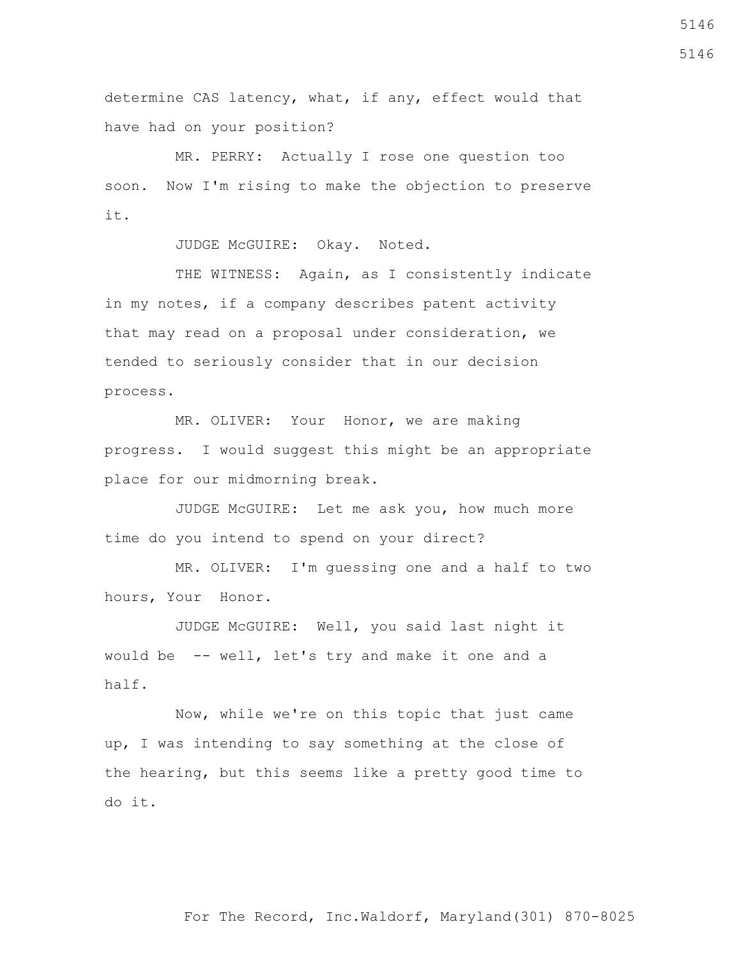determine CAS latency, what, if any, effect would that have had on your position?

 MR. PERRY: Actually I rose one question too soon. Now I'm rising to make the objection to preserve it.

JUDGE McGUIRE: Okay. Noted.

 THE WITNESS: Again, as I consistently indicate in my notes, if a company describes patent activity that may read on a proposal under consideration, we tended to seriously consider that in our decision process.

 MR. OLIVER: Your Honor, we are making progress. I would suggest this might be an appropriate place for our midmorning break.

 JUDGE McGUIRE: Let me ask you, how much more time do you intend to spend on your direct?

 MR. OLIVER: I'm guessing one and a half to two hours, Your Honor.

 JUDGE McGUIRE: Well, you said last night it would be -- well, let's try and make it one and a half.

 Now, while we're on this topic that just came up, I was intending to say something at the close of the hearing, but this seems like a pretty good time to do it.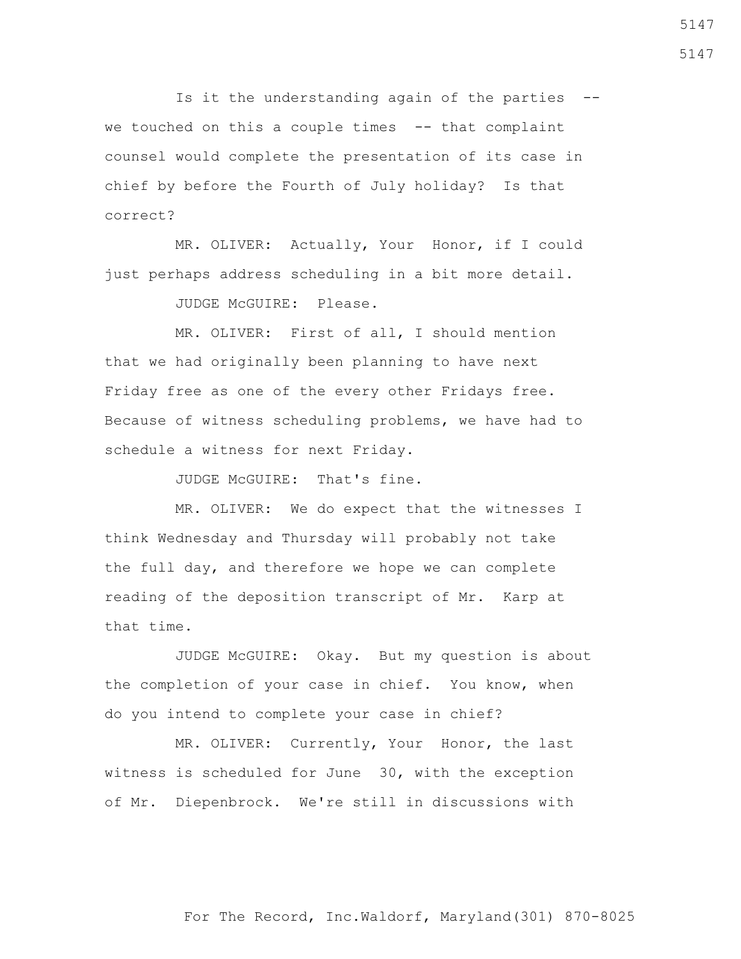Is it the understanding again of the parties - we touched on this a couple times  $-$ - that complaint counsel would complete the presentation of its case in chief by before the Fourth of July holiday? Is that correct?

 MR. OLIVER: Actually, Your Honor, if I could just perhaps address scheduling in a bit more detail.

JUDGE McGUIRE: Please.

 MR. OLIVER: First of all, I should mention that we had originally been planning to have next Friday free as one of the every other Fridays free. Because of witness scheduling problems, we have had to schedule a witness for next Friday.

JUDGE McGUIRE: That's fine.

 MR. OLIVER: We do expect that the witnesses I think Wednesday and Thursday will probably not take the full day, and therefore we hope we can complete reading of the deposition transcript of Mr. Karp at that time.

 JUDGE McGUIRE: Okay. But my question is about the completion of your case in chief. You know, when do you intend to complete your case in chief?

 MR. OLIVER: Currently, Your Honor, the last witness is scheduled for June 30, with the exception of Mr. Diepenbrock. We're still in discussions with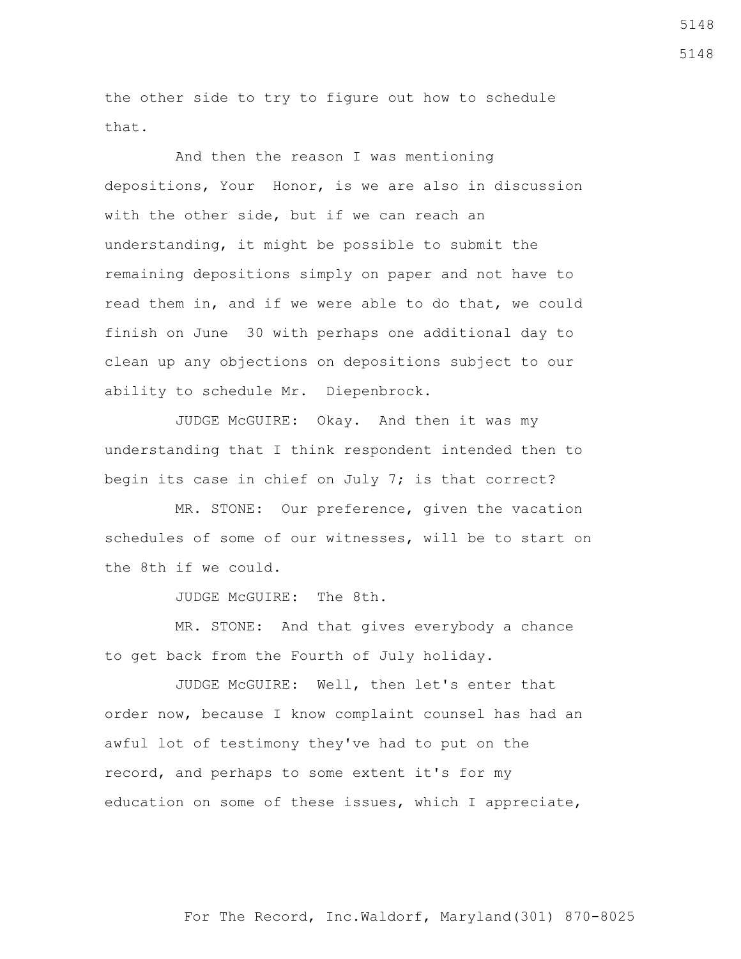the other side to try to figure out how to schedule that.

 And then the reason I was mentioning depositions, Your Honor, is we are also in discussion with the other side, but if we can reach an understanding, it might be possible to submit the remaining depositions simply on paper and not have to read them in, and if we were able to do that, we could finish on June 30 with perhaps one additional day to clean up any objections on depositions subject to our ability to schedule Mr. Diepenbrock.

 JUDGE McGUIRE: Okay. And then it was my understanding that I think respondent intended then to begin its case in chief on July 7; is that correct?

 MR. STONE: Our preference, given the vacation schedules of some of our witnesses, will be to start on the 8th if we could.

JUDGE McGUIRE: The 8th.

 MR. STONE: And that gives everybody a chance to get back from the Fourth of July holiday.

 JUDGE McGUIRE: Well, then let's enter that order now, because I know complaint counsel has had an awful lot of testimony they've had to put on the record, and perhaps to some extent it's for my education on some of these issues, which I appreciate,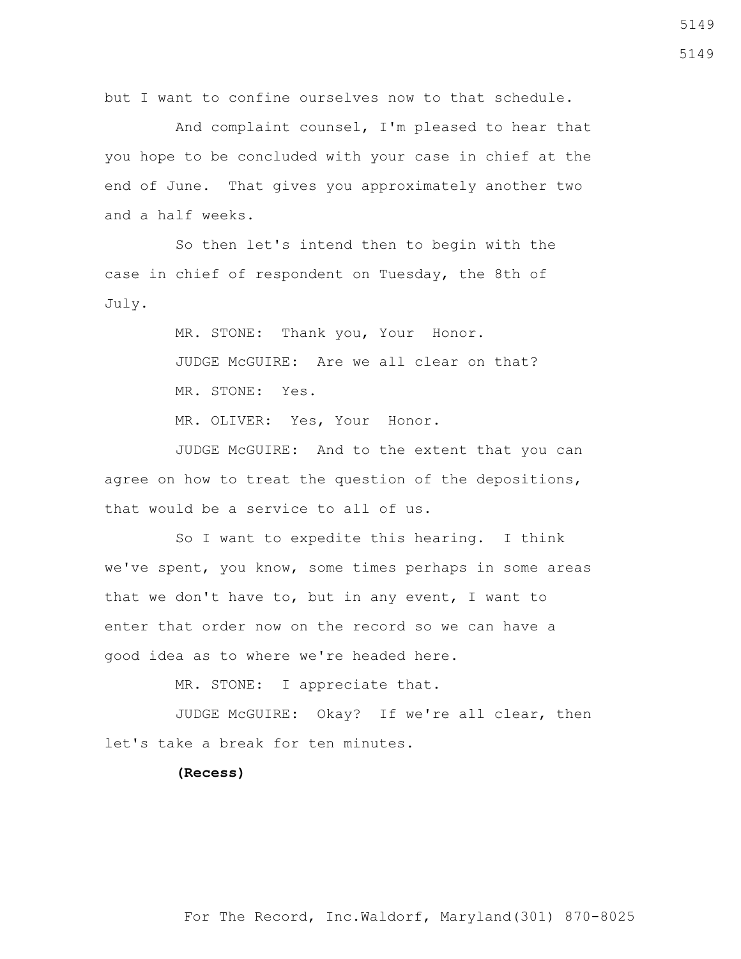but I want to confine ourselves now to that schedule.

 And complaint counsel, I'm pleased to hear that you hope to be concluded with your case in chief at the end of June. That gives you approximately another two and a half weeks.

 So then let's intend then to begin with the case in chief of respondent on Tuesday, the 8th of July.

> MR. STONE: Thank you, Your Honor. JUDGE McGUIRE: Are we all clear on that? MR. STONE: Yes.

MR. OLIVER: Yes, Your Honor.

 JUDGE McGUIRE: And to the extent that you can agree on how to treat the question of the depositions, that would be a service to all of us.

 So I want to expedite this hearing. I think we've spent, you know, some times perhaps in some areas that we don't have to, but in any event, I want to enter that order now on the record so we can have a good idea as to where we're headed here.

MR. STONE: I appreciate that.

 JUDGE McGUIRE: Okay? If we're all clear, then let's take a break for ten minutes.

**(Recess)**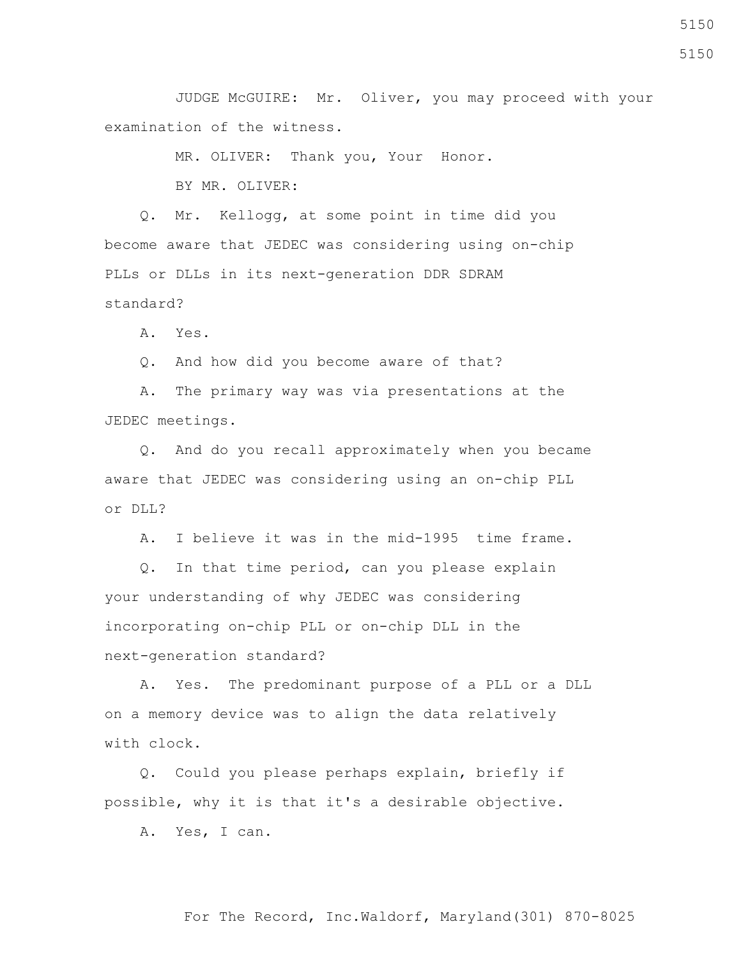JUDGE McGUIRE: Mr. Oliver, you may proceed with your examination of the witness.

MR. OLIVER: Thank you, Your Honor.

BY MR. OLIVER:

 Q. Mr. Kellogg, at some point in time did you become aware that JEDEC was considering using on-chip PLLs or DLLs in its next-generation DDR SDRAM standard?

A. Yes.

Q. And how did you become aware of that?

 A. The primary way was via presentations at the JEDEC meetings.

 Q. And do you recall approximately when you became aware that JEDEC was considering using an on-chip PLL or DLL?

A. I believe it was in the mid-1995 time frame.

 Q. In that time period, can you please explain your understanding of why JEDEC was considering incorporating on-chip PLL or on-chip DLL in the next-generation standard?

 A. Yes. The predominant purpose of a PLL or a DLL on a memory device was to align the data relatively with clock.

 Q. Could you please perhaps explain, briefly if possible, why it is that it's a desirable objective.

A. Yes, I can.

5150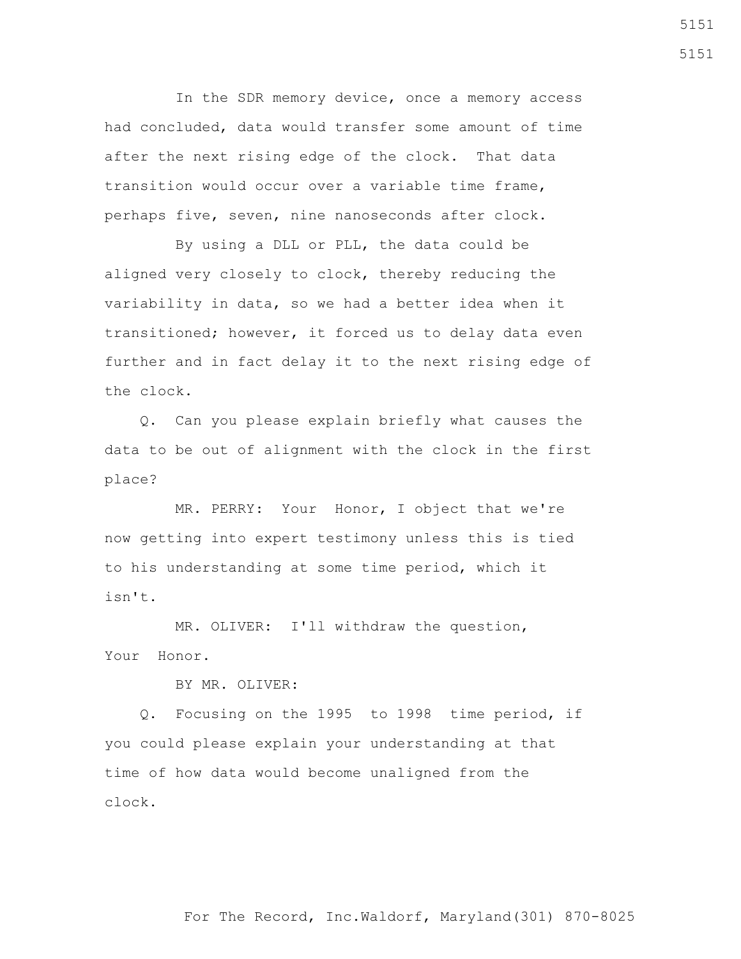In the SDR memory device, once a memory access had concluded, data would transfer some amount of time after the next rising edge of the clock. That data transition would occur over a variable time frame, perhaps five, seven, nine nanoseconds after clock.

 By using a DLL or PLL, the data could be aligned very closely to clock, thereby reducing the variability in data, so we had a better idea when it transitioned; however, it forced us to delay data even further and in fact delay it to the next rising edge of the clock.

 Q. Can you please explain briefly what causes the data to be out of alignment with the clock in the first place?

 MR. PERRY: Your Honor, I object that we're now getting into expert testimony unless this is tied to his understanding at some time period, which it isn't.

 MR. OLIVER: I'll withdraw the question, Your Honor.

BY MR. OLIVER:

 Q. Focusing on the 1995 to 1998 time period, if you could please explain your understanding at that time of how data would become unaligned from the clock.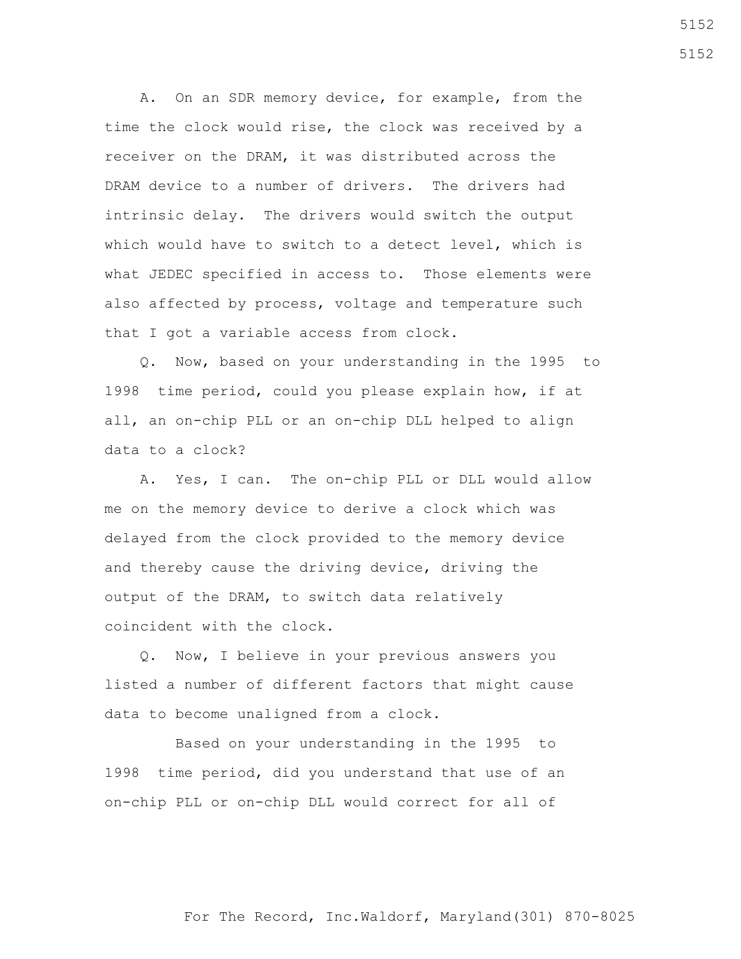A. On an SDR memory device, for example, from the time the clock would rise, the clock was received by a receiver on the DRAM, it was distributed across the DRAM device to a number of drivers. The drivers had intrinsic delay. The drivers would switch the output which would have to switch to a detect level, which is what JEDEC specified in access to. Those elements were also affected by process, voltage and temperature such that I got a variable access from clock.

 Q. Now, based on your understanding in the 1995 to 1998 time period, could you please explain how, if at all, an on-chip PLL or an on-chip DLL helped to align data to a clock?

 A. Yes, I can. The on-chip PLL or DLL would allow me on the memory device to derive a clock which was delayed from the clock provided to the memory device and thereby cause the driving device, driving the output of the DRAM, to switch data relatively coincident with the clock.

 Q. Now, I believe in your previous answers you listed a number of different factors that might cause data to become unaligned from a clock.

 Based on your understanding in the 1995 to 1998 time period, did you understand that use of an on-chip PLL or on-chip DLL would correct for all of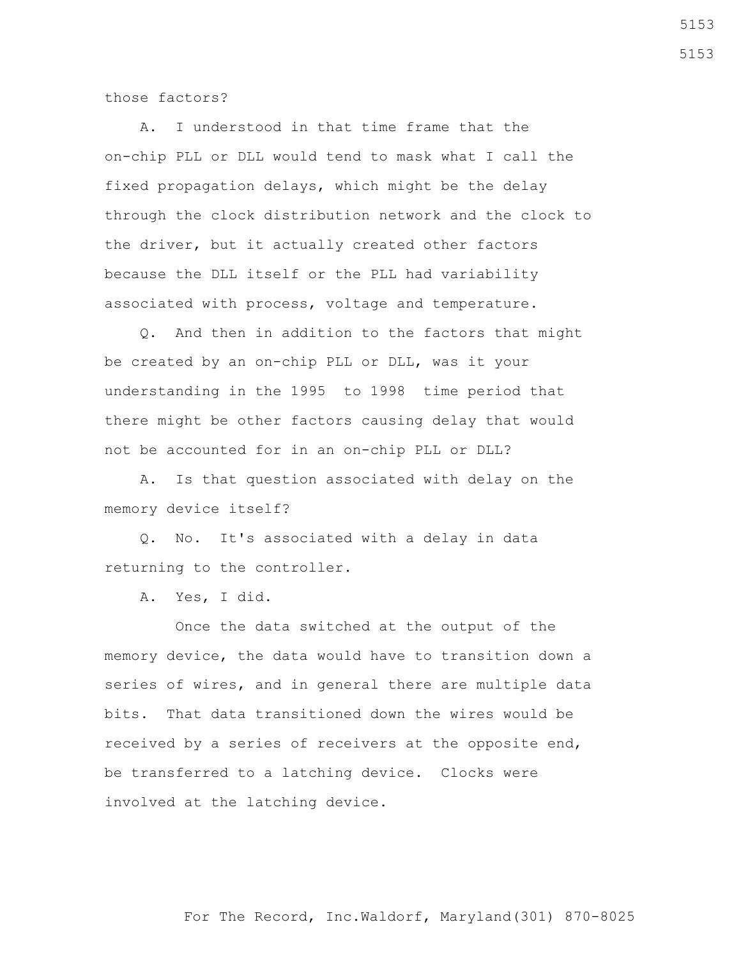those factors?

 A. I understood in that time frame that the on-chip PLL or DLL would tend to mask what I call the fixed propagation delays, which might be the delay through the clock distribution network and the clock to the driver, but it actually created other factors because the DLL itself or the PLL had variability associated with process, voltage and temperature.

 Q. And then in addition to the factors that might be created by an on-chip PLL or DLL, was it your understanding in the 1995 to 1998 time period that there might be other factors causing delay that would not be accounted for in an on-chip PLL or DLL?

 A. Is that question associated with delay on the memory device itself?

 Q. No. It's associated with a delay in data returning to the controller.

A. Yes, I did.

 Once the data switched at the output of the memory device, the data would have to transition down a series of wires, and in general there are multiple data bits. That data transitioned down the wires would be received by a series of receivers at the opposite end, be transferred to a latching device. Clocks were involved at the latching device.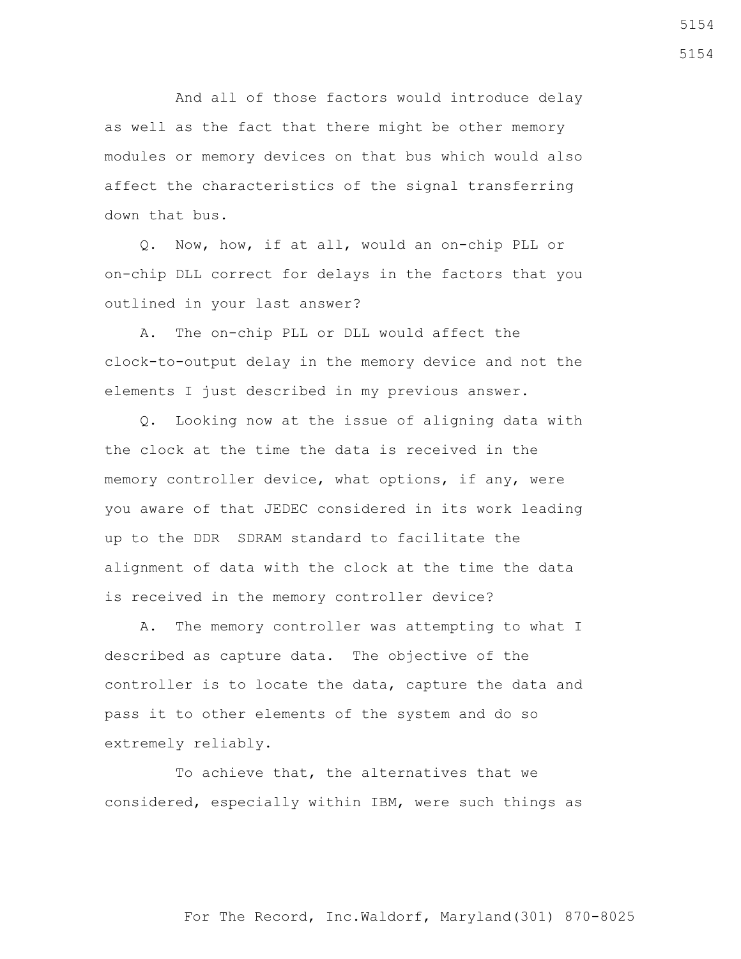And all of those factors would introduce delay as well as the fact that there might be other memory modules or memory devices on that bus which would also affect the characteristics of the signal transferring down that bus.

 Q. Now, how, if at all, would an on-chip PLL or on-chip DLL correct for delays in the factors that you outlined in your last answer?

 A. The on-chip PLL or DLL would affect the clock-to-output delay in the memory device and not the elements I just described in my previous answer.

 Q. Looking now at the issue of aligning data with the clock at the time the data is received in the memory controller device, what options, if any, were you aware of that JEDEC considered in its work leading up to the DDR SDRAM standard to facilitate the alignment of data with the clock at the time the data is received in the memory controller device?

 A. The memory controller was attempting to what I described as capture data. The objective of the controller is to locate the data, capture the data and pass it to other elements of the system and do so extremely reliably.

 To achieve that, the alternatives that we considered, especially within IBM, were such things as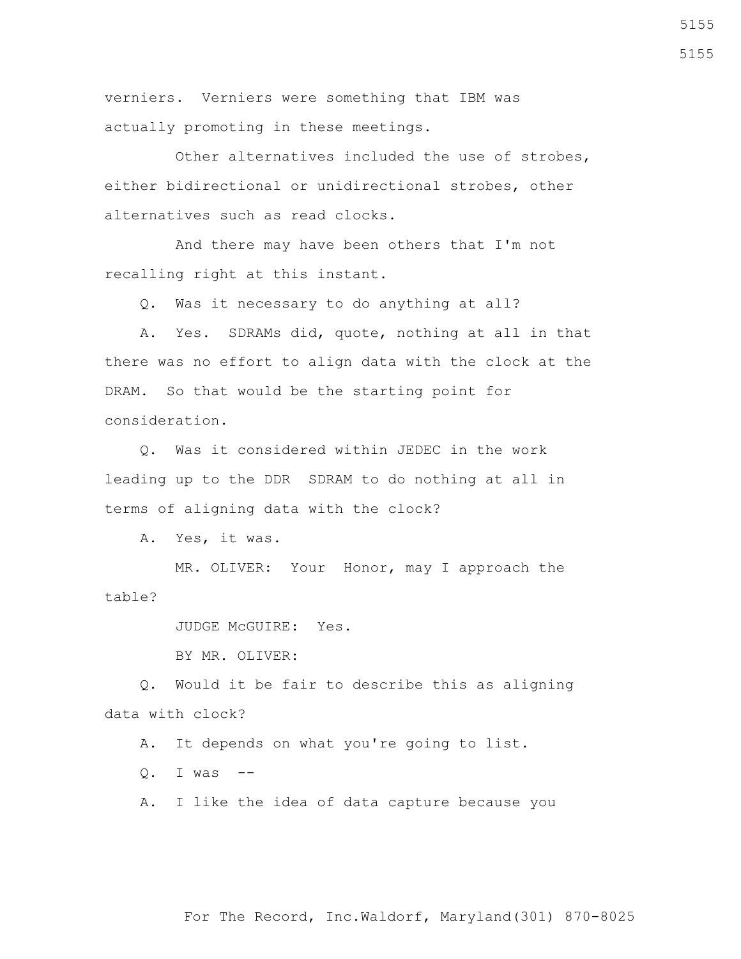verniers. Verniers were something that IBM was actually promoting in these meetings.

 Other alternatives included the use of strobes, either bidirectional or unidirectional strobes, other alternatives such as read clocks.

 And there may have been others that I'm not recalling right at this instant.

Q. Was it necessary to do anything at all?

 A. Yes. SDRAMs did, quote, nothing at all in that there was no effort to align data with the clock at the DRAM. So that would be the starting point for consideration.

 Q. Was it considered within JEDEC in the work leading up to the DDR SDRAM to do nothing at all in terms of aligning data with the clock?

A. Yes, it was.

 MR. OLIVER: Your Honor, may I approach the table?

JUDGE McGUIRE: Yes.

BY MR. OLIVER:

 Q. Would it be fair to describe this as aligning data with clock?

A. It depends on what you're going to list.

 $Q.$  I was  $--$ 

A. I like the idea of data capture because you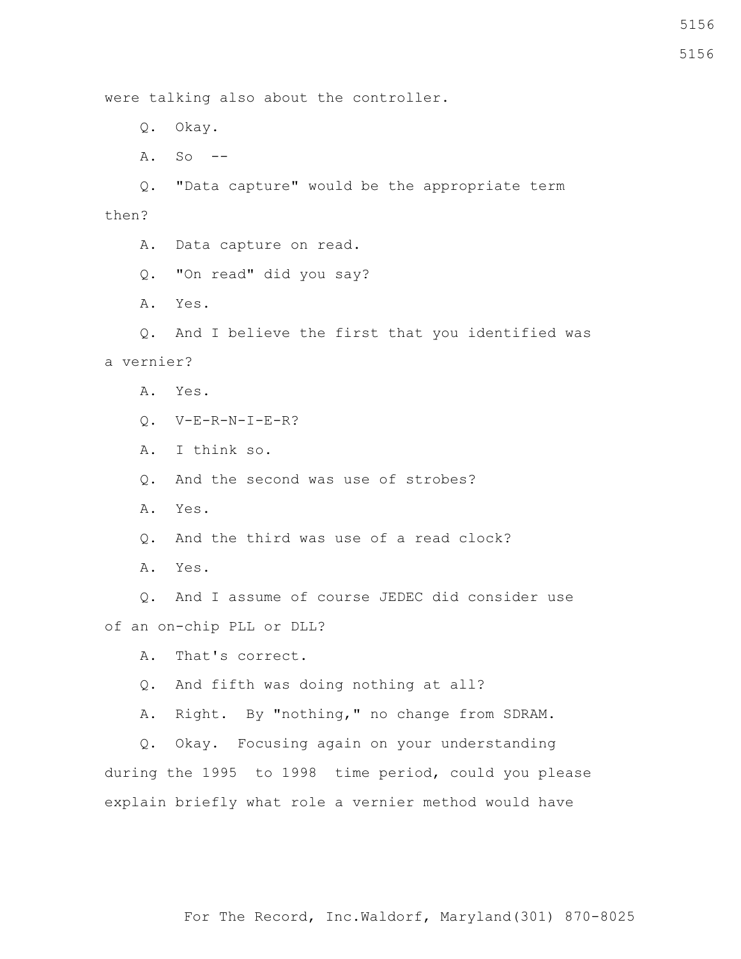were talking also about the controller. Q. Okay. A. So -- Q. "Data capture" would be the appropriate term then? A. Data capture on read. Q. "On read" did you say? A. Yes. Q. And I believe the first that you identified was a vernier? A. Yes. Q. V-E-R-N-I-E-R? A. I think so. Q. And the second was use of strobes? A. Yes. Q. And the third was use of a read clock? A. Yes. Q. And I assume of course JEDEC did consider use of an on-chip PLL or DLL? A. That's correct. Q. And fifth was doing nothing at all? A. Right. By "nothing," no change from SDRAM. Q. Okay. Focusing again on your understanding during the 1995 to 1998 time period, could you please

explain briefly what role a vernier method would have

5156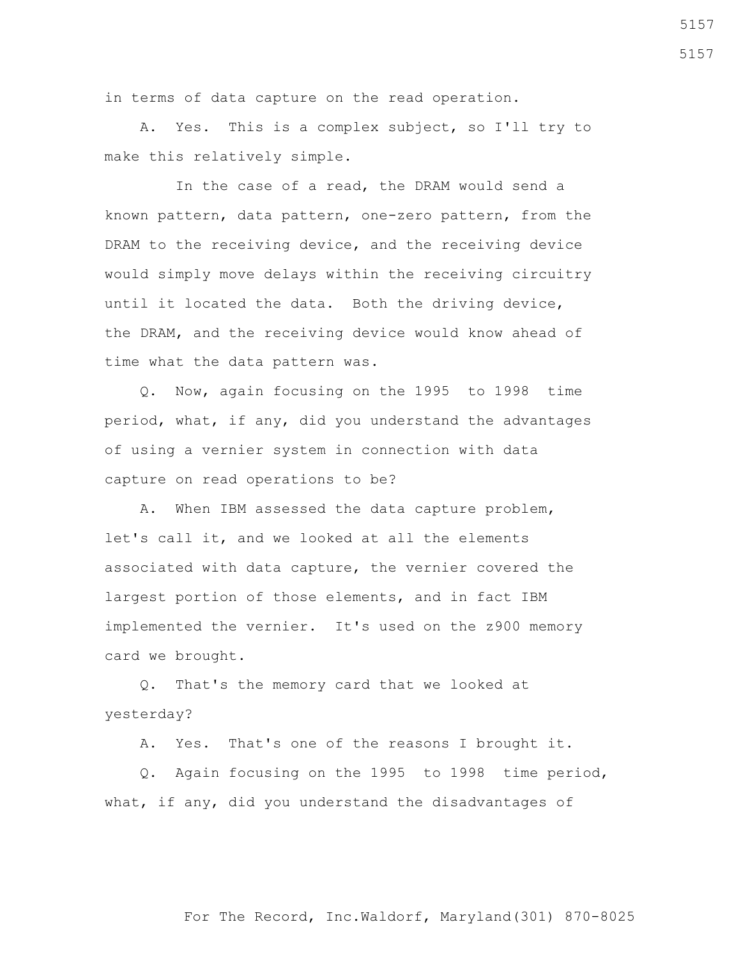in terms of data capture on the read operation.

 A. Yes. This is a complex subject, so I'll try to make this relatively simple.

 In the case of a read, the DRAM would send a known pattern, data pattern, one-zero pattern, from the DRAM to the receiving device, and the receiving device would simply move delays within the receiving circuitry until it located the data. Both the driving device, the DRAM, and the receiving device would know ahead of time what the data pattern was.

 Q. Now, again focusing on the 1995 to 1998 time period, what, if any, did you understand the advantages of using a vernier system in connection with data capture on read operations to be?

 A. When IBM assessed the data capture problem, let's call it, and we looked at all the elements associated with data capture, the vernier covered the largest portion of those elements, and in fact IBM implemented the vernier. It's used on the z900 memory card we brought.

 Q. That's the memory card that we looked at yesterday?

A. Yes. That's one of the reasons I brought it.

 Q. Again focusing on the 1995 to 1998 time period, what, if any, did you understand the disadvantages of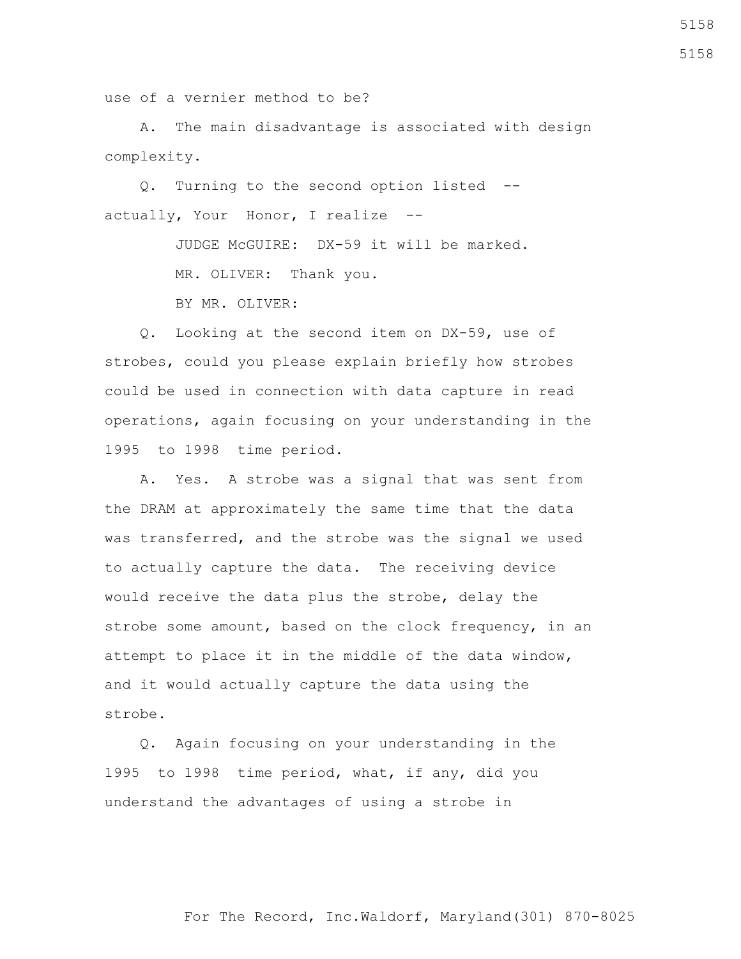use of a vernier method to be?

 A. The main disadvantage is associated with design complexity.

 Q. Turning to the second option listed - actually, Your Honor, I realize --

JUDGE McGUIRE: DX-59 it will be marked.

MR. OLIVER: Thank you.

BY MR. OLIVER:

 Q. Looking at the second item on DX-59, use of strobes, could you please explain briefly how strobes could be used in connection with data capture in read operations, again focusing on your understanding in the 1995 to 1998 time period.

 A. Yes. A strobe was a signal that was sent from the DRAM at approximately the same time that the data was transferred, and the strobe was the signal we used to actually capture the data. The receiving device would receive the data plus the strobe, delay the strobe some amount, based on the clock frequency, in an attempt to place it in the middle of the data window, and it would actually capture the data using the strobe.

 Q. Again focusing on your understanding in the 1995 to 1998 time period, what, if any, did you understand the advantages of using a strobe in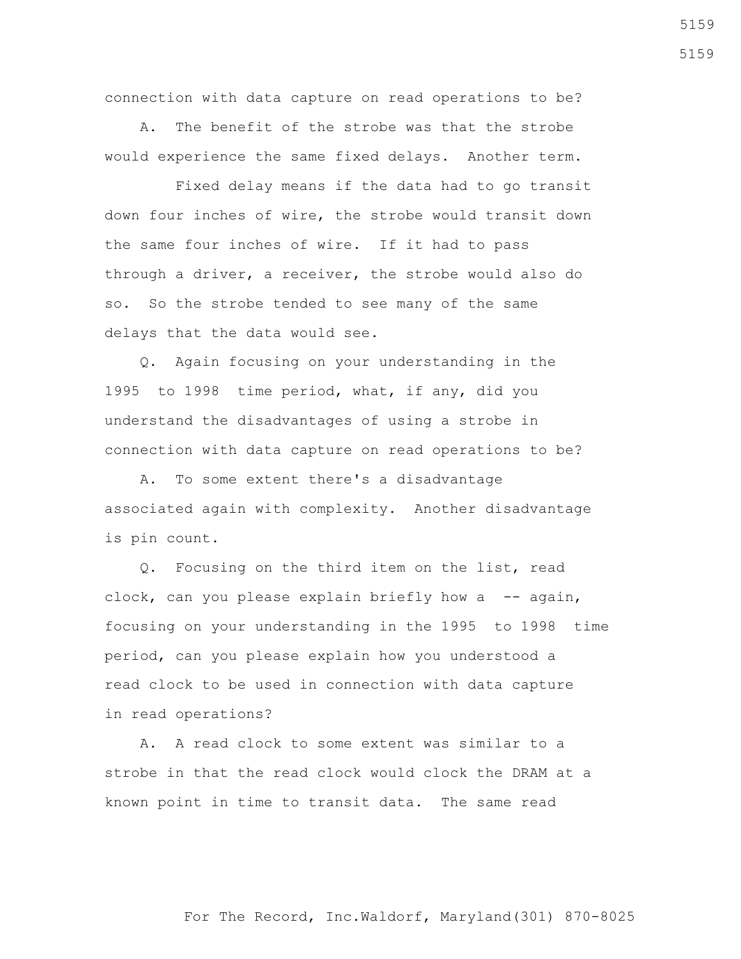connection with data capture on read operations to be?

 A. The benefit of the strobe was that the strobe would experience the same fixed delays. Another term.

 Fixed delay means if the data had to go transit down four inches of wire, the strobe would transit down the same four inches of wire. If it had to pass through a driver, a receiver, the strobe would also do so. So the strobe tended to see many of the same delays that the data would see.

 Q. Again focusing on your understanding in the 1995 to 1998 time period, what, if any, did you understand the disadvantages of using a strobe in connection with data capture on read operations to be?

 A. To some extent there's a disadvantage associated again with complexity. Another disadvantage is pin count.

 Q. Focusing on the third item on the list, read clock, can you please explain briefly how a  $-$ - again, focusing on your understanding in the 1995 to 1998 time period, can you please explain how you understood a read clock to be used in connection with data capture in read operations?

 A. A read clock to some extent was similar to a strobe in that the read clock would clock the DRAM at a known point in time to transit data. The same read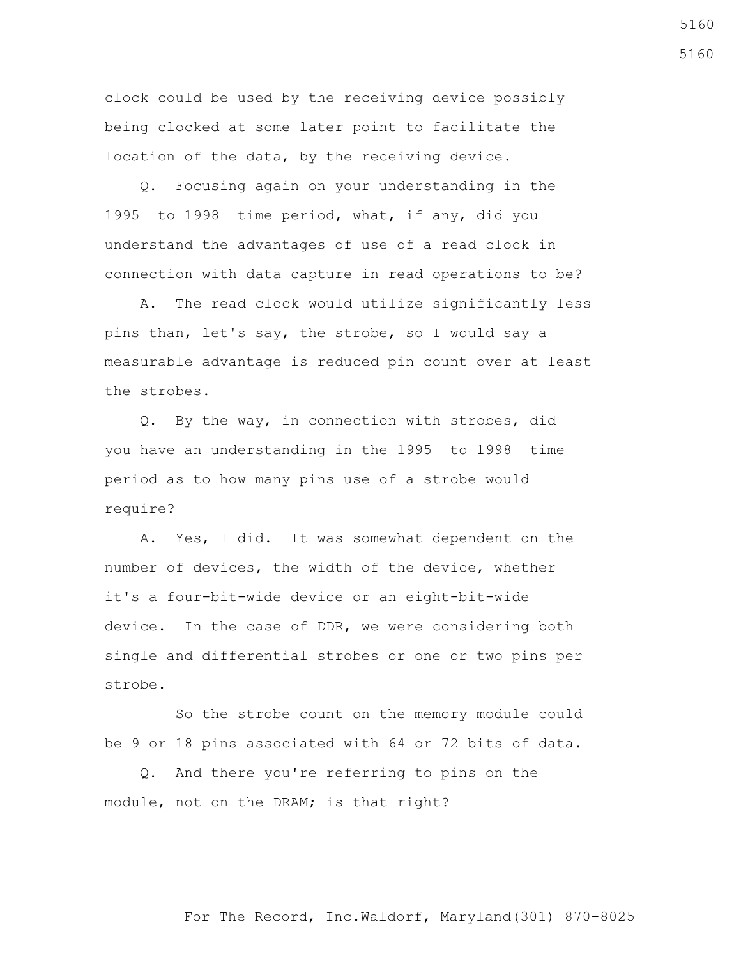clock could be used by the receiving device possibly being clocked at some later point to facilitate the location of the data, by the receiving device.

 Q. Focusing again on your understanding in the 1995 to 1998 time period, what, if any, did you understand the advantages of use of a read clock in connection with data capture in read operations to be?

 A. The read clock would utilize significantly less pins than, let's say, the strobe, so I would say a measurable advantage is reduced pin count over at least the strobes.

 Q. By the way, in connection with strobes, did you have an understanding in the 1995 to 1998 time period as to how many pins use of a strobe would require?

 A. Yes, I did. It was somewhat dependent on the number of devices, the width of the device, whether it's a four-bit-wide device or an eight-bit-wide device. In the case of DDR, we were considering both single and differential strobes or one or two pins per strobe.

 So the strobe count on the memory module could be 9 or 18 pins associated with 64 or 72 bits of data.

 Q. And there you're referring to pins on the module, not on the DRAM; is that right?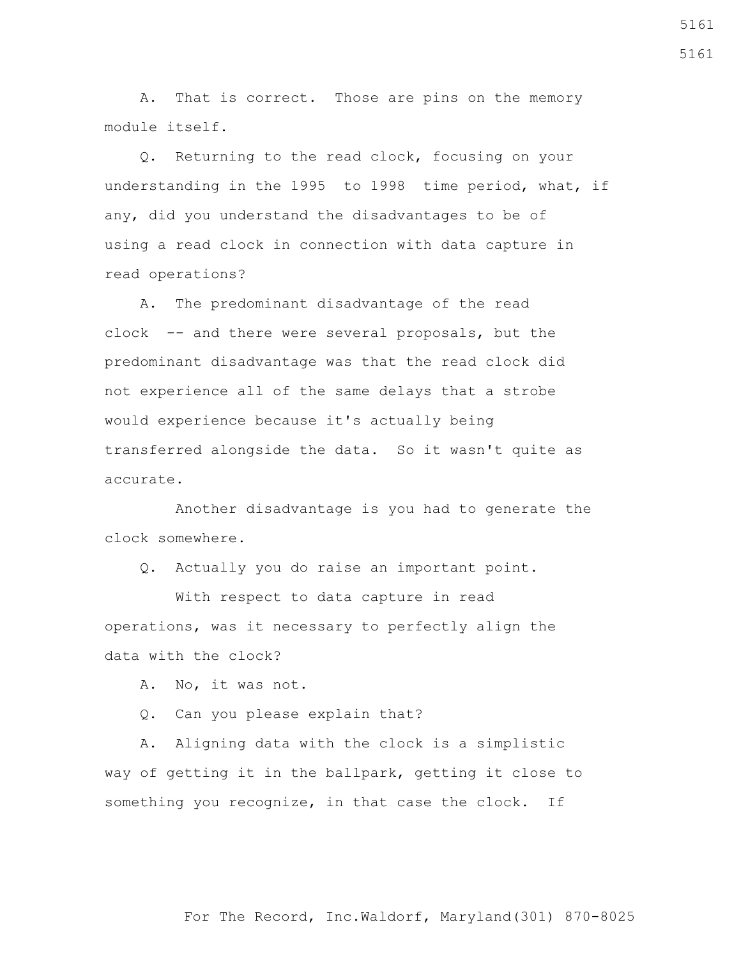A. That is correct. Those are pins on the memory module itself.

 Q. Returning to the read clock, focusing on your understanding in the 1995 to 1998 time period, what, if any, did you understand the disadvantages to be of using a read clock in connection with data capture in read operations?

 A. The predominant disadvantage of the read clock -- and there were several proposals, but the predominant disadvantage was that the read clock did not experience all of the same delays that a strobe would experience because it's actually being transferred alongside the data. So it wasn't quite as accurate.

 Another disadvantage is you had to generate the clock somewhere.

Q. Actually you do raise an important point.

 With respect to data capture in read operations, was it necessary to perfectly align the data with the clock?

A. No, it was not.

Q. Can you please explain that?

 A. Aligning data with the clock is a simplistic way of getting it in the ballpark, getting it close to something you recognize, in that case the clock. If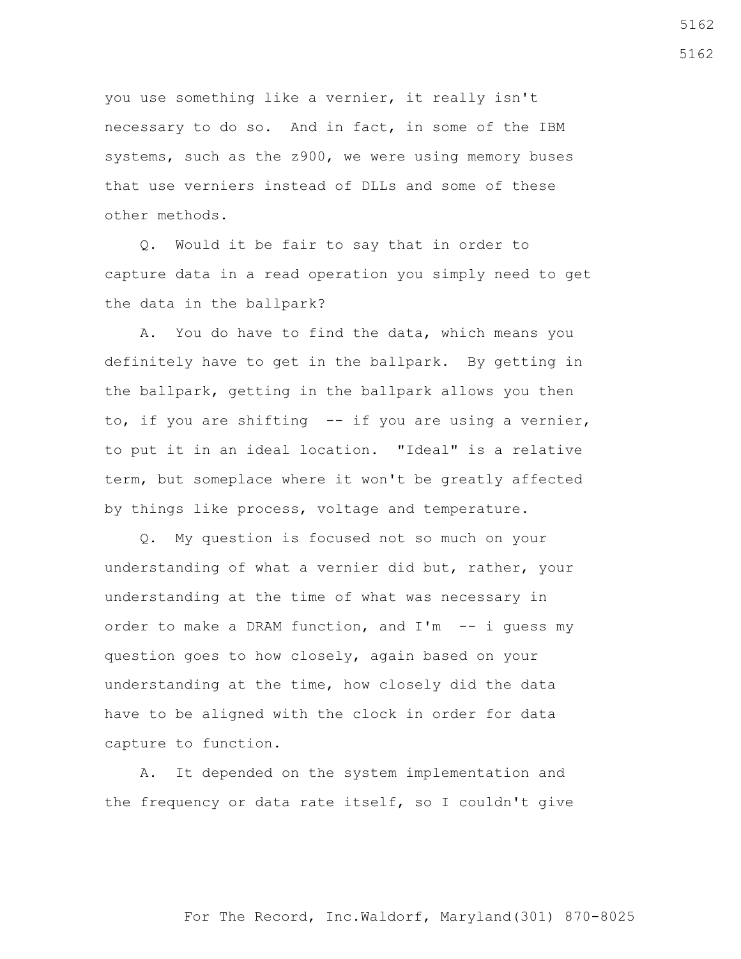you use something like a vernier, it really isn't necessary to do so. And in fact, in some of the IBM systems, such as the z900, we were using memory buses that use verniers instead of DLLs and some of these other methods.

 Q. Would it be fair to say that in order to capture data in a read operation you simply need to get the data in the ballpark?

 A. You do have to find the data, which means you definitely have to get in the ballpark. By getting in the ballpark, getting in the ballpark allows you then to, if you are shifting -- if you are using a vernier, to put it in an ideal location. "Ideal" is a relative term, but someplace where it won't be greatly affected by things like process, voltage and temperature.

 Q. My question is focused not so much on your understanding of what a vernier did but, rather, your understanding at the time of what was necessary in order to make a DRAM function, and I'm -- i guess my question goes to how closely, again based on your understanding at the time, how closely did the data have to be aligned with the clock in order for data capture to function.

 A. It depended on the system implementation and the frequency or data rate itself, so I couldn't give 5162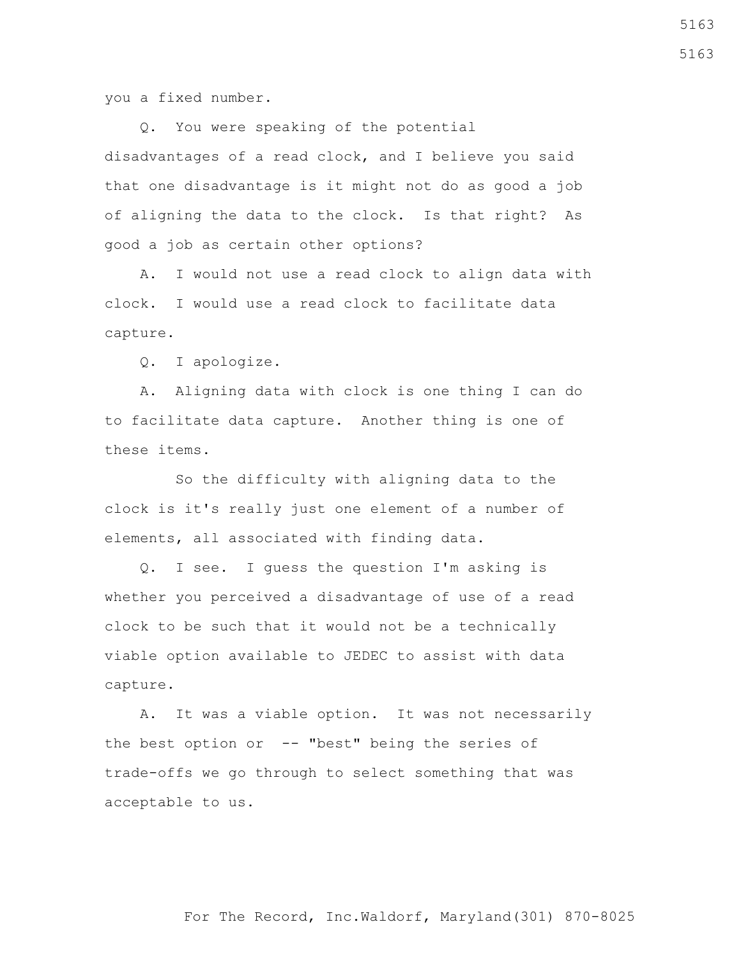you a fixed number.

 Q. You were speaking of the potential disadvantages of a read clock, and I believe you said that one disadvantage is it might not do as good a job of aligning the data to the clock. Is that right? As good a job as certain other options?

 A. I would not use a read clock to align data with clock. I would use a read clock to facilitate data capture.

Q. I apologize.

 A. Aligning data with clock is one thing I can do to facilitate data capture. Another thing is one of these items.

 So the difficulty with aligning data to the clock is it's really just one element of a number of elements, all associated with finding data.

 Q. I see. I guess the question I'm asking is whether you perceived a disadvantage of use of a read clock to be such that it would not be a technically viable option available to JEDEC to assist with data capture.

 A. It was a viable option. It was not necessarily the best option or -- "best" being the series of trade-offs we go through to select something that was acceptable to us.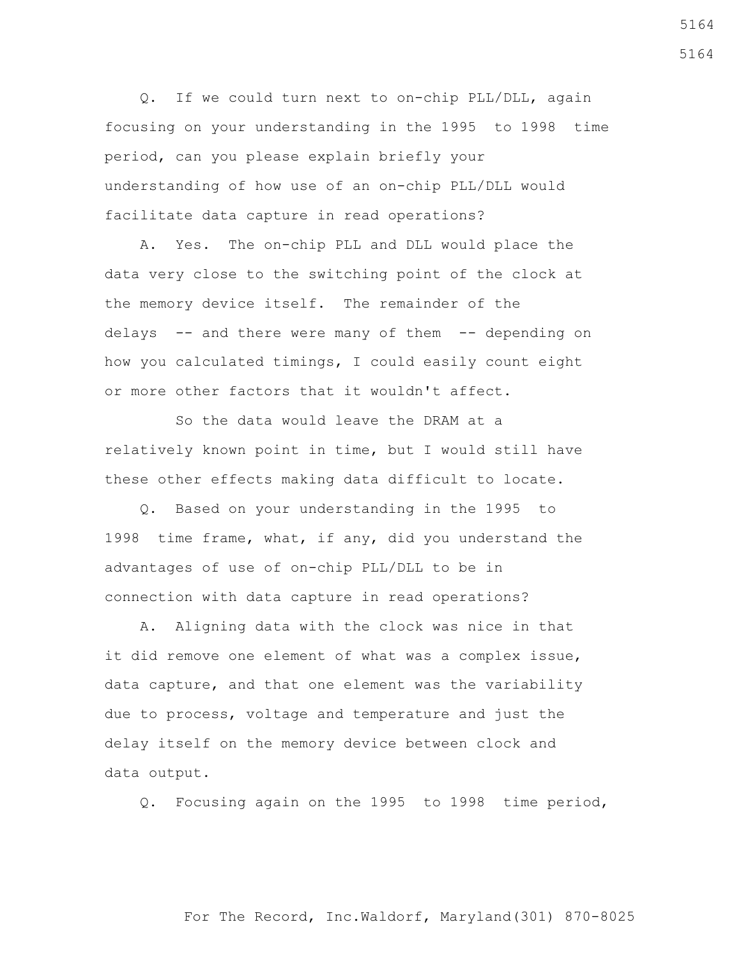Q. If we could turn next to on-chip PLL/DLL, again focusing on your understanding in the 1995 to 1998 time period, can you please explain briefly your understanding of how use of an on-chip PLL/DLL would facilitate data capture in read operations?

 A. Yes. The on-chip PLL and DLL would place the data very close to the switching point of the clock at the memory device itself. The remainder of the delays -- and there were many of them -- depending on how you calculated timings, I could easily count eight or more other factors that it wouldn't affect.

 So the data would leave the DRAM at a relatively known point in time, but I would still have these other effects making data difficult to locate.

 Q. Based on your understanding in the 1995 to 1998 time frame, what, if any, did you understand the advantages of use of on-chip PLL/DLL to be in connection with data capture in read operations?

 A. Aligning data with the clock was nice in that it did remove one element of what was a complex issue, data capture, and that one element was the variability due to process, voltage and temperature and just the delay itself on the memory device between clock and data output.

Q. Focusing again on the 1995 to 1998 time period,

For The Record, Inc.Waldorf, Maryland(301) 870-8025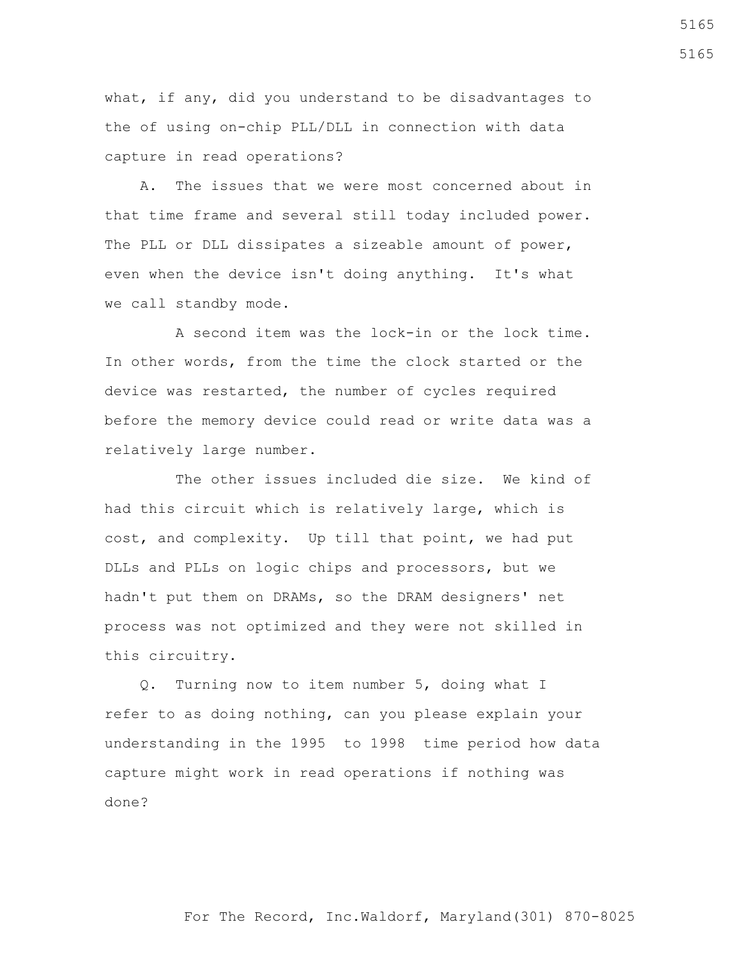what, if any, did you understand to be disadvantages to the of using on-chip PLL/DLL in connection with data capture in read operations?

 A. The issues that we were most concerned about in that time frame and several still today included power. The PLL or DLL dissipates a sizeable amount of power, even when the device isn't doing anything. It's what we call standby mode.

 A second item was the lock-in or the lock time. In other words, from the time the clock started or the device was restarted, the number of cycles required before the memory device could read or write data was a relatively large number.

 The other issues included die size. We kind of had this circuit which is relatively large, which is cost, and complexity. Up till that point, we had put DLLs and PLLs on logic chips and processors, but we hadn't put them on DRAMs, so the DRAM designers' net process was not optimized and they were not skilled in this circuitry.

 Q. Turning now to item number 5, doing what I refer to as doing nothing, can you please explain your understanding in the 1995 to 1998 time period how data capture might work in read operations if nothing was done?

For The Record, Inc.Waldorf, Maryland(301) 870-8025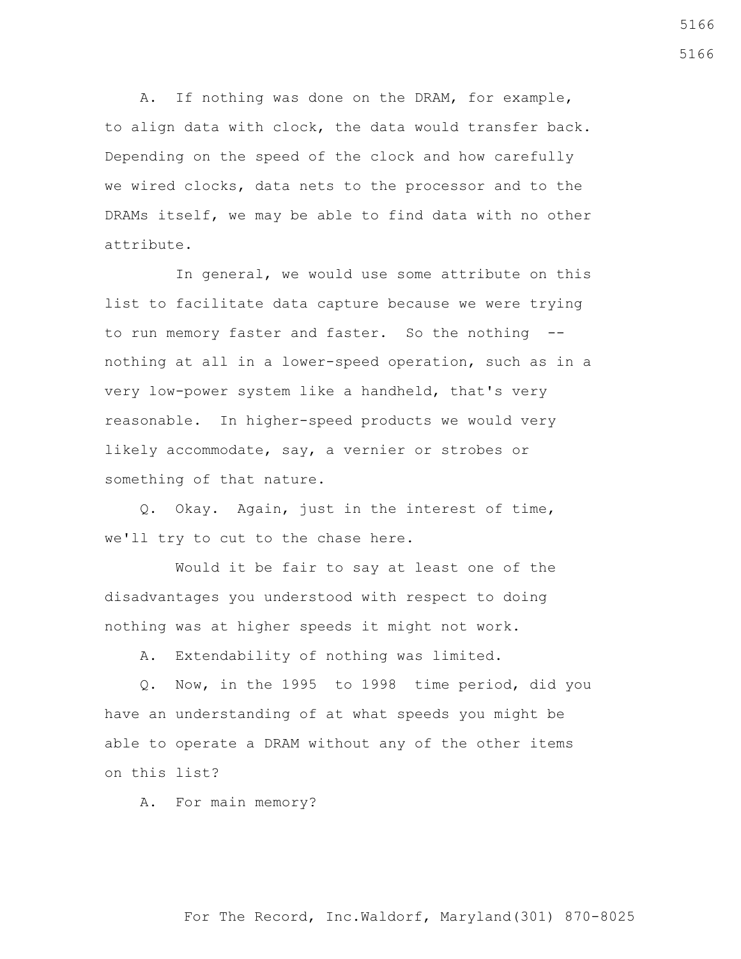A. If nothing was done on the DRAM, for example, to align data with clock, the data would transfer back. Depending on the speed of the clock and how carefully we wired clocks, data nets to the processor and to the DRAMs itself, we may be able to find data with no other attribute.

 In general, we would use some attribute on this list to facilitate data capture because we were trying to run memory faster and faster. So the nothing - nothing at all in a lower-speed operation, such as in a very low-power system like a handheld, that's very reasonable. In higher-speed products we would very likely accommodate, say, a vernier or strobes or something of that nature.

 Q. Okay. Again, just in the interest of time, we'll try to cut to the chase here.

 Would it be fair to say at least one of the disadvantages you understood with respect to doing nothing was at higher speeds it might not work.

A. Extendability of nothing was limited.

 Q. Now, in the 1995 to 1998 time period, did you have an understanding of at what speeds you might be able to operate a DRAM without any of the other items on this list?

A. For main memory?

For The Record, Inc.Waldorf, Maryland(301) 870-8025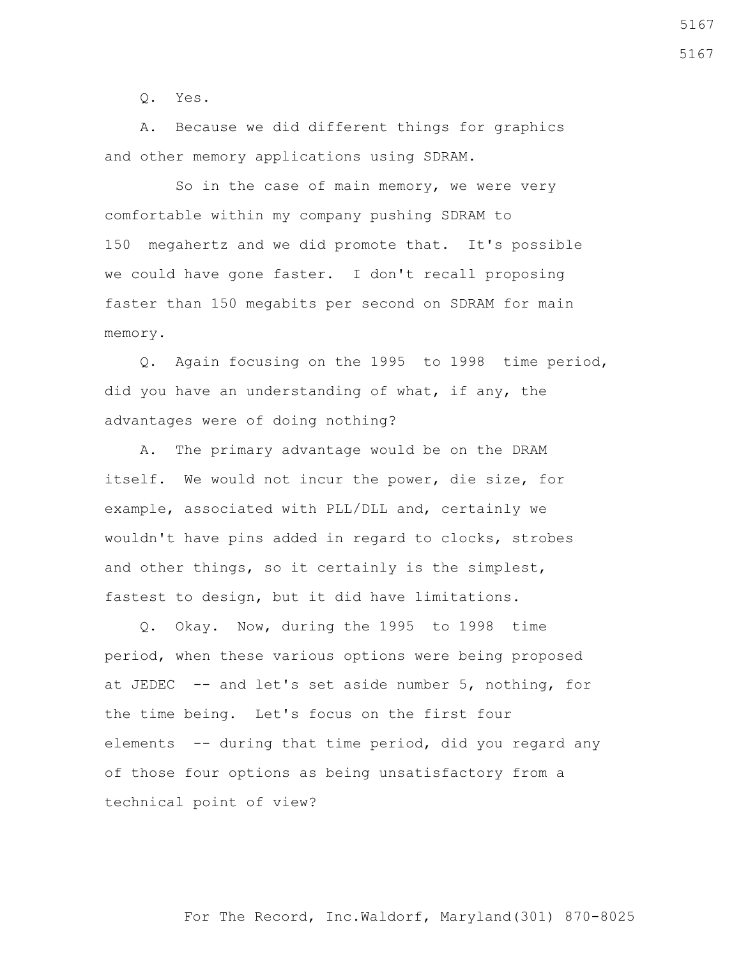Q. Yes.

 A. Because we did different things for graphics and other memory applications using SDRAM.

So in the case of main memory, we were very comfortable within my company pushing SDRAM to 150 megahertz and we did promote that. It's possible we could have gone faster. I don't recall proposing faster than 150 megabits per second on SDRAM for main memory.

 Q. Again focusing on the 1995 to 1998 time period, did you have an understanding of what, if any, the advantages were of doing nothing?

 A. The primary advantage would be on the DRAM itself. We would not incur the power, die size, for example, associated with PLL/DLL and, certainly we wouldn't have pins added in regard to clocks, strobes and other things, so it certainly is the simplest, fastest to design, but it did have limitations.

 Q. Okay. Now, during the 1995 to 1998 time period, when these various options were being proposed at JEDEC -- and let's set aside number 5, nothing, for the time being. Let's focus on the first four elements -- during that time period, did you regard any of those four options as being unsatisfactory from a technical point of view?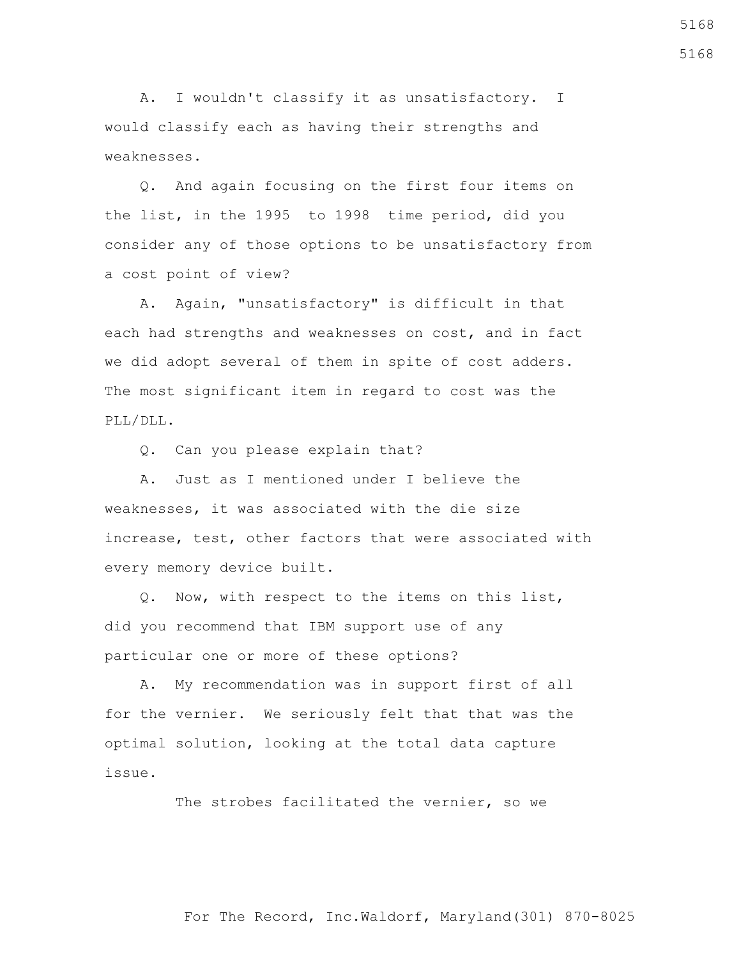A. I wouldn't classify it as unsatisfactory. I would classify each as having their strengths and weaknesses.

 Q. And again focusing on the first four items on the list, in the 1995 to 1998 time period, did you consider any of those options to be unsatisfactory from a cost point of view?

 A. Again, "unsatisfactory" is difficult in that each had strengths and weaknesses on cost, and in fact we did adopt several of them in spite of cost adders. The most significant item in regard to cost was the PLL/DLL.

Q. Can you please explain that?

 A. Just as I mentioned under I believe the weaknesses, it was associated with the die size increase, test, other factors that were associated with every memory device built.

 Q. Now, with respect to the items on this list, did you recommend that IBM support use of any particular one or more of these options?

 A. My recommendation was in support first of all for the vernier. We seriously felt that that was the optimal solution, looking at the total data capture issue.

The strobes facilitated the vernier, so we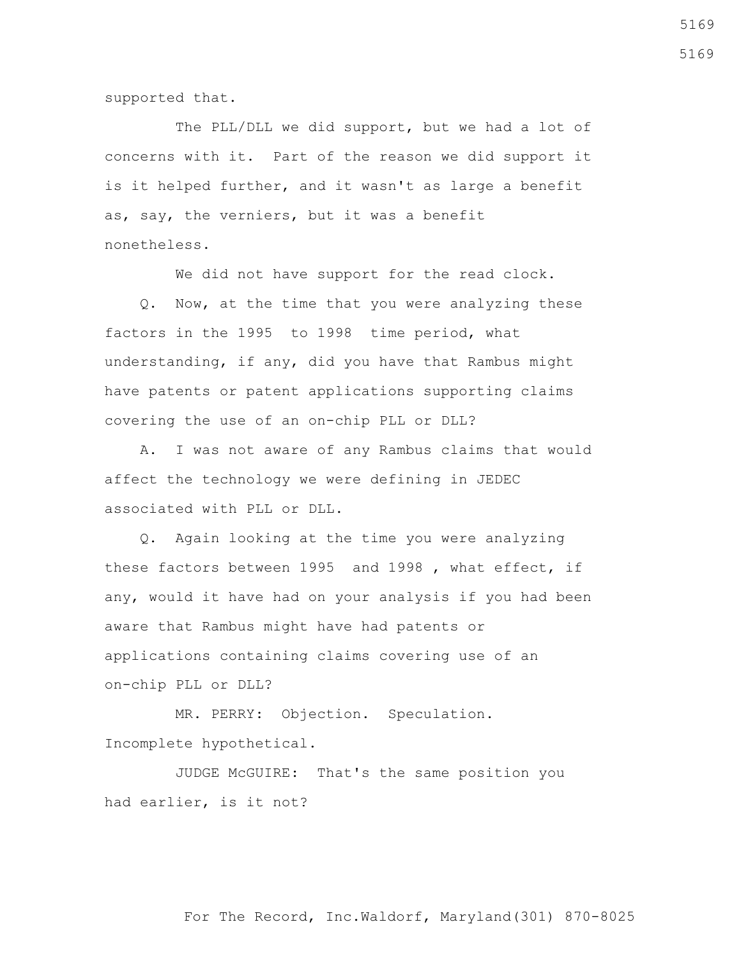supported that.

 The PLL/DLL we did support, but we had a lot of concerns with it. Part of the reason we did support it is it helped further, and it wasn't as large a benefit as, say, the verniers, but it was a benefit nonetheless.

We did not have support for the read clock.

 Q. Now, at the time that you were analyzing these factors in the 1995 to 1998 time period, what understanding, if any, did you have that Rambus might have patents or patent applications supporting claims covering the use of an on-chip PLL or DLL?

 A. I was not aware of any Rambus claims that would affect the technology we were defining in JEDEC associated with PLL or DLL.

 Q. Again looking at the time you were analyzing these factors between 1995 and 1998 , what effect, if any, would it have had on your analysis if you had been aware that Rambus might have had patents or applications containing claims covering use of an on-chip PLL or DLL?

 MR. PERRY: Objection. Speculation. Incomplete hypothetical.

 JUDGE McGUIRE: That's the same position you had earlier, is it not?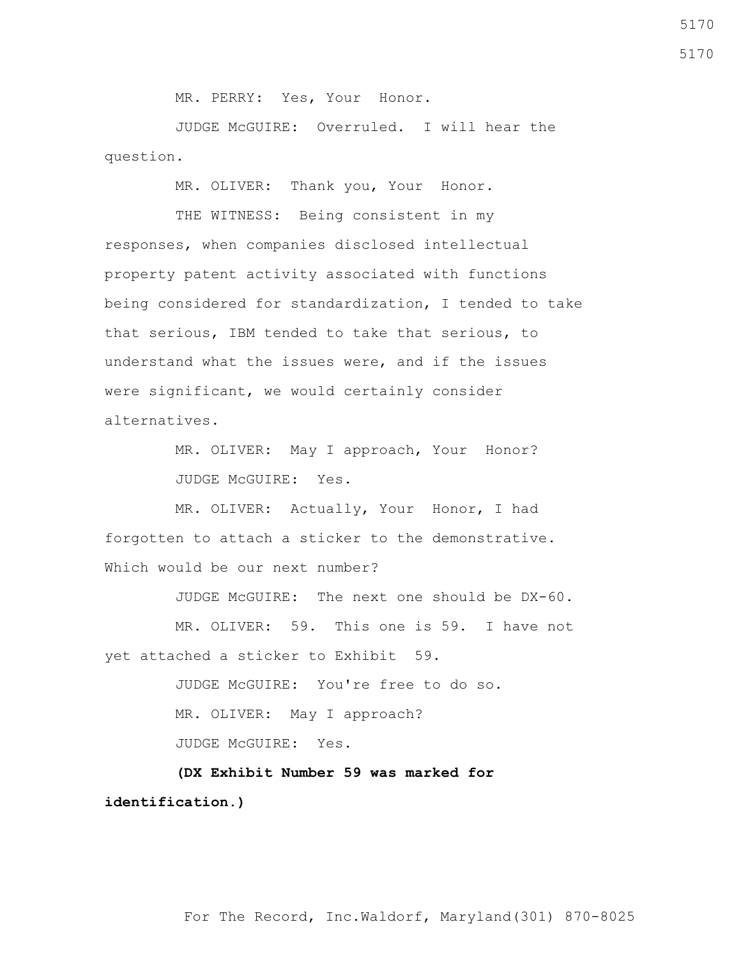MR. PERRY: Yes, Your Honor.

 JUDGE McGUIRE: Overruled. I will hear the question.

MR. OLIVER: Thank you, Your Honor.

 THE WITNESS: Being consistent in my responses, when companies disclosed intellectual property patent activity associated with functions being considered for standardization, I tended to take that serious, IBM tended to take that serious, to understand what the issues were, and if the issues were significant, we would certainly consider alternatives.

> MR. OLIVER: May I approach, Your Honor? JUDGE McGUIRE: Yes.

 MR. OLIVER: Actually, Your Honor, I had forgotten to attach a sticker to the demonstrative. Which would be our next number?

JUDGE McGUIRE: The next one should be DX-60.

MR. OLIVER: 59. This one is 59. I have not yet attached a sticker to Exhibit 59.

> JUDGE McGUIRE: You're free to do so. MR. OLIVER: May I approach? JUDGE McGUIRE: Yes.

 **(DX Exhibit Number 59 was marked for identification.)**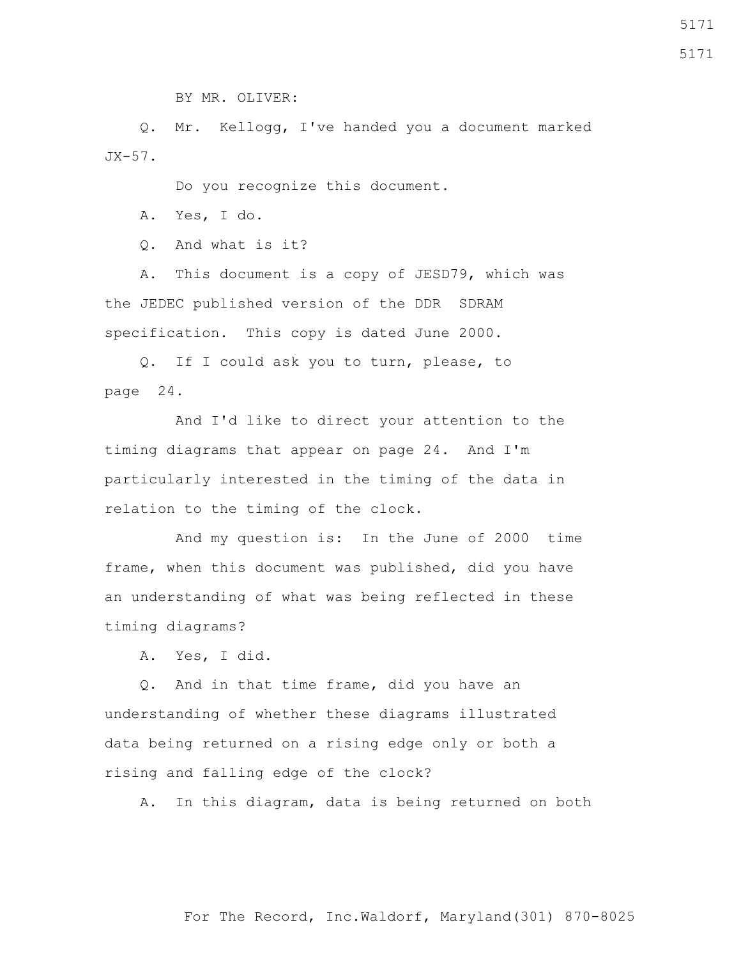BY MR. OLIVER:

 Q. Mr. Kellogg, I've handed you a document marked  $JX-57$ .

Do you recognize this document.

A. Yes, I do.

Q. And what is it?

 A. This document is a copy of JESD79, which was the JEDEC published version of the DDR SDRAM specification. This copy is dated June 2000.

 Q. If I could ask you to turn, please, to page 24.

 And I'd like to direct your attention to the timing diagrams that appear on page 24. And I'm particularly interested in the timing of the data in relation to the timing of the clock.

 And my question is: In the June of 2000 time frame, when this document was published, did you have an understanding of what was being reflected in these timing diagrams?

A. Yes, I did.

 Q. And in that time frame, did you have an understanding of whether these diagrams illustrated data being returned on a rising edge only or both a rising and falling edge of the clock?

A. In this diagram, data is being returned on both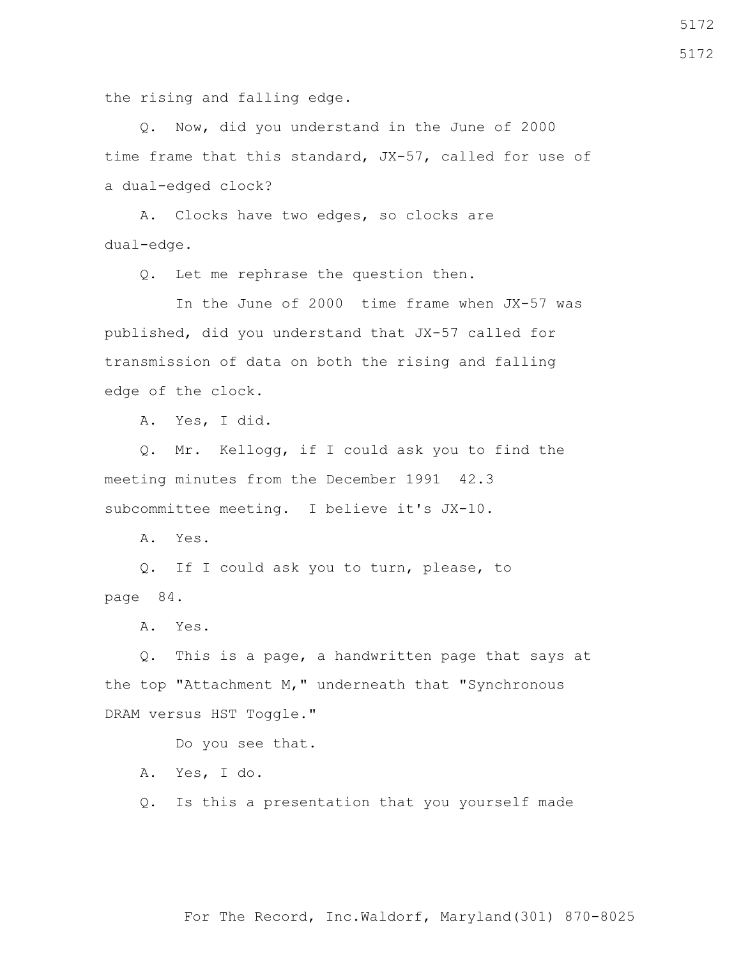the rising and falling edge.

 Q. Now, did you understand in the June of 2000 time frame that this standard, JX-57, called for use of a dual-edged clock?

 A. Clocks have two edges, so clocks are dual-edge.

Q. Let me rephrase the question then.

 In the June of 2000 time frame when JX-57 was published, did you understand that JX-57 called for transmission of data on both the rising and falling edge of the clock.

A. Yes, I did.

 Q. Mr. Kellogg, if I could ask you to find the meeting minutes from the December 1991 42.3 subcommittee meeting. I believe it's JX-10.

A. Yes.

 Q. If I could ask you to turn, please, to page 84.

A. Yes.

 Q. This is a page, a handwritten page that says at the top "Attachment M," underneath that "Synchronous DRAM versus HST Toggle."

Do you see that.

A. Yes, I do.

Q. Is this a presentation that you yourself made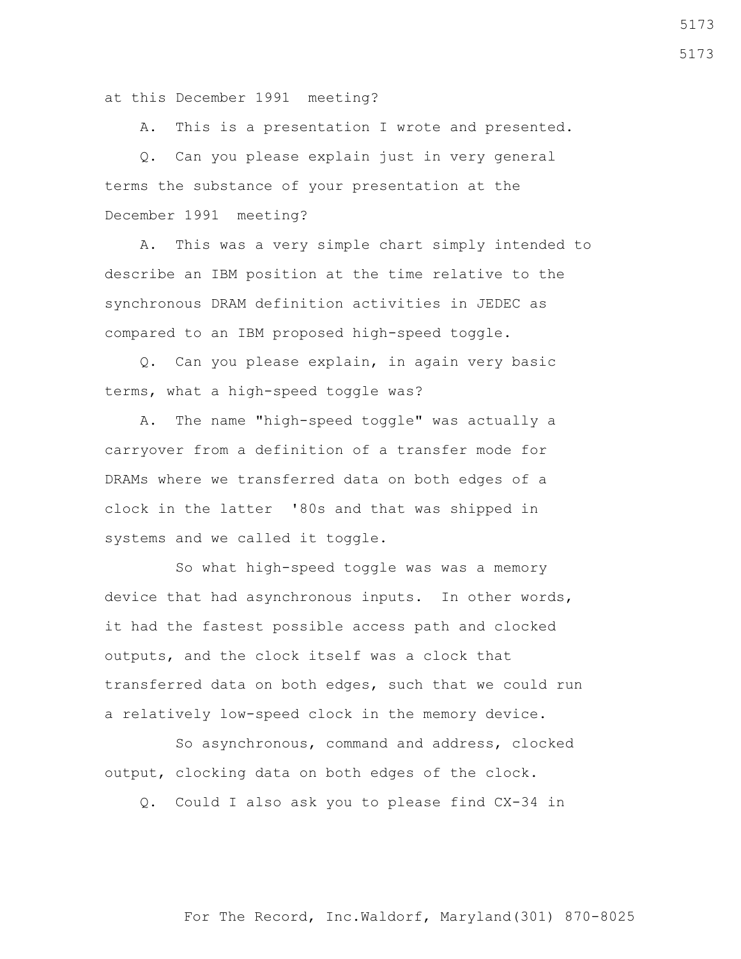at this December 1991 meeting?

A. This is a presentation I wrote and presented.

 Q. Can you please explain just in very general terms the substance of your presentation at the December 1991 meeting?

 A. This was a very simple chart simply intended to describe an IBM position at the time relative to the synchronous DRAM definition activities in JEDEC as compared to an IBM proposed high-speed toggle.

 Q. Can you please explain, in again very basic terms, what a high-speed toggle was?

 A. The name "high-speed toggle" was actually a carryover from a definition of a transfer mode for DRAMs where we transferred data on both edges of a clock in the latter '80s and that was shipped in systems and we called it toggle.

 So what high-speed toggle was was a memory device that had asynchronous inputs. In other words, it had the fastest possible access path and clocked outputs, and the clock itself was a clock that transferred data on both edges, such that we could run a relatively low-speed clock in the memory device.

 So asynchronous, command and address, clocked output, clocking data on both edges of the clock.

Q. Could I also ask you to please find CX-34 in

For The Record, Inc.Waldorf, Maryland(301) 870-8025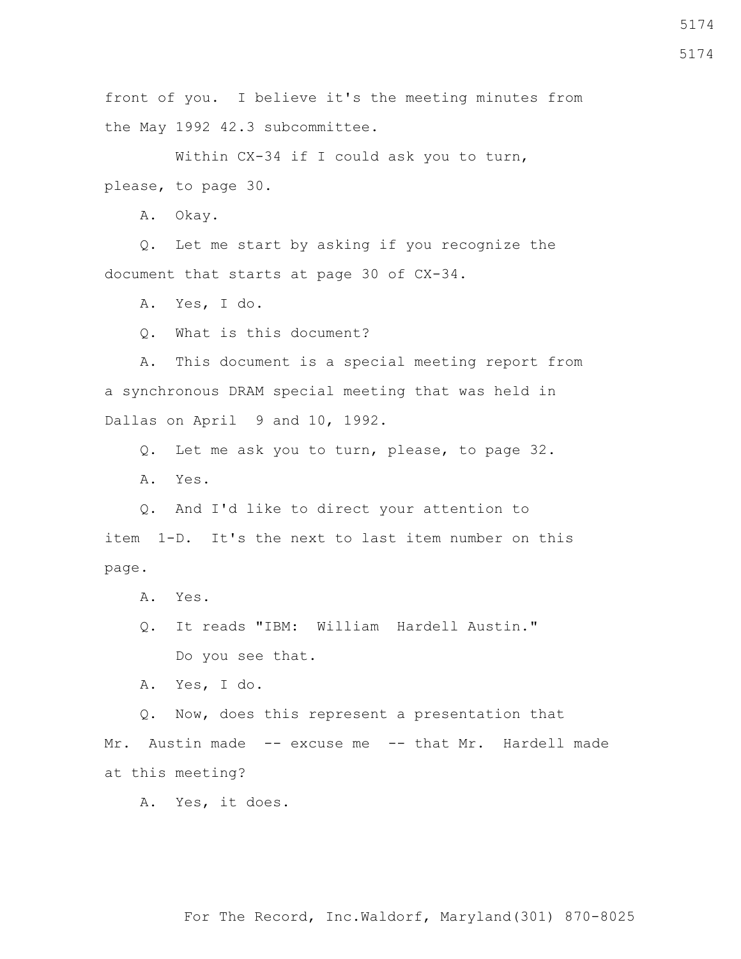front of you. I believe it's the meeting minutes from the May 1992 42.3 subcommittee.

Within CX-34 if I could ask you to turn, please, to page 30.

A. Okay.

 Q. Let me start by asking if you recognize the document that starts at page 30 of CX-34.

A. Yes, I do.

Q. What is this document?

 A. This document is a special meeting report from a synchronous DRAM special meeting that was held in Dallas on April 9 and 10, 1992.

Q. Let me ask you to turn, please, to page 32.

A. Yes.

 Q. And I'd like to direct your attention to item 1-D. It's the next to last item number on this page.

A. Yes.

 Q. It reads "IBM: William Hardell Austin." Do you see that.

A. Yes, I do.

 Q. Now, does this represent a presentation that Mr. Austin made -- excuse me -- that Mr. Hardell made at this meeting?

A. Yes, it does.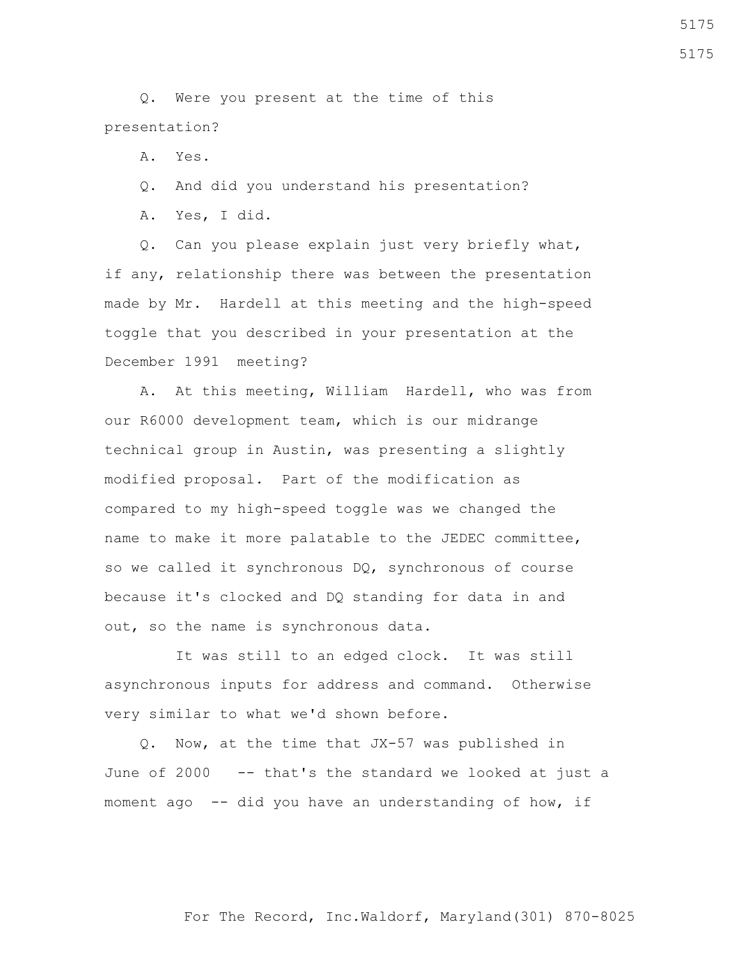Q. Were you present at the time of this presentation?

A. Yes.

Q. And did you understand his presentation?

A. Yes, I did.

 Q. Can you please explain just very briefly what, if any, relationship there was between the presentation made by Mr. Hardell at this meeting and the high-speed toggle that you described in your presentation at the December 1991 meeting?

 A. At this meeting, William Hardell, who was from our R6000 development team, which is our midrange technical group in Austin, was presenting a slightly modified proposal. Part of the modification as compared to my high-speed toggle was we changed the name to make it more palatable to the JEDEC committee, so we called it synchronous DQ, synchronous of course because it's clocked and DQ standing for data in and out, so the name is synchronous data.

 It was still to an edged clock. It was still asynchronous inputs for address and command. Otherwise very similar to what we'd shown before.

 Q. Now, at the time that JX-57 was published in June of 2000 -- that's the standard we looked at just a moment ago -- did you have an understanding of how, if

5175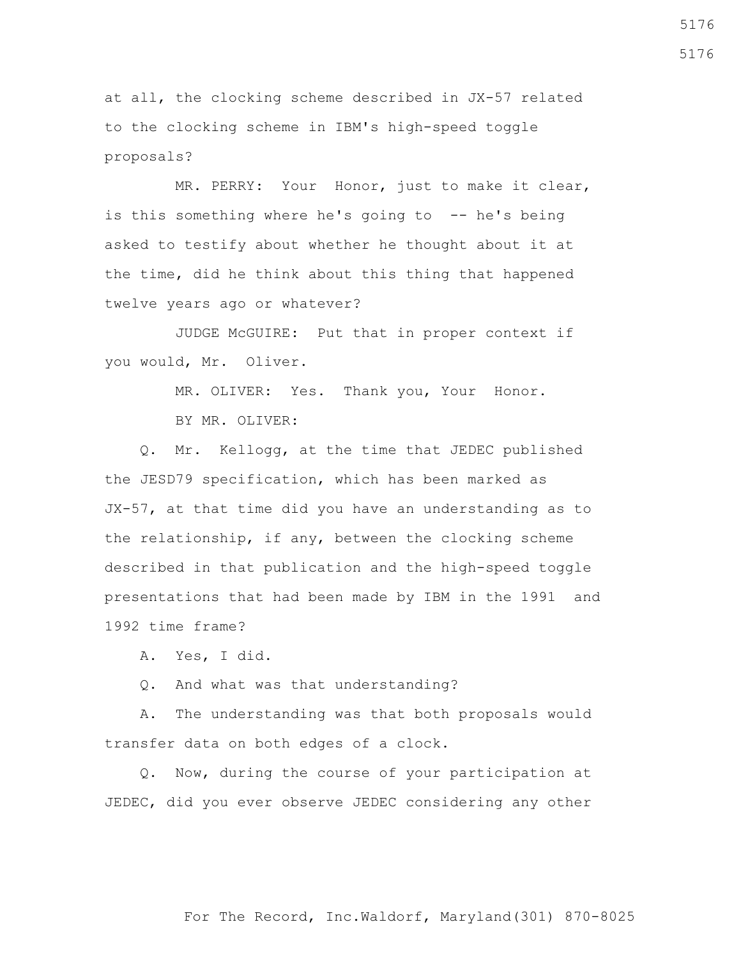at all, the clocking scheme described in JX-57 related to the clocking scheme in IBM's high-speed toggle proposals?

 MR. PERRY: Your Honor, just to make it clear, is this something where he's going to -- he's being asked to testify about whether he thought about it at the time, did he think about this thing that happened twelve years ago or whatever?

 JUDGE McGUIRE: Put that in proper context if you would, Mr. Oliver.

MR. OLIVER: Yes. Thank you, Your Honor.

BY MR. OLIVER:

 Q. Mr. Kellogg, at the time that JEDEC published the JESD79 specification, which has been marked as JX-57, at that time did you have an understanding as to the relationship, if any, between the clocking scheme described in that publication and the high-speed toggle presentations that had been made by IBM in the 1991 and 1992 time frame?

A. Yes, I did.

Q. And what was that understanding?

 A. The understanding was that both proposals would transfer data on both edges of a clock.

 Q. Now, during the course of your participation at JEDEC, did you ever observe JEDEC considering any other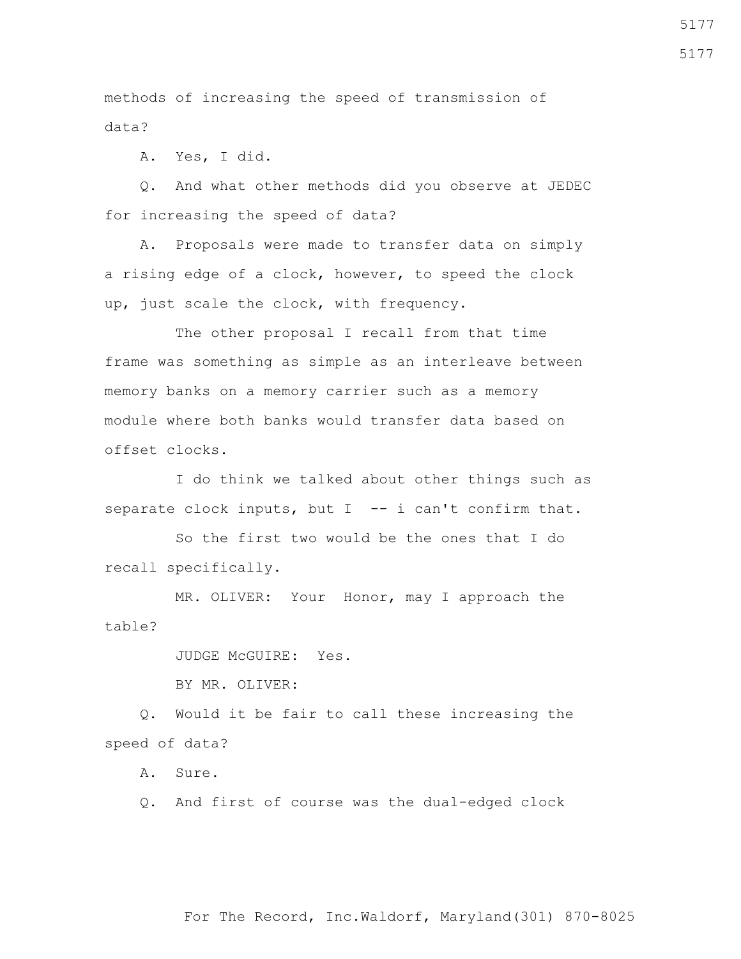methods of increasing the speed of transmission of data?

A. Yes, I did.

 Q. And what other methods did you observe at JEDEC for increasing the speed of data?

 A. Proposals were made to transfer data on simply a rising edge of a clock, however, to speed the clock up, just scale the clock, with frequency.

The other proposal I recall from that time frame was something as simple as an interleave between memory banks on a memory carrier such as a memory module where both banks would transfer data based on offset clocks.

 I do think we talked about other things such as separate clock inputs, but  $I$  -- i can't confirm that.

 So the first two would be the ones that I do recall specifically.

 MR. OLIVER: Your Honor, may I approach the table?

JUDGE McGUIRE: Yes.

BY MR. OLIVER:

 Q. Would it be fair to call these increasing the speed of data?

A. Sure.

Q. And first of course was the dual-edged clock

For The Record, Inc.Waldorf, Maryland(301) 870-8025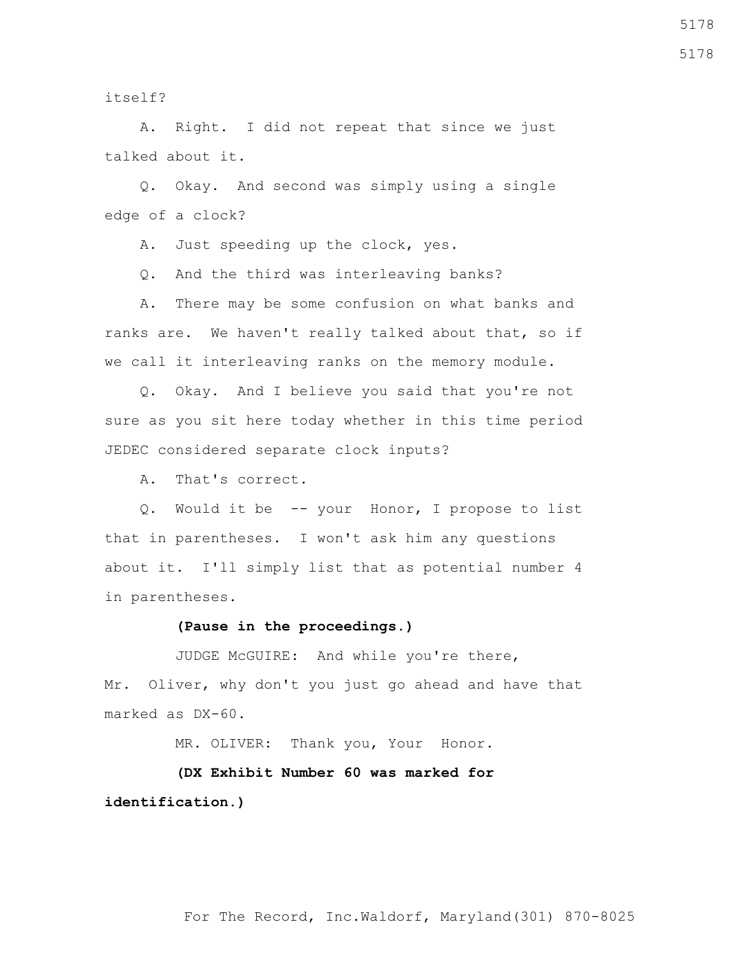itself?

 A. Right. I did not repeat that since we just talked about it.

 Q. Okay. And second was simply using a single edge of a clock?

A. Just speeding up the clock, yes.

Q. And the third was interleaving banks?

 A. There may be some confusion on what banks and ranks are. We haven't really talked about that, so if we call it interleaving ranks on the memory module.

 Q. Okay. And I believe you said that you're not sure as you sit here today whether in this time period JEDEC considered separate clock inputs?

A. That's correct.

 Q. Would it be -- your Honor, I propose to list that in parentheses. I won't ask him any questions about it. I'll simply list that as potential number 4 in parentheses.

## **(Pause in the proceedings.)**

 JUDGE McGUIRE: And while you're there, Mr. Oliver, why don't you just go ahead and have that marked as DX-60.

MR. OLIVER: Thank you, Your Honor.

 **(DX Exhibit Number 60 was marked for identification.)**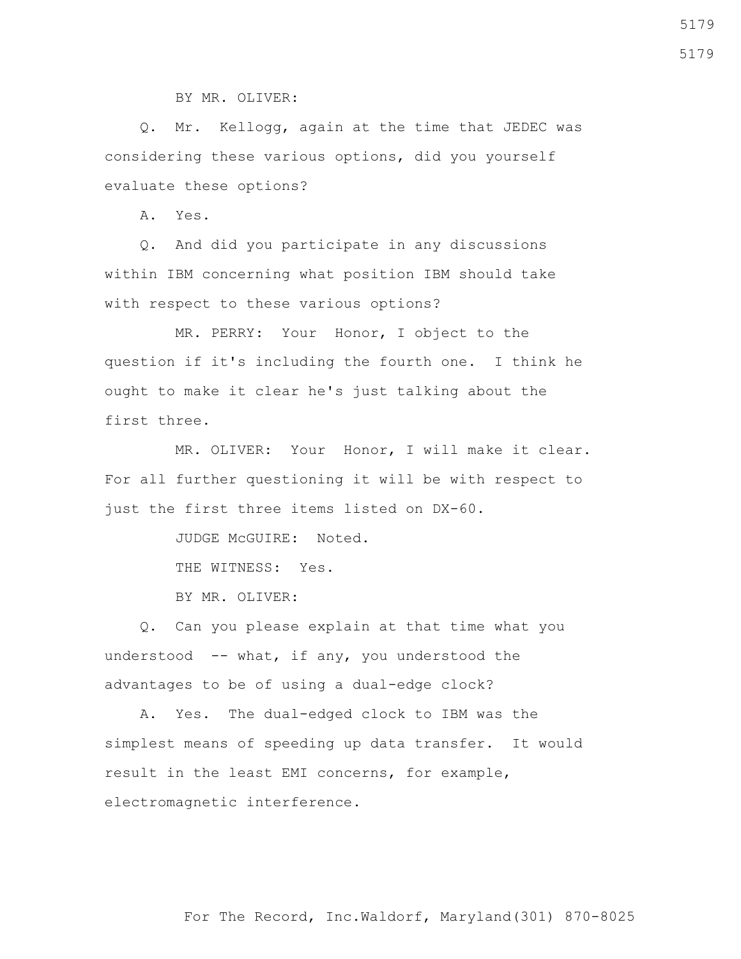BY MR. OLIVER:

 Q. Mr. Kellogg, again at the time that JEDEC was considering these various options, did you yourself evaluate these options?

A. Yes.

 Q. And did you participate in any discussions within IBM concerning what position IBM should take with respect to these various options?

 MR. PERRY: Your Honor, I object to the question if it's including the fourth one. I think he ought to make it clear he's just talking about the first three.

 MR. OLIVER: Your Honor, I will make it clear. For all further questioning it will be with respect to just the first three items listed on DX-60.

JUDGE McGUIRE: Noted.

THE WITNESS: Yes.

BY MR. OLIVER:

 Q. Can you please explain at that time what you understood -- what, if any, you understood the advantages to be of using a dual-edge clock?

 A. Yes. The dual-edged clock to IBM was the simplest means of speeding up data transfer. It would result in the least EMI concerns, for example, electromagnetic interference.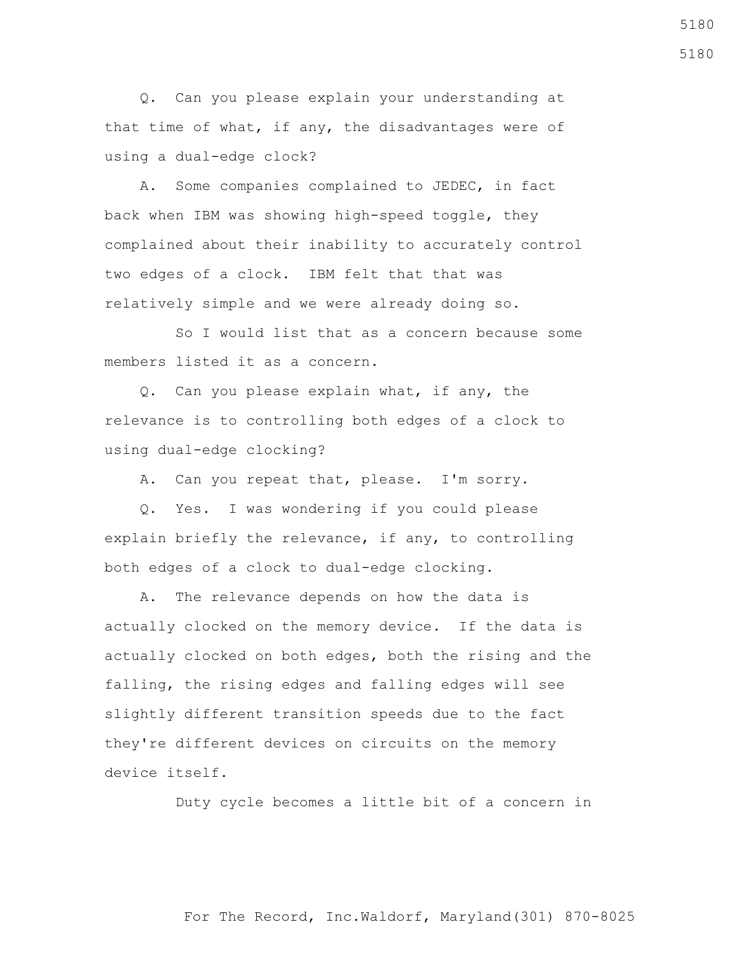Q. Can you please explain your understanding at that time of what, if any, the disadvantages were of using a dual-edge clock?

 A. Some companies complained to JEDEC, in fact back when IBM was showing high-speed toggle, they complained about their inability to accurately control two edges of a clock. IBM felt that that was relatively simple and we were already doing so.

 So I would list that as a concern because some members listed it as a concern.

 Q. Can you please explain what, if any, the relevance is to controlling both edges of a clock to using dual-edge clocking?

A. Can you repeat that, please. I'm sorry.

 Q. Yes. I was wondering if you could please explain briefly the relevance, if any, to controlling both edges of a clock to dual-edge clocking.

 A. The relevance depends on how the data is actually clocked on the memory device. If the data is actually clocked on both edges, both the rising and the falling, the rising edges and falling edges will see slightly different transition speeds due to the fact they're different devices on circuits on the memory device itself.

Duty cycle becomes a little bit of a concern in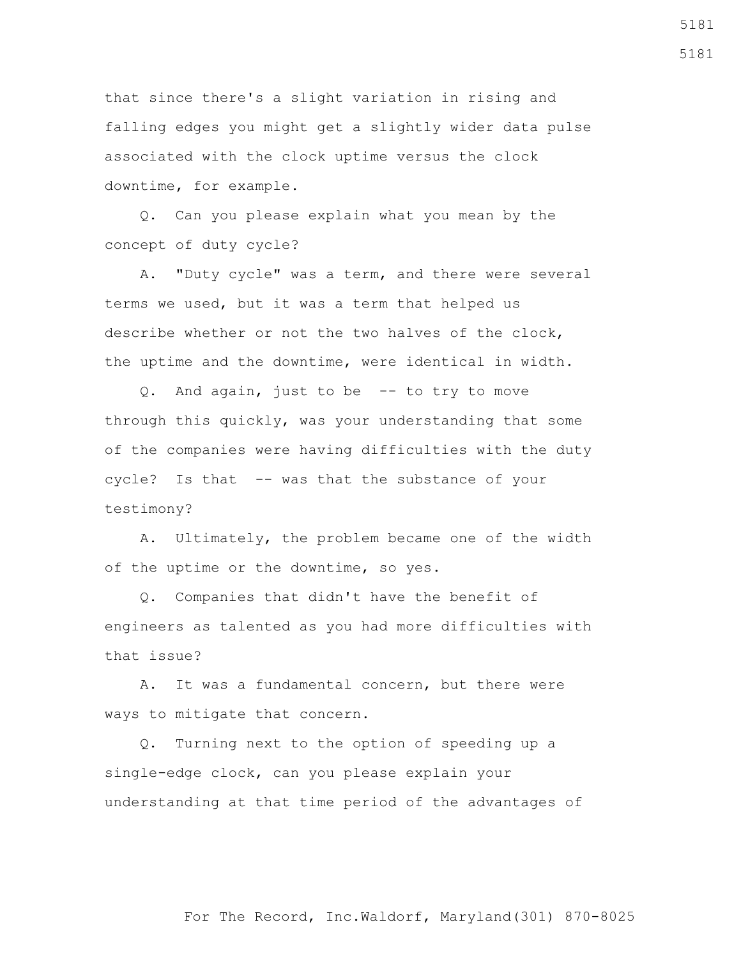that since there's a slight variation in rising and falling edges you might get a slightly wider data pulse associated with the clock uptime versus the clock downtime, for example.

 Q. Can you please explain what you mean by the concept of duty cycle?

 A. "Duty cycle" was a term, and there were several terms we used, but it was a term that helped us describe whether or not the two halves of the clock, the uptime and the downtime, were identical in width.

 Q. And again, just to be -- to try to move through this quickly, was your understanding that some of the companies were having difficulties with the duty cycle? Is that -- was that the substance of your testimony?

 A. Ultimately, the problem became one of the width of the uptime or the downtime, so yes.

 Q. Companies that didn't have the benefit of engineers as talented as you had more difficulties with that issue?

 A. It was a fundamental concern, but there were ways to mitigate that concern.

 Q. Turning next to the option of speeding up a single-edge clock, can you please explain your understanding at that time period of the advantages of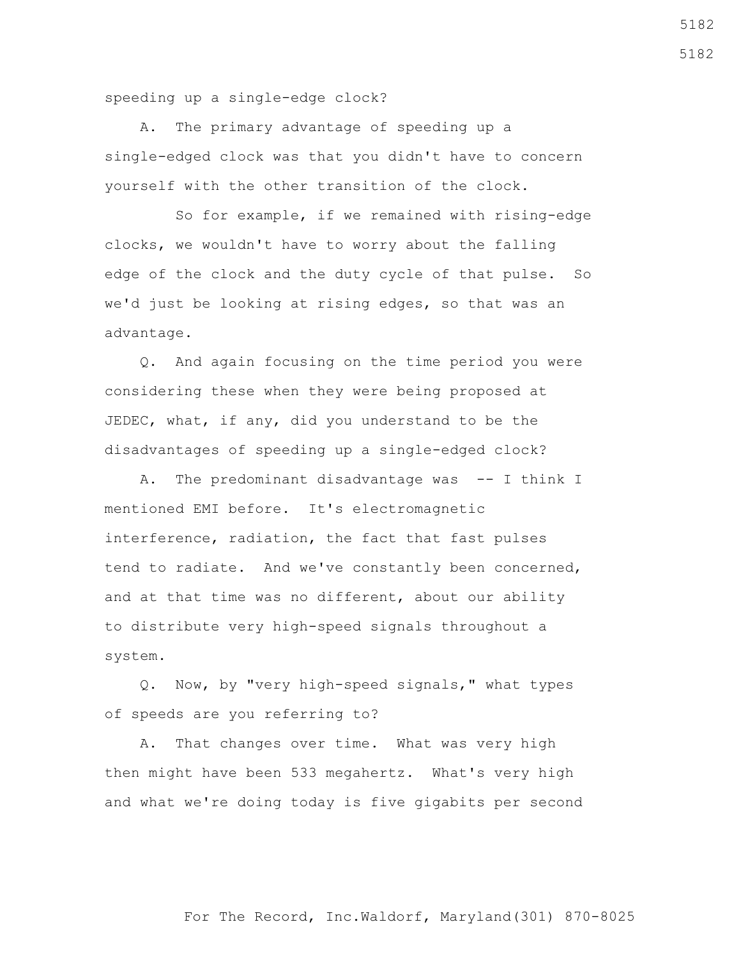speeding up a single-edge clock?

 A. The primary advantage of speeding up a single-edged clock was that you didn't have to concern yourself with the other transition of the clock.

 So for example, if we remained with rising-edge clocks, we wouldn't have to worry about the falling edge of the clock and the duty cycle of that pulse. So we'd just be looking at rising edges, so that was an advantage.

 Q. And again focusing on the time period you were considering these when they were being proposed at JEDEC, what, if any, did you understand to be the disadvantages of speeding up a single-edged clock?

A. The predominant disadvantage was -- I think I mentioned EMI before. It's electromagnetic interference, radiation, the fact that fast pulses tend to radiate. And we've constantly been concerned, and at that time was no different, about our ability to distribute very high-speed signals throughout a system.

 Q. Now, by "very high-speed signals," what types of speeds are you referring to?

 A. That changes over time. What was very high then might have been 533 megahertz. What's very high and what we're doing today is five gigabits per second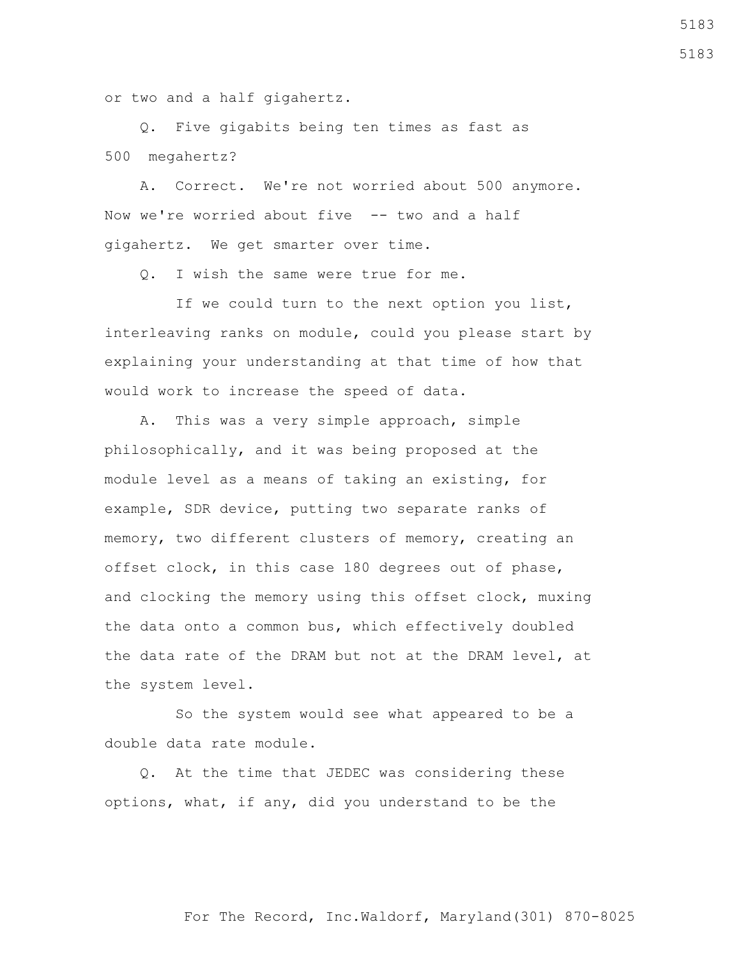or two and a half gigahertz.

 Q. Five gigabits being ten times as fast as 500 megahertz?

 A. Correct. We're not worried about 500 anymore. Now we're worried about five -- two and a half gigahertz. We get smarter over time.

Q. I wish the same were true for me.

 If we could turn to the next option you list, interleaving ranks on module, could you please start by explaining your understanding at that time of how that would work to increase the speed of data.

 A. This was a very simple approach, simple philosophically, and it was being proposed at the module level as a means of taking an existing, for example, SDR device, putting two separate ranks of memory, two different clusters of memory, creating an offset clock, in this case 180 degrees out of phase, and clocking the memory using this offset clock, muxing the data onto a common bus, which effectively doubled the data rate of the DRAM but not at the DRAM level, at the system level.

 So the system would see what appeared to be a double data rate module.

 Q. At the time that JEDEC was considering these options, what, if any, did you understand to be the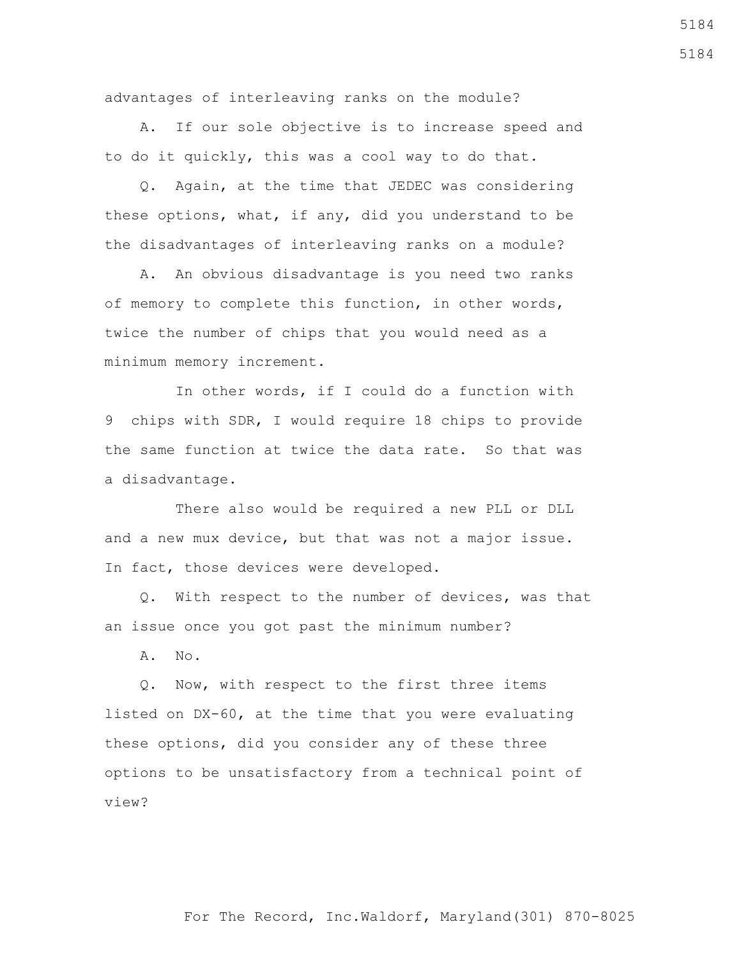advantages of interleaving ranks on the module?

 A. If our sole objective is to increase speed and to do it quickly, this was a cool way to do that.

 Q. Again, at the time that JEDEC was considering these options, what, if any, did you understand to be the disadvantages of interleaving ranks on a module?

 A. An obvious disadvantage is you need two ranks of memory to complete this function, in other words, twice the number of chips that you would need as a minimum memory increment.

 In other words, if I could do a function with 9 chips with SDR, I would require 18 chips to provide the same function at twice the data rate. So that was a disadvantage.

 There also would be required a new PLL or DLL and a new mux device, but that was not a major issue. In fact, those devices were developed.

 Q. With respect to the number of devices, was that an issue once you got past the minimum number?

A. No.

 Q. Now, with respect to the first three items listed on DX-60, at the time that you were evaluating these options, did you consider any of these three options to be unsatisfactory from a technical point of view?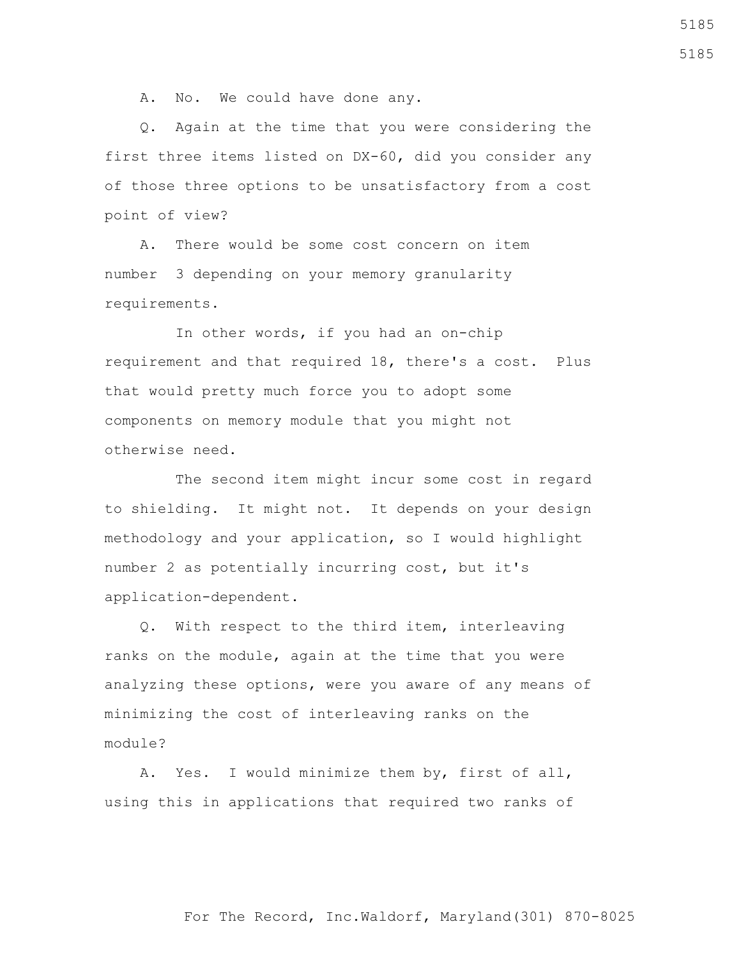A. No. We could have done any.

 Q. Again at the time that you were considering the first three items listed on DX-60, did you consider any of those three options to be unsatisfactory from a cost point of view?

 A. There would be some cost concern on item number 3 depending on your memory granularity requirements.

 In other words, if you had an on-chip requirement and that required 18, there's a cost. Plus that would pretty much force you to adopt some components on memory module that you might not otherwise need.

 The second item might incur some cost in regard to shielding. It might not. It depends on your design methodology and your application, so I would highlight number 2 as potentially incurring cost, but it's application-dependent.

 Q. With respect to the third item, interleaving ranks on the module, again at the time that you were analyzing these options, were you aware of any means of minimizing the cost of interleaving ranks on the module?

 A. Yes. I would minimize them by, first of all, using this in applications that required two ranks of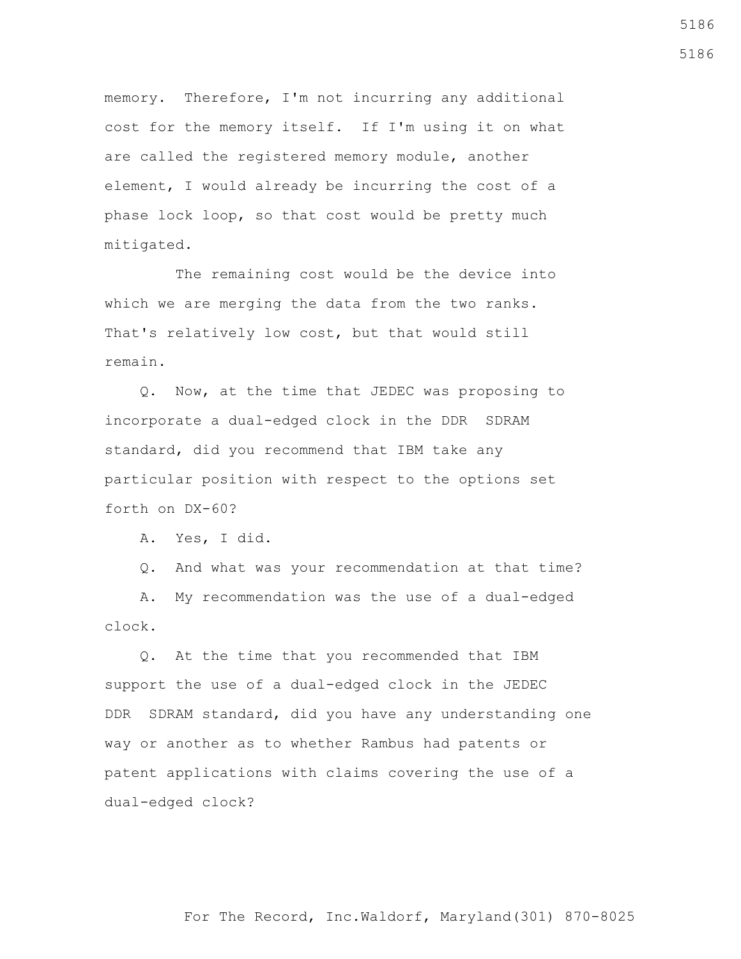memory. Therefore, I'm not incurring any additional cost for the memory itself. If I'm using it on what are called the registered memory module, another element, I would already be incurring the cost of a phase lock loop, so that cost would be pretty much mitigated.

 The remaining cost would be the device into which we are merging the data from the two ranks. That's relatively low cost, but that would still remain.

 Q. Now, at the time that JEDEC was proposing to incorporate a dual-edged clock in the DDR SDRAM standard, did you recommend that IBM take any particular position with respect to the options set forth on DX-60?

A. Yes, I did.

Q. And what was your recommendation at that time?

 A. My recommendation was the use of a dual-edged clock.

 Q. At the time that you recommended that IBM support the use of a dual-edged clock in the JEDEC DDR SDRAM standard, did you have any understanding one way or another as to whether Rambus had patents or patent applications with claims covering the use of a dual-edged clock?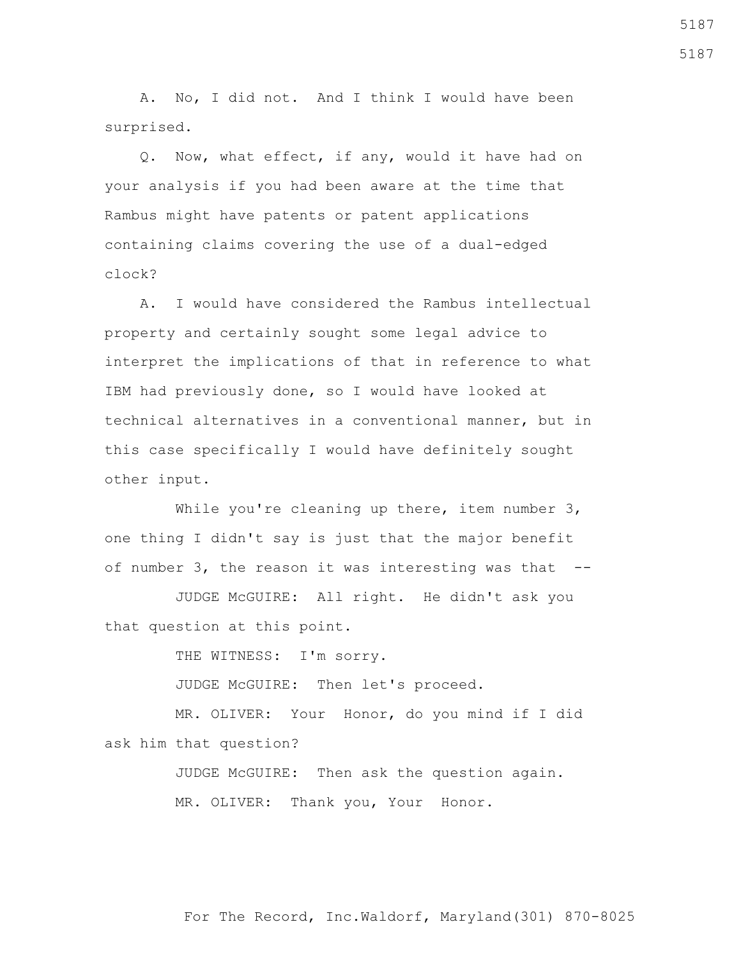A. No, I did not. And I think I would have been surprised.

 Q. Now, what effect, if any, would it have had on your analysis if you had been aware at the time that Rambus might have patents or patent applications containing claims covering the use of a dual-edged clock?

 A. I would have considered the Rambus intellectual property and certainly sought some legal advice to interpret the implications of that in reference to what IBM had previously done, so I would have looked at technical alternatives in a conventional manner, but in this case specifically I would have definitely sought other input.

While you're cleaning up there, item number 3, one thing I didn't say is just that the major benefit of number 3, the reason it was interesting was that  $-$ -

 JUDGE McGUIRE: All right. He didn't ask you that question at this point.

THE WITNESS: I'm sorry.

JUDGE McGUIRE: Then let's proceed.

 MR. OLIVER: Your Honor, do you mind if I did ask him that question?

> JUDGE McGUIRE: Then ask the question again. MR. OLIVER: Thank you, Your Honor.

5187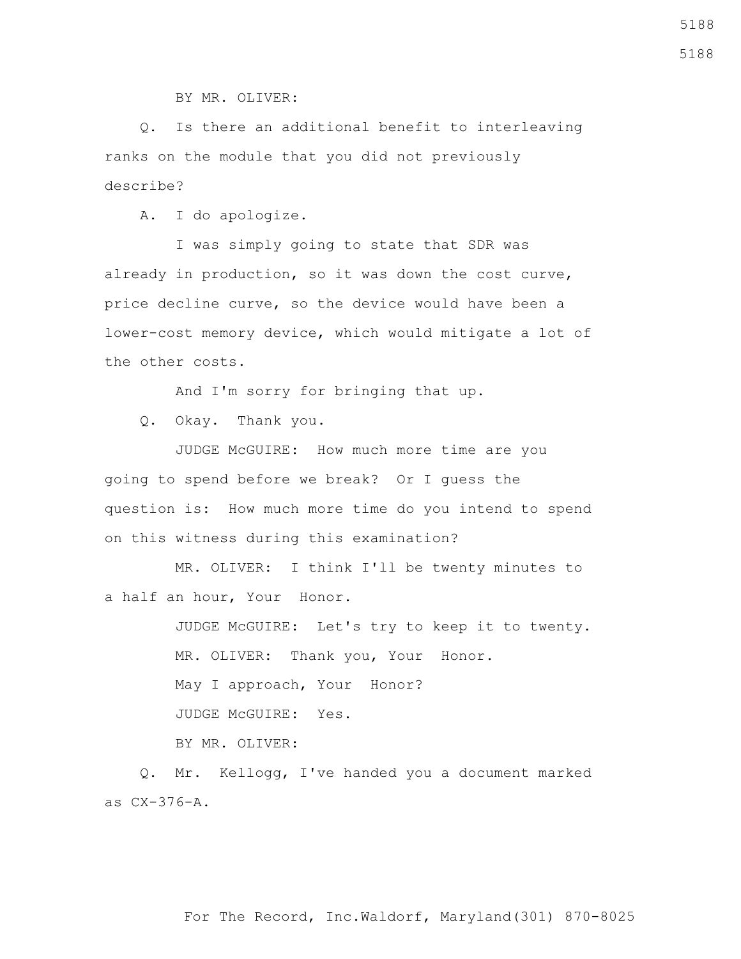BY MR. OLIVER:

 Q. Is there an additional benefit to interleaving ranks on the module that you did not previously describe?

A. I do apologize.

 I was simply going to state that SDR was already in production, so it was down the cost curve, price decline curve, so the device would have been a lower-cost memory device, which would mitigate a lot of the other costs.

And I'm sorry for bringing that up.

Q. Okay. Thank you.

 JUDGE McGUIRE: How much more time are you going to spend before we break? Or I guess the question is: How much more time do you intend to spend on this witness during this examination?

 MR. OLIVER: I think I'll be twenty minutes to a half an hour, Your Honor.

> JUDGE McGUIRE: Let's try to keep it to twenty. MR. OLIVER: Thank you, Your Honor. May I approach, Your Honor? JUDGE McGUIRE: Yes. BY MR. OLIVER:

 Q. Mr. Kellogg, I've handed you a document marked as CX-376-A.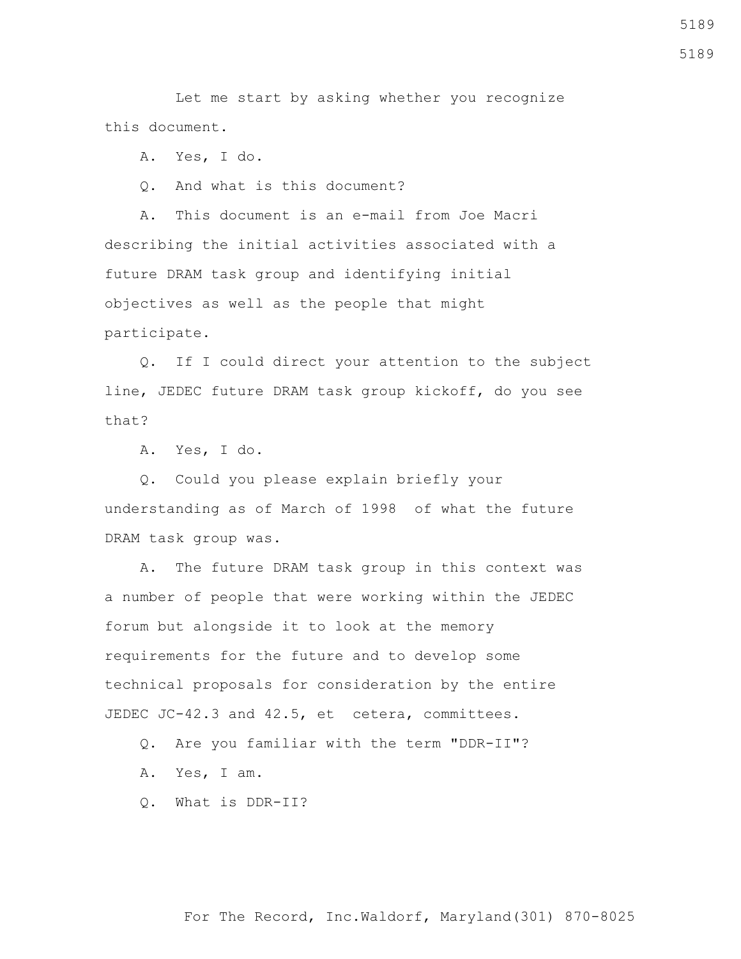Let me start by asking whether you recognize this document.

A. Yes, I do.

Q. And what is this document?

 A. This document is an e-mail from Joe Macri describing the initial activities associated with a future DRAM task group and identifying initial objectives as well as the people that might participate.

 Q. If I could direct your attention to the subject line, JEDEC future DRAM task group kickoff, do you see that?

A. Yes, I do.

 Q. Could you please explain briefly your understanding as of March of 1998 of what the future DRAM task group was.

 A. The future DRAM task group in this context was a number of people that were working within the JEDEC forum but alongside it to look at the memory requirements for the future and to develop some technical proposals for consideration by the entire JEDEC JC-42.3 and 42.5, et cetera, committees.

Q. Are you familiar with the term "DDR-II"?

A. Yes, I am.

Q. What is DDR-II?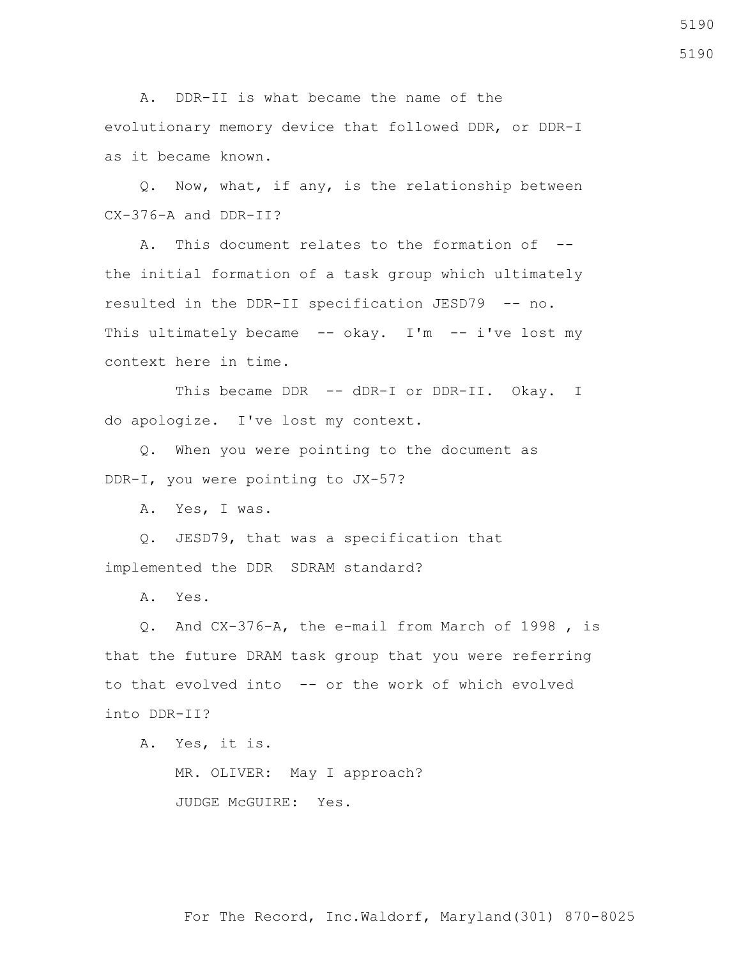A. DDR-II is what became the name of the evolutionary memory device that followed DDR, or DDR-I as it became known.

 Q. Now, what, if any, is the relationship between CX-376-A and DDR-II?

 A. This document relates to the formation of - the initial formation of a task group which ultimately resulted in the DDR-II specification JESD79 -- no. This ultimately became -- okay. I'm -- i've lost my context here in time.

This became DDR -- dDR-I or DDR-II. Okay. I do apologize. I've lost my context.

 Q. When you were pointing to the document as DDR-I, you were pointing to JX-57?

A. Yes, I was.

 Q. JESD79, that was a specification that implemented the DDR SDRAM standard?

A. Yes.

 Q. And CX-376-A, the e-mail from March of 1998 , is that the future DRAM task group that you were referring to that evolved into -- or the work of which evolved into DDR-II?

A. Yes, it is.

 MR. OLIVER: May I approach? JUDGE McGUIRE: Yes.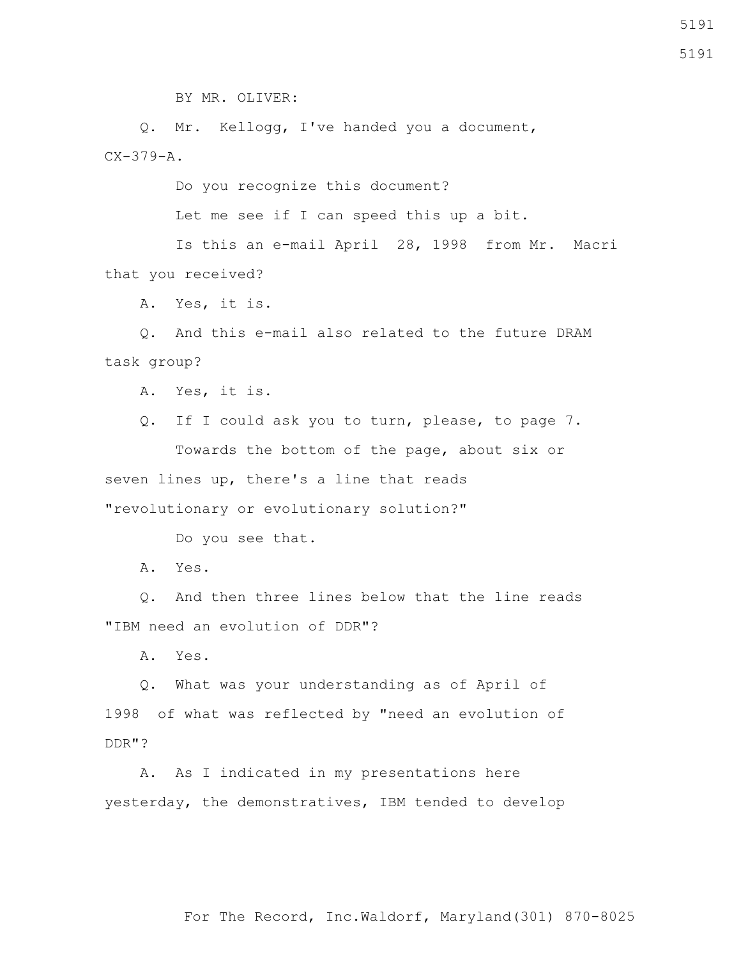BY MR. OLIVER:

 Q. Mr. Kellogg, I've handed you a document, CX-379-A.

Do you recognize this document?

Let me see if I can speed this up a bit.

 Is this an e-mail April 28, 1998 from Mr. Macri that you received?

A. Yes, it is.

 Q. And this e-mail also related to the future DRAM task group?

A. Yes, it is.

 Q. If I could ask you to turn, please, to page 7. Towards the bottom of the page, about six or seven lines up, there's a line that reads "revolutionary or evolutionary solution?"

Do you see that.

A. Yes.

 Q. And then three lines below that the line reads "IBM need an evolution of DDR"?

A. Yes.

 Q. What was your understanding as of April of 1998 of what was reflected by "need an evolution of DDR"?

 A. As I indicated in my presentations here yesterday, the demonstratives, IBM tended to develop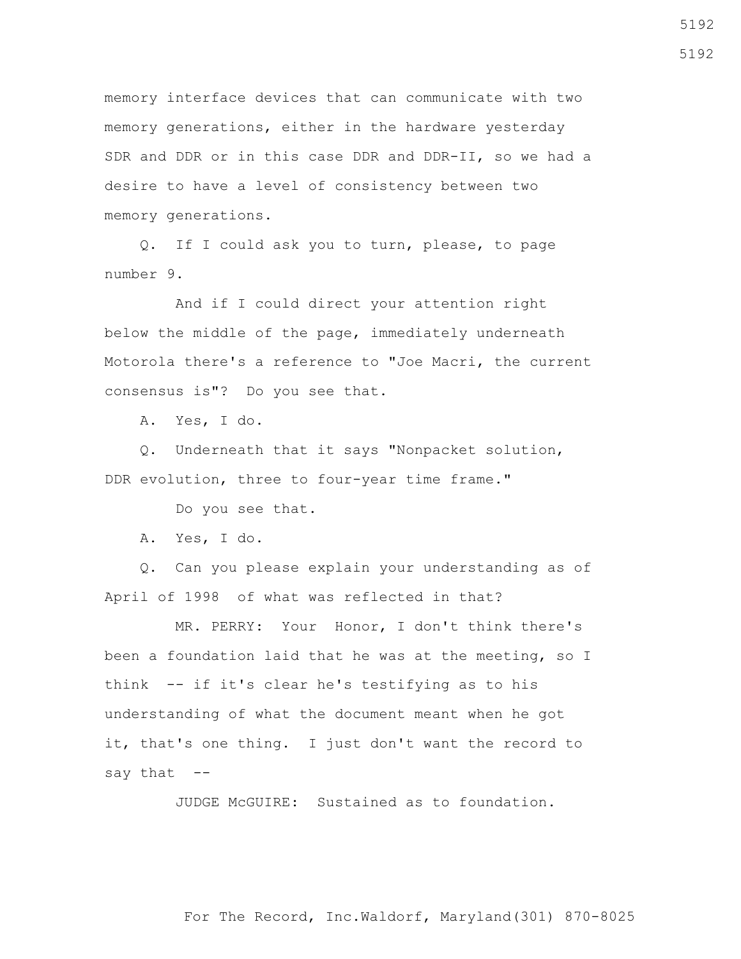memory interface devices that can communicate with two memory generations, either in the hardware yesterday SDR and DDR or in this case DDR and DDR-II, so we had a desire to have a level of consistency between two memory generations.

 Q. If I could ask you to turn, please, to page number 9.

 And if I could direct your attention right below the middle of the page, immediately underneath Motorola there's a reference to "Joe Macri, the current consensus is"? Do you see that.

A. Yes, I do.

 Q. Underneath that it says "Nonpacket solution, DDR evolution, three to four-year time frame."

Do you see that.

A. Yes, I do.

 Q. Can you please explain your understanding as of April of 1998 of what was reflected in that?

 MR. PERRY: Your Honor, I don't think there's been a foundation laid that he was at the meeting, so I think -- if it's clear he's testifying as to his understanding of what the document meant when he got it, that's one thing. I just don't want the record to say that  $--$ 

JUDGE McGUIRE: Sustained as to foundation.

For The Record, Inc.Waldorf, Maryland(301) 870-8025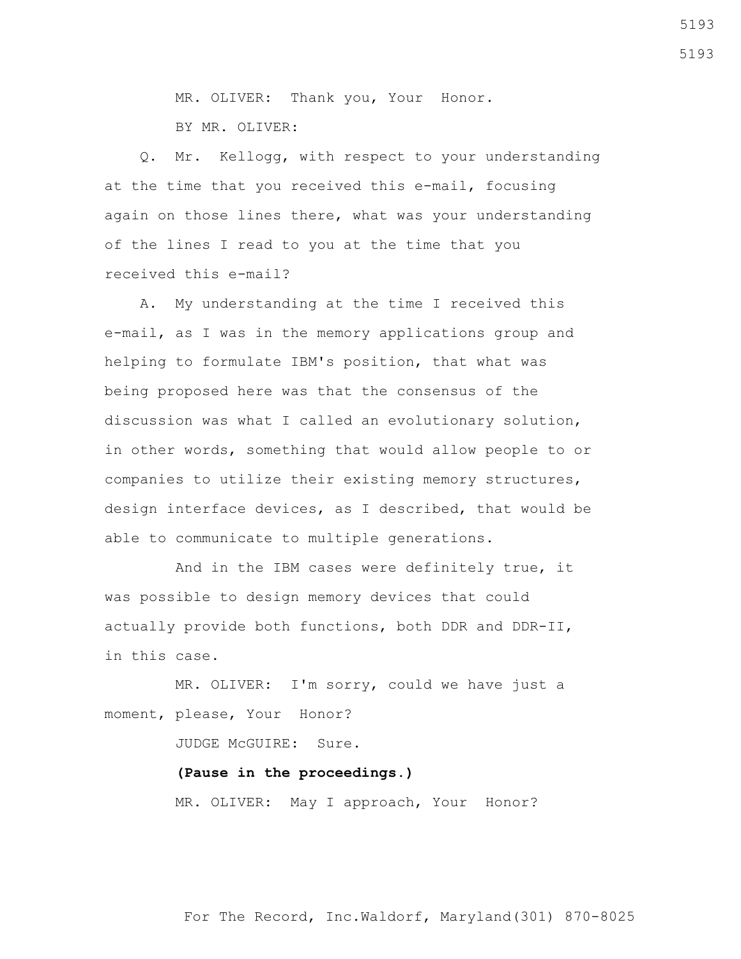MR. OLIVER: Thank you, Your Honor. BY MR. OLIVER:

 Q. Mr. Kellogg, with respect to your understanding at the time that you received this e-mail, focusing again on those lines there, what was your understanding of the lines I read to you at the time that you received this e-mail?

 A. My understanding at the time I received this e-mail, as I was in the memory applications group and helping to formulate IBM's position, that what was being proposed here was that the consensus of the discussion was what I called an evolutionary solution, in other words, something that would allow people to or companies to utilize their existing memory structures, design interface devices, as I described, that would be able to communicate to multiple generations.

 And in the IBM cases were definitely true, it was possible to design memory devices that could actually provide both functions, both DDR and DDR-II, in this case.

 MR. OLIVER: I'm sorry, could we have just a moment, please, Your Honor?

JUDGE McGUIRE: Sure.

**(Pause in the proceedings.)**

MR. OLIVER: May I approach, Your Honor?

For The Record, Inc.Waldorf, Maryland(301) 870-8025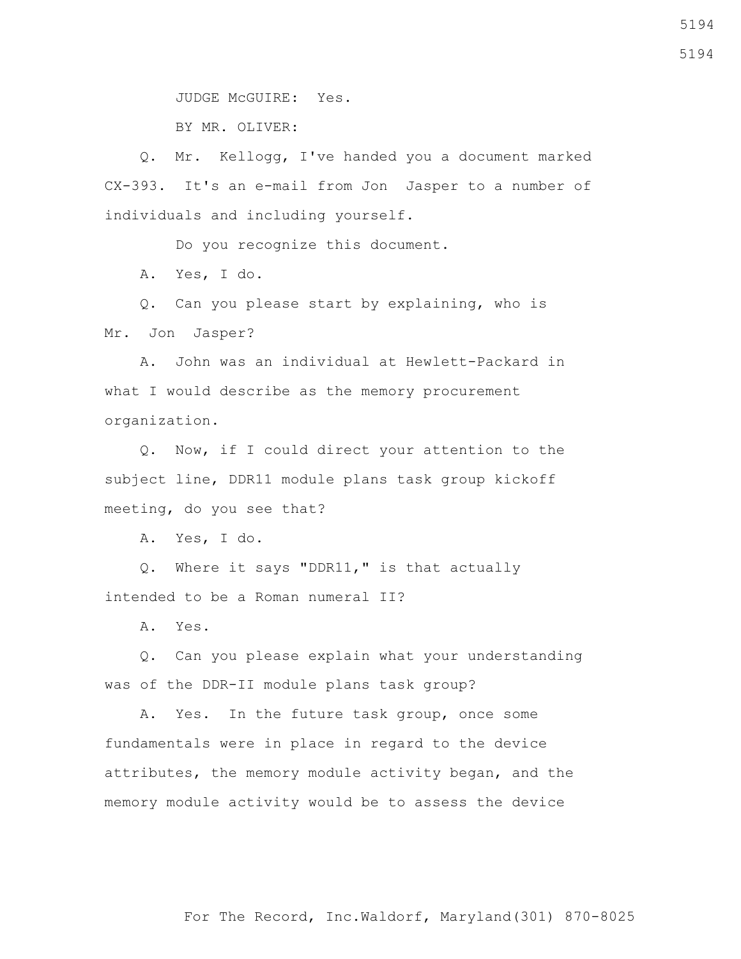JUDGE McGUIRE: Yes.

BY MR. OLIVER:

 Q. Mr. Kellogg, I've handed you a document marked CX-393. It's an e-mail from Jon Jasper to a number of individuals and including yourself.

Do you recognize this document.

A. Yes, I do.

 Q. Can you please start by explaining, who is Mr. Jon Jasper?

 A. John was an individual at Hewlett-Packard in what I would describe as the memory procurement organization.

 Q. Now, if I could direct your attention to the subject line, DDR11 module plans task group kickoff meeting, do you see that?

A. Yes, I do.

 Q. Where it says "DDR11," is that actually intended to be a Roman numeral II?

A. Yes.

 Q. Can you please explain what your understanding was of the DDR-II module plans task group?

 A. Yes. In the future task group, once some fundamentals were in place in regard to the device attributes, the memory module activity began, and the memory module activity would be to assess the device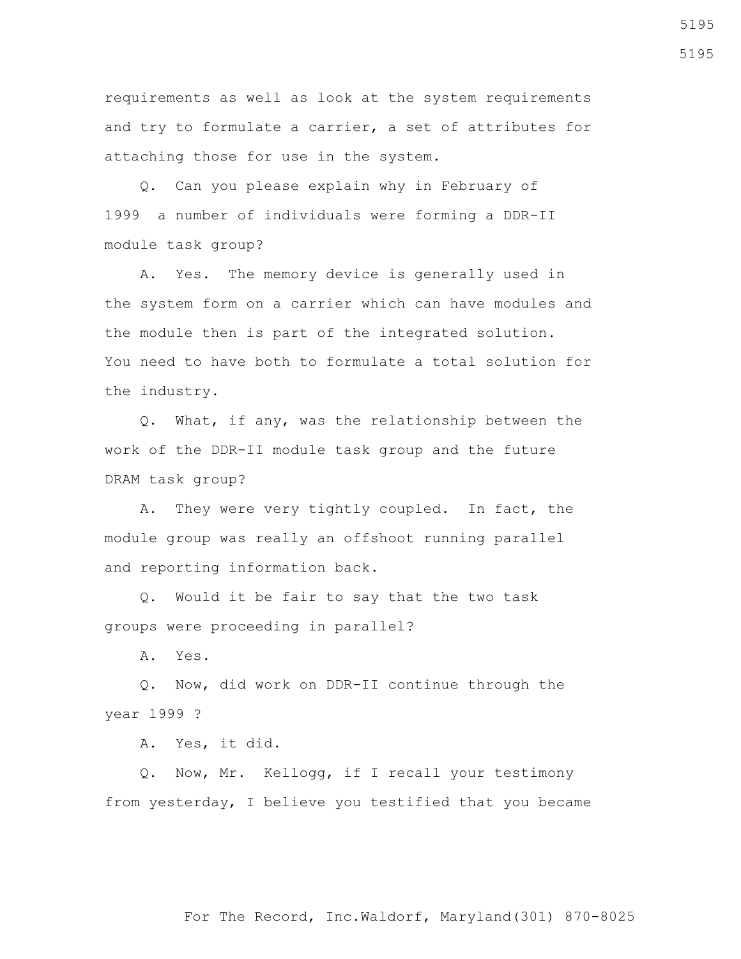requirements as well as look at the system requirements and try to formulate a carrier, a set of attributes for attaching those for use in the system.

 Q. Can you please explain why in February of 1999 a number of individuals were forming a DDR-II module task group?

 A. Yes. The memory device is generally used in the system form on a carrier which can have modules and the module then is part of the integrated solution. You need to have both to formulate a total solution for the industry.

 Q. What, if any, was the relationship between the work of the DDR-II module task group and the future DRAM task group?

 A. They were very tightly coupled. In fact, the module group was really an offshoot running parallel and reporting information back.

 Q. Would it be fair to say that the two task groups were proceeding in parallel?

A. Yes.

 Q. Now, did work on DDR-II continue through the year 1999 ?

A. Yes, it did.

 Q. Now, Mr. Kellogg, if I recall your testimony from yesterday, I believe you testified that you became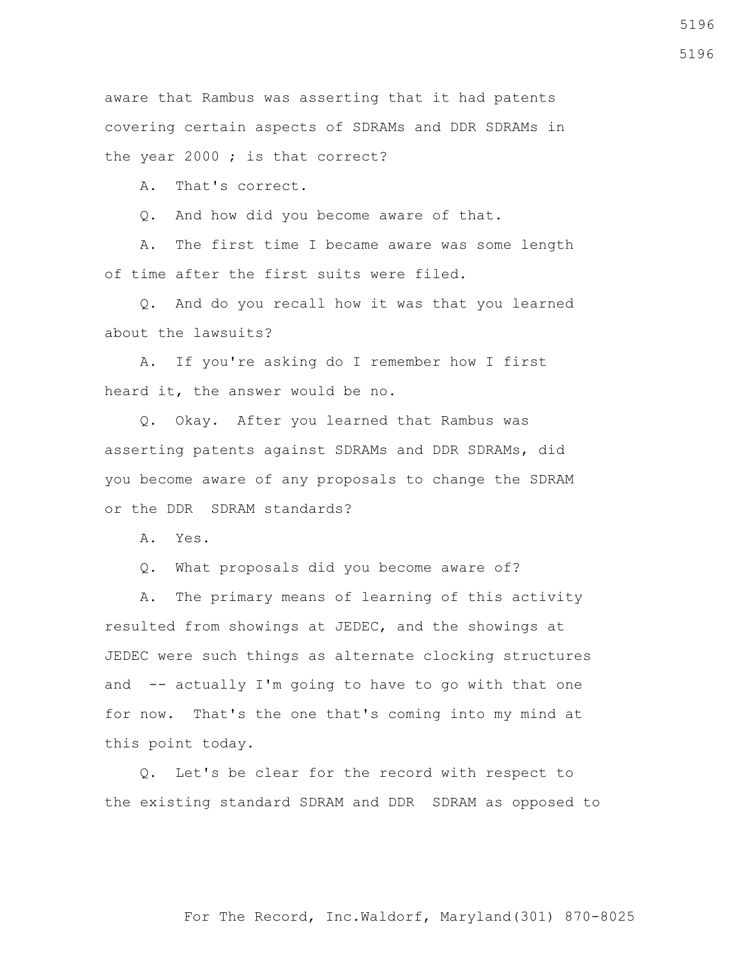aware that Rambus was asserting that it had patents covering certain aspects of SDRAMs and DDR SDRAMs in the year 2000 ; is that correct?

A. That's correct.

Q. And how did you become aware of that.

 A. The first time I became aware was some length of time after the first suits were filed.

 Q. And do you recall how it was that you learned about the lawsuits?

 A. If you're asking do I remember how I first heard it, the answer would be no.

 Q. Okay. After you learned that Rambus was asserting patents against SDRAMs and DDR SDRAMs, did you become aware of any proposals to change the SDRAM or the DDR SDRAM standards?

A. Yes.

Q. What proposals did you become aware of?

 A. The primary means of learning of this activity resulted from showings at JEDEC, and the showings at JEDEC were such things as alternate clocking structures and -- actually I'm going to have to go with that one for now. That's the one that's coming into my mind at this point today.

 Q. Let's be clear for the record with respect to the existing standard SDRAM and DDR SDRAM as opposed to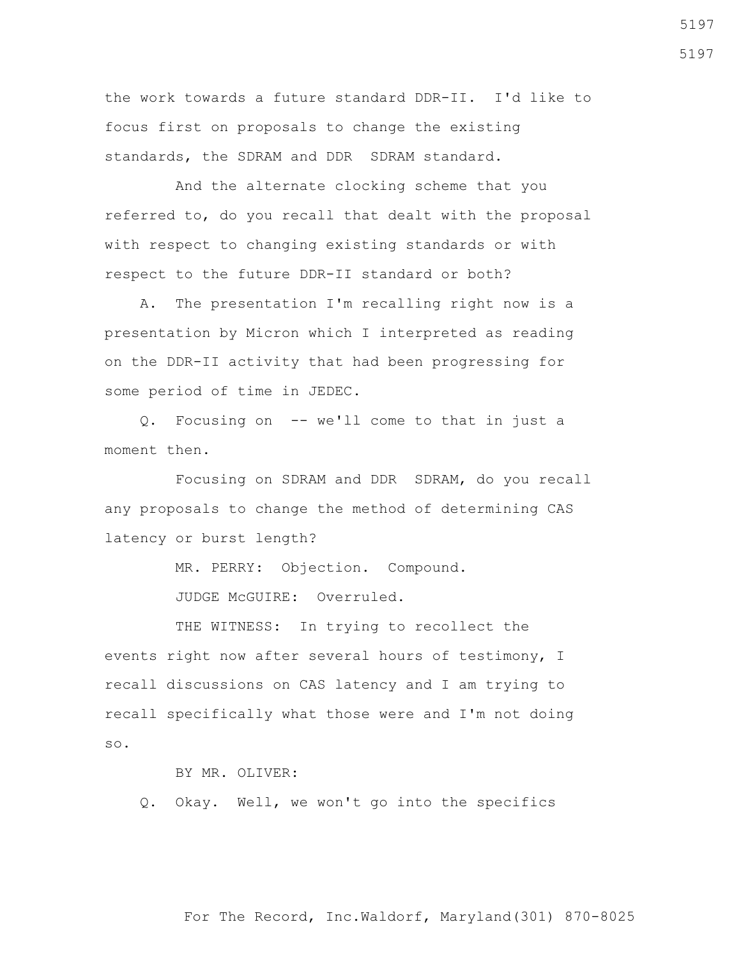the work towards a future standard DDR-II. I'd like to focus first on proposals to change the existing standards, the SDRAM and DDR SDRAM standard.

 And the alternate clocking scheme that you referred to, do you recall that dealt with the proposal with respect to changing existing standards or with respect to the future DDR-II standard or both?

 A. The presentation I'm recalling right now is a presentation by Micron which I interpreted as reading on the DDR-II activity that had been progressing for some period of time in JEDEC.

 Q. Focusing on -- we'll come to that in just a moment then.

 Focusing on SDRAM and DDR SDRAM, do you recall any proposals to change the method of determining CAS latency or burst length?

MR. PERRY: Objection. Compound.

JUDGE McGUIRE: Overruled.

THE WITNESS: In trying to recollect the events right now after several hours of testimony, I recall discussions on CAS latency and I am trying to recall specifically what those were and I'm not doing so.

BY MR. OLIVER:

Q. Okay. Well, we won't go into the specifics

5197

For The Record, Inc.Waldorf, Maryland(301) 870-8025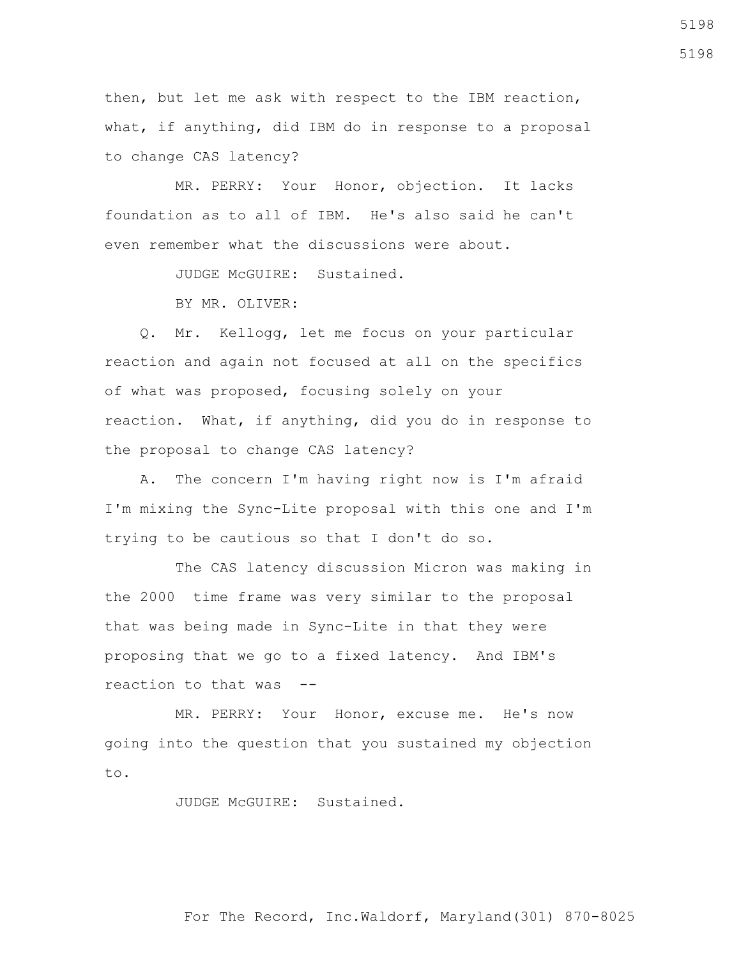then, but let me ask with respect to the IBM reaction, what, if anything, did IBM do in response to a proposal to change CAS latency?

 MR. PERRY: Your Honor, objection. It lacks foundation as to all of IBM. He's also said he can't even remember what the discussions were about.

JUDGE McGUIRE: Sustained.

BY MR. OLIVER:

 Q. Mr. Kellogg, let me focus on your particular reaction and again not focused at all on the specifics of what was proposed, focusing solely on your reaction. What, if anything, did you do in response to the proposal to change CAS latency?

 A. The concern I'm having right now is I'm afraid I'm mixing the Sync-Lite proposal with this one and I'm trying to be cautious so that I don't do so.

 The CAS latency discussion Micron was making in the 2000 time frame was very similar to the proposal that was being made in Sync-Lite in that they were proposing that we go to a fixed latency. And IBM's reaction to that was --

 MR. PERRY: Your Honor, excuse me. He's now going into the question that you sustained my objection to.

JUDGE McGUIRE: Sustained.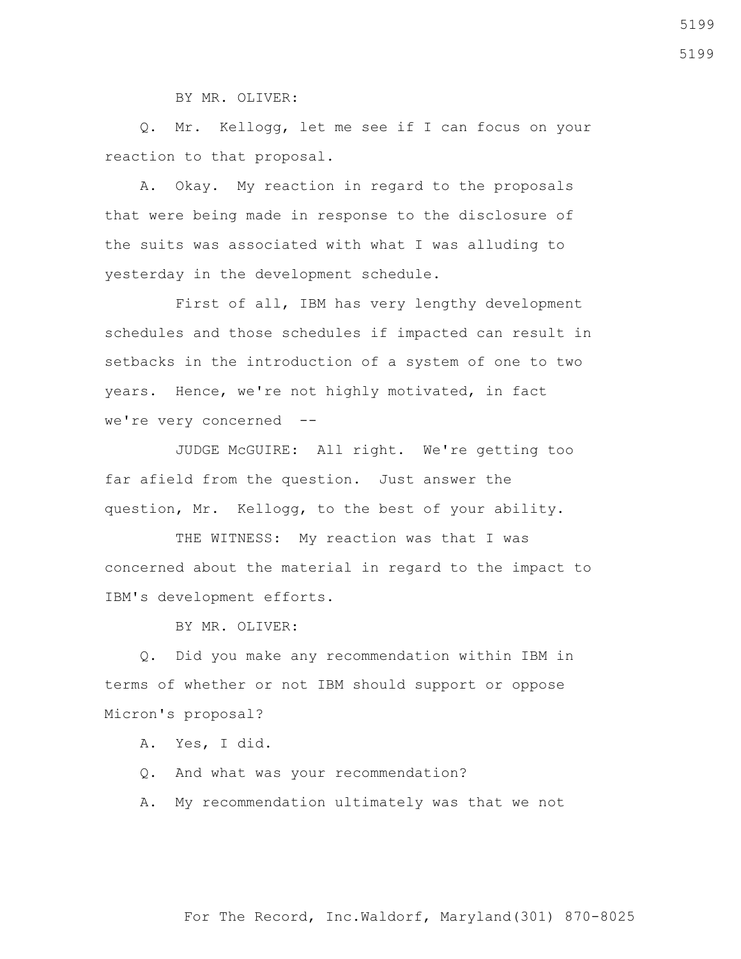BY MR. OLIVER:

 Q. Mr. Kellogg, let me see if I can focus on your reaction to that proposal.

 A. Okay. My reaction in regard to the proposals that were being made in response to the disclosure of the suits was associated with what I was alluding to yesterday in the development schedule.

 First of all, IBM has very lengthy development schedules and those schedules if impacted can result in setbacks in the introduction of a system of one to two years. Hence, we're not highly motivated, in fact we're very concerned --

 JUDGE McGUIRE: All right. We're getting too far afield from the question. Just answer the question, Mr. Kellogg, to the best of your ability.

THE WITNESS: My reaction was that I was concerned about the material in regard to the impact to IBM's development efforts.

BY MR. OLIVER:

 Q. Did you make any recommendation within IBM in terms of whether or not IBM should support or oppose Micron's proposal?

A. Yes, I did.

Q. And what was your recommendation?

A. My recommendation ultimately was that we not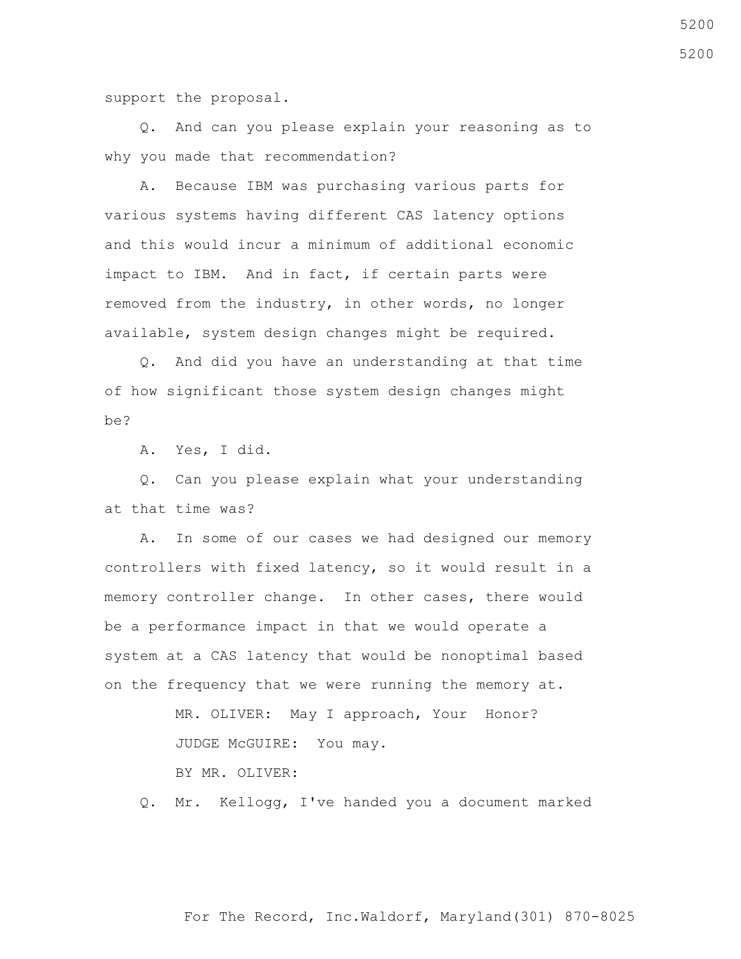support the proposal.

 Q. And can you please explain your reasoning as to why you made that recommendation?

 A. Because IBM was purchasing various parts for various systems having different CAS latency options and this would incur a minimum of additional economic impact to IBM. And in fact, if certain parts were removed from the industry, in other words, no longer available, system design changes might be required.

 Q. And did you have an understanding at that time of how significant those system design changes might be?

A. Yes, I did.

 Q. Can you please explain what your understanding at that time was?

 A. In some of our cases we had designed our memory controllers with fixed latency, so it would result in a memory controller change. In other cases, there would be a performance impact in that we would operate a system at a CAS latency that would be nonoptimal based on the frequency that we were running the memory at.

> MR. OLIVER: May I approach, Your Honor? JUDGE McGUIRE: You may. BY MR. OLIVER:

Q. Mr. Kellogg, I've handed you a document marked

For The Record, Inc.Waldorf, Maryland(301) 870-8025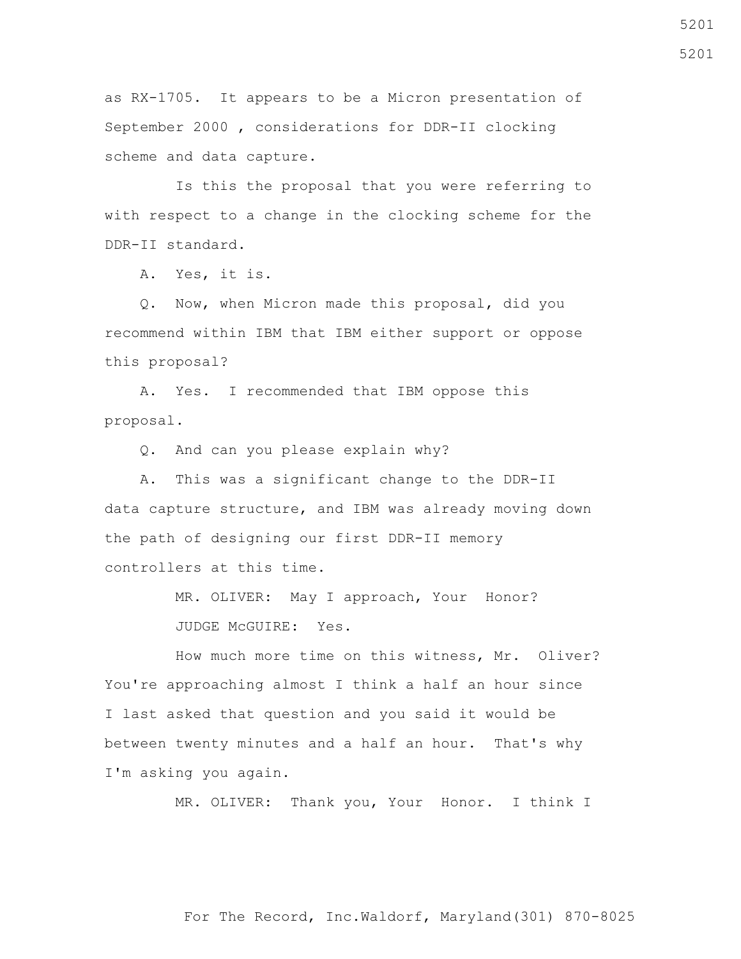as RX-1705. It appears to be a Micron presentation of September 2000 , considerations for DDR-II clocking scheme and data capture.

 Is this the proposal that you were referring to with respect to a change in the clocking scheme for the DDR-II standard.

A. Yes, it is.

 Q. Now, when Micron made this proposal, did you recommend within IBM that IBM either support or oppose this proposal?

 A. Yes. I recommended that IBM oppose this proposal.

Q. And can you please explain why?

 A. This was a significant change to the DDR-II data capture structure, and IBM was already moving down the path of designing our first DDR-II memory controllers at this time.

> MR. OLIVER: May I approach, Your Honor? JUDGE McGUIRE: Yes.

 How much more time on this witness, Mr. Oliver? You're approaching almost I think a half an hour since I last asked that question and you said it would be between twenty minutes and a half an hour. That's why I'm asking you again.

MR. OLIVER: Thank you, Your Honor. I think I

For The Record, Inc.Waldorf, Maryland(301) 870-8025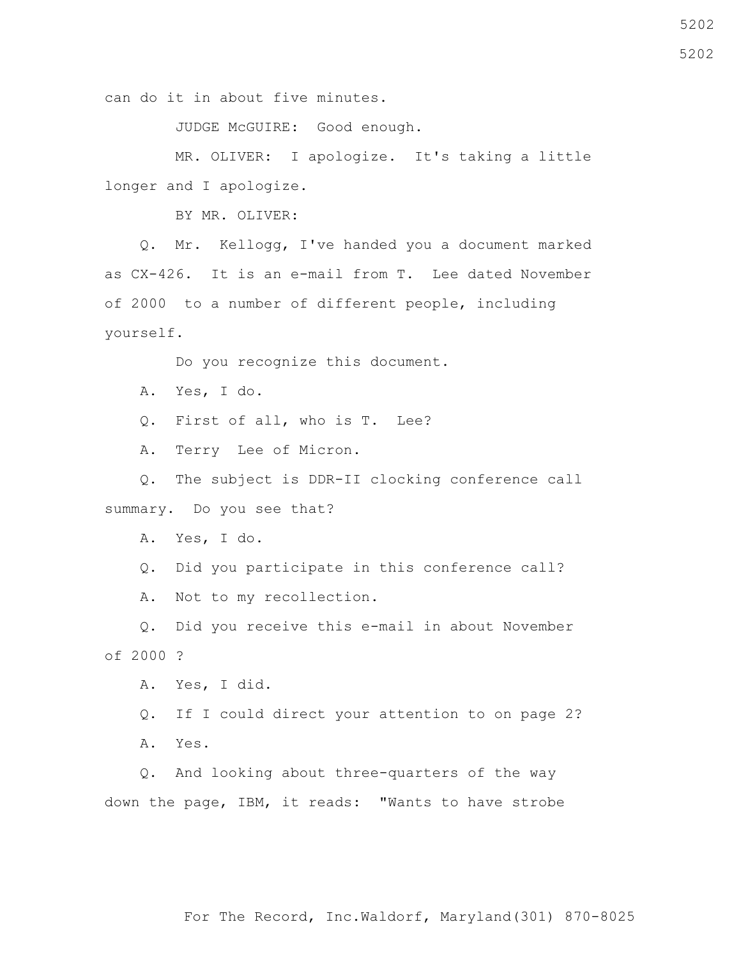can do it in about five minutes.

JUDGE McGUIRE: Good enough.

 MR. OLIVER: I apologize. It's taking a little longer and I apologize.

BY MR. OLIVER:

 Q. Mr. Kellogg, I've handed you a document marked as CX-426. It is an e-mail from T. Lee dated November of 2000 to a number of different people, including yourself.

Do you recognize this document.

A. Yes, I do.

Q. First of all, who is T. Lee?

A. Terry Lee of Micron.

 Q. The subject is DDR-II clocking conference call summary. Do you see that?

A. Yes, I do.

Q. Did you participate in this conference call?

A. Not to my recollection.

 Q. Did you receive this e-mail in about November of 2000 ?

A. Yes, I did.

 Q. If I could direct your attention to on page 2? A. Yes.

 Q. And looking about three-quarters of the way down the page, IBM, it reads: "Wants to have strobe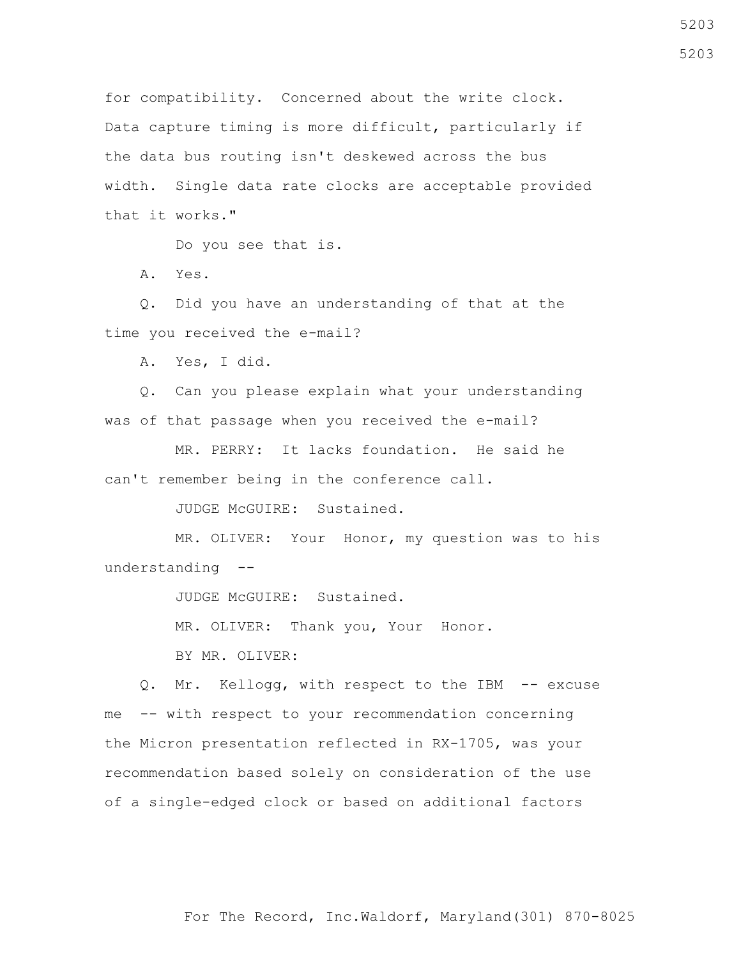for compatibility. Concerned about the write clock. Data capture timing is more difficult, particularly if the data bus routing isn't deskewed across the bus width. Single data rate clocks are acceptable provided that it works."

Do you see that is.

A. Yes.

 Q. Did you have an understanding of that at the time you received the e-mail?

A. Yes, I did.

 Q. Can you please explain what your understanding was of that passage when you received the e-mail?

 MR. PERRY: It lacks foundation. He said he can't remember being in the conference call.

JUDGE McGUIRE: Sustained.

 MR. OLIVER: Your Honor, my question was to his understanding --

JUDGE McGUIRE: Sustained.

MR. OLIVER: Thank you, Your Honor.

BY MR. OLIVER:

 Q. Mr. Kellogg, with respect to the IBM -- excuse me -- with respect to your recommendation concerning the Micron presentation reflected in RX-1705, was your recommendation based solely on consideration of the use of a single-edged clock or based on additional factors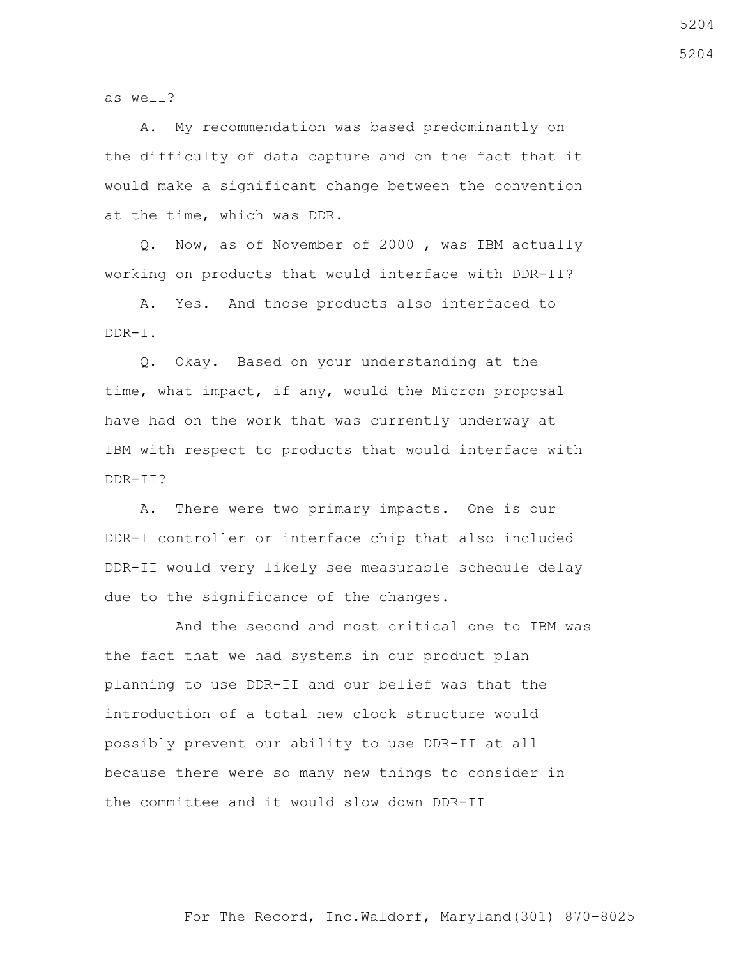as well?

 A. My recommendation was based predominantly on the difficulty of data capture and on the fact that it would make a significant change between the convention at the time, which was DDR.

 Q. Now, as of November of 2000 , was IBM actually working on products that would interface with DDR-II?

 A. Yes. And those products also interfaced to DDR-I.

 Q. Okay. Based on your understanding at the time, what impact, if any, would the Micron proposal have had on the work that was currently underway at IBM with respect to products that would interface with DDR-II?

 A. There were two primary impacts. One is our DDR-I controller or interface chip that also included DDR-II would very likely see measurable schedule delay due to the significance of the changes.

 And the second and most critical one to IBM was the fact that we had systems in our product plan planning to use DDR-II and our belief was that the introduction of a total new clock structure would possibly prevent our ability to use DDR-II at all because there were so many new things to consider in the committee and it would slow down DDR-II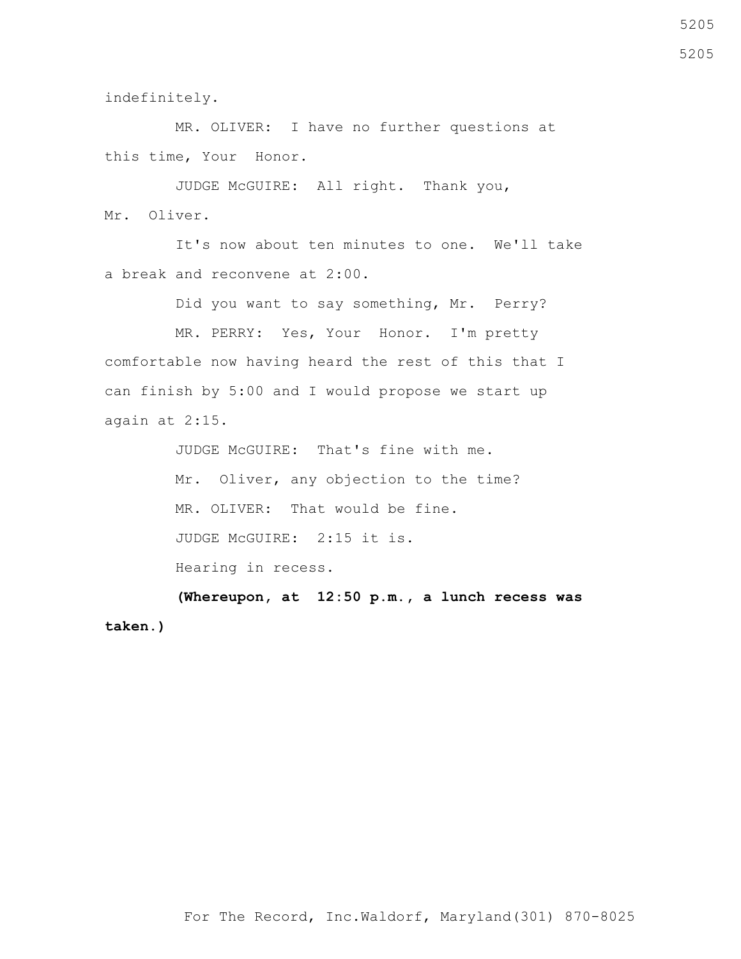indefinitely.

 MR. OLIVER: I have no further questions at this time, Your Honor.

 JUDGE McGUIRE: All right. Thank you, Mr. Oliver.

 It's now about ten minutes to one. We'll take a break and reconvene at 2:00.

Did you want to say something, Mr. Perry?

 MR. PERRY: Yes, Your Honor. I'm pretty comfortable now having heard the rest of this that I can finish by 5:00 and I would propose we start up again at 2:15.

JUDGE McGUIRE: That's fine with me.

 Mr. Oliver, any objection to the time? MR. OLIVER: That would be fine. JUDGE McGUIRE: 2:15 it is.

Hearing in recess.

**(Whereupon, at 12:50 p.m., a lunch recess was taken.)**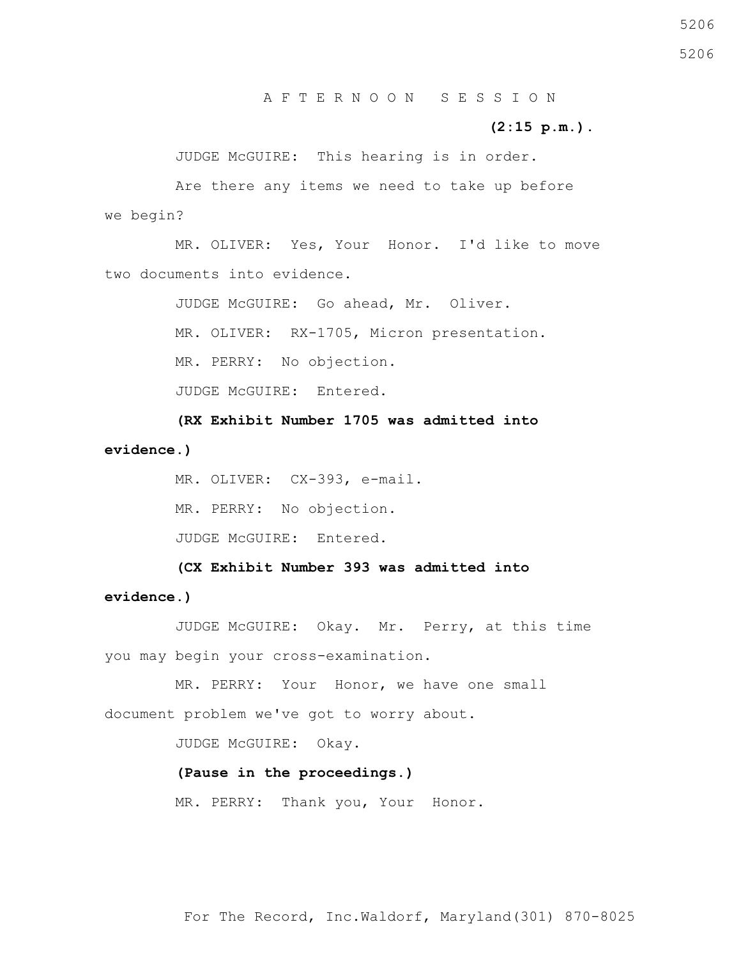## A F T E R N O O N S E S S I O N

### **(2:15 p.m.)**.

JUDGE McGUIRE: This hearing is in order.

 Are there any items we need to take up before we begin?

 MR. OLIVER: Yes, Your Honor. I'd like to move two documents into evidence.

JUDGE McGUIRE: Go ahead, Mr. Oliver.

MR. OLIVER: RX-1705, Micron presentation.

MR. PERRY: No objection.

JUDGE McGUIRE: Entered.

 **(RX Exhibit Number 1705 was admitted into evidence.)**

> MR. OLIVER: CX-393, e-mail. MR. PERRY: No objection.

JUDGE McGUIRE: Entered.

 **(CX Exhibit Number 393 was admitted into** 

**evidence.)**

 JUDGE McGUIRE: Okay. Mr. Perry, at this time you may begin your cross-examination.

 MR. PERRY: Your Honor, we have one small document problem we've got to worry about.

JUDGE McGUIRE: Okay.

# **(Pause in the proceedings.)**

MR. PERRY: Thank you, Your Honor.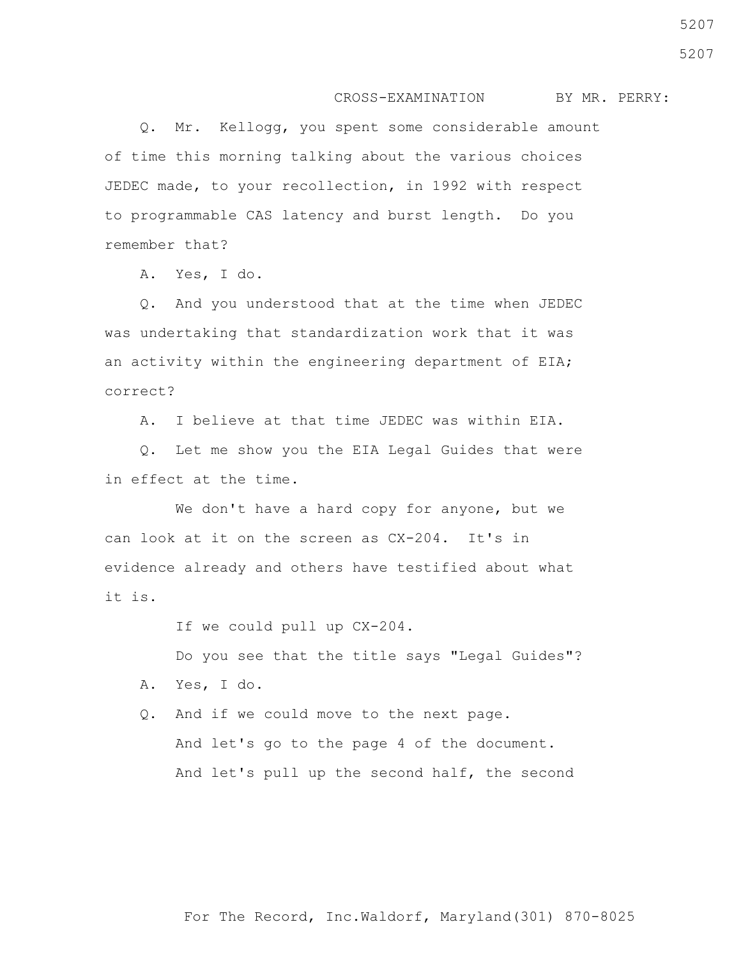## CROSS-EXAMINATION BY MR. PERRY:

 Q. Mr. Kellogg, you spent some considerable amount of time this morning talking about the various choices JEDEC made, to your recollection, in 1992 with respect to programmable CAS latency and burst length. Do you remember that?

A. Yes, I do.

 Q. And you understood that at the time when JEDEC was undertaking that standardization work that it was an activity within the engineering department of EIA; correct?

A. I believe at that time JEDEC was within EIA.

 Q. Let me show you the EIA Legal Guides that were in effect at the time.

 We don't have a hard copy for anyone, but we can look at it on the screen as CX-204. It's in evidence already and others have testified about what it is.

If we could pull up CX-204.

Do you see that the title says "Legal Guides"?

A. Yes, I do.

 Q. And if we could move to the next page. And let's go to the page 4 of the document. And let's pull up the second half, the second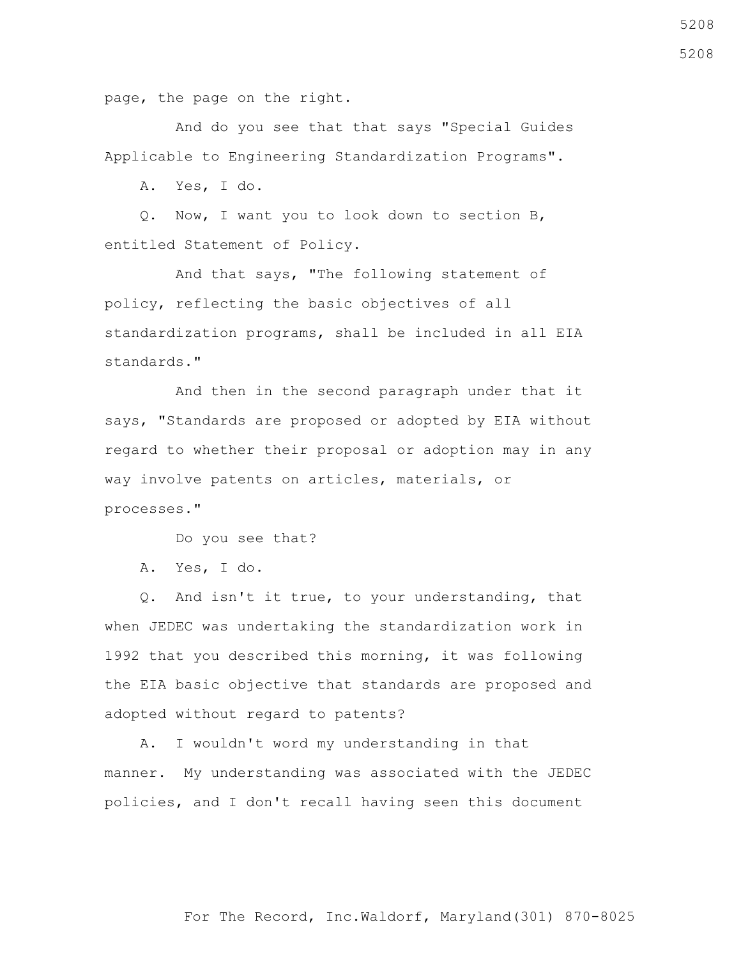page, the page on the right.

 And do you see that that says "Special Guides Applicable to Engineering Standardization Programs".

A. Yes, I do.

 Q. Now, I want you to look down to section B, entitled Statement of Policy.

 And that says, "The following statement of policy, reflecting the basic objectives of all standardization programs, shall be included in all EIA standards."

 And then in the second paragraph under that it says, "Standards are proposed or adopted by EIA without regard to whether their proposal or adoption may in any way involve patents on articles, materials, or processes."

Do you see that?

A. Yes, I do.

 Q. And isn't it true, to your understanding, that when JEDEC was undertaking the standardization work in 1992 that you described this morning, it was following the EIA basic objective that standards are proposed and adopted without regard to patents?

 A. I wouldn't word my understanding in that manner. My understanding was associated with the JEDEC policies, and I don't recall having seen this document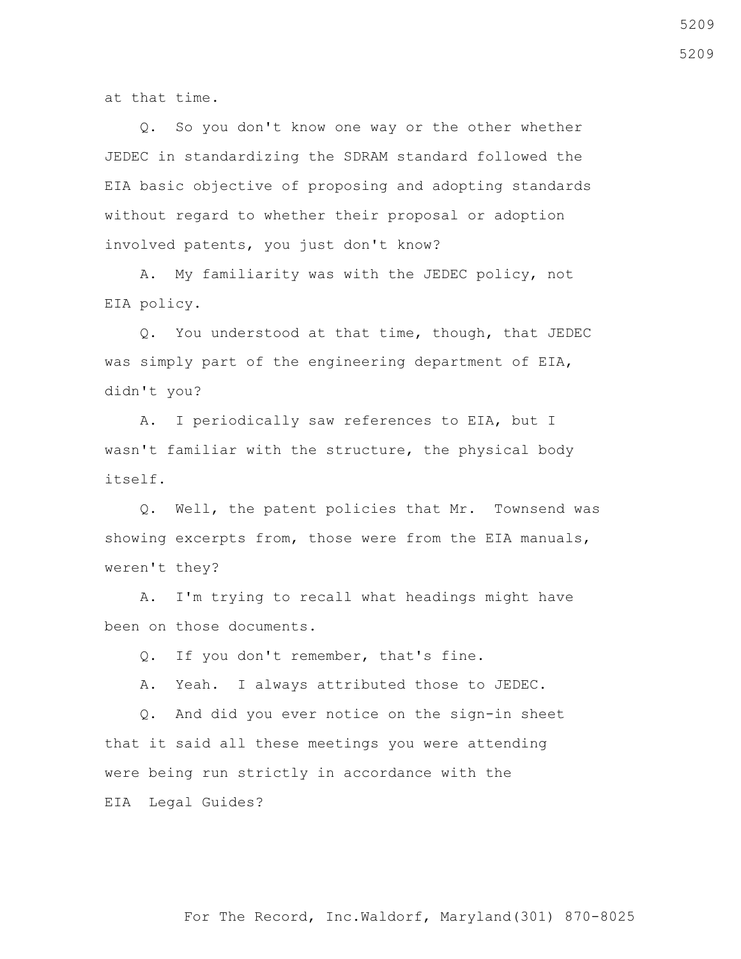at that time.

 Q. So you don't know one way or the other whether JEDEC in standardizing the SDRAM standard followed the EIA basic objective of proposing and adopting standards without regard to whether their proposal or adoption involved patents, you just don't know?

 A. My familiarity was with the JEDEC policy, not EIA policy.

 Q. You understood at that time, though, that JEDEC was simply part of the engineering department of EIA, didn't you?

 A. I periodically saw references to EIA, but I wasn't familiar with the structure, the physical body itself.

 Q. Well, the patent policies that Mr. Townsend was showing excerpts from, those were from the EIA manuals, weren't they?

 A. I'm trying to recall what headings might have been on those documents.

Q. If you don't remember, that's fine.

A. Yeah. I always attributed those to JEDEC.

 Q. And did you ever notice on the sign-in sheet that it said all these meetings you were attending were being run strictly in accordance with the EIA Legal Guides?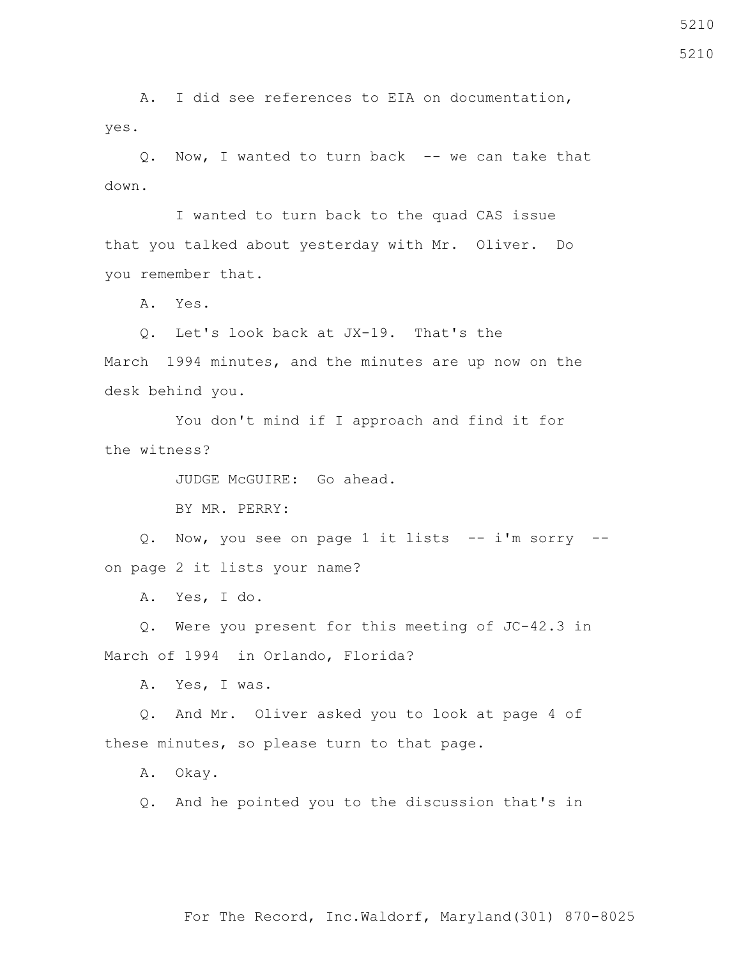A. I did see references to EIA on documentation, yes.

 Q. Now, I wanted to turn back -- we can take that down.

 I wanted to turn back to the quad CAS issue that you talked about yesterday with Mr. Oliver. Do you remember that.

A. Yes.

 Q. Let's look back at JX-19. That's the March 1994 minutes, and the minutes are up now on the desk behind you.

 You don't mind if I approach and find it for the witness?

JUDGE McGUIRE: Go ahead.

BY MR. PERRY:

Q. Now, you see on page 1 it lists -- i'm sorry -on page 2 it lists your name?

A. Yes, I do.

 Q. Were you present for this meeting of JC-42.3 in March of 1994 in Orlando, Florida?

A. Yes, I was.

 Q. And Mr. Oliver asked you to look at page 4 of these minutes, so please turn to that page.

A. Okay.

Q. And he pointed you to the discussion that's in

5210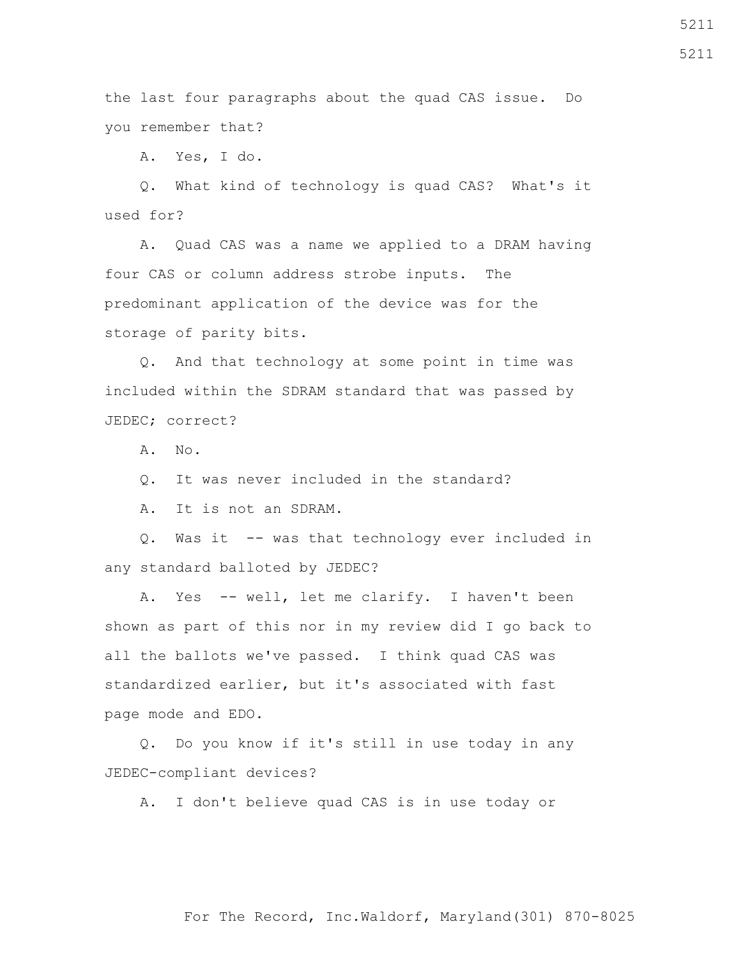the last four paragraphs about the quad CAS issue. Do you remember that?

A. Yes, I do.

 Q. What kind of technology is quad CAS? What's it used for?

 A. Quad CAS was a name we applied to a DRAM having four CAS or column address strobe inputs. The predominant application of the device was for the storage of parity bits.

 Q. And that technology at some point in time was included within the SDRAM standard that was passed by JEDEC; correct?

A. No.

Q. It was never included in the standard?

A. It is not an SDRAM.

 Q. Was it -- was that technology ever included in any standard balloted by JEDEC?

 A. Yes -- well, let me clarify. I haven't been shown as part of this nor in my review did I go back to all the ballots we've passed. I think quad CAS was standardized earlier, but it's associated with fast page mode and EDO.

 Q. Do you know if it's still in use today in any JEDEC-compliant devices?

A. I don't believe quad CAS is in use today or

For The Record, Inc.Waldorf, Maryland(301) 870-8025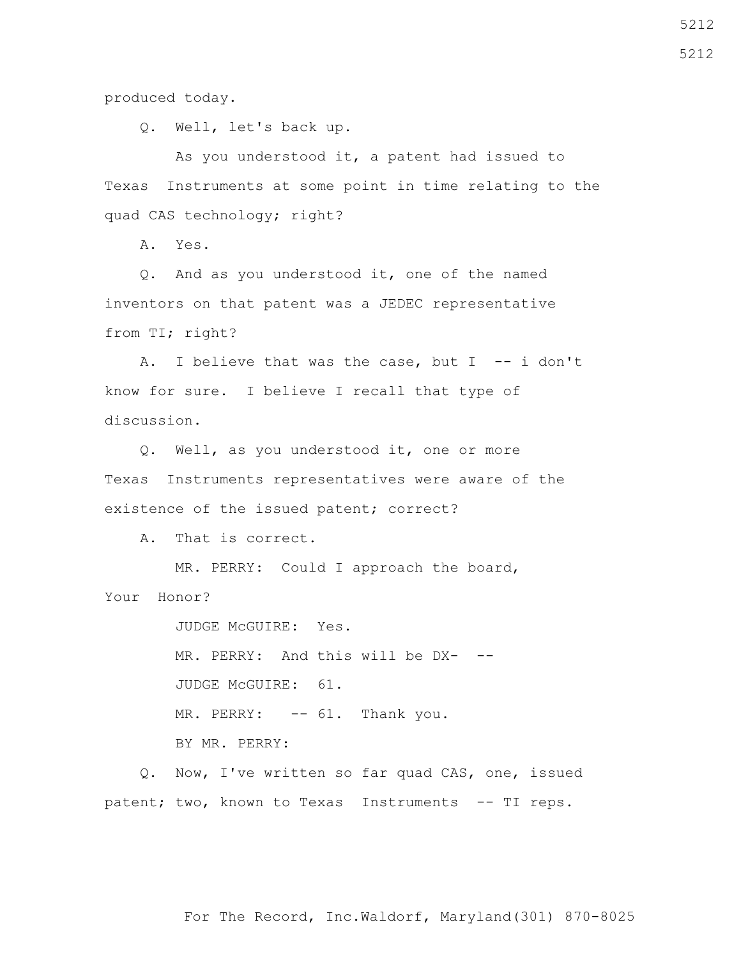produced today.

Q. Well, let's back up.

 As you understood it, a patent had issued to Texas Instruments at some point in time relating to the quad CAS technology; right?

A. Yes.

 Q. And as you understood it, one of the named inventors on that patent was a JEDEC representative from TI; right?

A. I believe that was the case, but  $I$  -- i don't know for sure. I believe I recall that type of discussion.

 Q. Well, as you understood it, one or more Texas Instruments representatives were aware of the existence of the issued patent; correct?

A. That is correct.

 MR. PERRY: Could I approach the board, Your Honor?

> JUDGE McGUIRE: Yes. MR. PERRY: And this will be DX- -- JUDGE McGUIRE: 61. MR. PERRY: -- 61. Thank you. BY MR. PERRY:

 Q. Now, I've written so far quad CAS, one, issued patent; two, known to Texas Instruments -- TI reps.

5212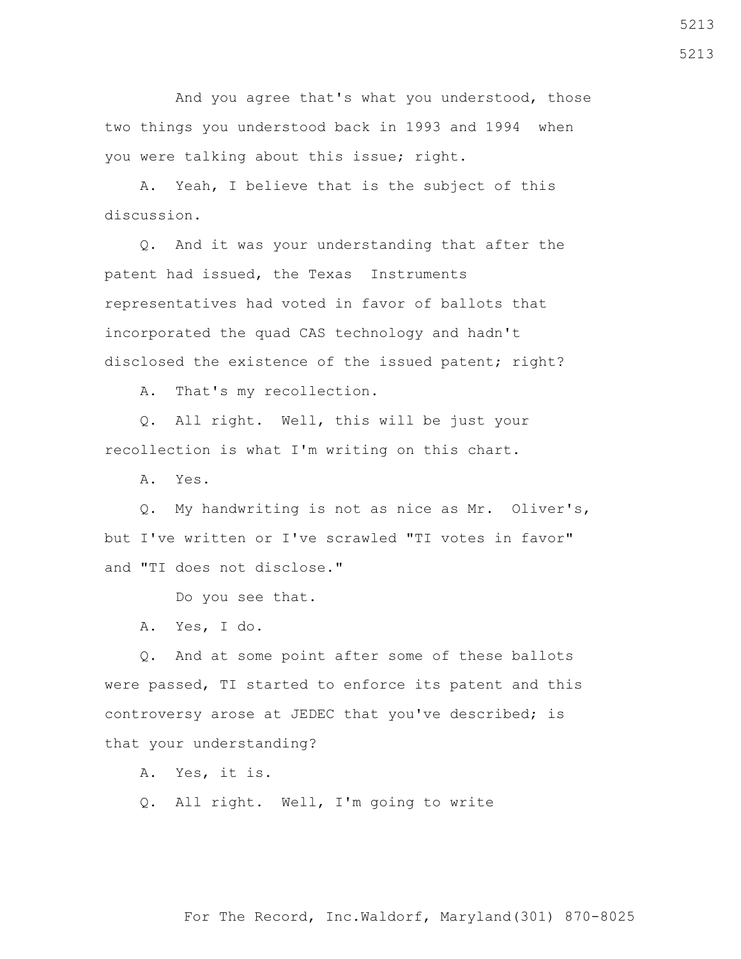And you agree that's what you understood, those two things you understood back in 1993 and 1994 when you were talking about this issue; right.

 A. Yeah, I believe that is the subject of this discussion.

 Q. And it was your understanding that after the patent had issued, the Texas Instruments representatives had voted in favor of ballots that incorporated the quad CAS technology and hadn't disclosed the existence of the issued patent; right?

A. That's my recollection.

 Q. All right. Well, this will be just your recollection is what I'm writing on this chart.

A. Yes.

 Q. My handwriting is not as nice as Mr. Oliver's, but I've written or I've scrawled "TI votes in favor" and "TI does not disclose."

Do you see that.

A. Yes, I do.

 Q. And at some point after some of these ballots were passed, TI started to enforce its patent and this controversy arose at JEDEC that you've described; is that your understanding?

A. Yes, it is.

Q. All right. Well, I'm going to write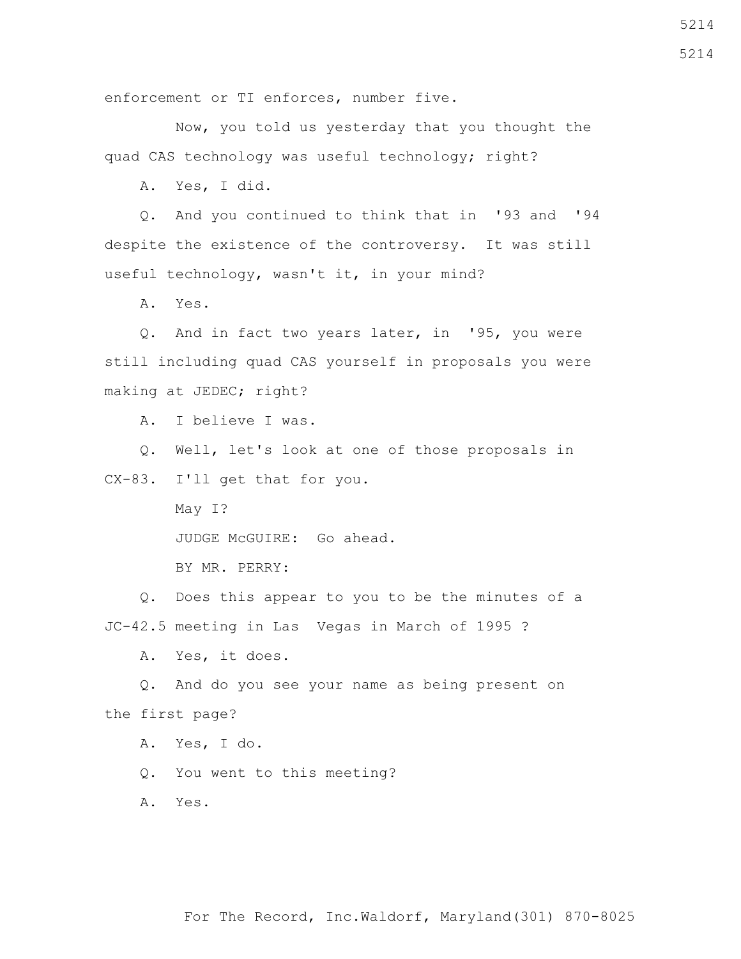enforcement or TI enforces, number five.

 Now, you told us yesterday that you thought the quad CAS technology was useful technology; right?

A. Yes, I did.

 Q. And you continued to think that in '93 and '94 despite the existence of the controversy. It was still useful technology, wasn't it, in your mind?

A. Yes.

 Q. And in fact two years later, in '95, you were still including quad CAS yourself in proposals you were making at JEDEC; right?

A. I believe I was.

Q. Well, let's look at one of those proposals in

CX-83. I'll get that for you.

May I?

JUDGE McGUIRE: Go ahead.

BY MR. PERRY:

 Q. Does this appear to you to be the minutes of a JC-42.5 meeting in Las Vegas in March of 1995 ?

A. Yes, it does.

 Q. And do you see your name as being present on the first page?

A. Yes, I do.

Q. You went to this meeting?

A. Yes.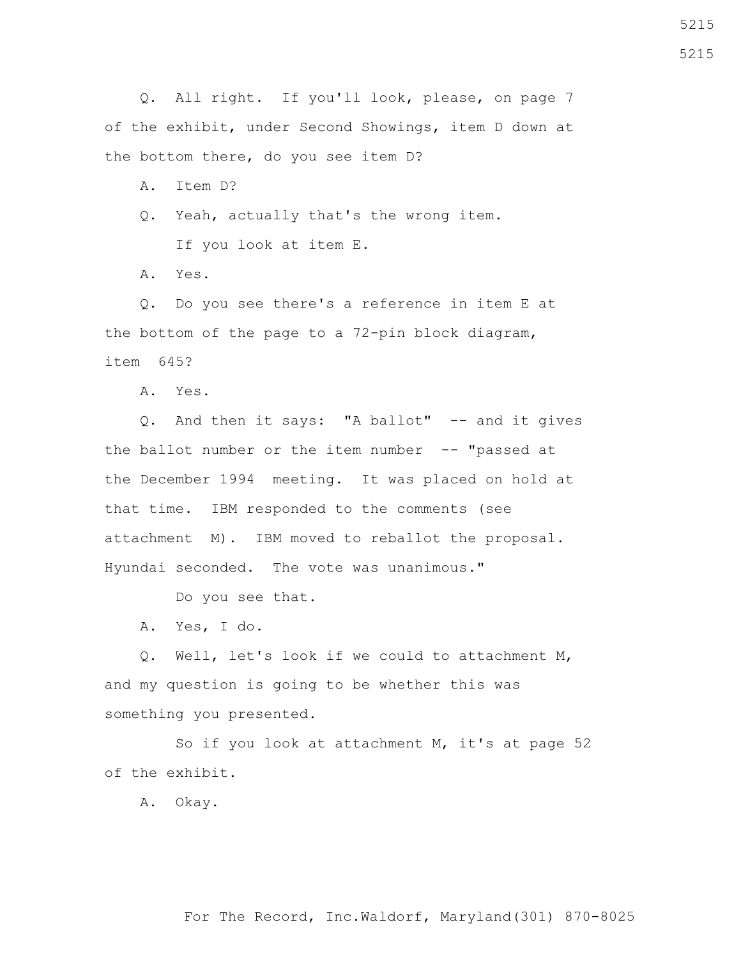Q. All right. If you'll look, please, on page 7 of the exhibit, under Second Showings, item D down at the bottom there, do you see item D?

A. Item D?

 Q. Yeah, actually that's the wrong item. If you look at item E.

A. Yes.

 Q. Do you see there's a reference in item E at the bottom of the page to a 72-pin block diagram, item 645?

A. Yes.

 Q. And then it says: "A ballot" -- and it gives the ballot number or the item number -- "passed at the December 1994 meeting. It was placed on hold at that time. IBM responded to the comments (see attachment M). IBM moved to reballot the proposal. Hyundai seconded. The vote was unanimous."

Do you see that.

A. Yes, I do.

 Q. Well, let's look if we could to attachment M, and my question is going to be whether this was something you presented.

 So if you look at attachment M, it's at page 52 of the exhibit.

A. Okay.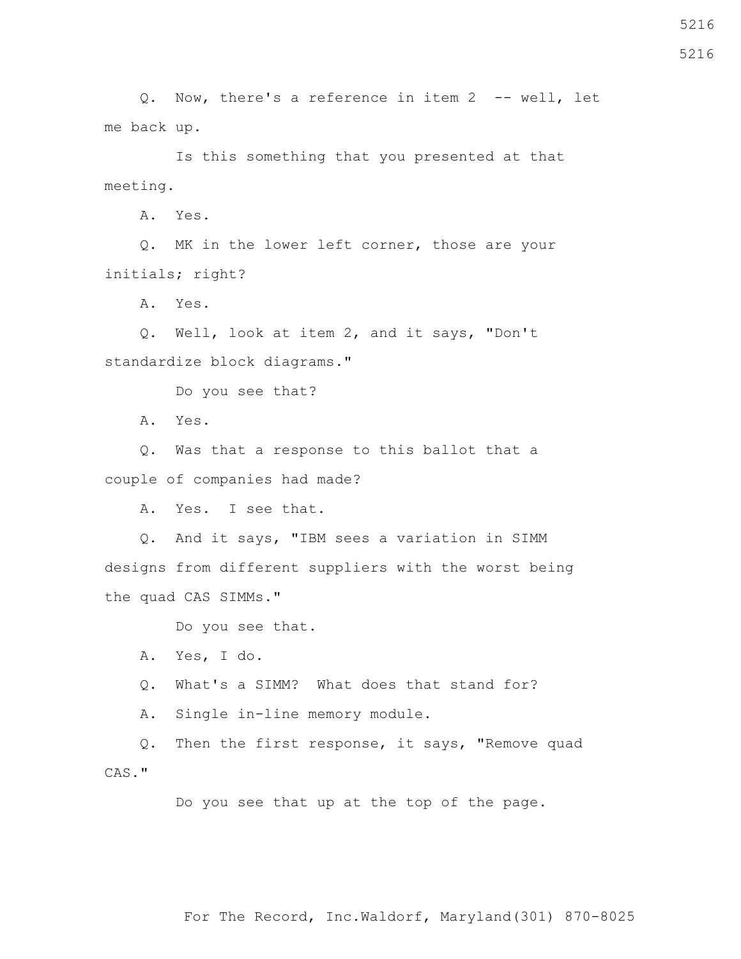Q. Now, there's a reference in item 2 -- well, let me back up.

 Is this something that you presented at that meeting.

A. Yes.

 Q. MK in the lower left corner, those are your initials; right?

A. Yes.

 Q. Well, look at item 2, and it says, "Don't standardize block diagrams."

Do you see that?

A. Yes.

 Q. Was that a response to this ballot that a couple of companies had made?

A. Yes. I see that.

 Q. And it says, "IBM sees a variation in SIMM designs from different suppliers with the worst being the quad CAS SIMMs."

Do you see that.

A. Yes, I do.

Q. What's a SIMM? What does that stand for?

A. Single in-line memory module.

 Q. Then the first response, it says, "Remove quad CAS."

Do you see that up at the top of the page.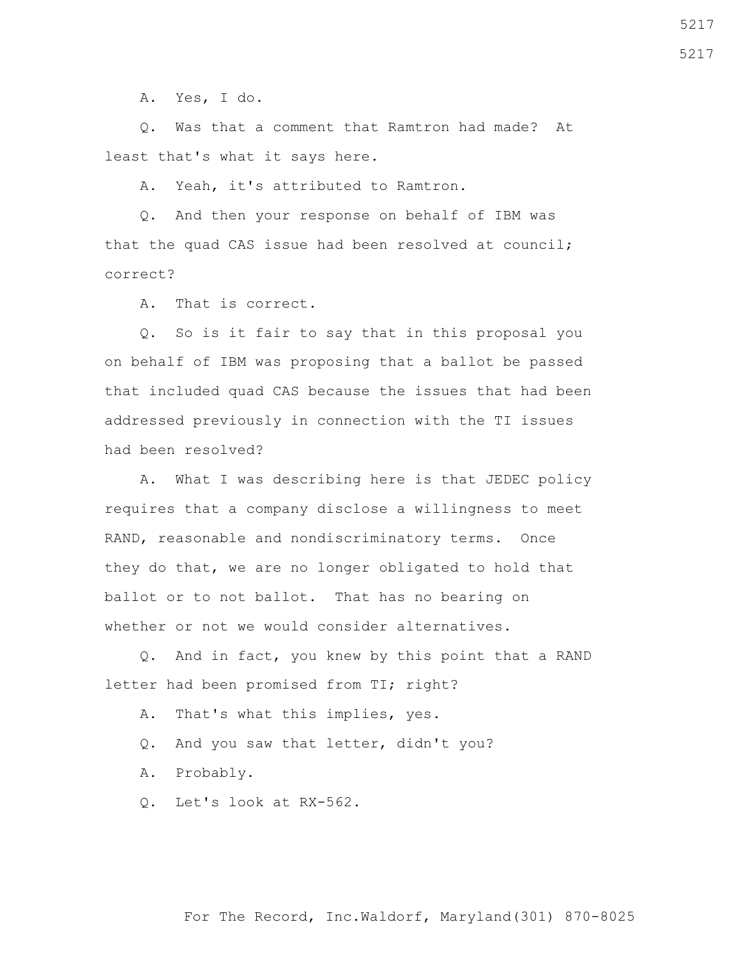A. Yes, I do.

 Q. Was that a comment that Ramtron had made? At least that's what it says here.

A. Yeah, it's attributed to Ramtron.

 Q. And then your response on behalf of IBM was that the quad CAS issue had been resolved at council; correct?

A. That is correct.

 Q. So is it fair to say that in this proposal you on behalf of IBM was proposing that a ballot be passed that included quad CAS because the issues that had been addressed previously in connection with the TI issues had been resolved?

 A. What I was describing here is that JEDEC policy requires that a company disclose a willingness to meet RAND, reasonable and nondiscriminatory terms. Once they do that, we are no longer obligated to hold that ballot or to not ballot. That has no bearing on whether or not we would consider alternatives.

 Q. And in fact, you knew by this point that a RAND letter had been promised from TI; right?

A. That's what this implies, yes.

Q. And you saw that letter, didn't you?

A. Probably.

Q. Let's look at RX-562.

5217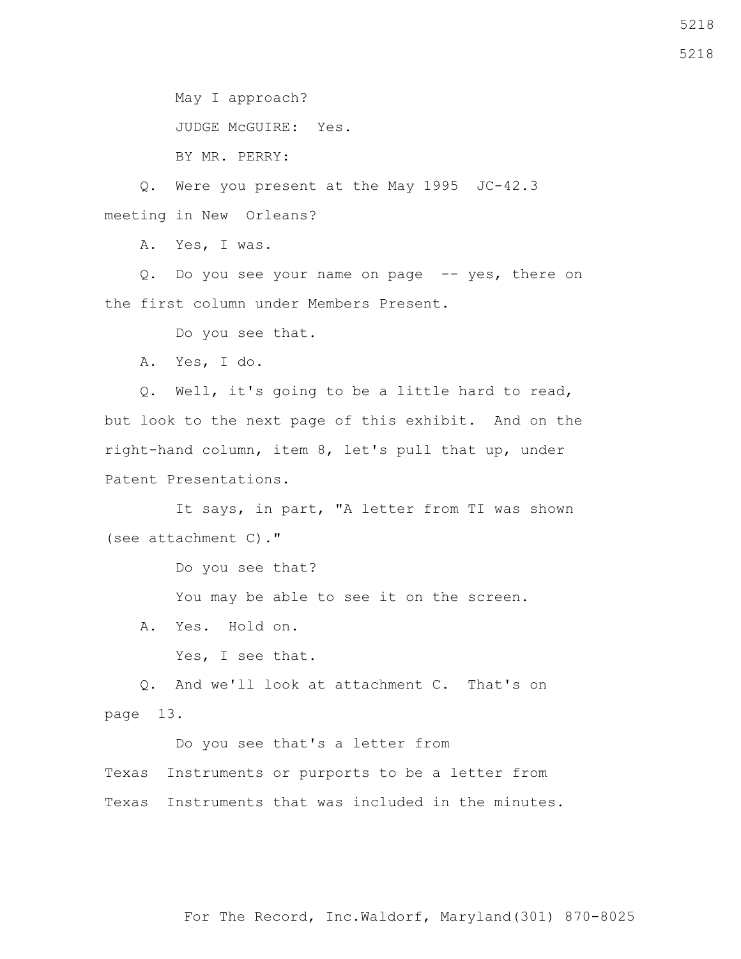May I approach?

JUDGE McGUIRE: Yes.

BY MR. PERRY:

 Q. Were you present at the May 1995 JC-42.3 meeting in New Orleans?

A. Yes, I was.

 Q. Do you see your name on page -- yes, there on the first column under Members Present.

Do you see that.

A. Yes, I do.

 Q. Well, it's going to be a little hard to read, but look to the next page of this exhibit. And on the right-hand column, item 8, let's pull that up, under Patent Presentations.

It says, in part, "A letter from TI was shown (see attachment C)."

Do you see that?

You may be able to see it on the screen.

A. Yes. Hold on.

Yes, I see that.

 Q. And we'll look at attachment C. That's on page 13.

 Do you see that's a letter from Texas Instruments or purports to be a letter from Texas Instruments that was included in the minutes.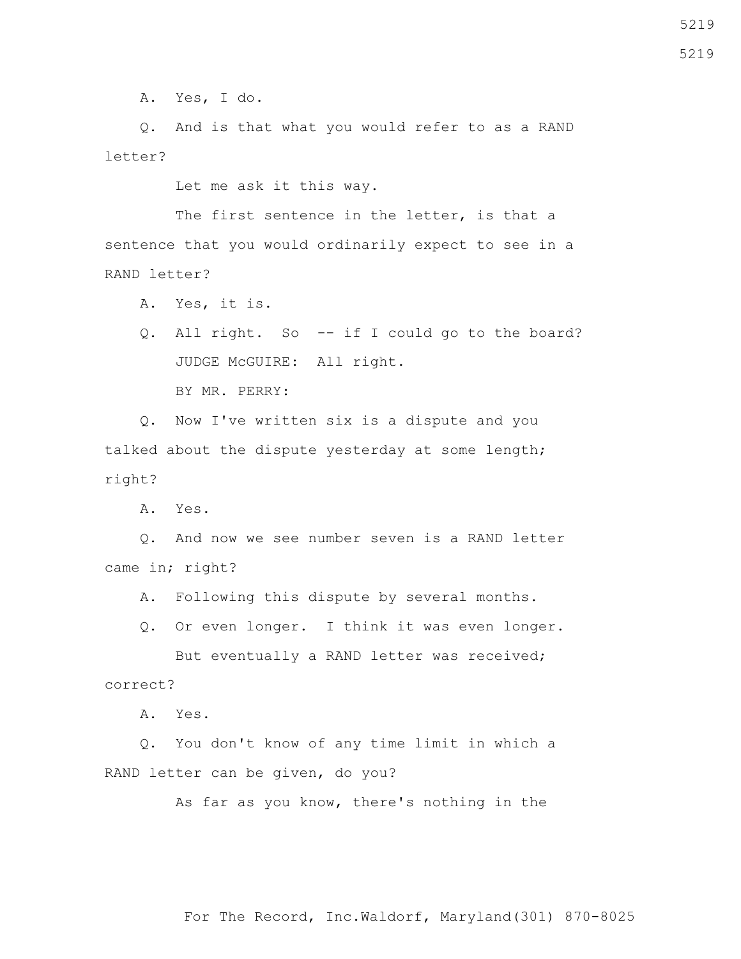A. Yes, I do.

 Q. And is that what you would refer to as a RAND letter?

Let me ask it this way.

The first sentence in the letter, is that a sentence that you would ordinarily expect to see in a RAND letter?

A. Yes, it is.

 Q. All right. So -- if I could go to the board? JUDGE McGUIRE: All right.

BY MR. PERRY:

 Q. Now I've written six is a dispute and you talked about the dispute yesterday at some length; right?

A. Yes.

 Q. And now we see number seven is a RAND letter came in; right?

A. Following this dispute by several months.

 Q. Or even longer. I think it was even longer. But eventually a RAND letter was received;

correct?

A. Yes.

 Q. You don't know of any time limit in which a RAND letter can be given, do you?

As far as you know, there's nothing in the

For The Record, Inc.Waldorf, Maryland(301) 870-8025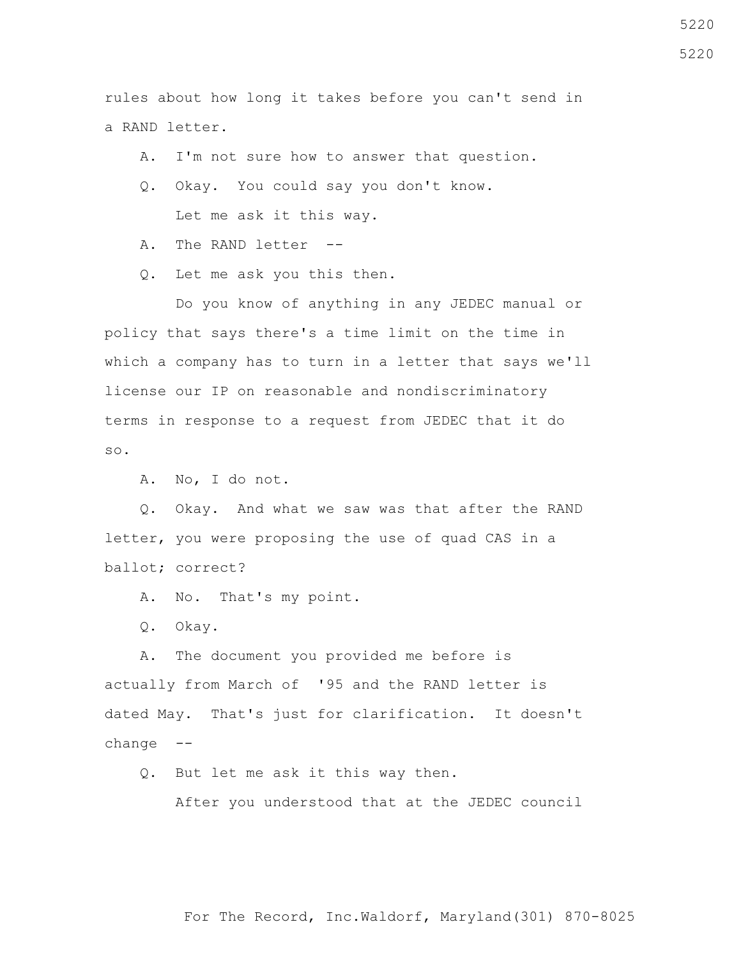rules about how long it takes before you can't send in a RAND letter.

A. I'm not sure how to answer that question.

Q. Okay. You could say you don't know.

Let me ask it this way.

A. The RAND letter --

Q. Let me ask you this then.

 Do you know of anything in any JEDEC manual or policy that says there's a time limit on the time in which a company has to turn in a letter that says we'll license our IP on reasonable and nondiscriminatory terms in response to a request from JEDEC that it do so.

A. No, I do not.

 Q. Okay. And what we saw was that after the RAND letter, you were proposing the use of quad CAS in a ballot; correct?

A. No. That's my point.

Q. Okay.

 A. The document you provided me before is actually from March of '95 and the RAND letter is dated May. That's just for clarification. It doesn't change --

Q. But let me ask it this way then.

After you understood that at the JEDEC council

For The Record, Inc.Waldorf, Maryland(301) 870-8025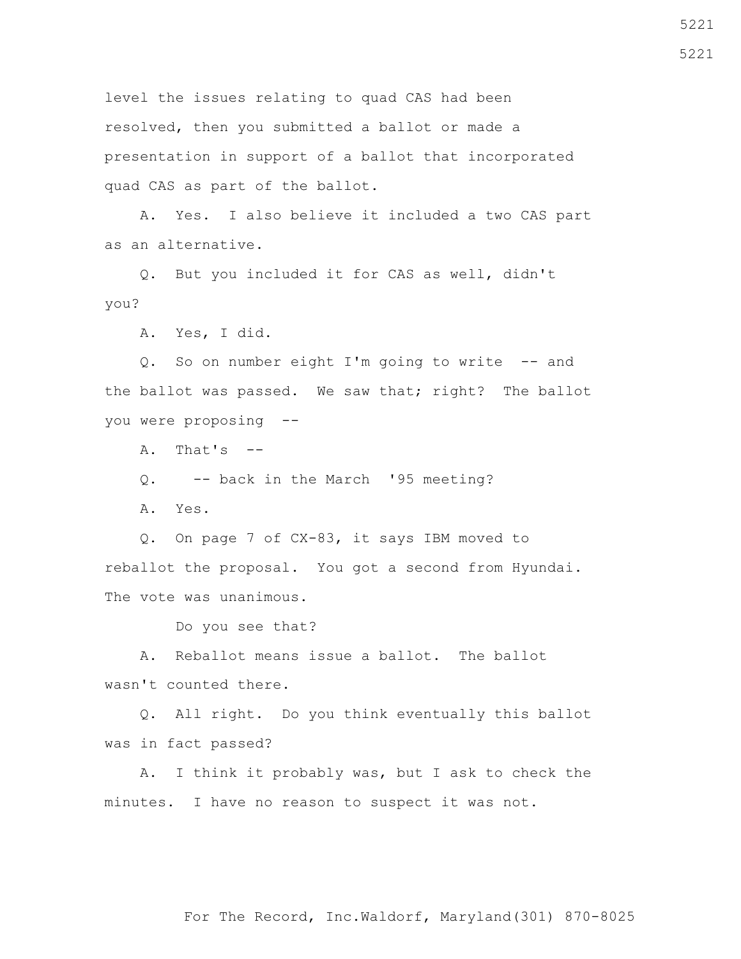level the issues relating to quad CAS had been resolved, then you submitted a ballot or made a presentation in support of a ballot that incorporated quad CAS as part of the ballot.

 A. Yes. I also believe it included a two CAS part as an alternative.

 Q. But you included it for CAS as well, didn't you?

A. Yes, I did.

 Q. So on number eight I'm going to write -- and the ballot was passed. We saw that; right? The ballot you were proposing --

 $A.$  That's  $-$ 

Q. -- back in the March '95 meeting?

A. Yes.

 Q. On page 7 of CX-83, it says IBM moved to reballot the proposal. You got a second from Hyundai. The vote was unanimous.

Do you see that?

 A. Reballot means issue a ballot. The ballot wasn't counted there.

 Q. All right. Do you think eventually this ballot was in fact passed?

 A. I think it probably was, but I ask to check the minutes. I have no reason to suspect it was not.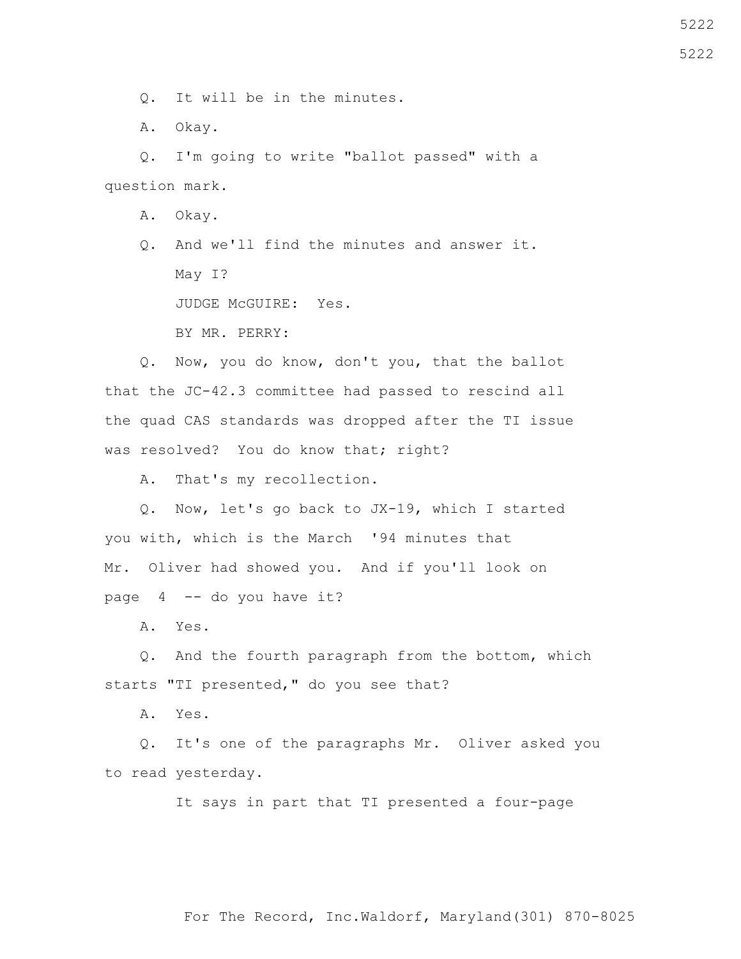Q. It will be in the minutes.

A. Okay.

 Q. I'm going to write "ballot passed" with a question mark.

A. Okay.

 Q. And we'll find the minutes and answer it. May I?

JUDGE McGUIRE: Yes.

BY MR. PERRY:

 Q. Now, you do know, don't you, that the ballot that the JC-42.3 committee had passed to rescind all the quad CAS standards was dropped after the TI issue was resolved? You do know that; right?

A. That's my recollection.

 Q. Now, let's go back to JX-19, which I started you with, which is the March '94 minutes that Mr. Oliver had showed you. And if you'll look on page 4 -- do you have it?

A. Yes.

 Q. And the fourth paragraph from the bottom, which starts "TI presented," do you see that?

A. Yes.

 Q. It's one of the paragraphs Mr. Oliver asked you to read yesterday.

It says in part that TI presented a four-page

For The Record, Inc.Waldorf, Maryland(301) 870-8025

#### 5222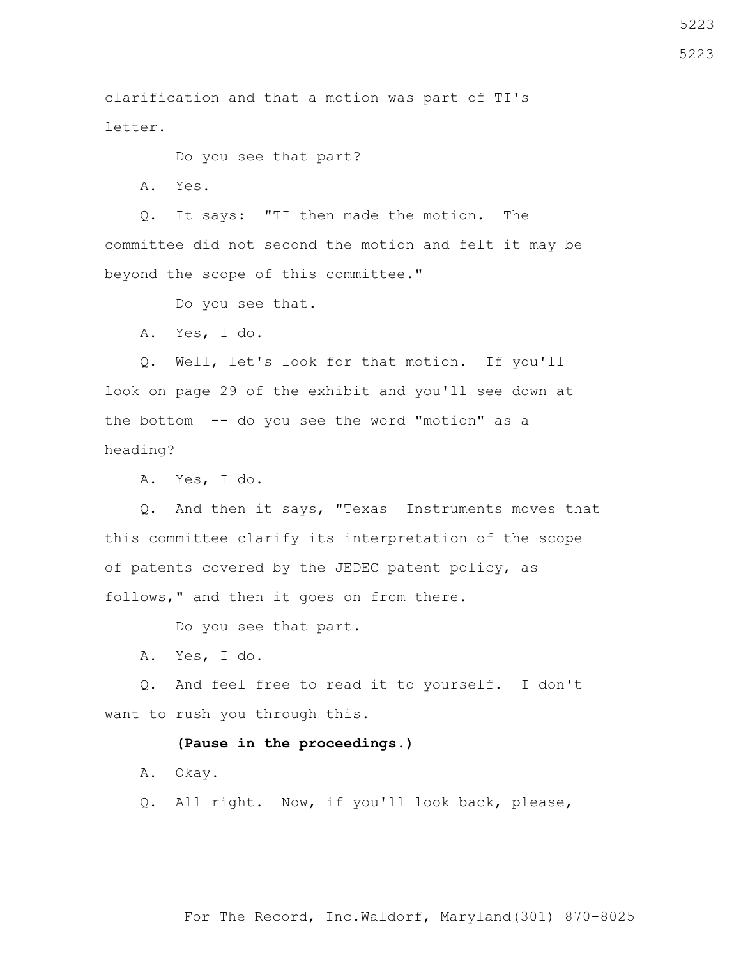clarification and that a motion was part of TI's letter.

Do you see that part?

A. Yes.

 Q. It says: "TI then made the motion. The committee did not second the motion and felt it may be beyond the scope of this committee."

Do you see that.

A. Yes, I do.

 Q. Well, let's look for that motion. If you'll look on page 29 of the exhibit and you'll see down at the bottom -- do you see the word "motion" as a heading?

A. Yes, I do.

 Q. And then it says, "Texas Instruments moves that this committee clarify its interpretation of the scope of patents covered by the JEDEC patent policy, as follows," and then it goes on from there.

Do you see that part.

A. Yes, I do.

 Q. And feel free to read it to yourself. I don't want to rush you through this.

### **(Pause in the proceedings.)**

A. Okay.

Q. All right. Now, if you'll look back, please,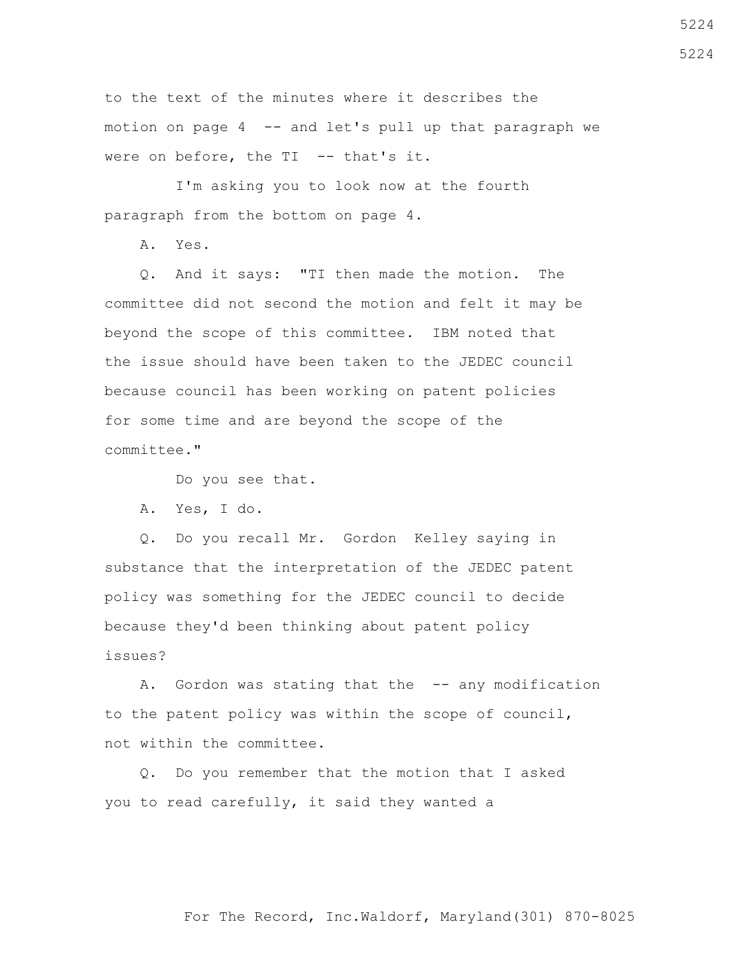to the text of the minutes where it describes the motion on page 4 -- and let's pull up that paragraph we were on before, the TI -- that's it.

 I'm asking you to look now at the fourth paragraph from the bottom on page 4.

A. Yes.

 Q. And it says: "TI then made the motion. The committee did not second the motion and felt it may be beyond the scope of this committee. IBM noted that the issue should have been taken to the JEDEC council because council has been working on patent policies for some time and are beyond the scope of the committee."

Do you see that.

A. Yes, I do.

 Q. Do you recall Mr. Gordon Kelley saying in substance that the interpretation of the JEDEC patent policy was something for the JEDEC council to decide because they'd been thinking about patent policy issues?

A. Gordon was stating that the -- any modification to the patent policy was within the scope of council, not within the committee.

 Q. Do you remember that the motion that I asked you to read carefully, it said they wanted a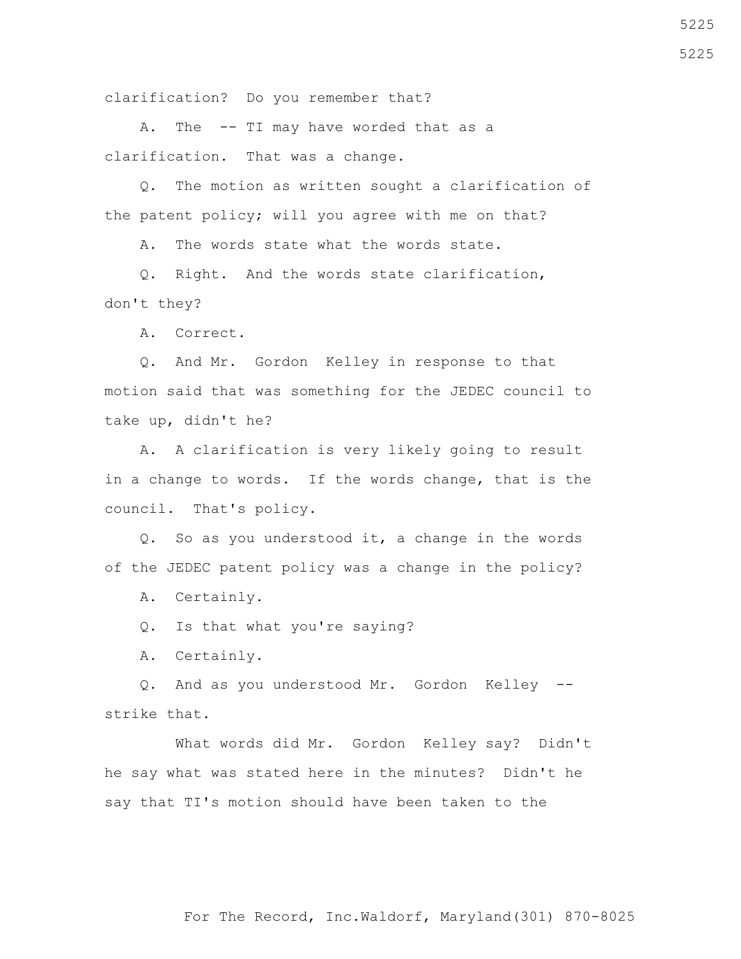clarification? Do you remember that?

 A. The -- TI may have worded that as a clarification. That was a change.

 Q. The motion as written sought a clarification of the patent policy; will you agree with me on that?

A. The words state what the words state.

 Q. Right. And the words state clarification, don't they?

A. Correct.

 Q. And Mr. Gordon Kelley in response to that motion said that was something for the JEDEC council to take up, didn't he?

 A. A clarification is very likely going to result in a change to words. If the words change, that is the council. That's policy.

 Q. So as you understood it, a change in the words of the JEDEC patent policy was a change in the policy?

A. Certainly.

Q. Is that what you're saying?

A. Certainly.

 Q. And as you understood Mr. Gordon Kelley - strike that.

 What words did Mr. Gordon Kelley say? Didn't he say what was stated here in the minutes? Didn't he say that TI's motion should have been taken to the

5225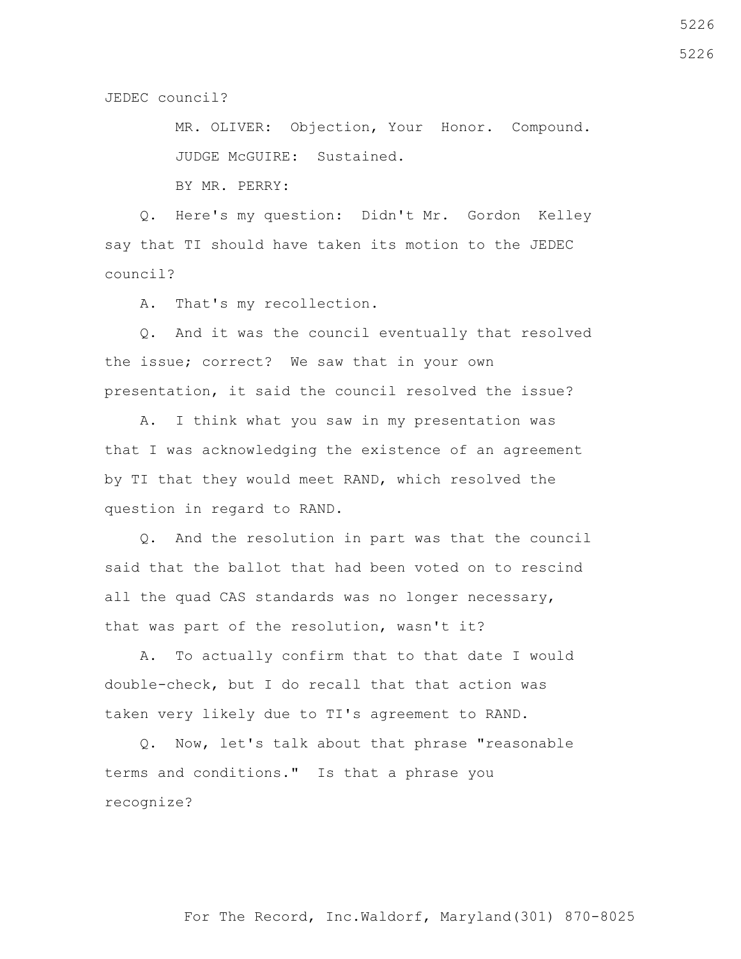JEDEC council?

 MR. OLIVER: Objection, Your Honor. Compound. JUDGE McGUIRE: Sustained.

BY MR. PERRY:

 Q. Here's my question: Didn't Mr. Gordon Kelley say that TI should have taken its motion to the JEDEC council?

A. That's my recollection.

 Q. And it was the council eventually that resolved the issue; correct? We saw that in your own presentation, it said the council resolved the issue?

 A. I think what you saw in my presentation was that I was acknowledging the existence of an agreement by TI that they would meet RAND, which resolved the question in regard to RAND.

 Q. And the resolution in part was that the council said that the ballot that had been voted on to rescind all the quad CAS standards was no longer necessary, that was part of the resolution, wasn't it?

 A. To actually confirm that to that date I would double-check, but I do recall that that action was taken very likely due to TI's agreement to RAND.

 Q. Now, let's talk about that phrase "reasonable terms and conditions." Is that a phrase you recognize?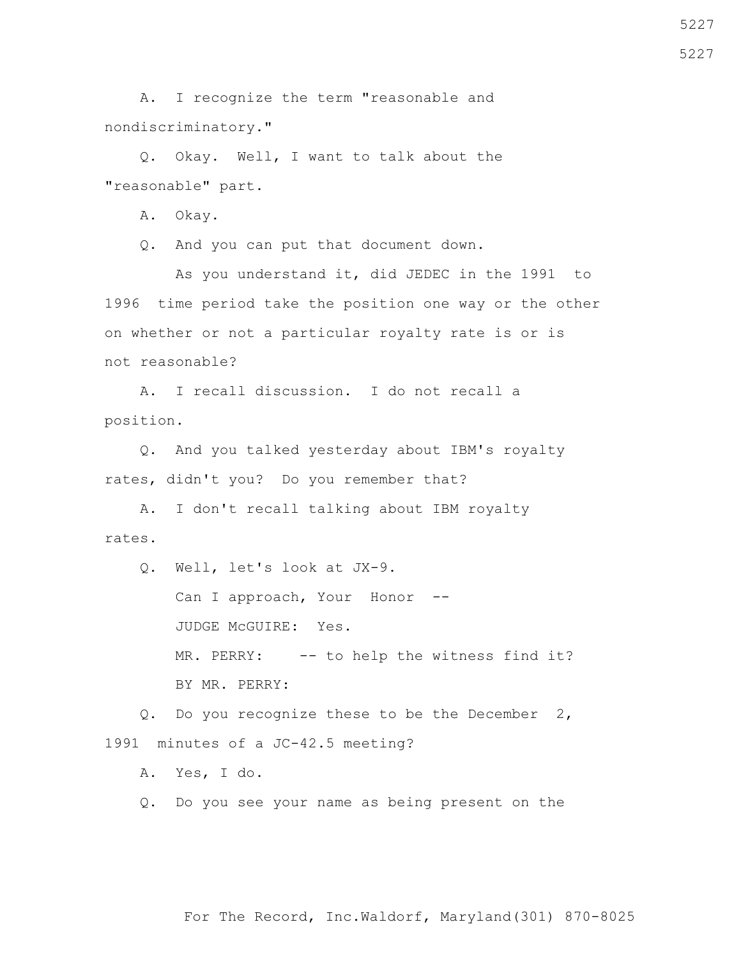A. I recognize the term "reasonable and nondiscriminatory."

 Q. Okay. Well, I want to talk about the "reasonable" part.

A. Okay.

Q. And you can put that document down.

 As you understand it, did JEDEC in the 1991 to 1996 time period take the position one way or the other on whether or not a particular royalty rate is or is not reasonable?

 A. I recall discussion. I do not recall a position.

 Q. And you talked yesterday about IBM's royalty rates, didn't you? Do you remember that?

 A. I don't recall talking about IBM royalty rates.

 Q. Well, let's look at JX-9. Can I approach, Your Honor -- JUDGE McGUIRE: Yes. MR. PERRY: -- to help the witness find it? BY MR. PERRY:

 Q. Do you recognize these to be the December 2, 1991 minutes of a JC-42.5 meeting?

A. Yes, I do.

Q. Do you see your name as being present on the

For The Record, Inc.Waldorf, Maryland(301) 870-8025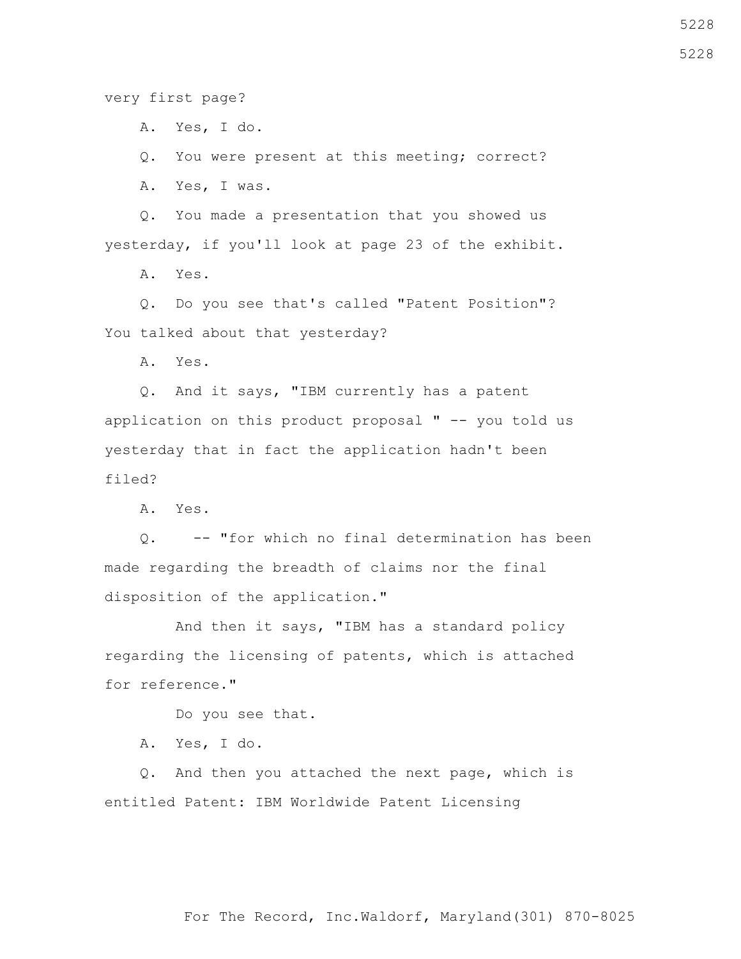very first page?

A. Yes, I do.

Q. You were present at this meeting; correct?

A. Yes, I was.

 Q. You made a presentation that you showed us yesterday, if you'll look at page 23 of the exhibit.

A. Yes.

 Q. Do you see that's called "Patent Position"? You talked about that yesterday?

A. Yes.

 Q. And it says, "IBM currently has a patent application on this product proposal " -- you told us yesterday that in fact the application hadn't been filed?

A. Yes.

 Q. -- "for which no final determination has been made regarding the breadth of claims nor the final disposition of the application."

 And then it says, "IBM has a standard policy regarding the licensing of patents, which is attached for reference."

Do you see that.

A. Yes, I do.

 Q. And then you attached the next page, which is entitled Patent: IBM Worldwide Patent Licensing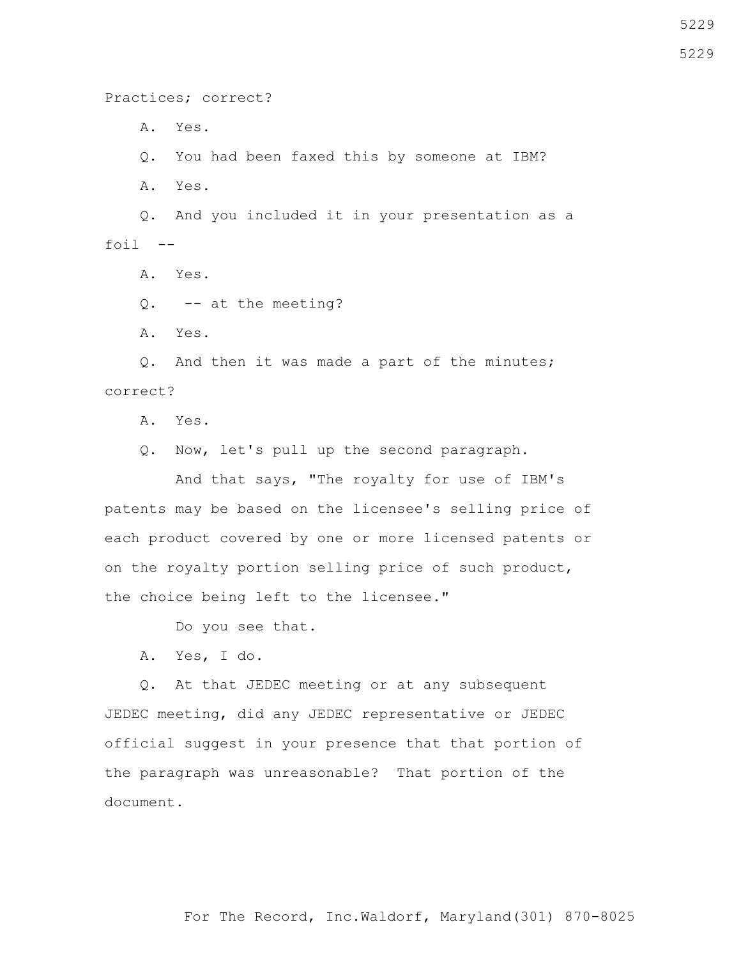Practices; correct? A. Yes. Q. You had been faxed this by someone at IBM? A. Yes. Q. And you included it in your presentation as a foil  $--$ 

A. Yes.

Q. -- at the meeting?

A. Yes.

 Q. And then it was made a part of the minutes; correct?

A. Yes.

Q. Now, let's pull up the second paragraph.

 And that says, "The royalty for use of IBM's patents may be based on the licensee's selling price of each product covered by one or more licensed patents or on the royalty portion selling price of such product, the choice being left to the licensee."

Do you see that.

A. Yes, I do.

 Q. At that JEDEC meeting or at any subsequent JEDEC meeting, did any JEDEC representative or JEDEC official suggest in your presence that that portion of the paragraph was unreasonable? That portion of the document.

5229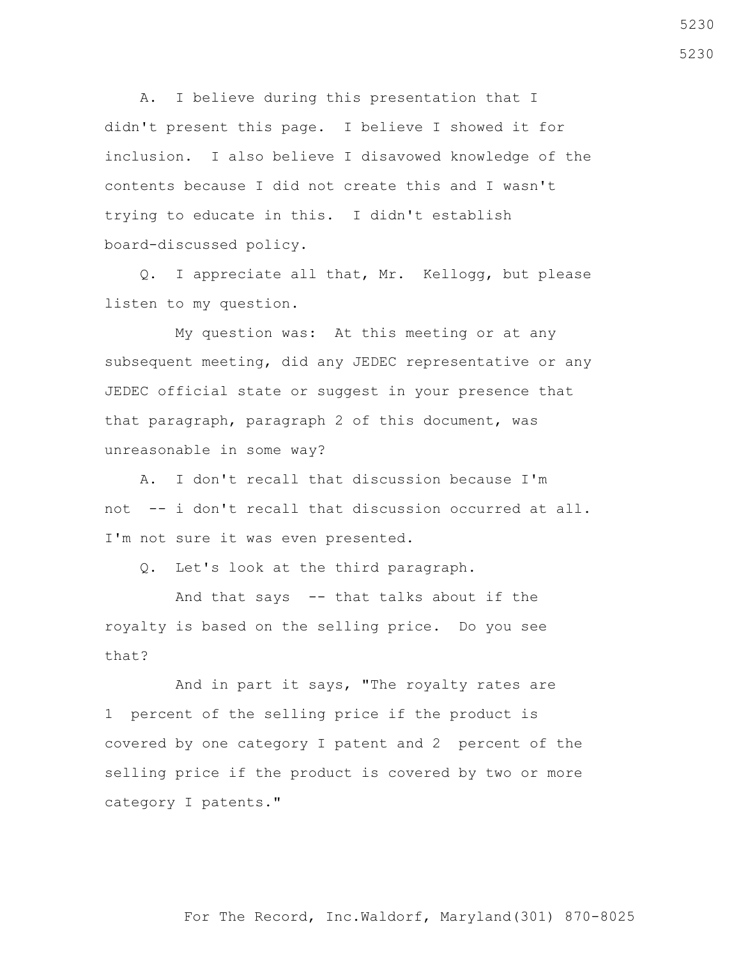A. I believe during this presentation that I didn't present this page. I believe I showed it for inclusion. I also believe I disavowed knowledge of the contents because I did not create this and I wasn't trying to educate in this. I didn't establish board-discussed policy.

 Q. I appreciate all that, Mr. Kellogg, but please listen to my question.

 My question was: At this meeting or at any subsequent meeting, did any JEDEC representative or any JEDEC official state or suggest in your presence that that paragraph, paragraph 2 of this document, was unreasonable in some way?

 A. I don't recall that discussion because I'm not -- i don't recall that discussion occurred at all. I'm not sure it was even presented.

Q. Let's look at the third paragraph.

 And that says -- that talks about if the royalty is based on the selling price. Do you see that?

 And in part it says, "The royalty rates are 1 percent of the selling price if the product is covered by one category I patent and 2 percent of the selling price if the product is covered by two or more category I patents."

5230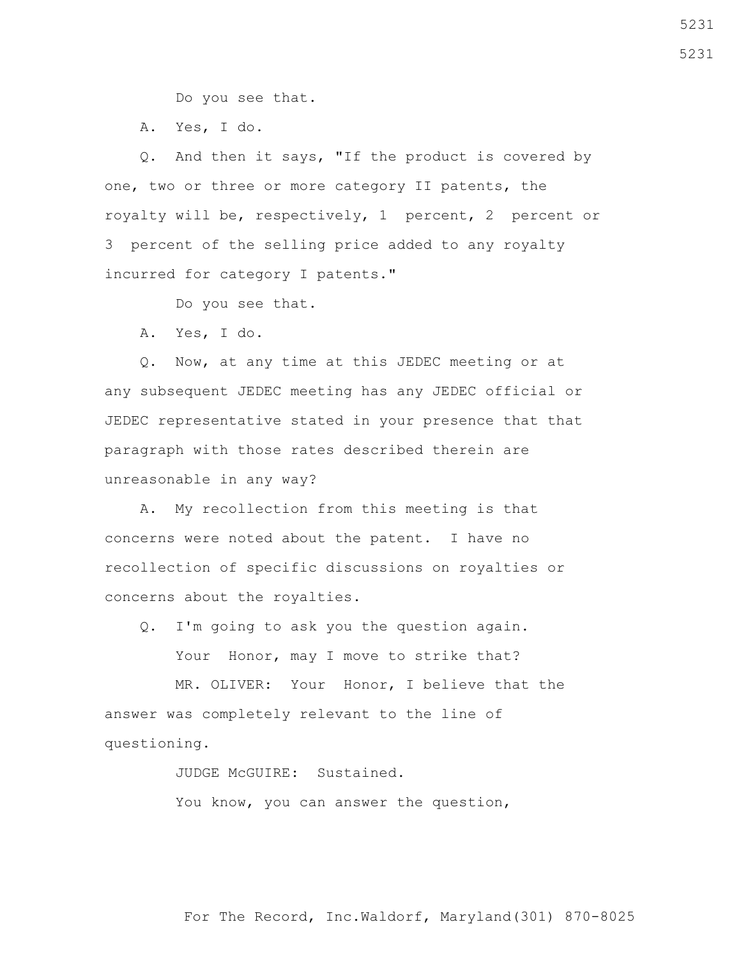Do you see that.

A. Yes, I do.

 Q. And then it says, "If the product is covered by one, two or three or more category II patents, the royalty will be, respectively, 1 percent, 2 percent or 3 percent of the selling price added to any royalty incurred for category I patents."

Do you see that.

A. Yes, I do.

 Q. Now, at any time at this JEDEC meeting or at any subsequent JEDEC meeting has any JEDEC official or JEDEC representative stated in your presence that that paragraph with those rates described therein are unreasonable in any way?

 A. My recollection from this meeting is that concerns were noted about the patent. I have no recollection of specific discussions on royalties or concerns about the royalties.

Q. I'm going to ask you the question again.

Your Honor, may I move to strike that?

 MR. OLIVER: Your Honor, I believe that the answer was completely relevant to the line of questioning.

> JUDGE McGUIRE: Sustained. You know, you can answer the question,

For The Record, Inc.Waldorf, Maryland(301) 870-8025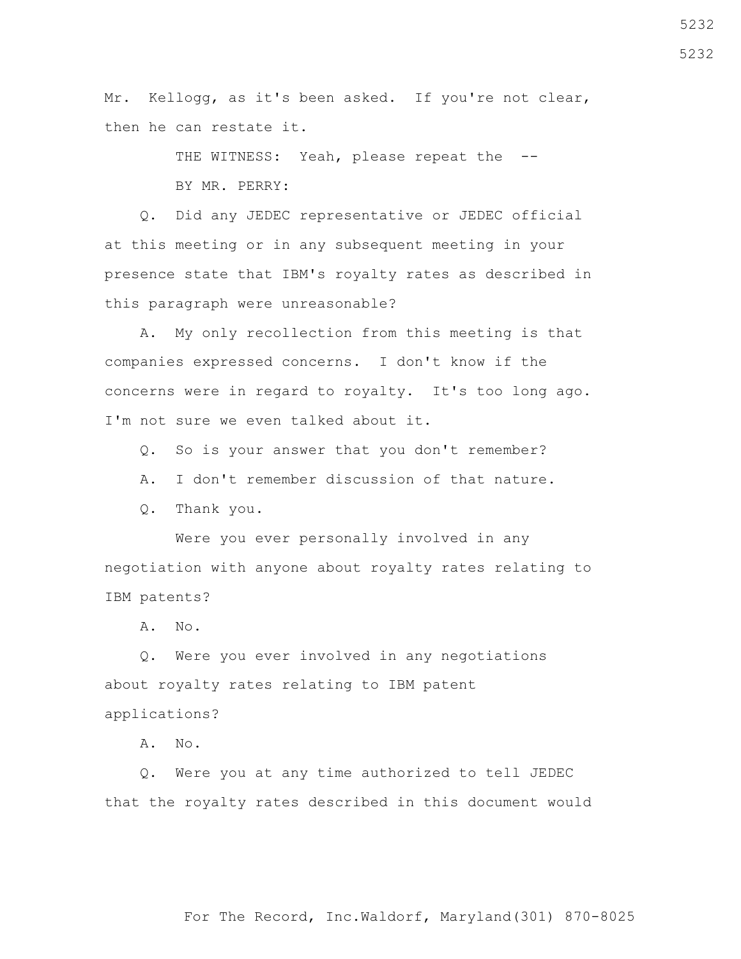Mr. Kellogg, as it's been asked. If you're not clear, then he can restate it.

> THE WITNESS: Yeah, please repeat the --BY MR. PERRY:

 Q. Did any JEDEC representative or JEDEC official at this meeting or in any subsequent meeting in your presence state that IBM's royalty rates as described in this paragraph were unreasonable?

 A. My only recollection from this meeting is that companies expressed concerns. I don't know if the concerns were in regard to royalty. It's too long ago. I'm not sure we even talked about it.

Q. So is your answer that you don't remember?

A. I don't remember discussion of that nature.

Q. Thank you.

 Were you ever personally involved in any negotiation with anyone about royalty rates relating to IBM patents?

A. No.

 Q. Were you ever involved in any negotiations about royalty rates relating to IBM patent applications?

A. No.

 Q. Were you at any time authorized to tell JEDEC that the royalty rates described in this document would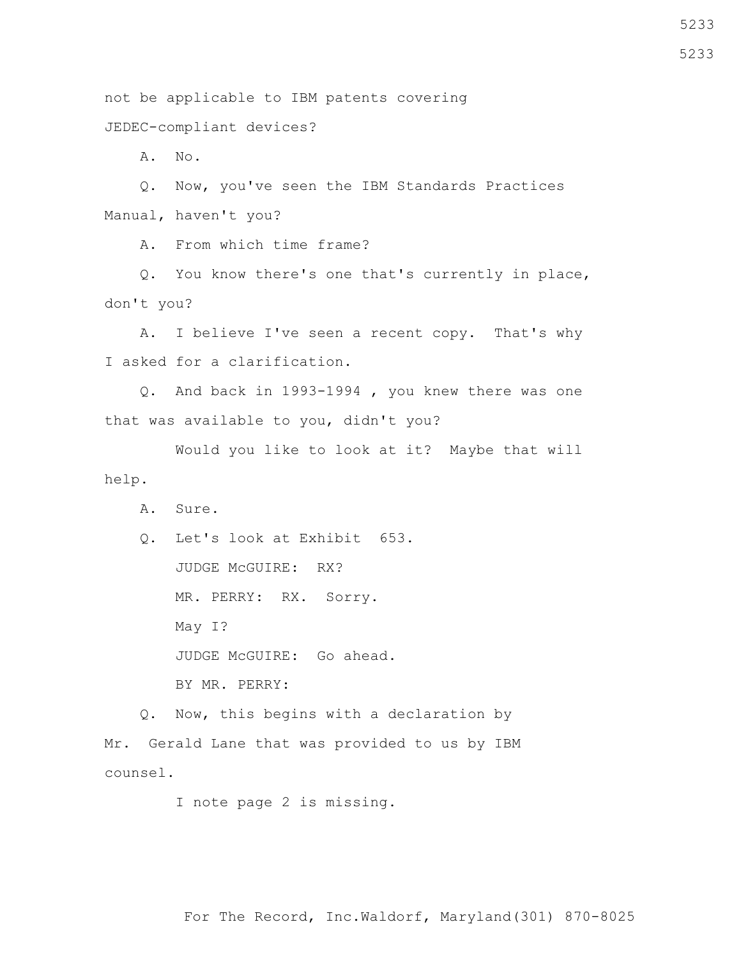not be applicable to IBM patents covering JEDEC-compliant devices?

A. No.

 Q. Now, you've seen the IBM Standards Practices Manual, haven't you?

A. From which time frame?

 Q. You know there's one that's currently in place, don't you?

 A. I believe I've seen a recent copy. That's why I asked for a clarification.

 Q. And back in 1993-1994 , you knew there was one that was available to you, didn't you?

 Would you like to look at it? Maybe that will help.

A. Sure.

Q. Let's look at Exhibit 653.

JUDGE McGUIRE: RX?

MR. PERRY: RX. Sorry.

May I?

JUDGE McGUIRE: Go ahead.

BY MR. PERRY:

 Q. Now, this begins with a declaration by Mr. Gerald Lane that was provided to us by IBM counsel.

I note page 2 is missing.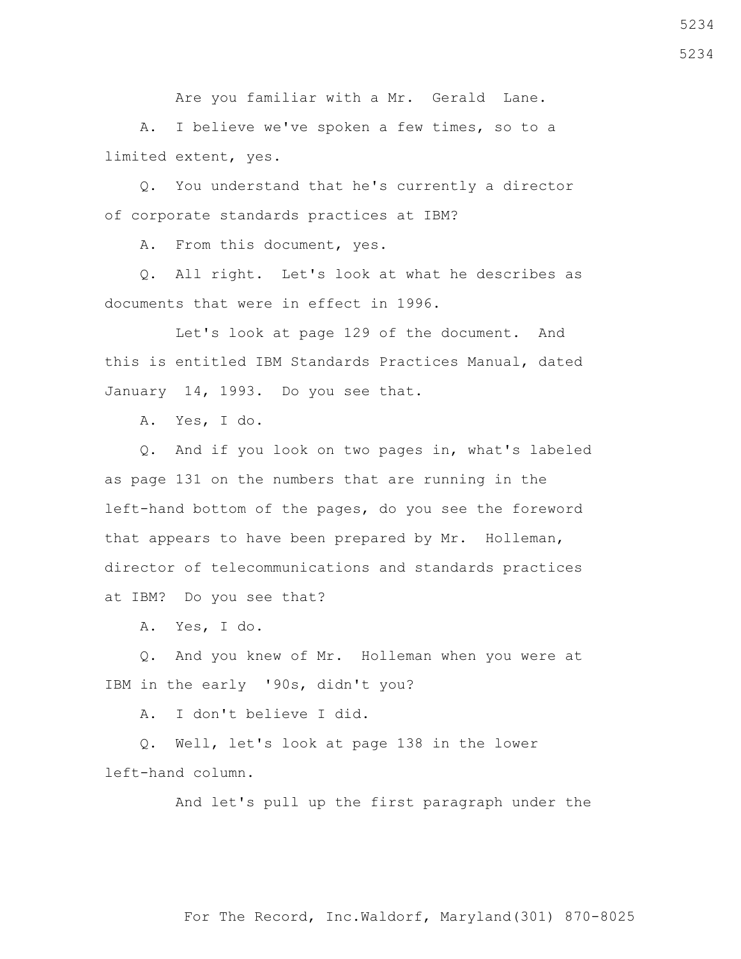Are you familiar with a Mr. Gerald Lane.

 A. I believe we've spoken a few times, so to a limited extent, yes.

 Q. You understand that he's currently a director of corporate standards practices at IBM?

A. From this document, yes.

 Q. All right. Let's look at what he describes as documents that were in effect in 1996.

 Let's look at page 129 of the document. And this is entitled IBM Standards Practices Manual, dated January 14, 1993. Do you see that.

A. Yes, I do.

 Q. And if you look on two pages in, what's labeled as page 131 on the numbers that are running in the left-hand bottom of the pages, do you see the foreword that appears to have been prepared by Mr. Holleman, director of telecommunications and standards practices at IBM? Do you see that?

A. Yes, I do.

 Q. And you knew of Mr. Holleman when you were at IBM in the early '90s, didn't you?

A. I don't believe I did.

 Q. Well, let's look at page 138 in the lower left-hand column.

And let's pull up the first paragraph under the

5234

5234

For The Record, Inc.Waldorf, Maryland(301) 870-8025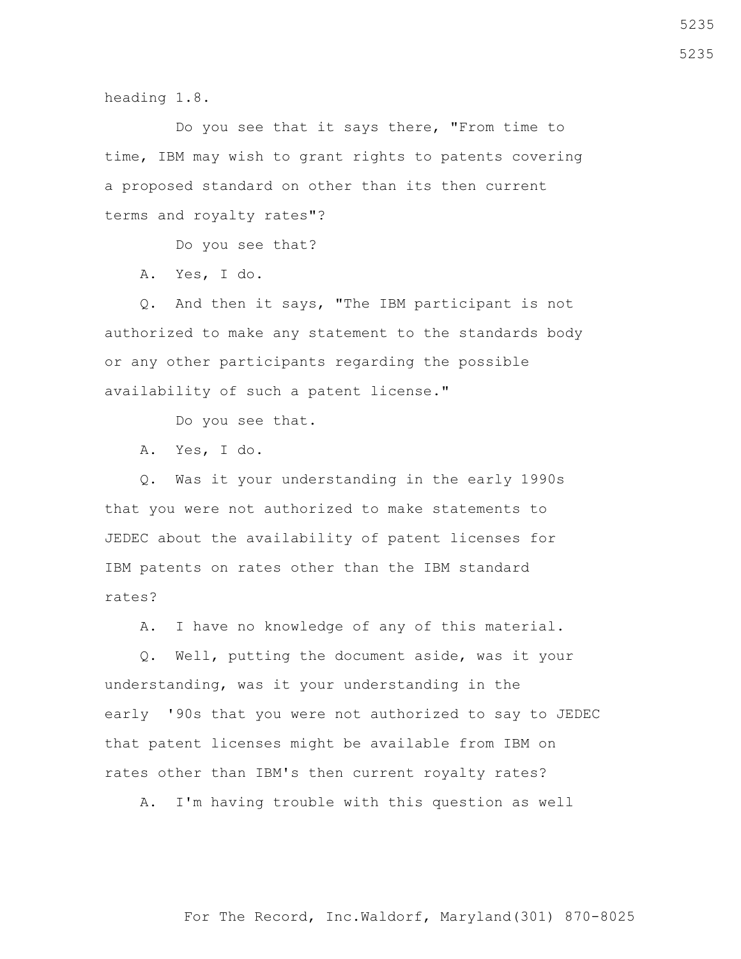heading 1.8.

 Do you see that it says there, "From time to time, IBM may wish to grant rights to patents covering a proposed standard on other than its then current terms and royalty rates"?

Do you see that?

A. Yes, I do.

 Q. And then it says, "The IBM participant is not authorized to make any statement to the standards body or any other participants regarding the possible availability of such a patent license."

Do you see that.

A. Yes, I do.

 Q. Was it your understanding in the early 1990s that you were not authorized to make statements to JEDEC about the availability of patent licenses for IBM patents on rates other than the IBM standard rates?

A. I have no knowledge of any of this material.

 Q. Well, putting the document aside, was it your understanding, was it your understanding in the early '90s that you were not authorized to say to JEDEC that patent licenses might be available from IBM on rates other than IBM's then current royalty rates?

A. I'm having trouble with this question as well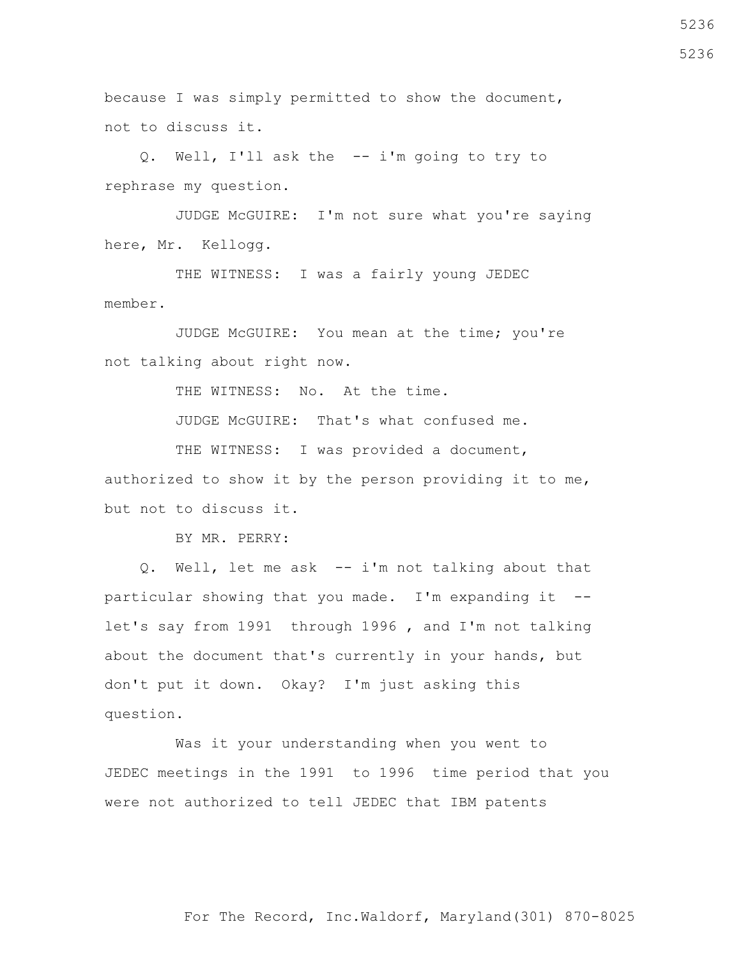because I was simply permitted to show the document, not to discuss it.

 Q. Well, I'll ask the -- i'm going to try to rephrase my question.

 JUDGE McGUIRE: I'm not sure what you're saying here, Mr. Kellogg.

THE WITNESS: I was a fairly young JEDEC member.

 JUDGE McGUIRE: You mean at the time; you're not talking about right now.

THE WITNESS: No. At the time.

JUDGE McGUIRE: That's what confused me.

THE WITNESS: I was provided a document, authorized to show it by the person providing it to me, but not to discuss it.

BY MR. PERRY:

 Q. Well, let me ask -- i'm not talking about that particular showing that you made. I'm expanding it - let's say from 1991 through 1996 , and I'm not talking about the document that's currently in your hands, but don't put it down. Okay? I'm just asking this question.

 Was it your understanding when you went to JEDEC meetings in the 1991 to 1996 time period that you were not authorized to tell JEDEC that IBM patents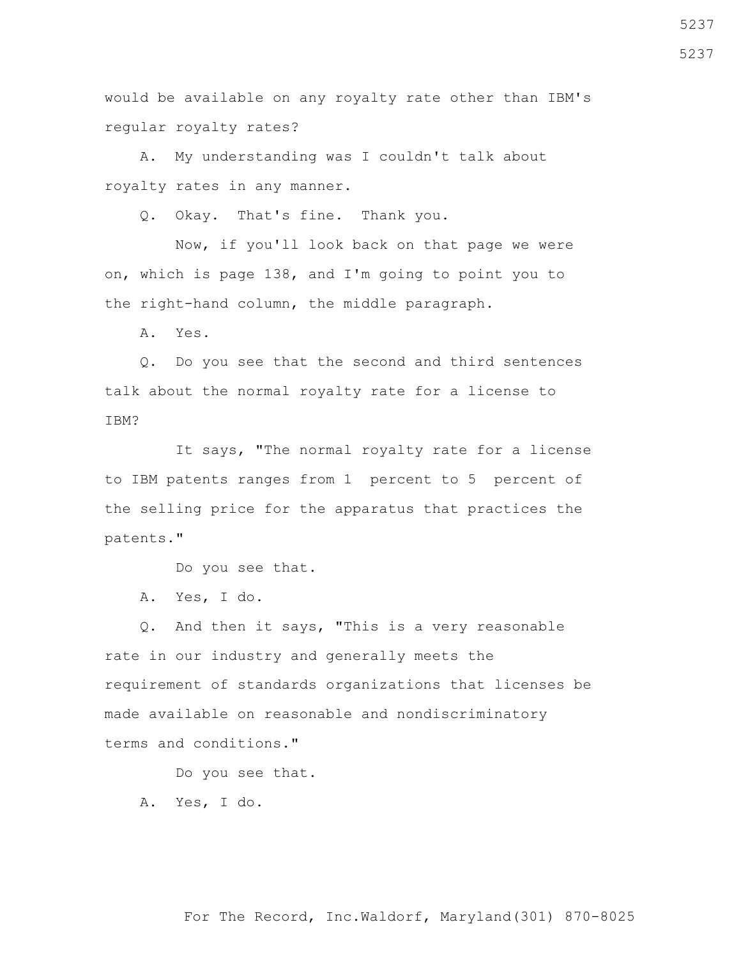would be available on any royalty rate other than IBM's regular royalty rates?

 A. My understanding was I couldn't talk about royalty rates in any manner.

Q. Okay. That's fine. Thank you.

 Now, if you'll look back on that page we were on, which is page 138, and I'm going to point you to the right-hand column, the middle paragraph.

A. Yes.

 Q. Do you see that the second and third sentences talk about the normal royalty rate for a license to TBM?

 It says, "The normal royalty rate for a license to IBM patents ranges from 1 percent to 5 percent of the selling price for the apparatus that practices the patents."

Do you see that.

A. Yes, I do.

 Q. And then it says, "This is a very reasonable rate in our industry and generally meets the requirement of standards organizations that licenses be made available on reasonable and nondiscriminatory terms and conditions."

Do you see that.

A. Yes, I do.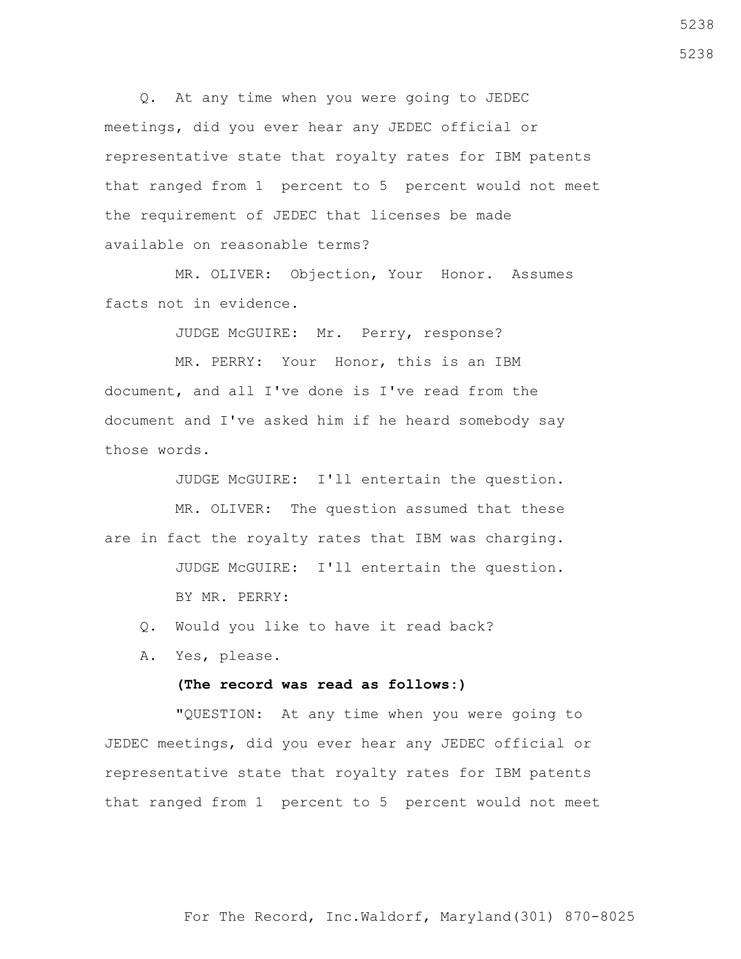Q. At any time when you were going to JEDEC meetings, did you ever hear any JEDEC official or representative state that royalty rates for IBM patents that ranged from 1 percent to 5 percent would not meet the requirement of JEDEC that licenses be made available on reasonable terms?

 MR. OLIVER: Objection, Your Honor. Assumes facts not in evidence.

JUDGE McGUIRE: Mr. Perry, response?

 MR. PERRY: Your Honor, this is an IBM document, and all I've done is I've read from the document and I've asked him if he heard somebody say those words.

JUDGE McGUIRE: I'll entertain the question.

 MR. OLIVER: The question assumed that these are in fact the royalty rates that IBM was charging.

> JUDGE McGUIRE: I'll entertain the question. BY MR. PERRY:

Q. Would you like to have it read back?

A. Yes, please.

## **(The record was read as follows:)**

 "QUESTION: At any time when you were going to JEDEC meetings, did you ever hear any JEDEC official or representative state that royalty rates for IBM patents that ranged from 1 percent to 5 percent would not meet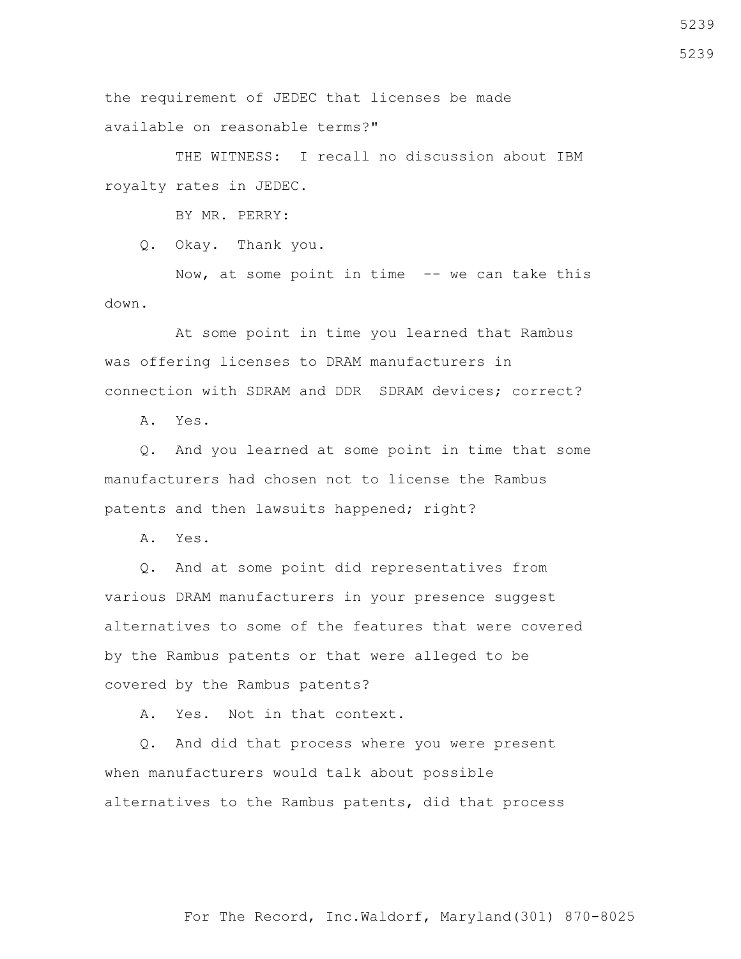the requirement of JEDEC that licenses be made available on reasonable terms?"

 THE WITNESS: I recall no discussion about IBM royalty rates in JEDEC.

BY MR. PERRY:

Q. Okay. Thank you.

 Now, at some point in time -- we can take this down.

 At some point in time you learned that Rambus was offering licenses to DRAM manufacturers in connection with SDRAM and DDR SDRAM devices; correct?

A. Yes.

 Q. And you learned at some point in time that some manufacturers had chosen not to license the Rambus patents and then lawsuits happened; right?

A. Yes.

 Q. And at some point did representatives from various DRAM manufacturers in your presence suggest alternatives to some of the features that were covered by the Rambus patents or that were alleged to be covered by the Rambus patents?

A. Yes. Not in that context.

 Q. And did that process where you were present when manufacturers would talk about possible alternatives to the Rambus patents, did that process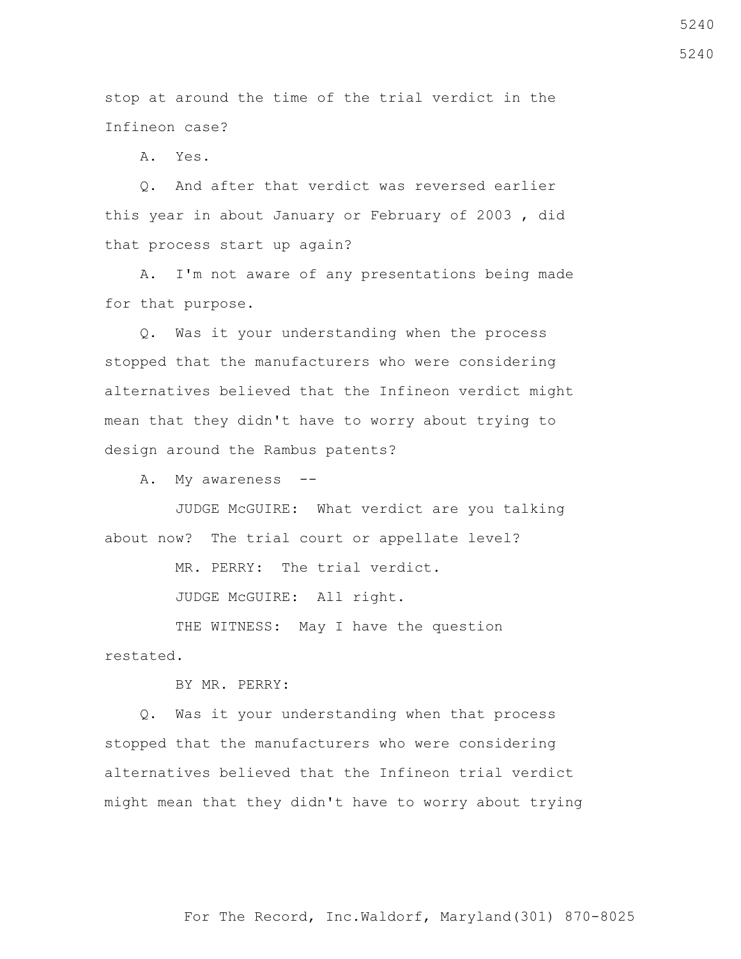stop at around the time of the trial verdict in the Infineon case?

A. Yes.

 Q. And after that verdict was reversed earlier this year in about January or February of 2003 , did that process start up again?

 A. I'm not aware of any presentations being made for that purpose.

 Q. Was it your understanding when the process stopped that the manufacturers who were considering alternatives believed that the Infineon verdict might mean that they didn't have to worry about trying to design around the Rambus patents?

A. My awareness --

 JUDGE McGUIRE: What verdict are you talking about now? The trial court or appellate level?

MR. PERRY: The trial verdict.

JUDGE McGUIRE: All right.

THE WITNESS: May I have the question restated.

BY MR. PERRY:

 Q. Was it your understanding when that process stopped that the manufacturers who were considering alternatives believed that the Infineon trial verdict might mean that they didn't have to worry about trying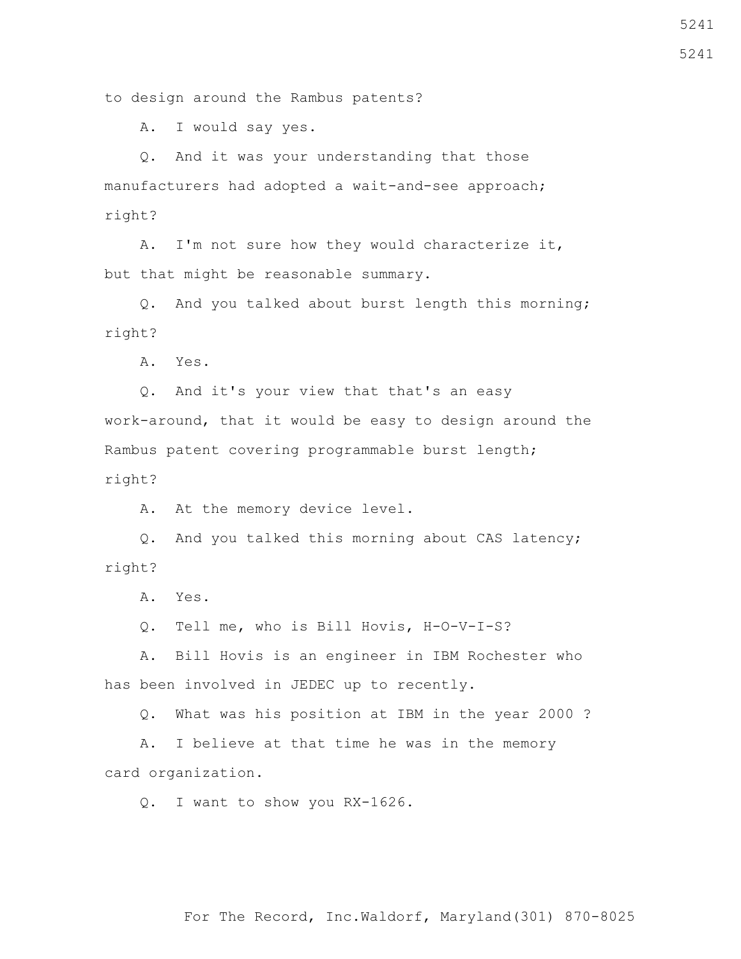to design around the Rambus patents?

A. I would say yes.

 Q. And it was your understanding that those manufacturers had adopted a wait-and-see approach; right?

 A. I'm not sure how they would characterize it, but that might be reasonable summary.

 Q. And you talked about burst length this morning; right?

A. Yes.

 Q. And it's your view that that's an easy work-around, that it would be easy to design around the Rambus patent covering programmable burst length;

right?

A. At the memory device level.

 Q. And you talked this morning about CAS latency; right?

A. Yes.

Q. Tell me, who is Bill Hovis, H-O-V-I-S?

 A. Bill Hovis is an engineer in IBM Rochester who has been involved in JEDEC up to recently.

Q. What was his position at IBM in the year 2000 ?

 A. I believe at that time he was in the memory card organization.

Q. I want to show you RX-1626.

5241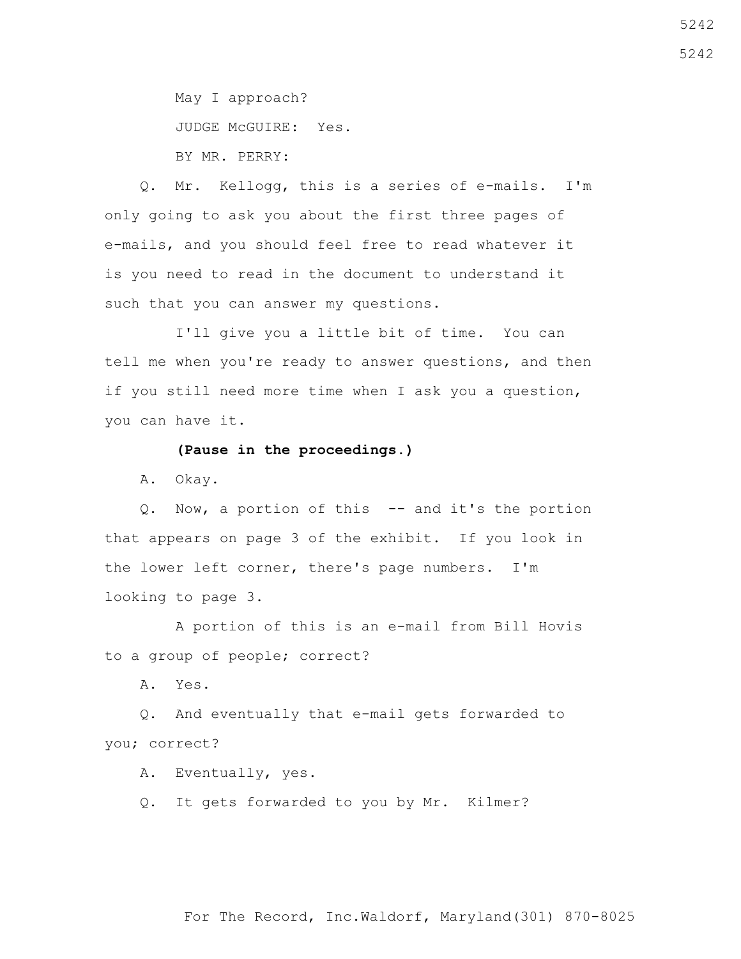May I approach? JUDGE McGUIRE: Yes. BY MR. PERRY:

 Q. Mr. Kellogg, this is a series of e-mails. I'm only going to ask you about the first three pages of e-mails, and you should feel free to read whatever it is you need to read in the document to understand it such that you can answer my questions.

 I'll give you a little bit of time. You can tell me when you're ready to answer questions, and then if you still need more time when I ask you a question, you can have it.

## **(Pause in the proceedings.)**

A. Okay.

 Q. Now, a portion of this -- and it's the portion that appears on page 3 of the exhibit. If you look in the lower left corner, there's page numbers. I'm looking to page 3.

 A portion of this is an e-mail from Bill Hovis to a group of people; correct?

A. Yes.

 Q. And eventually that e-mail gets forwarded to you; correct?

A. Eventually, yes.

Q. It gets forwarded to you by Mr. Kilmer?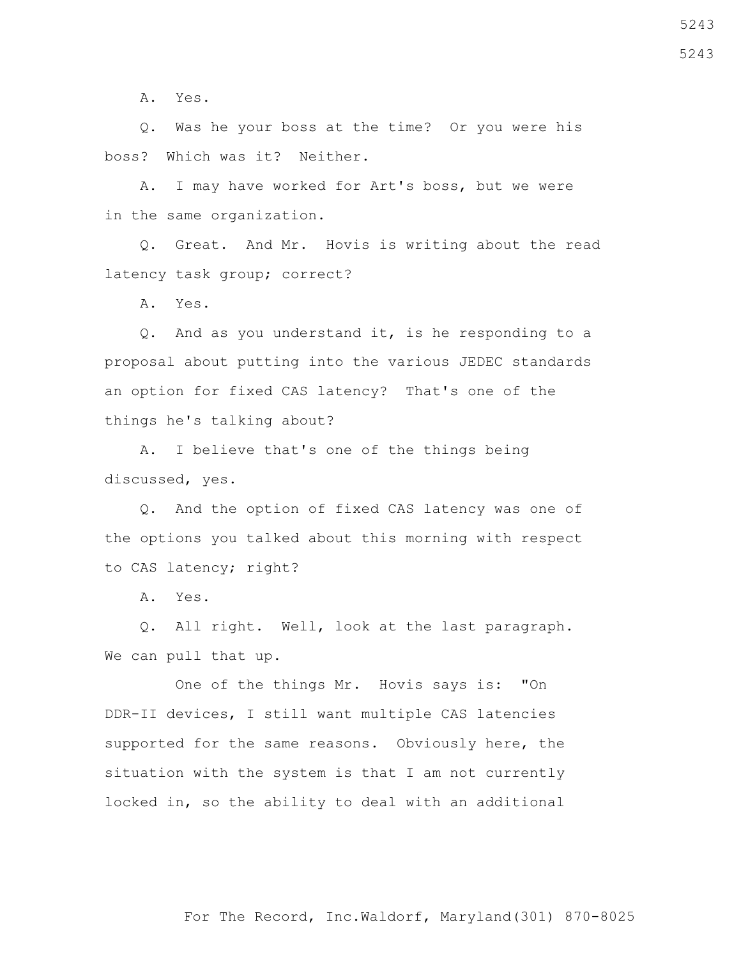A. Yes.

 Q. Was he your boss at the time? Or you were his boss? Which was it? Neither.

 A. I may have worked for Art's boss, but we were in the same organization.

 Q. Great. And Mr. Hovis is writing about the read latency task group; correct?

A. Yes.

 Q. And as you understand it, is he responding to a proposal about putting into the various JEDEC standards an option for fixed CAS latency? That's one of the things he's talking about?

 A. I believe that's one of the things being discussed, yes.

 Q. And the option of fixed CAS latency was one of the options you talked about this morning with respect to CAS latency; right?

A. Yes.

 Q. All right. Well, look at the last paragraph. We can pull that up.

 One of the things Mr. Hovis says is: "On DDR-II devices, I still want multiple CAS latencies supported for the same reasons. Obviously here, the situation with the system is that I am not currently locked in, so the ability to deal with an additional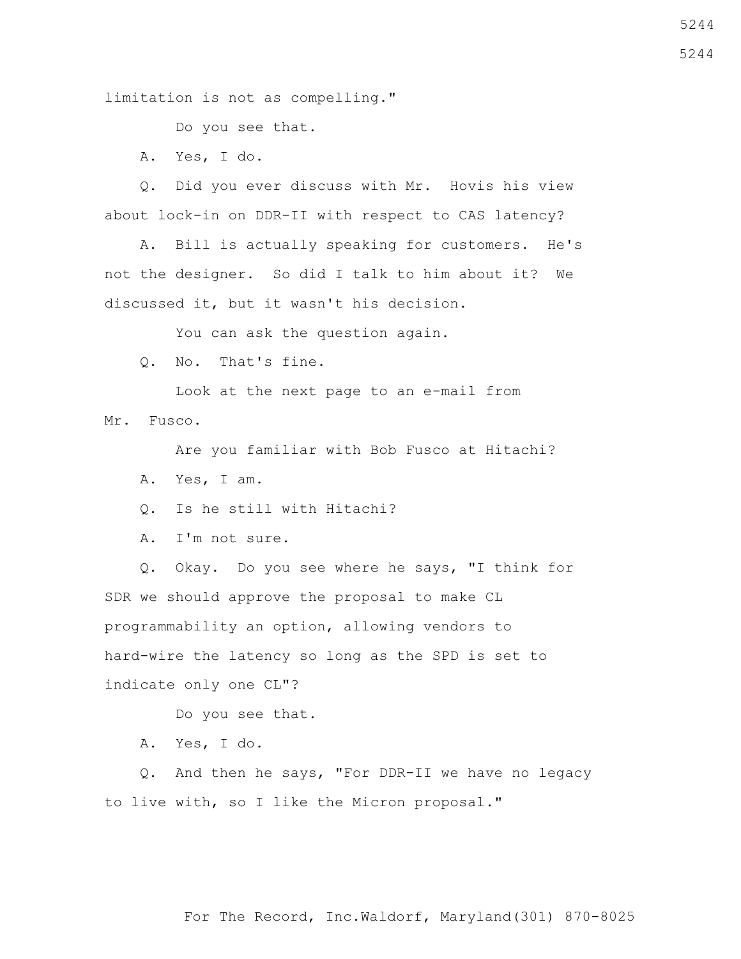limitation is not as compelling."

Do you see that.

A. Yes, I do.

 Q. Did you ever discuss with Mr. Hovis his view about lock-in on DDR-II with respect to CAS latency?

 A. Bill is actually speaking for customers. He's not the designer. So did I talk to him about it? We discussed it, but it wasn't his decision.

You can ask the question again.

Q. No. That's fine.

Look at the next page to an e-mail from

Mr. Fusco.

Are you familiar with Bob Fusco at Hitachi?

A. Yes, I am.

Q. Is he still with Hitachi?

A. I'm not sure.

 Q. Okay. Do you see where he says, "I think for SDR we should approve the proposal to make CL programmability an option, allowing vendors to hard-wire the latency so long as the SPD is set to indicate only one CL"?

Do you see that.

A. Yes, I do.

 Q. And then he says, "For DDR-II we have no legacy to live with, so I like the Micron proposal."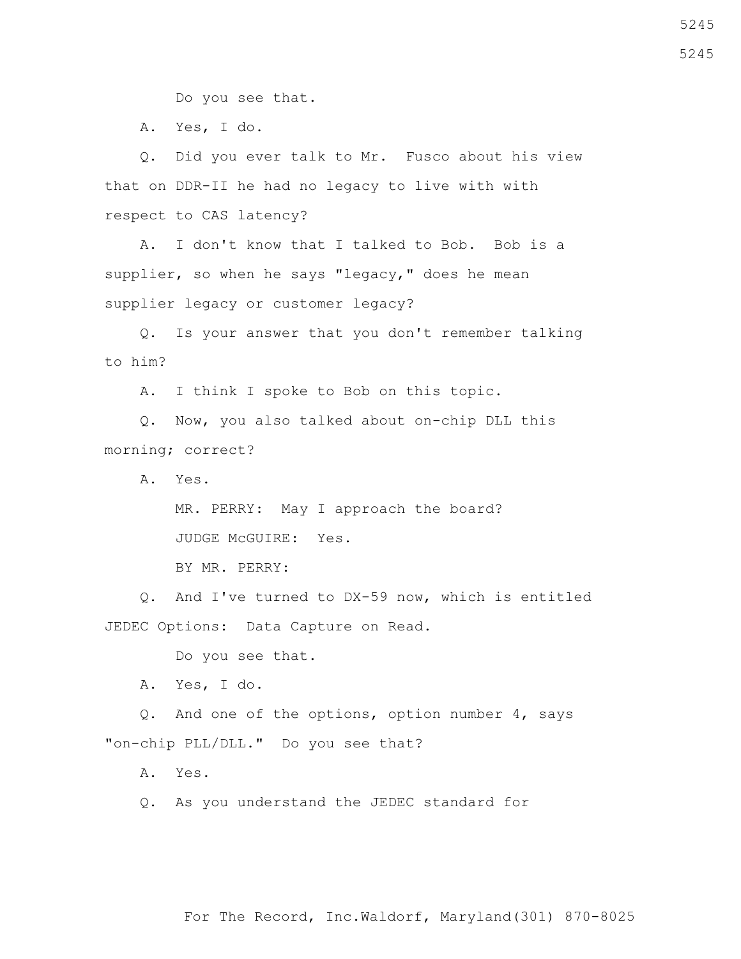Do you see that.

A. Yes, I do.

 Q. Did you ever talk to Mr. Fusco about his view that on DDR-II he had no legacy to live with with respect to CAS latency?

 A. I don't know that I talked to Bob. Bob is a supplier, so when he says "legacy," does he mean supplier legacy or customer legacy?

 Q. Is your answer that you don't remember talking to him?

A. I think I spoke to Bob on this topic.

 Q. Now, you also talked about on-chip DLL this morning; correct?

A. Yes.

 MR. PERRY: May I approach the board? JUDGE McGUIRE: Yes.

BY MR. PERRY:

 Q. And I've turned to DX-59 now, which is entitled JEDEC Options: Data Capture on Read.

Do you see that.

A. Yes, I do.

 Q. And one of the options, option number 4, says "on-chip PLL/DLL." Do you see that?

A. Yes.

Q. As you understand the JEDEC standard for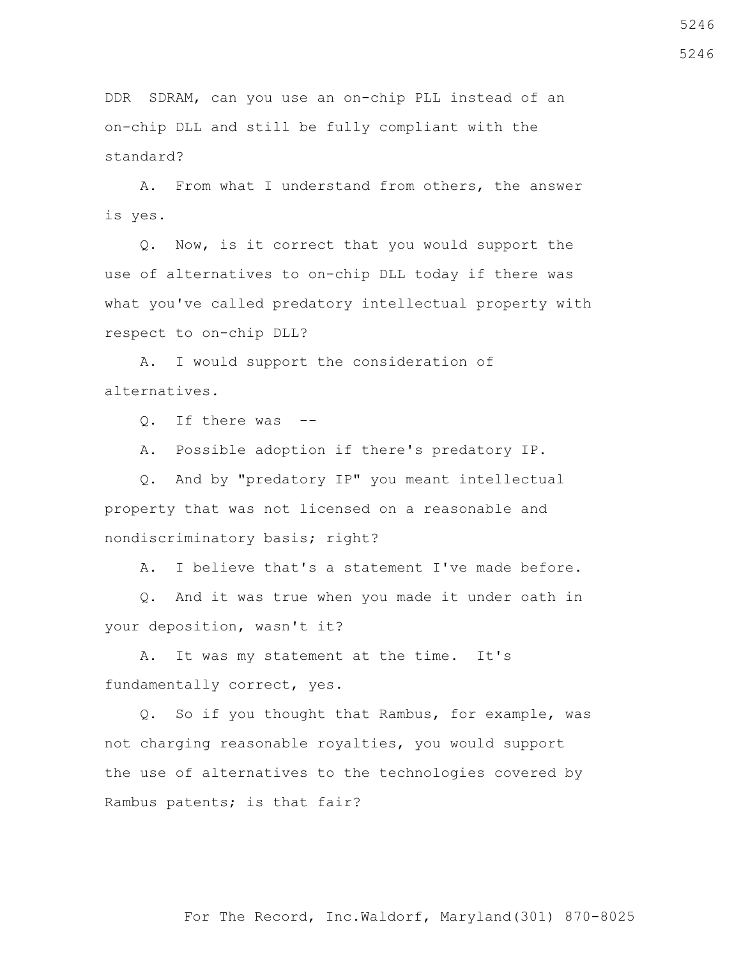DDR SDRAM, can you use an on-chip PLL instead of an on-chip DLL and still be fully compliant with the standard?

 A. From what I understand from others, the answer is yes.

 Q. Now, is it correct that you would support the use of alternatives to on-chip DLL today if there was what you've called predatory intellectual property with respect to on-chip DLL?

 A. I would support the consideration of alternatives.

Q. If there was --

A. Possible adoption if there's predatory IP.

 Q. And by "predatory IP" you meant intellectual property that was not licensed on a reasonable and nondiscriminatory basis; right?

A. I believe that's a statement I've made before.

 Q. And it was true when you made it under oath in your deposition, wasn't it?

 A. It was my statement at the time. It's fundamentally correct, yes.

 Q. So if you thought that Rambus, for example, was not charging reasonable royalties, you would support the use of alternatives to the technologies covered by Rambus patents; is that fair?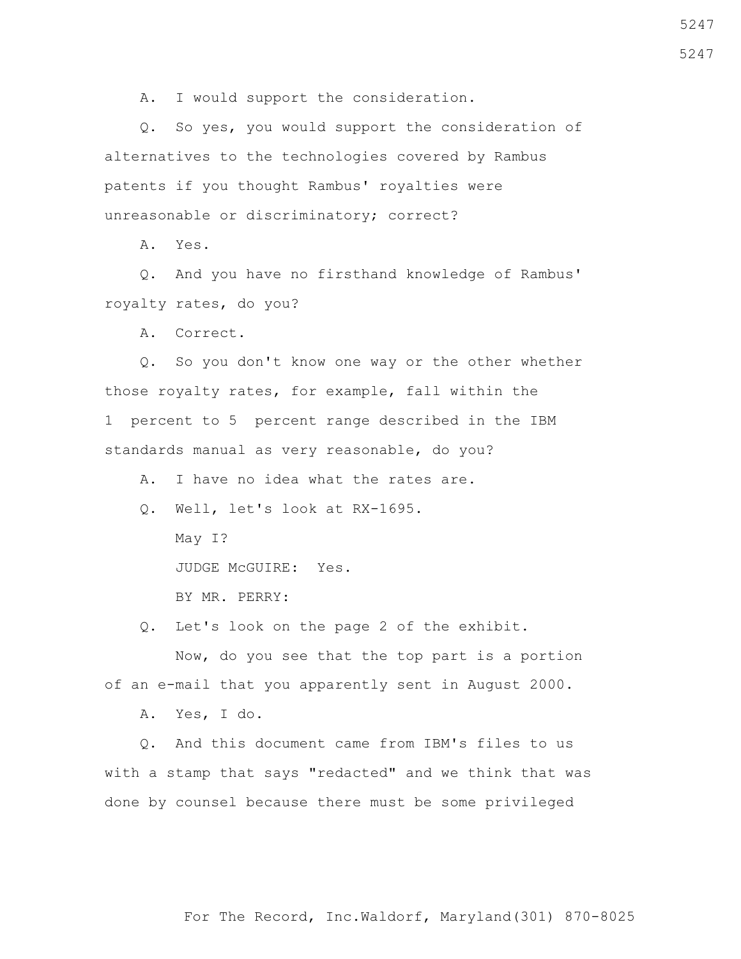A. I would support the consideration.

 Q. So yes, you would support the consideration of alternatives to the technologies covered by Rambus patents if you thought Rambus' royalties were unreasonable or discriminatory; correct?

A. Yes.

 Q. And you have no firsthand knowledge of Rambus' royalty rates, do you?

A. Correct.

 Q. So you don't know one way or the other whether those royalty rates, for example, fall within the 1 percent to 5 percent range described in the IBM standards manual as very reasonable, do you?

A. I have no idea what the rates are.

 Q. Well, let's look at RX-1695. May I? JUDGE McGUIRE: Yes. BY MR. PERRY:

Q. Let's look on the page 2 of the exhibit.

 Now, do you see that the top part is a portion of an e-mail that you apparently sent in August 2000.

A. Yes, I do.

 Q. And this document came from IBM's files to us with a stamp that says "redacted" and we think that was done by counsel because there must be some privileged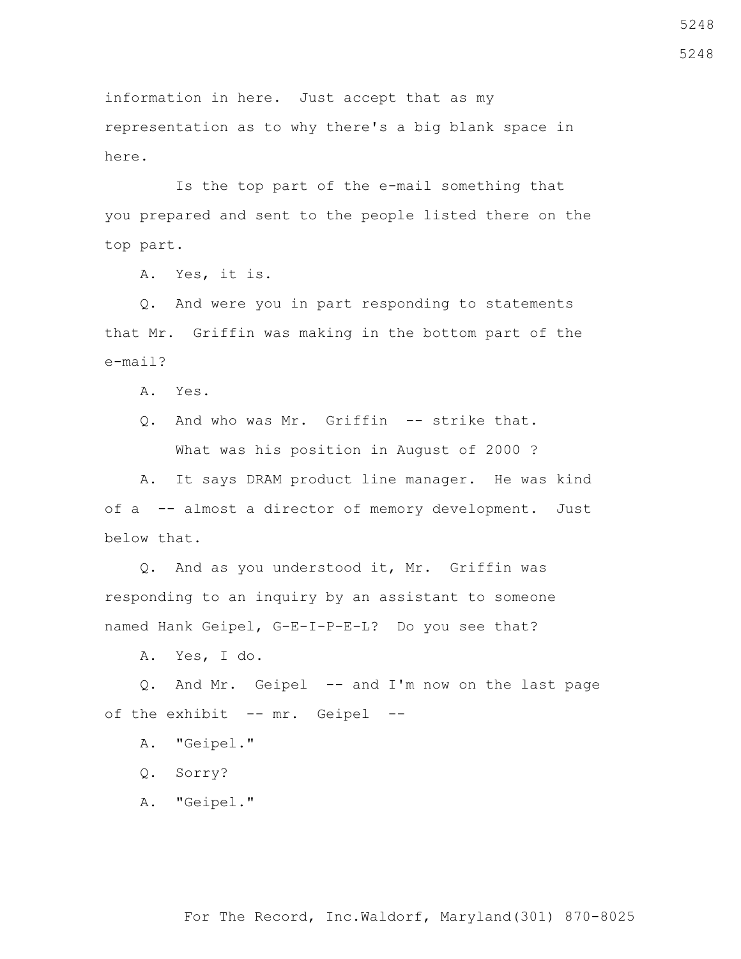information in here. Just accept that as my representation as to why there's a big blank space in here.

 Is the top part of the e-mail something that you prepared and sent to the people listed there on the top part.

A. Yes, it is.

 Q. And were you in part responding to statements that Mr. Griffin was making in the bottom part of the e-mail?

A. Yes.

 Q. And who was Mr. Griffin -- strike that. What was his position in August of 2000 ?

 A. It says DRAM product line manager. He was kind of a -- almost a director of memory development. Just below that.

 Q. And as you understood it, Mr. Griffin was responding to an inquiry by an assistant to someone named Hank Geipel, G-E-I-P-E-L? Do you see that?

A. Yes, I do.

Q. And Mr. Geipel -- and I'm now on the last page of the exhibit -- mr. Geipel --

A. "Geipel."

Q. Sorry?

A. "Geipel."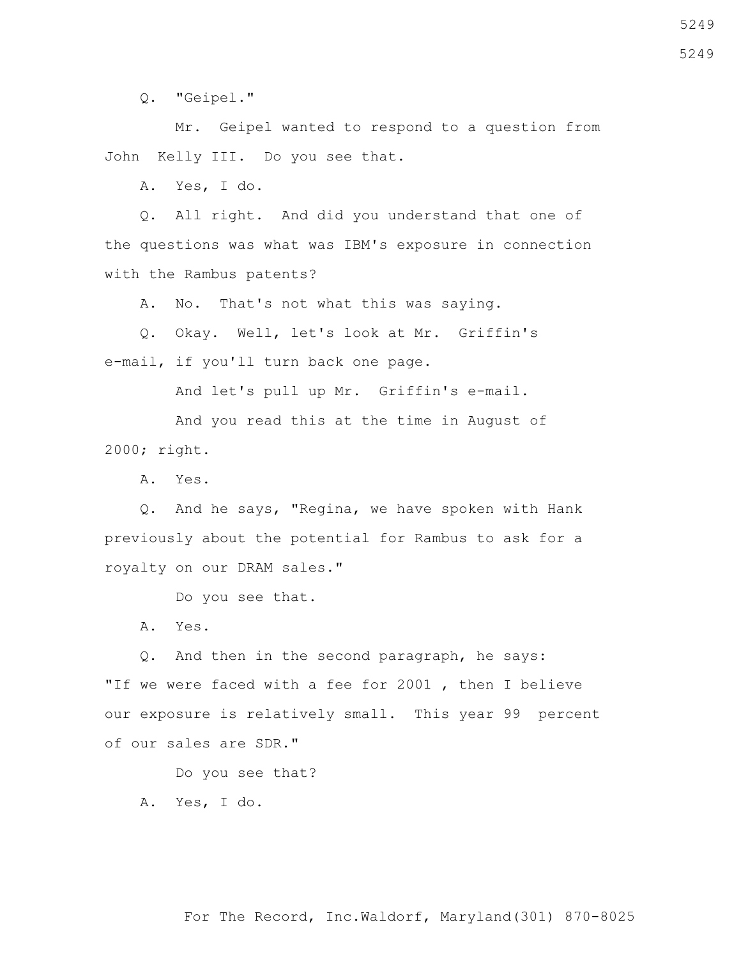Q. "Geipel."

 Mr. Geipel wanted to respond to a question from John Kelly III. Do you see that.

A. Yes, I do.

 Q. All right. And did you understand that one of the questions was what was IBM's exposure in connection with the Rambus patents?

A. No. That's not what this was saying.

 Q. Okay. Well, let's look at Mr. Griffin's e-mail, if you'll turn back one page.

And let's pull up Mr. Griffin's e-mail.

 And you read this at the time in August of 2000; right.

A. Yes.

 Q. And he says, "Regina, we have spoken with Hank previously about the potential for Rambus to ask for a royalty on our DRAM sales."

Do you see that.

A. Yes.

 Q. And then in the second paragraph, he says: "If we were faced with a fee for 2001 , then I believe our exposure is relatively small. This year 99 percent of our sales are SDR."

Do you see that?

A. Yes, I do.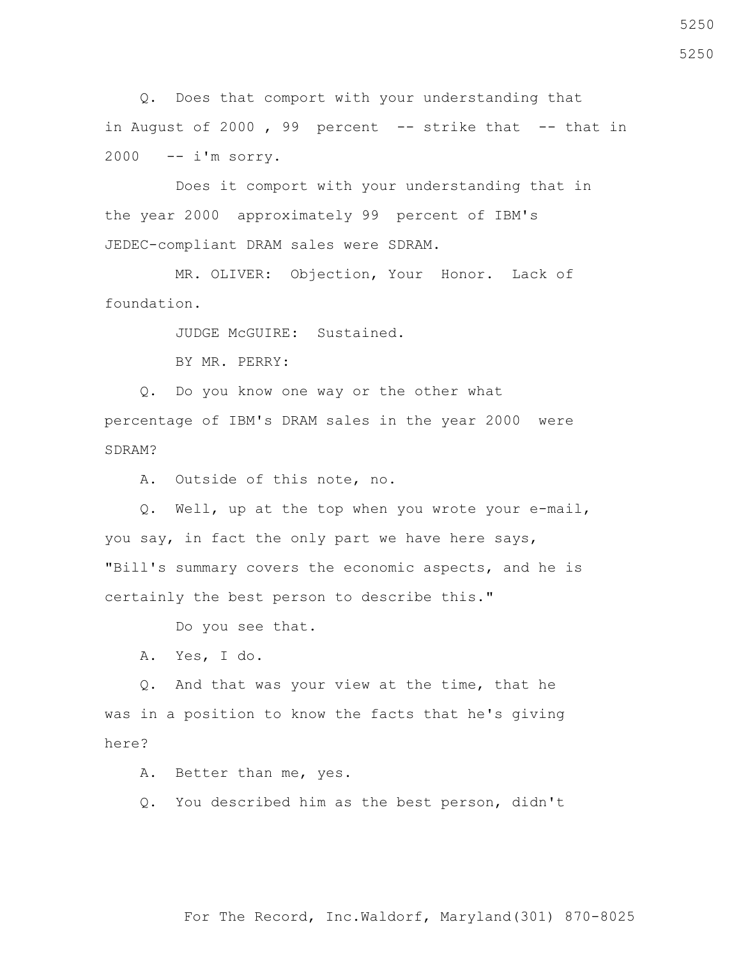Q. Does that comport with your understanding that in August of 2000, 99 percent  $-$ - strike that  $-$ - that in 2000 -- i'm sorry.

 Does it comport with your understanding that in the year 2000 approximately 99 percent of IBM's JEDEC-compliant DRAM sales were SDRAM.

 MR. OLIVER: Objection, Your Honor. Lack of foundation.

JUDGE McGUIRE: Sustained.

BY MR. PERRY:

 Q. Do you know one way or the other what percentage of IBM's DRAM sales in the year 2000 were SDRAM?

A. Outside of this note, no.

 Q. Well, up at the top when you wrote your e-mail, you say, in fact the only part we have here says, "Bill's summary covers the economic aspects, and he is certainly the best person to describe this."

Do you see that.

A. Yes, I do.

 Q. And that was your view at the time, that he was in a position to know the facts that he's giving here?

A. Better than me, yes.

Q. You described him as the best person, didn't

For The Record, Inc.Waldorf, Maryland(301) 870-8025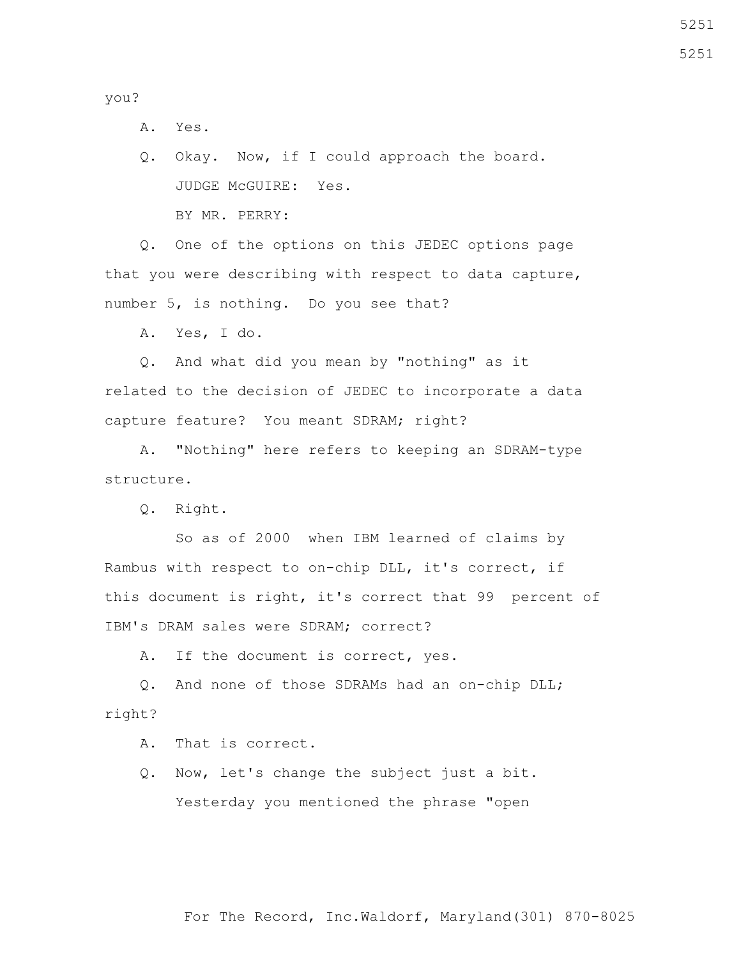you?

A. Yes.

 Q. Okay. Now, if I could approach the board. JUDGE McGUIRE: Yes. BY MR. PERRY:

 Q. One of the options on this JEDEC options page that you were describing with respect to data capture, number 5, is nothing. Do you see that?

A. Yes, I do.

 Q. And what did you mean by "nothing" as it related to the decision of JEDEC to incorporate a data capture feature? You meant SDRAM; right?

 A. "Nothing" here refers to keeping an SDRAM-type structure.

Q. Right.

 So as of 2000 when IBM learned of claims by Rambus with respect to on-chip DLL, it's correct, if this document is right, it's correct that 99 percent of IBM's DRAM sales were SDRAM; correct?

A. If the document is correct, yes.

 Q. And none of those SDRAMs had an on-chip DLL; right?

A. That is correct.

 Q. Now, let's change the subject just a bit. Yesterday you mentioned the phrase "open

5251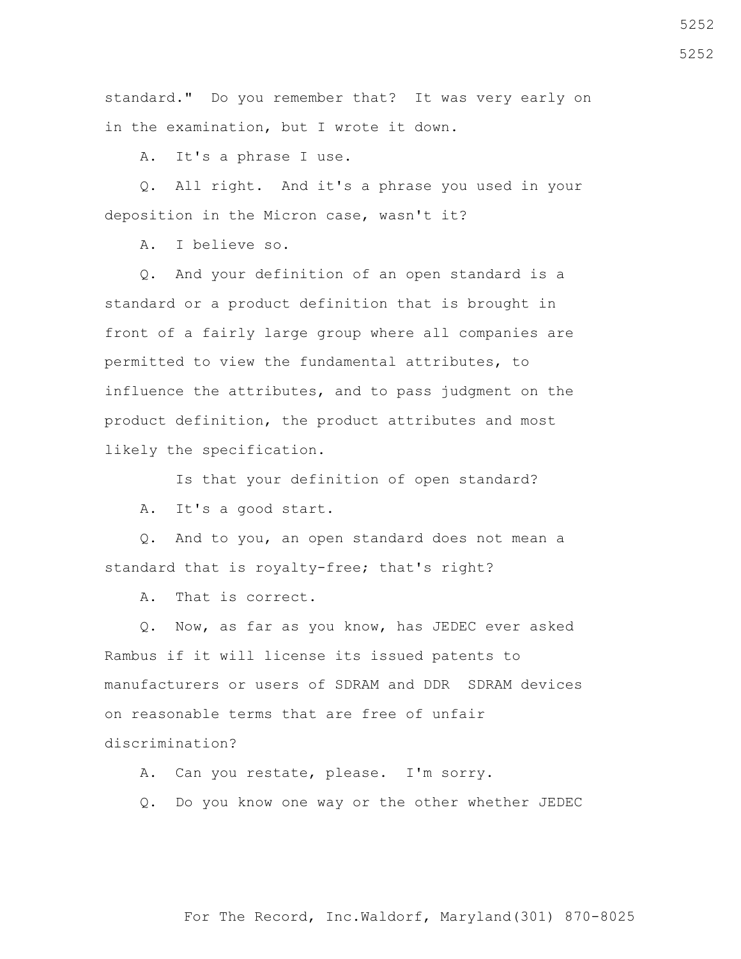standard." Do you remember that? It was very early on in the examination, but I wrote it down.

A. It's a phrase I use.

 Q. All right. And it's a phrase you used in your deposition in the Micron case, wasn't it?

A. I believe so.

 Q. And your definition of an open standard is a standard or a product definition that is brought in front of a fairly large group where all companies are permitted to view the fundamental attributes, to influence the attributes, and to pass judgment on the product definition, the product attributes and most likely the specification.

Is that your definition of open standard?

A. It's a good start.

 Q. And to you, an open standard does not mean a standard that is royalty-free; that's right?

A. That is correct.

 Q. Now, as far as you know, has JEDEC ever asked Rambus if it will license its issued patents to manufacturers or users of SDRAM and DDR SDRAM devices on reasonable terms that are free of unfair discrimination?

A. Can you restate, please. I'm sorry.

Q. Do you know one way or the other whether JEDEC

For The Record, Inc.Waldorf, Maryland(301) 870-8025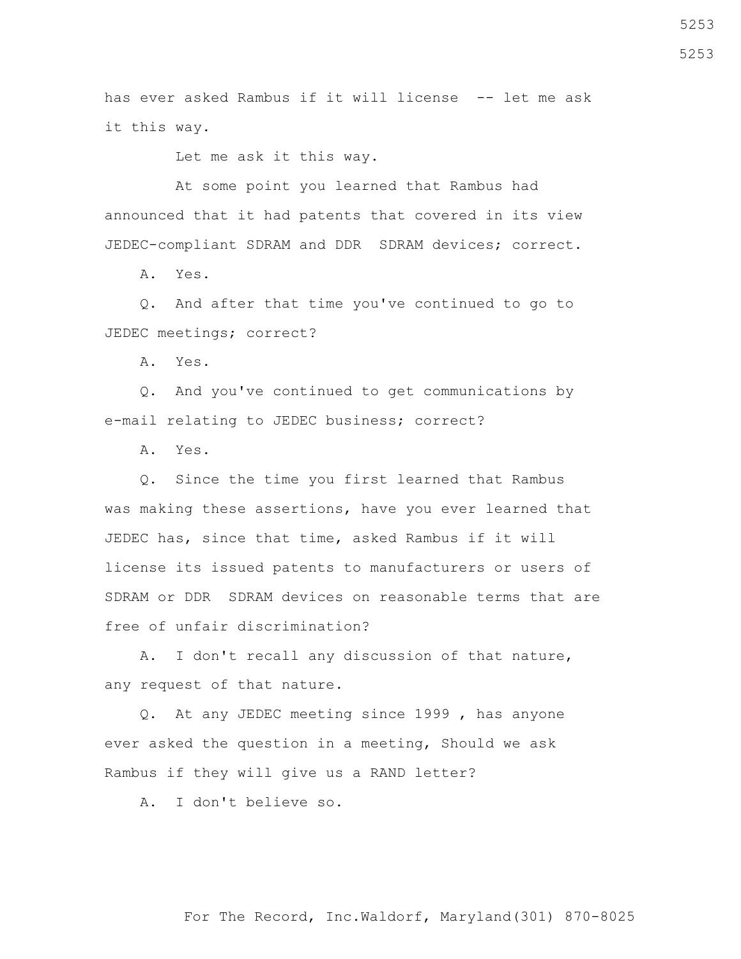has ever asked Rambus if it will license -- let me ask it this way.

Let me ask it this way.

 At some point you learned that Rambus had announced that it had patents that covered in its view JEDEC-compliant SDRAM and DDR SDRAM devices; correct.

A. Yes.

 Q. And after that time you've continued to go to JEDEC meetings; correct?

A. Yes.

 Q. And you've continued to get communications by e-mail relating to JEDEC business; correct?

A. Yes.

 Q. Since the time you first learned that Rambus was making these assertions, have you ever learned that JEDEC has, since that time, asked Rambus if it will license its issued patents to manufacturers or users of SDRAM or DDR SDRAM devices on reasonable terms that are free of unfair discrimination?

 A. I don't recall any discussion of that nature, any request of that nature.

 Q. At any JEDEC meeting since 1999 , has anyone ever asked the question in a meeting, Should we ask Rambus if they will give us a RAND letter?

A. I don't believe so.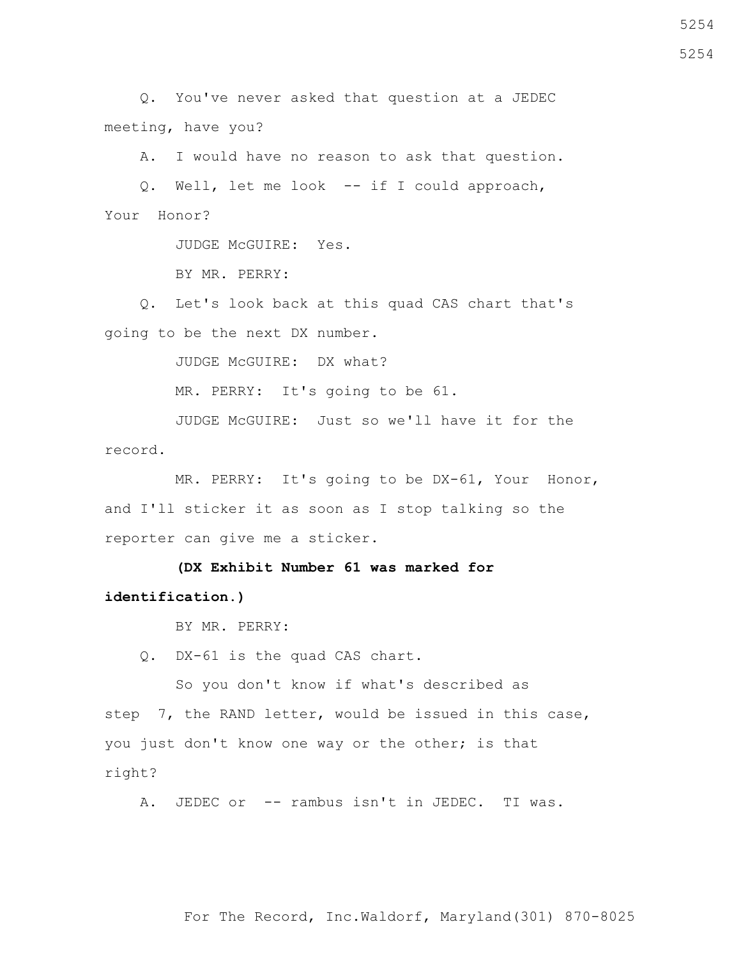Q. You've never asked that question at a JEDEC meeting, have you?

A. I would have no reason to ask that question.

 Q. Well, let me look -- if I could approach, Your Honor?

JUDGE McGUIRE: Yes.

BY MR. PERRY:

 Q. Let's look back at this quad CAS chart that's going to be the next DX number.

JUDGE McGUIRE: DX what?

MR. PERRY: It's going to be 61.

 JUDGE McGUIRE: Just so we'll have it for the record.

 MR. PERRY: It's going to be DX-61, Your Honor, and I'll sticker it as soon as I stop talking so the reporter can give me a sticker.

 **(DX Exhibit Number 61 was marked for identification.)**

BY MR. PERRY:

Q. DX-61 is the quad CAS chart.

 So you don't know if what's described as step 7, the RAND letter, would be issued in this case, you just don't know one way or the other; is that right?

A. JEDEC or -- rambus isn't in JEDEC. TI was.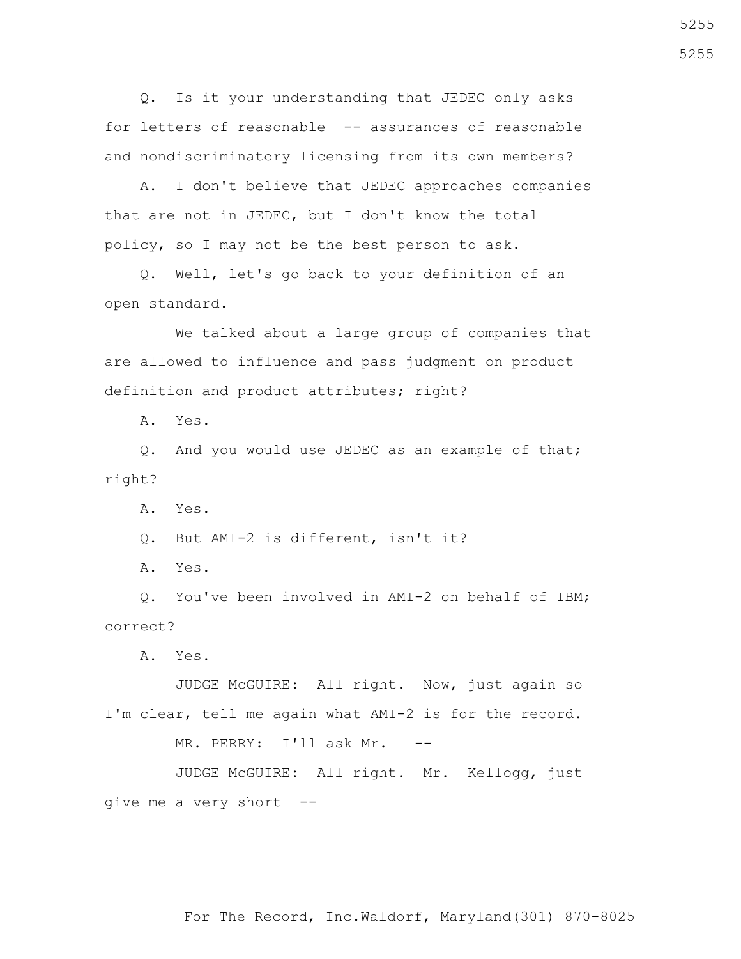Q. Is it your understanding that JEDEC only asks for letters of reasonable -- assurances of reasonable and nondiscriminatory licensing from its own members?

 A. I don't believe that JEDEC approaches companies that are not in JEDEC, but I don't know the total policy, so I may not be the best person to ask.

 Q. Well, let's go back to your definition of an open standard.

 We talked about a large group of companies that are allowed to influence and pass judgment on product definition and product attributes; right?

A. Yes.

 Q. And you would use JEDEC as an example of that; right?

A. Yes.

Q. But AMI-2 is different, isn't it?

A. Yes.

 Q. You've been involved in AMI-2 on behalf of IBM; correct?

A. Yes.

 JUDGE McGUIRE: All right. Now, just again so I'm clear, tell me again what AMI-2 is for the record.

MR. PERRY: I'll ask Mr. --

 JUDGE McGUIRE: All right. Mr. Kellogg, just give me a very short --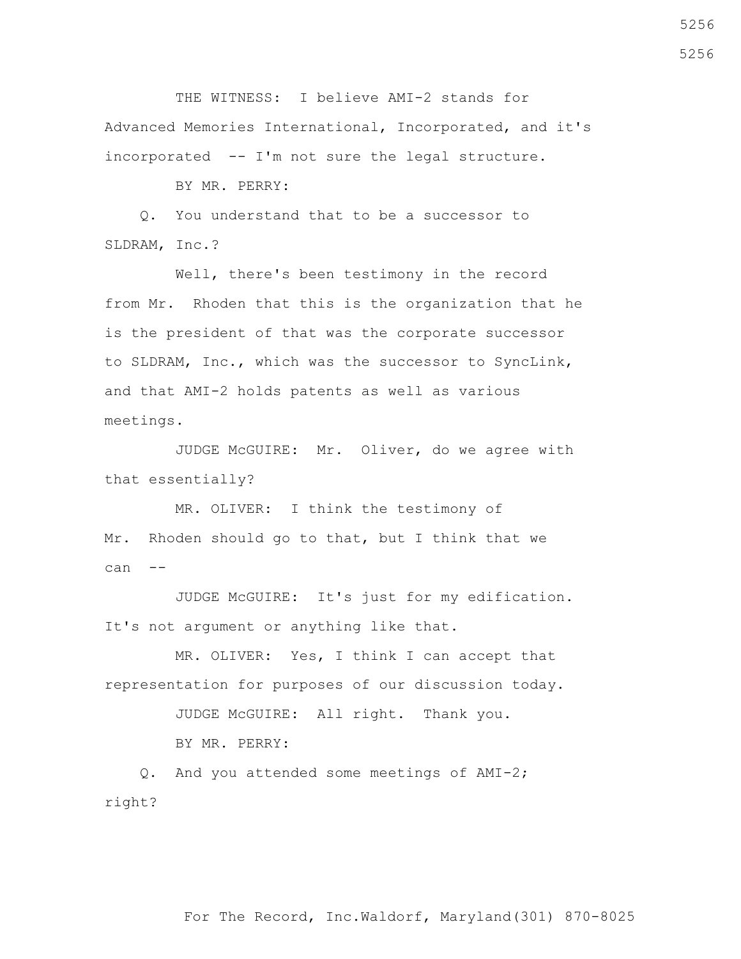THE WITNESS: I believe AMI-2 stands for Advanced Memories International, Incorporated, and it's incorporated -- I'm not sure the legal structure.

BY MR. PERRY:

 Q. You understand that to be a successor to SLDRAM, Inc.?

 Well, there's been testimony in the record from Mr. Rhoden that this is the organization that he is the president of that was the corporate successor to SLDRAM, Inc., which was the successor to SyncLink, and that AMI-2 holds patents as well as various meetings.

 JUDGE McGUIRE: Mr. Oliver, do we agree with that essentially?

 MR. OLIVER: I think the testimony of Mr. Rhoden should go to that, but I think that we can --

 JUDGE McGUIRE: It's just for my edification. It's not argument or anything like that.

 MR. OLIVER: Yes, I think I can accept that representation for purposes of our discussion today.

> JUDGE McGUIRE: All right. Thank you. BY MR. PERRY:

 Q. And you attended some meetings of AMI-2; right?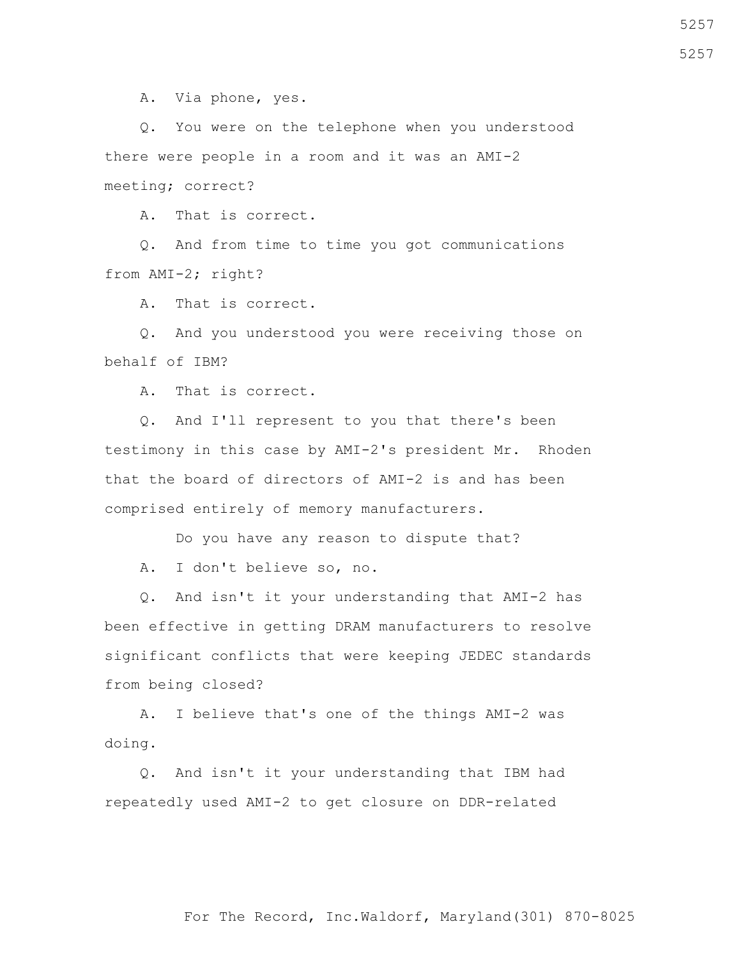A. Via phone, yes.

 Q. You were on the telephone when you understood there were people in a room and it was an AMI-2 meeting; correct?

A. That is correct.

 Q. And from time to time you got communications from AMI-2; right?

A. That is correct.

 Q. And you understood you were receiving those on behalf of IBM?

A. That is correct.

 Q. And I'll represent to you that there's been testimony in this case by AMI-2's president Mr. Rhoden that the board of directors of AMI-2 is and has been comprised entirely of memory manufacturers.

Do you have any reason to dispute that?

A. I don't believe so, no.

 Q. And isn't it your understanding that AMI-2 has been effective in getting DRAM manufacturers to resolve significant conflicts that were keeping JEDEC standards from being closed?

 A. I believe that's one of the things AMI-2 was doing.

 Q. And isn't it your understanding that IBM had repeatedly used AMI-2 to get closure on DDR-related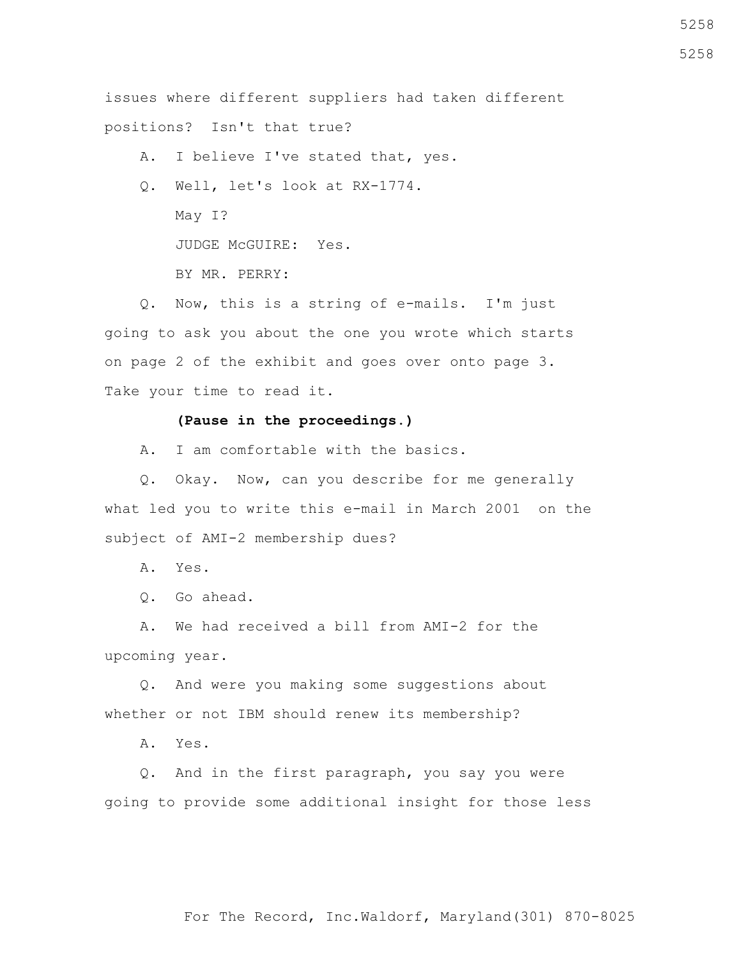issues where different suppliers had taken different positions? Isn't that true?

A. I believe I've stated that, yes.

Q. Well, let's look at RX-1774.

 May I? JUDGE McGUIRE: Yes. BY MR. PERRY:

 Q. Now, this is a string of e-mails. I'm just going to ask you about the one you wrote which starts on page 2 of the exhibit and goes over onto page 3. Take your time to read it.

## **(Pause in the proceedings.)**

A. I am comfortable with the basics.

 Q. Okay. Now, can you describe for me generally what led you to write this e-mail in March 2001 on the subject of AMI-2 membership dues?

A. Yes.

Q. Go ahead.

 A. We had received a bill from AMI-2 for the upcoming year.

 Q. And were you making some suggestions about whether or not IBM should renew its membership?

A. Yes.

 Q. And in the first paragraph, you say you were going to provide some additional insight for those less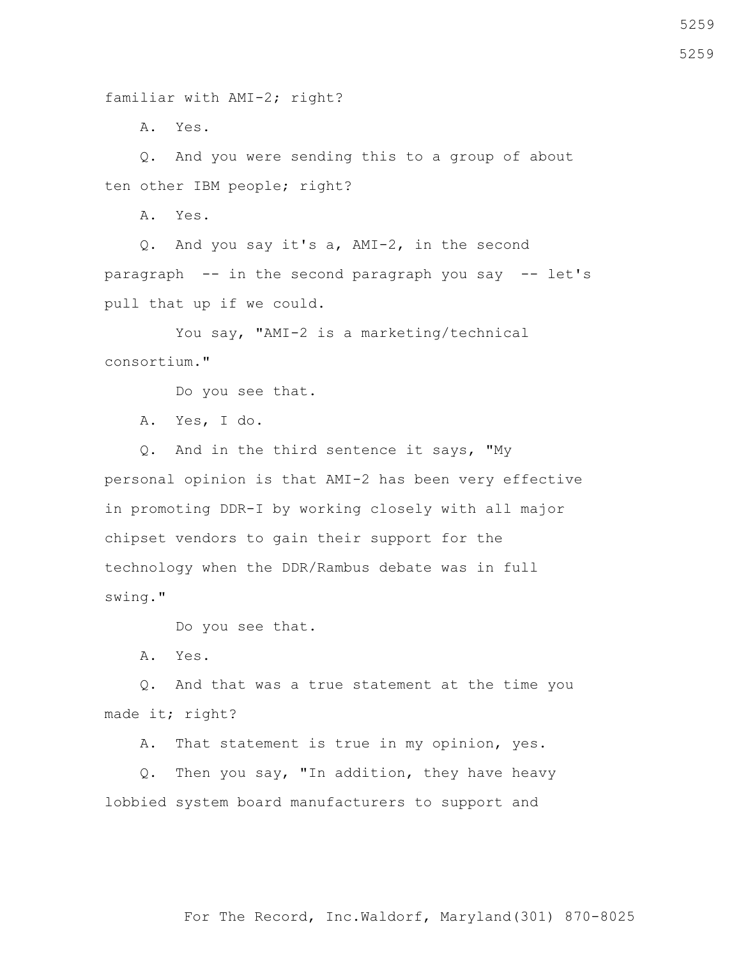familiar with AMI-2; right?

A. Yes.

 Q. And you were sending this to a group of about ten other IBM people; right?

A. Yes.

 Q. And you say it's a, AMI-2, in the second paragraph -- in the second paragraph you say -- let's pull that up if we could.

 You say, "AMI-2 is a marketing/technical consortium."

Do you see that.

A. Yes, I do.

 Q. And in the third sentence it says, "My personal opinion is that AMI-2 has been very effective in promoting DDR-I by working closely with all major chipset vendors to gain their support for the technology when the DDR/Rambus debate was in full swing."

Do you see that.

A. Yes.

 Q. And that was a true statement at the time you made it; right?

A. That statement is true in my opinion, yes.

 Q. Then you say, "In addition, they have heavy lobbied system board manufacturers to support and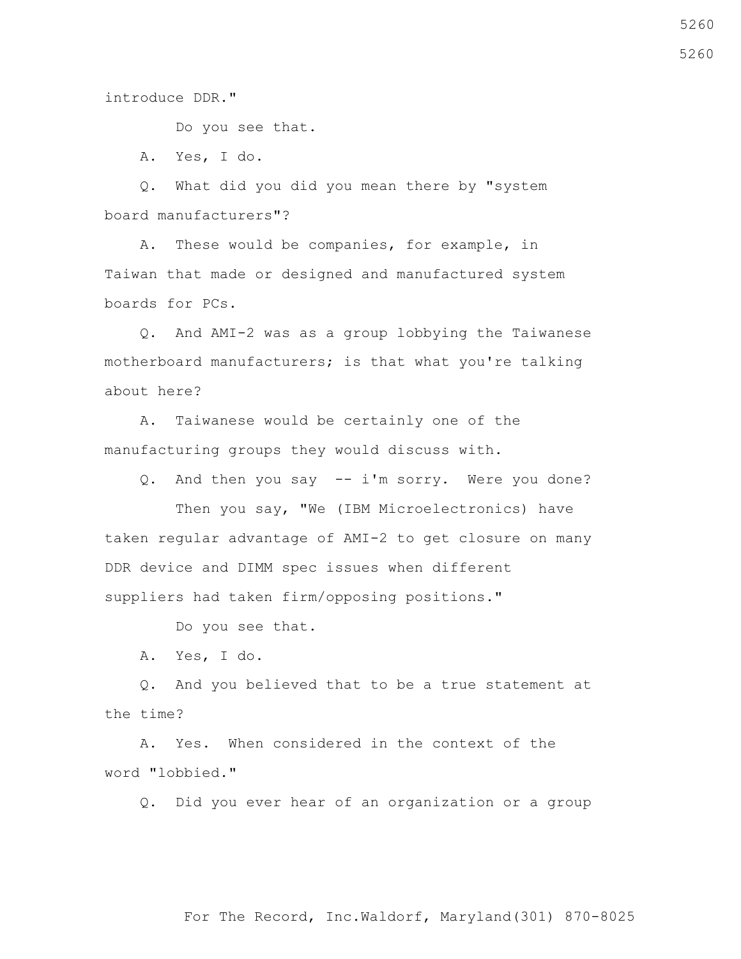introduce DDR."

Do you see that.

A. Yes, I do.

 Q. What did you did you mean there by "system board manufacturers"?

 A. These would be companies, for example, in Taiwan that made or designed and manufactured system boards for PCs.

 Q. And AMI-2 was as a group lobbying the Taiwanese motherboard manufacturers; is that what you're talking about here?

 A. Taiwanese would be certainly one of the manufacturing groups they would discuss with.

Q. And then you say -- i'm sorry. Were you done?

 Then you say, "We (IBM Microelectronics) have taken regular advantage of AMI-2 to get closure on many DDR device and DIMM spec issues when different suppliers had taken firm/opposing positions."

Do you see that.

A. Yes, I do.

 Q. And you believed that to be a true statement at the time?

 A. Yes. When considered in the context of the word "lobbied."

Q. Did you ever hear of an organization or a group

For The Record, Inc.Waldorf, Maryland(301) 870-8025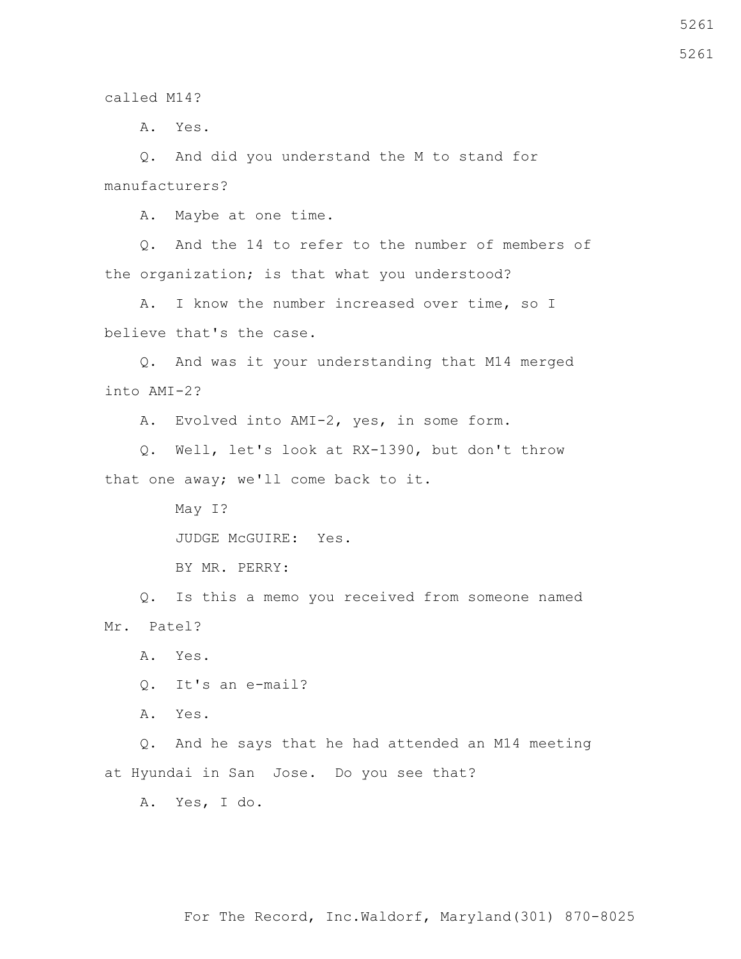called M14?

A. Yes.

 Q. And did you understand the M to stand for manufacturers?

A. Maybe at one time.

 Q. And the 14 to refer to the number of members of the organization; is that what you understood?

 A. I know the number increased over time, so I believe that's the case.

 Q. And was it your understanding that M14 merged into AMI-2?

A. Evolved into AMI-2, yes, in some form.

 Q. Well, let's look at RX-1390, but don't throw that one away; we'll come back to it.

> May I? JUDGE McGUIRE: Yes. BY MR. PERRY:

 Q. Is this a memo you received from someone named Mr. Patel?

A. Yes.

Q. It's an e-mail?

A. Yes.

 Q. And he says that he had attended an M14 meeting at Hyundai in San Jose. Do you see that?

A. Yes, I do.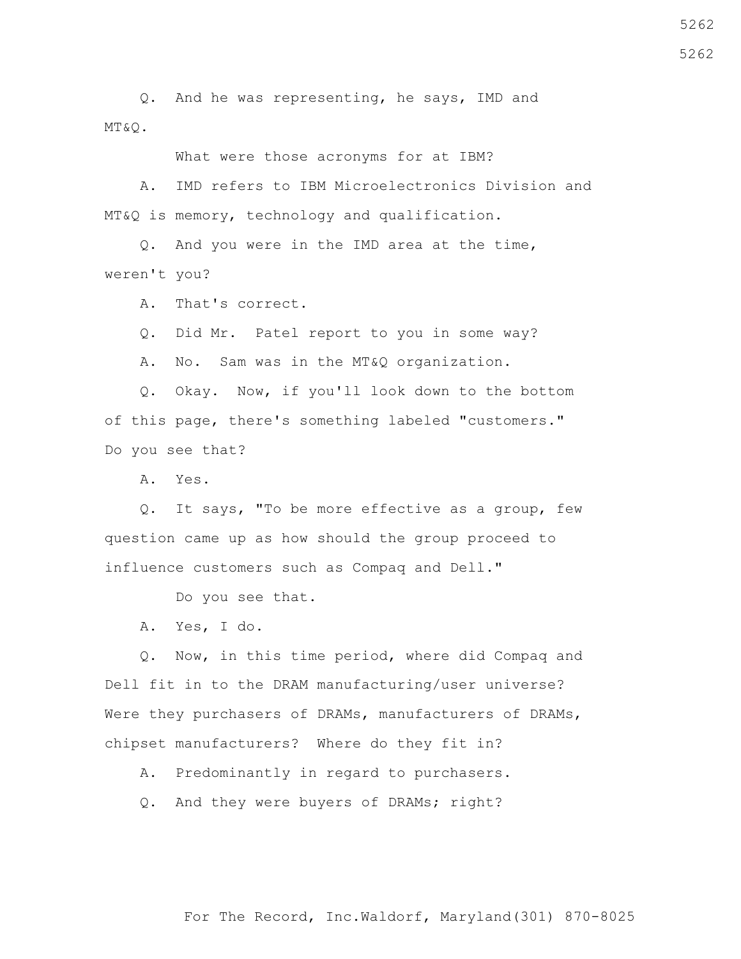Q. And he was representing, he says, IMD and MT&Q.

What were those acronyms for at IBM?

 A. IMD refers to IBM Microelectronics Division and MT&Q is memory, technology and qualification.

 Q. And you were in the IMD area at the time, weren't you?

A. That's correct.

Q. Did Mr. Patel report to you in some way?

A. No. Sam was in the MT&Q organization.

 Q. Okay. Now, if you'll look down to the bottom of this page, there's something labeled "customers." Do you see that?

A. Yes.

 Q. It says, "To be more effective as a group, few question came up as how should the group proceed to influence customers such as Compaq and Dell."

Do you see that.

A. Yes, I do.

 Q. Now, in this time period, where did Compaq and Dell fit in to the DRAM manufacturing/user universe? Were they purchasers of DRAMs, manufacturers of DRAMs, chipset manufacturers? Where do they fit in?

A. Predominantly in regard to purchasers.

Q. And they were buyers of DRAMs; right?

For The Record, Inc.Waldorf, Maryland(301) 870-8025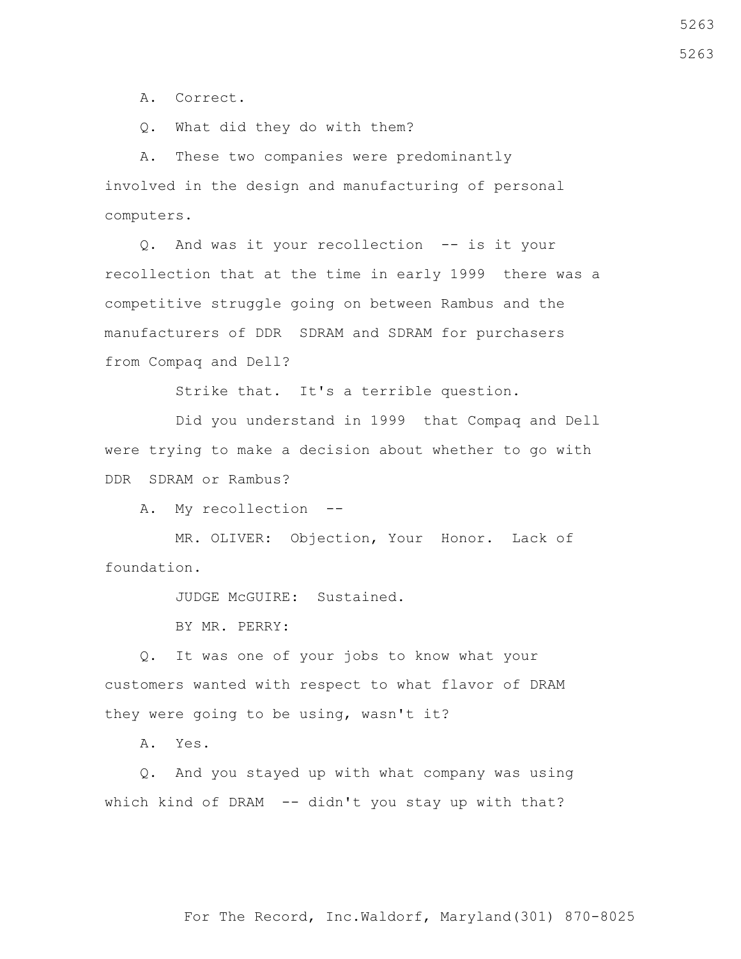A. Correct.

Q. What did they do with them?

 A. These two companies were predominantly involved in the design and manufacturing of personal computers.

 Q. And was it your recollection -- is it your recollection that at the time in early 1999 there was a competitive struggle going on between Rambus and the manufacturers of DDR SDRAM and SDRAM for purchasers from Compaq and Dell?

Strike that. It's a terrible question.

 Did you understand in 1999 that Compaq and Dell were trying to make a decision about whether to go with DDR SDRAM or Rambus?

A. My recollection --

 MR. OLIVER: Objection, Your Honor. Lack of foundation.

JUDGE McGUIRE: Sustained.

BY MR. PERRY:

 Q. It was one of your jobs to know what your customers wanted with respect to what flavor of DRAM they were going to be using, wasn't it?

A. Yes.

 Q. And you stayed up with what company was using which kind of DRAM -- didn't you stay up with that?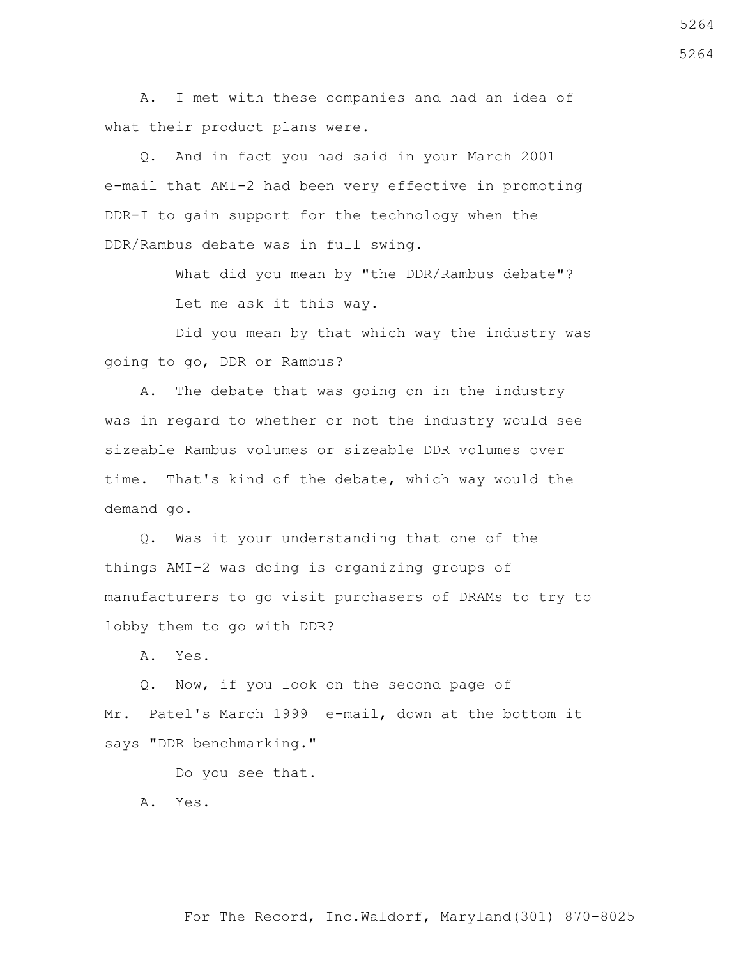A. I met with these companies and had an idea of what their product plans were.

 Q. And in fact you had said in your March 2001 e-mail that AMI-2 had been very effective in promoting DDR-I to gain support for the technology when the DDR/Rambus debate was in full swing.

> What did you mean by "the DDR/Rambus debate"? Let me ask it this way.

 Did you mean by that which way the industry was going to go, DDR or Rambus?

 A. The debate that was going on in the industry was in regard to whether or not the industry would see sizeable Rambus volumes or sizeable DDR volumes over time. That's kind of the debate, which way would the demand go.

 Q. Was it your understanding that one of the things AMI-2 was doing is organizing groups of manufacturers to go visit purchasers of DRAMs to try to lobby them to go with DDR?

A. Yes.

 Q. Now, if you look on the second page of Mr. Patel's March 1999 e-mail, down at the bottom it says "DDR benchmarking."

Do you see that.

A. Yes.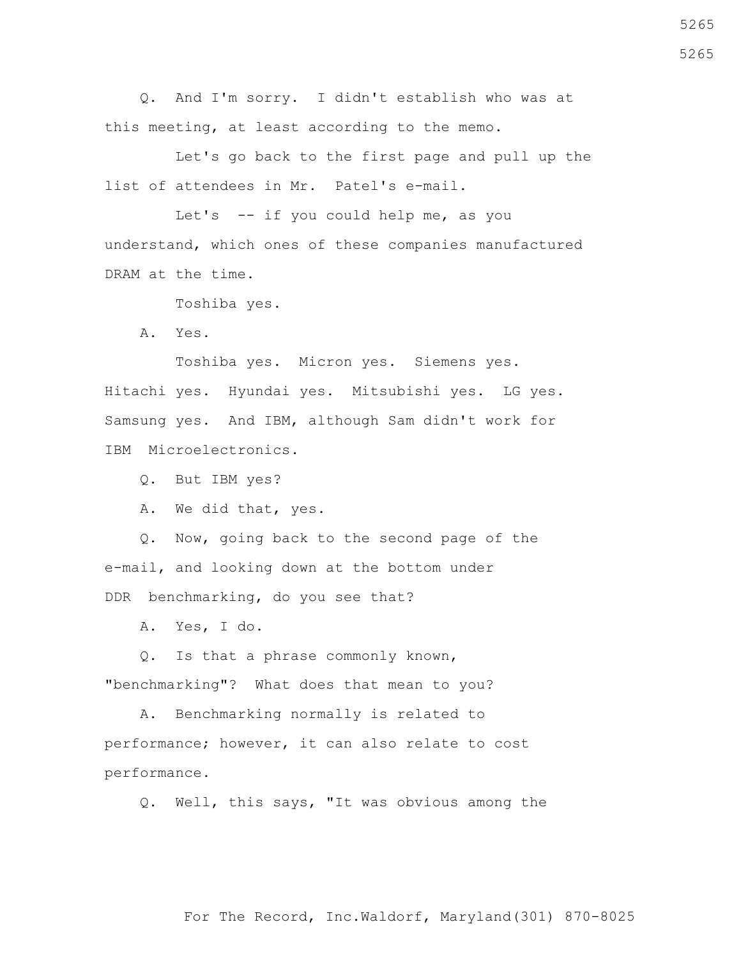Q. And I'm sorry. I didn't establish who was at this meeting, at least according to the memo.

 Let's go back to the first page and pull up the list of attendees in Mr. Patel's e-mail.

 Let's -- if you could help me, as you understand, which ones of these companies manufactured DRAM at the time.

Toshiba yes.

A. Yes.

 Toshiba yes. Micron yes. Siemens yes. Hitachi yes. Hyundai yes. Mitsubishi yes. LG yes. Samsung yes. And IBM, although Sam didn't work for IBM Microelectronics.

Q. But IBM yes?

A. We did that, yes.

 Q. Now, going back to the second page of the e-mail, and looking down at the bottom under DDR benchmarking, do you see that?

A. Yes, I do.

 Q. Is that a phrase commonly known, "benchmarking"? What does that mean to you?

 A. Benchmarking normally is related to performance; however, it can also relate to cost performance.

Q. Well, this says, "It was obvious among the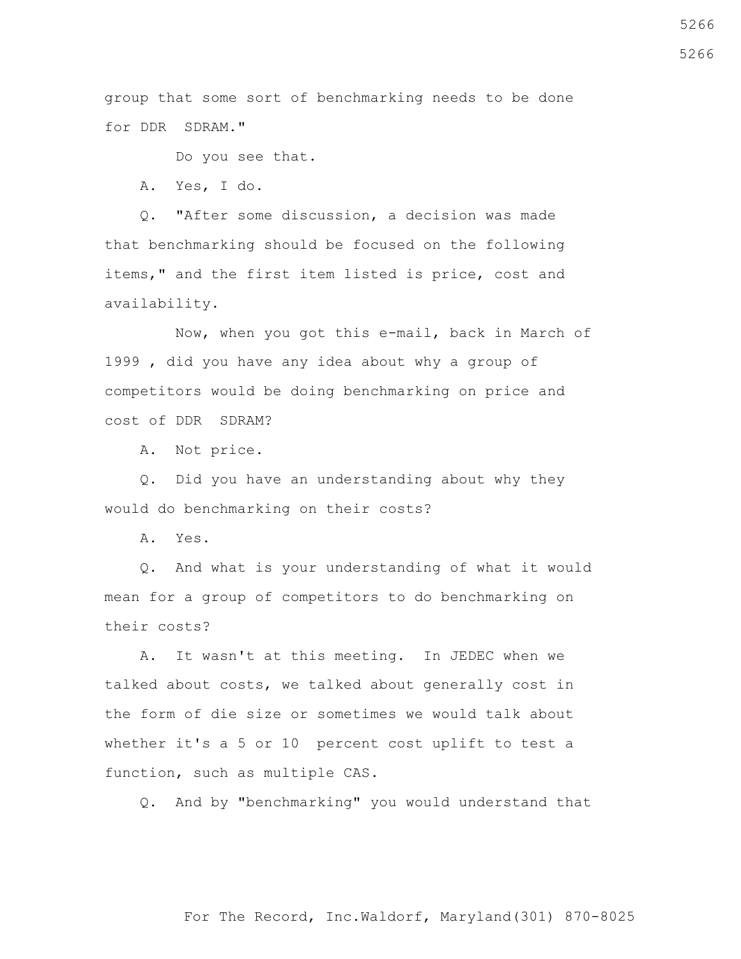group that some sort of benchmarking needs to be done for DDR SDRAM."

Do you see that.

A. Yes, I do.

 Q. "After some discussion, a decision was made that benchmarking should be focused on the following items," and the first item listed is price, cost and availability.

 Now, when you got this e-mail, back in March of 1999 , did you have any idea about why a group of competitors would be doing benchmarking on price and cost of DDR SDRAM?

A. Not price.

 Q. Did you have an understanding about why they would do benchmarking on their costs?

A. Yes.

 Q. And what is your understanding of what it would mean for a group of competitors to do benchmarking on their costs?

 A. It wasn't at this meeting. In JEDEC when we talked about costs, we talked about generally cost in the form of die size or sometimes we would talk about whether it's a 5 or 10 percent cost uplift to test a function, such as multiple CAS.

Q. And by "benchmarking" you would understand that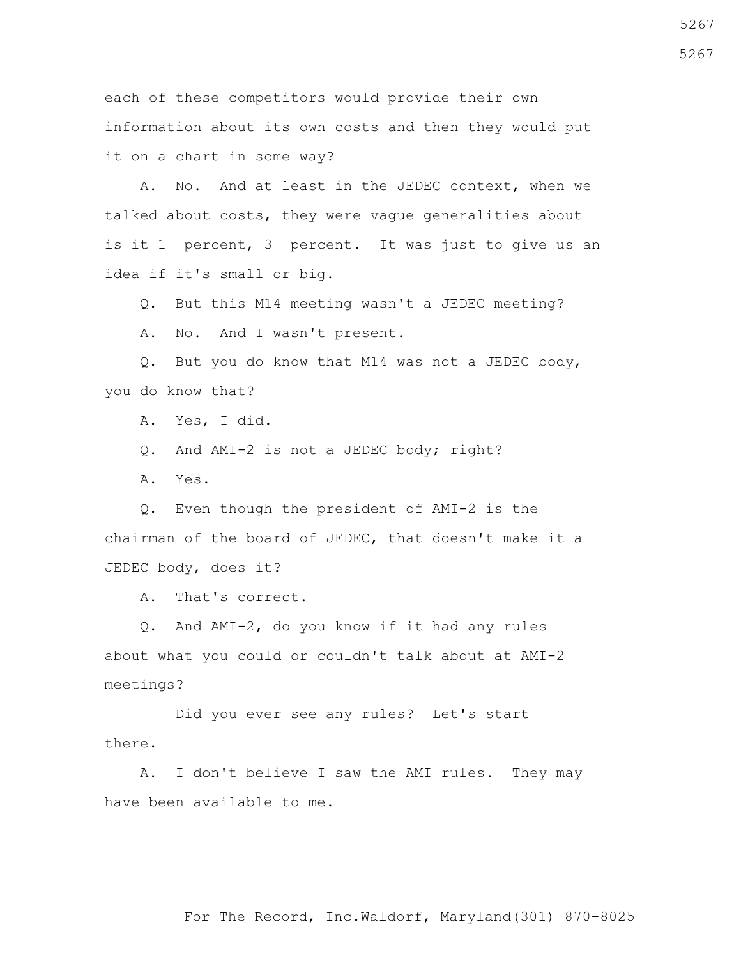each of these competitors would provide their own information about its own costs and then they would put it on a chart in some way?

 A. No. And at least in the JEDEC context, when we talked about costs, they were vague generalities about is it 1 percent, 3 percent. It was just to give us an idea if it's small or big.

Q. But this M14 meeting wasn't a JEDEC meeting?

A. No. And I wasn't present.

 Q. But you do know that M14 was not a JEDEC body, you do know that?

A. Yes, I did.

Q. And AMI-2 is not a JEDEC body; right?

A. Yes.

 Q. Even though the president of AMI-2 is the chairman of the board of JEDEC, that doesn't make it a JEDEC body, does it?

A. That's correct.

 Q. And AMI-2, do you know if it had any rules about what you could or couldn't talk about at AMI-2 meetings?

 Did you ever see any rules? Let's start there.

 A. I don't believe I saw the AMI rules. They may have been available to me.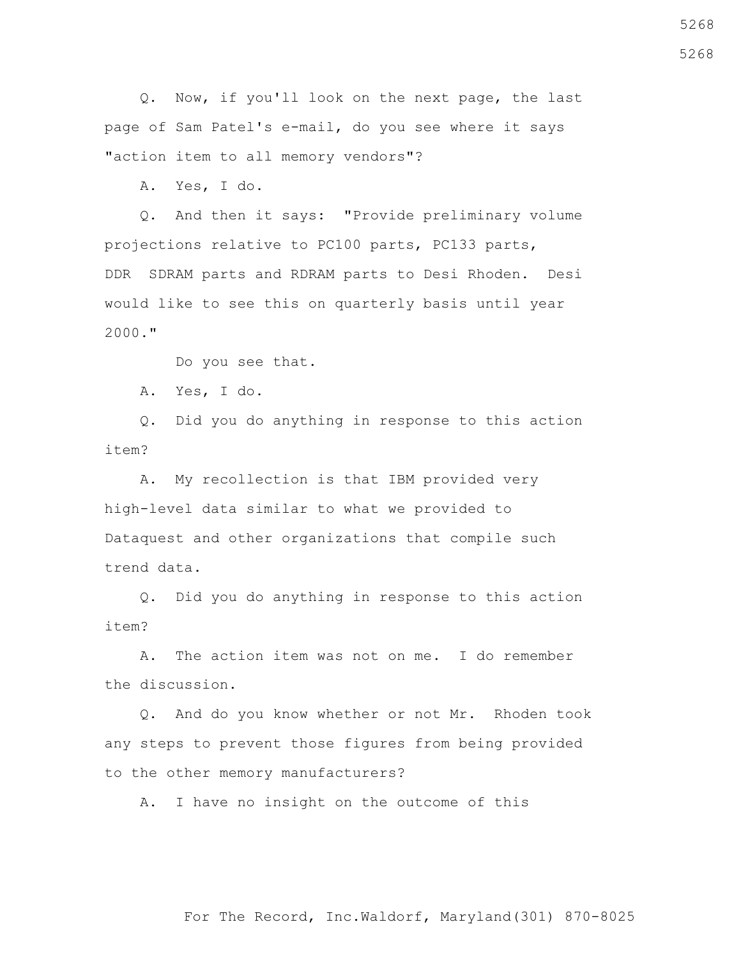Q. Now, if you'll look on the next page, the last page of Sam Patel's e-mail, do you see where it says "action item to all memory vendors"?

A. Yes, I do.

 Q. And then it says: "Provide preliminary volume projections relative to PC100 parts, PC133 parts, DDR SDRAM parts and RDRAM parts to Desi Rhoden. Desi would like to see this on quarterly basis until year 2000."

Do you see that.

A. Yes, I do.

 Q. Did you do anything in response to this action item?

 A. My recollection is that IBM provided very high-level data similar to what we provided to Dataquest and other organizations that compile such trend data.

 Q. Did you do anything in response to this action item?

 A. The action item was not on me. I do remember the discussion.

 Q. And do you know whether or not Mr. Rhoden took any steps to prevent those figures from being provided to the other memory manufacturers?

A. I have no insight on the outcome of this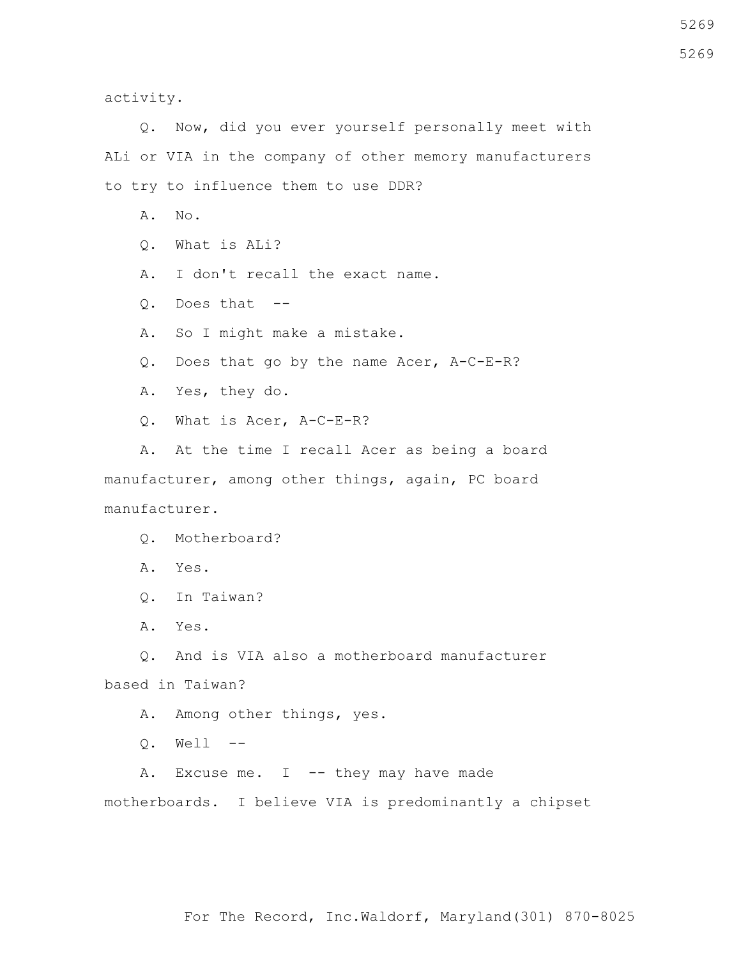activity.

 Q. Now, did you ever yourself personally meet with ALi or VIA in the company of other memory manufacturers to try to influence them to use DDR?

A. No.

Q. What is ALi?

A. I don't recall the exact name.

Q. Does that --

A. So I might make a mistake.

Q. Does that go by the name Acer, A-C-E-R?

A. Yes, they do.

Q. What is Acer, A-C-E-R?

 A. At the time I recall Acer as being a board manufacturer, among other things, again, PC board manufacturer.

Q. Motherboard?

A. Yes.

Q. In Taiwan?

A. Yes.

 Q. And is VIA also a motherboard manufacturer based in Taiwan?

A. Among other things, yes.

Q. Well --

A. Excuse me.  $I$  -- they may have made motherboards. I believe VIA is predominantly a chipset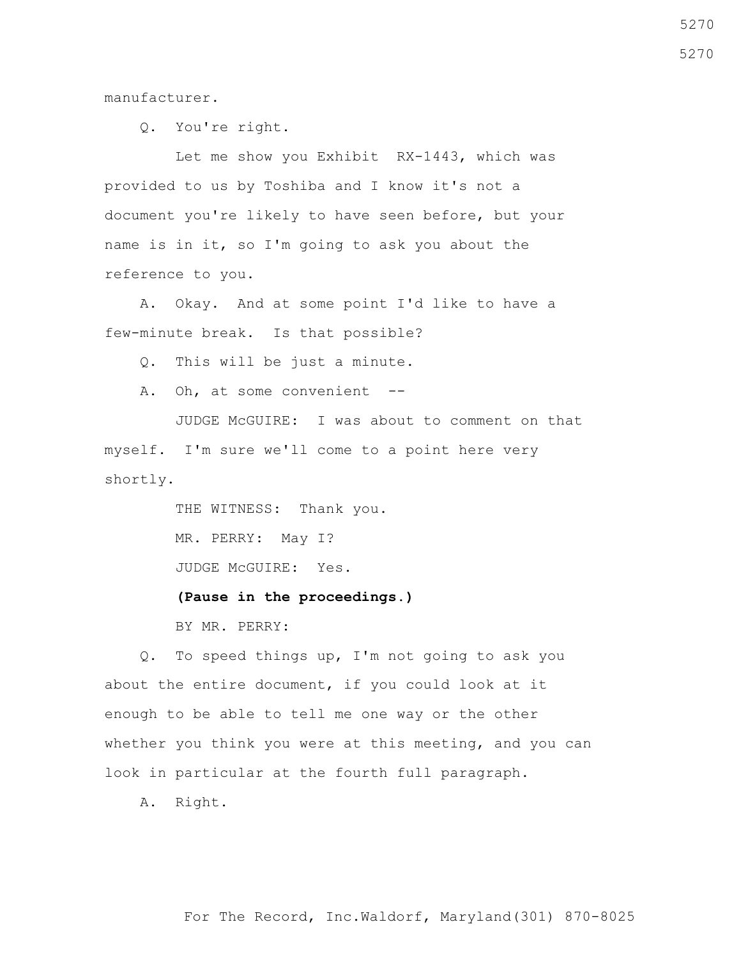manufacturer.

Q. You're right.

 Let me show you Exhibit RX-1443, which was provided to us by Toshiba and I know it's not a document you're likely to have seen before, but your name is in it, so I'm going to ask you about the reference to you.

 A. Okay. And at some point I'd like to have a few-minute break. Is that possible?

Q. This will be just a minute.

A. Oh, at some convenient --

 JUDGE McGUIRE: I was about to comment on that myself. I'm sure we'll come to a point here very shortly.

> THE WITNESS: Thank you. MR. PERRY: May I?

JUDGE McGUIRE: Yes.

## **(Pause in the proceedings.)**

BY MR. PERRY:

 Q. To speed things up, I'm not going to ask you about the entire document, if you could look at it enough to be able to tell me one way or the other whether you think you were at this meeting, and you can look in particular at the fourth full paragraph.

A. Right.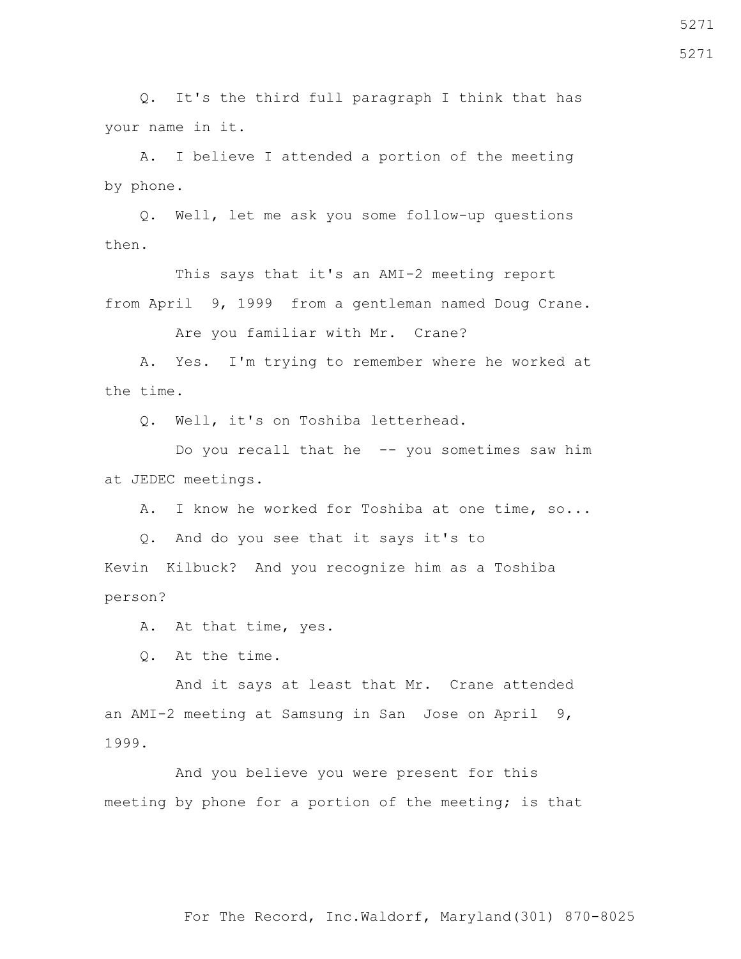Q. It's the third full paragraph I think that has your name in it.

 A. I believe I attended a portion of the meeting by phone.

 Q. Well, let me ask you some follow-up questions then.

 This says that it's an AMI-2 meeting report from April 9, 1999 from a gentleman named Doug Crane.

Are you familiar with Mr. Crane?

 A. Yes. I'm trying to remember where he worked at the time.

Q. Well, it's on Toshiba letterhead.

 Do you recall that he -- you sometimes saw him at JEDEC meetings.

A. I know he worked for Toshiba at one time, so...

Q. And do you see that it says it's to

Kevin Kilbuck? And you recognize him as a Toshiba person?

A. At that time, yes.

Q. At the time.

 And it says at least that Mr. Crane attended an AMI-2 meeting at Samsung in San Jose on April 9, 1999.

 And you believe you were present for this meeting by phone for a portion of the meeting; is that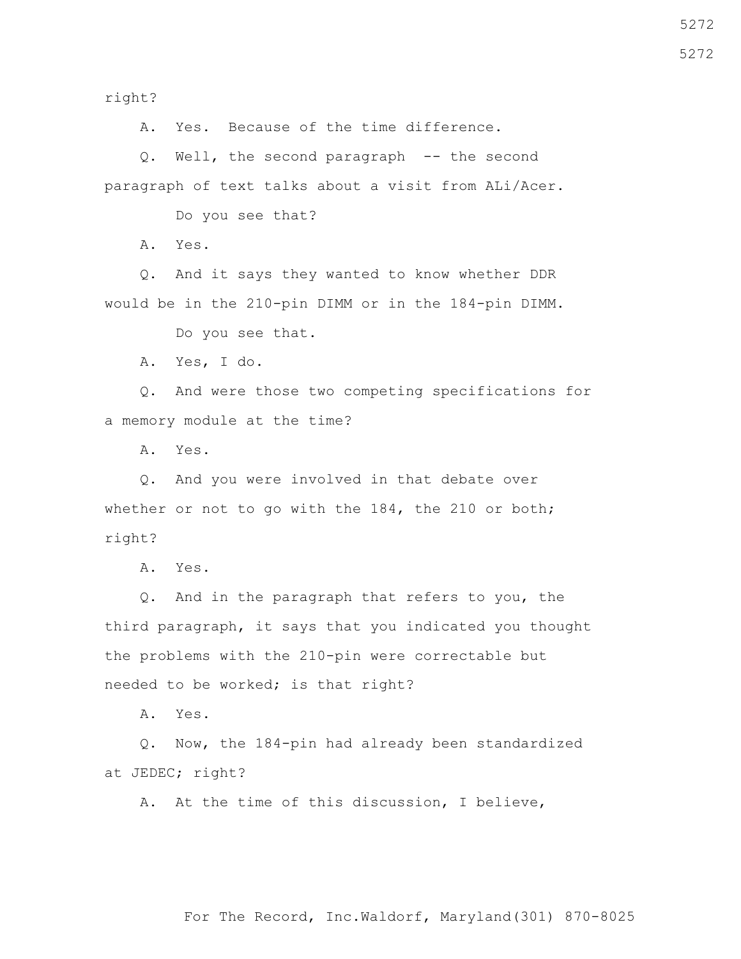right?

A. Yes. Because of the time difference.

 Q. Well, the second paragraph -- the second paragraph of text talks about a visit from ALi/Acer.

Do you see that?

A. Yes.

 Q. And it says they wanted to know whether DDR would be in the 210-pin DIMM or in the 184-pin DIMM.

Do you see that.

A. Yes, I do.

 Q. And were those two competing specifications for a memory module at the time?

A. Yes.

 Q. And you were involved in that debate over whether or not to go with the 184, the 210 or both; right?

A. Yes.

 Q. And in the paragraph that refers to you, the third paragraph, it says that you indicated you thought the problems with the 210-pin were correctable but needed to be worked; is that right?

A. Yes.

 Q. Now, the 184-pin had already been standardized at JEDEC; right?

A. At the time of this discussion, I believe,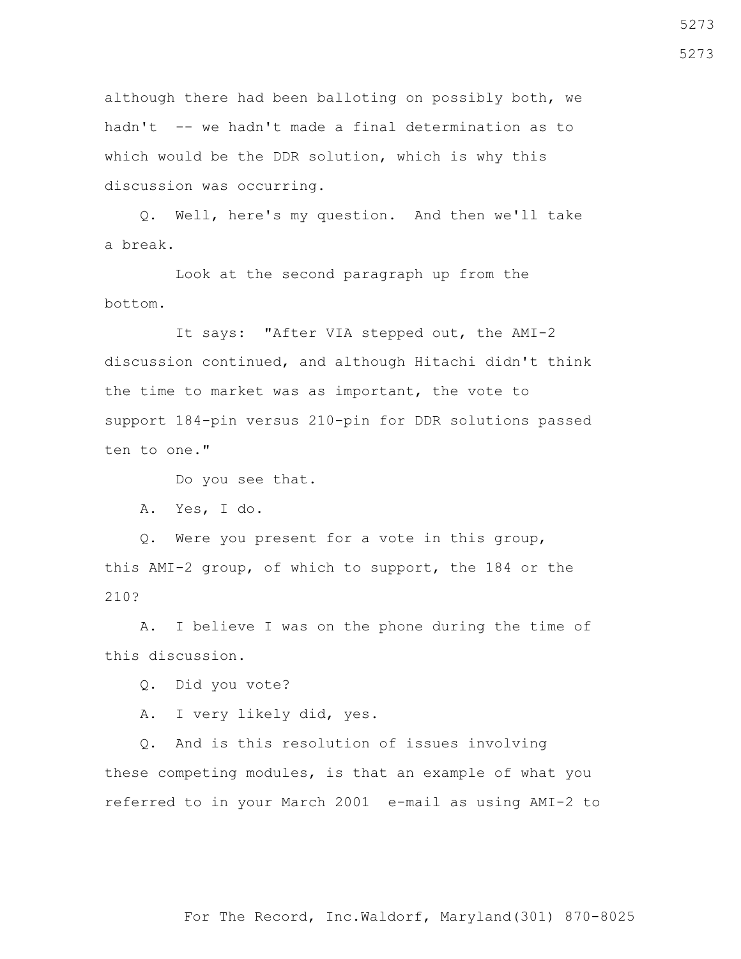although there had been balloting on possibly both, we hadn't -- we hadn't made a final determination as to which would be the DDR solution, which is why this discussion was occurring.

 Q. Well, here's my question. And then we'll take a break.

 Look at the second paragraph up from the bottom.

 It says: "After VIA stepped out, the AMI-2 discussion continued, and although Hitachi didn't think the time to market was as important, the vote to support 184-pin versus 210-pin for DDR solutions passed ten to one."

Do you see that.

A. Yes, I do.

 Q. Were you present for a vote in this group, this AMI-2 group, of which to support, the 184 or the 210?

 A. I believe I was on the phone during the time of this discussion.

Q. Did you vote?

A. I very likely did, yes.

 Q. And is this resolution of issues involving these competing modules, is that an example of what you referred to in your March 2001 e-mail as using AMI-2 to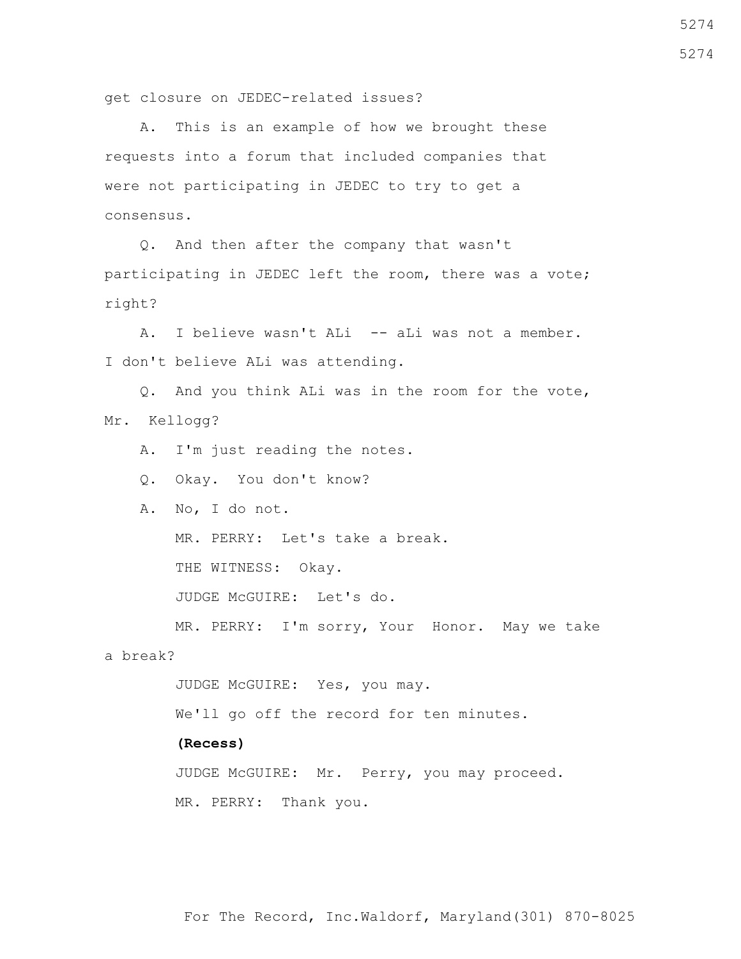get closure on JEDEC-related issues?

 A. This is an example of how we brought these requests into a forum that included companies that were not participating in JEDEC to try to get a consensus.

 Q. And then after the company that wasn't participating in JEDEC left the room, there was a vote; right?

A. I believe wasn't ALi -- aLi was not a member. I don't believe ALi was attending.

 Q. And you think ALi was in the room for the vote, Mr. Kellogg?

A. I'm just reading the notes.

Q. Okay. You don't know?

A. No, I do not.

MR. PERRY: Let's take a break.

THE WITNESS: Okay.

JUDGE McGUIRE: Let's do.

 MR. PERRY: I'm sorry, Your Honor. May we take a break?

JUDGE McGUIRE: Yes, you may.

We'll go off the record for ten minutes.

## **(Recess)**

JUDGE McGUIRE: Mr. Perry, you may proceed.

MR. PERRY: Thank you.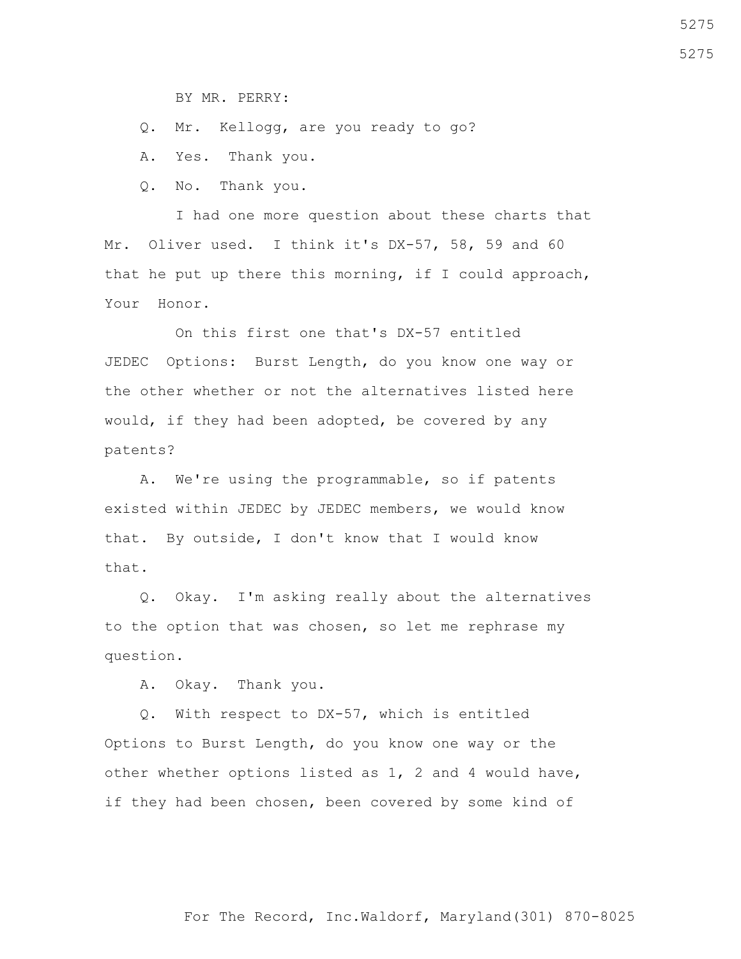BY MR. PERRY:

Q. Mr. Kellogg, are you ready to go?

A. Yes. Thank you.

Q. No. Thank you.

 I had one more question about these charts that Mr. Oliver used. I think it's DX-57, 58, 59 and 60 that he put up there this morning, if I could approach, Your Honor.

 On this first one that's DX-57 entitled JEDEC Options: Burst Length, do you know one way or the other whether or not the alternatives listed here would, if they had been adopted, be covered by any patents?

 A. We're using the programmable, so if patents existed within JEDEC by JEDEC members, we would know that. By outside, I don't know that I would know that.

 Q. Okay. I'm asking really about the alternatives to the option that was chosen, so let me rephrase my question.

A. Okay. Thank you.

 Q. With respect to DX-57, which is entitled Options to Burst Length, do you know one way or the other whether options listed as 1, 2 and 4 would have, if they had been chosen, been covered by some kind of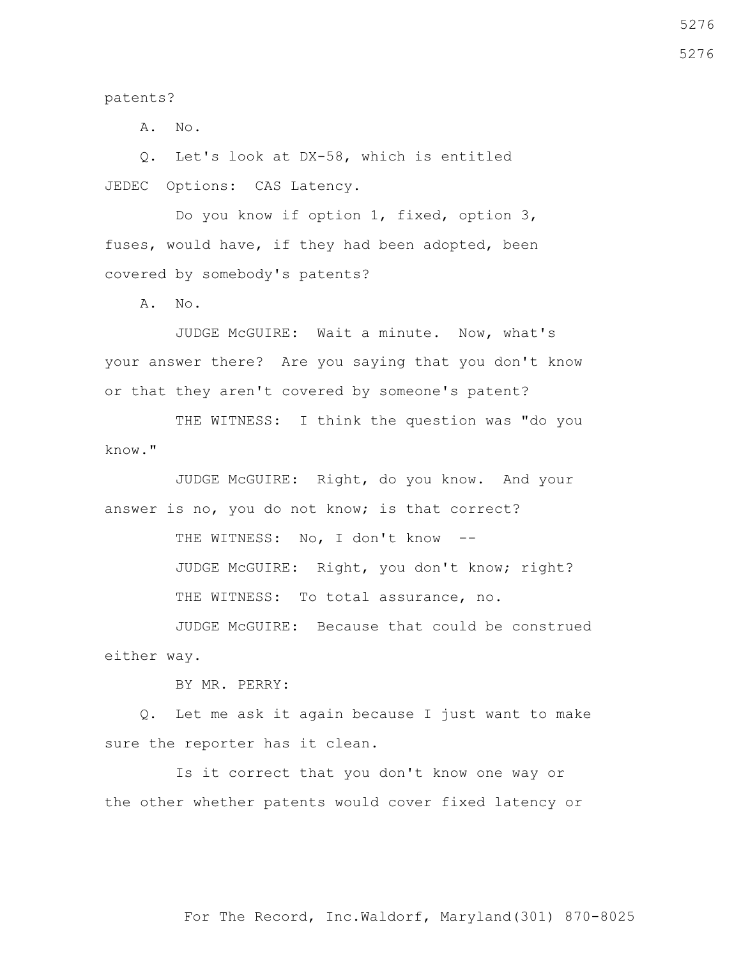patents?

A. No.

 Q. Let's look at DX-58, which is entitled JEDEC Options: CAS Latency.

 Do you know if option 1, fixed, option 3, fuses, would have, if they had been adopted, been covered by somebody's patents?

A. No.

 JUDGE McGUIRE: Wait a minute. Now, what's your answer there? Are you saying that you don't know or that they aren't covered by someone's patent?

THE WITNESS: I think the question was "do you know."

 JUDGE McGUIRE: Right, do you know. And your answer is no, you do not know; is that correct?

> THE WITNESS: No, I don't know -- JUDGE McGUIRE: Right, you don't know; right? THE WITNESS: To total assurance, no.

 JUDGE McGUIRE: Because that could be construed either way.

BY MR. PERRY:

 Q. Let me ask it again because I just want to make sure the reporter has it clean.

 Is it correct that you don't know one way or the other whether patents would cover fixed latency or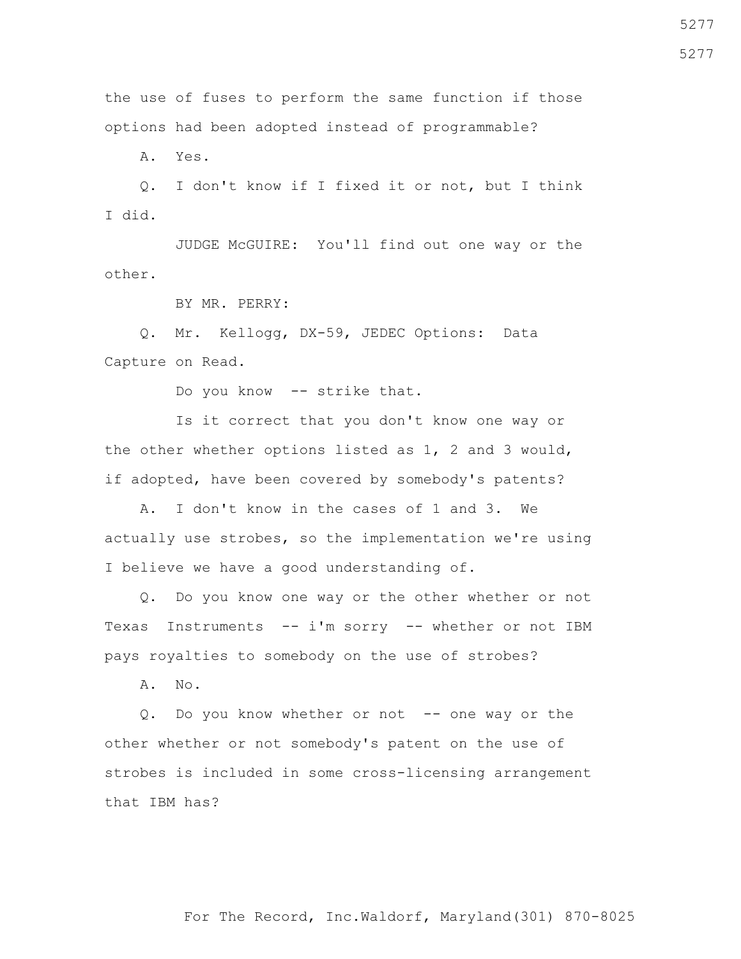the use of fuses to perform the same function if those options had been adopted instead of programmable?

A. Yes.

 Q. I don't know if I fixed it or not, but I think I did.

 JUDGE McGUIRE: You'll find out one way or the other.

BY MR. PERRY:

 Q. Mr. Kellogg, DX-59, JEDEC Options: Data Capture on Read.

Do you know -- strike that.

 Is it correct that you don't know one way or the other whether options listed as 1, 2 and 3 would, if adopted, have been covered by somebody's patents?

 A. I don't know in the cases of 1 and 3. We actually use strobes, so the implementation we're using I believe we have a good understanding of.

 Q. Do you know one way or the other whether or not Texas Instruments -- i'm sorry -- whether or not IBM pays royalties to somebody on the use of strobes?

A. No.

Q. Do you know whether or not -- one way or the other whether or not somebody's patent on the use of strobes is included in some cross-licensing arrangement that IBM has?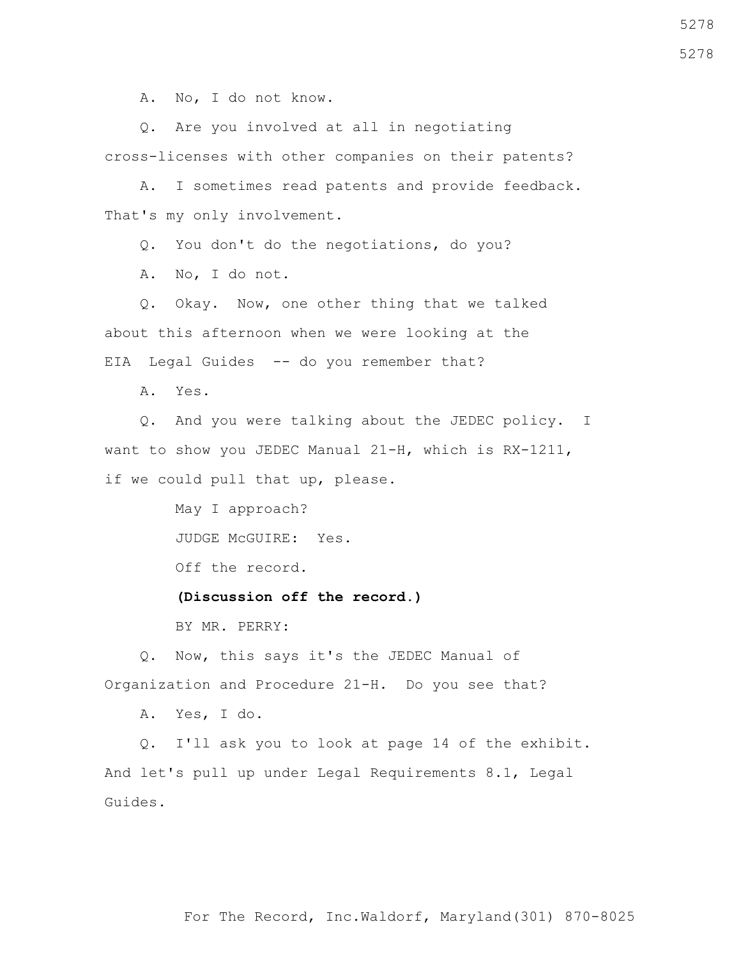A. No, I do not know.

 Q. Are you involved at all in negotiating cross-licenses with other companies on their patents?

 A. I sometimes read patents and provide feedback. That's my only involvement.

Q. You don't do the negotiations, do you?

A. No, I do not.

 Q. Okay. Now, one other thing that we talked about this afternoon when we were looking at the EIA Legal Guides -- do you remember that?

A. Yes.

 Q. And you were talking about the JEDEC policy. I want to show you JEDEC Manual 21-H, which is RX-1211, if we could pull that up, please.

May I approach?

JUDGE McGUIRE: Yes.

Off the record.

## **(Discussion off the record.)**

BY MR. PERRY:

 Q. Now, this says it's the JEDEC Manual of Organization and Procedure 21-H. Do you see that?

A. Yes, I do.

 Q. I'll ask you to look at page 14 of the exhibit. And let's pull up under Legal Requirements 8.1, Legal Guides.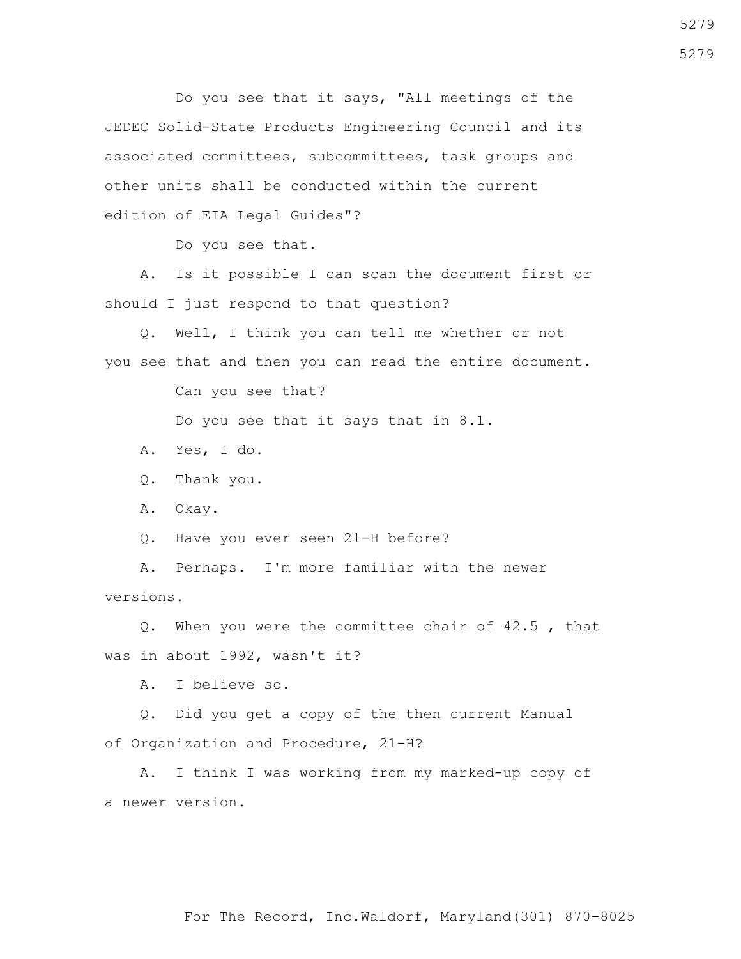Do you see that it says, "All meetings of the JEDEC Solid-State Products Engineering Council and its associated committees, subcommittees, task groups and other units shall be conducted within the current edition of EIA Legal Guides"?

Do you see that.

 A. Is it possible I can scan the document first or should I just respond to that question?

 Q. Well, I think you can tell me whether or not you see that and then you can read the entire document.

Can you see that?

Do you see that it says that in 8.1.

A. Yes, I do.

Q. Thank you.

A. Okay.

Q. Have you ever seen 21-H before?

 A. Perhaps. I'm more familiar with the newer versions.

 Q. When you were the committee chair of 42.5 , that was in about 1992, wasn't it?

A. I believe so.

 Q. Did you get a copy of the then current Manual of Organization and Procedure, 21-H?

 A. I think I was working from my marked-up copy of a newer version.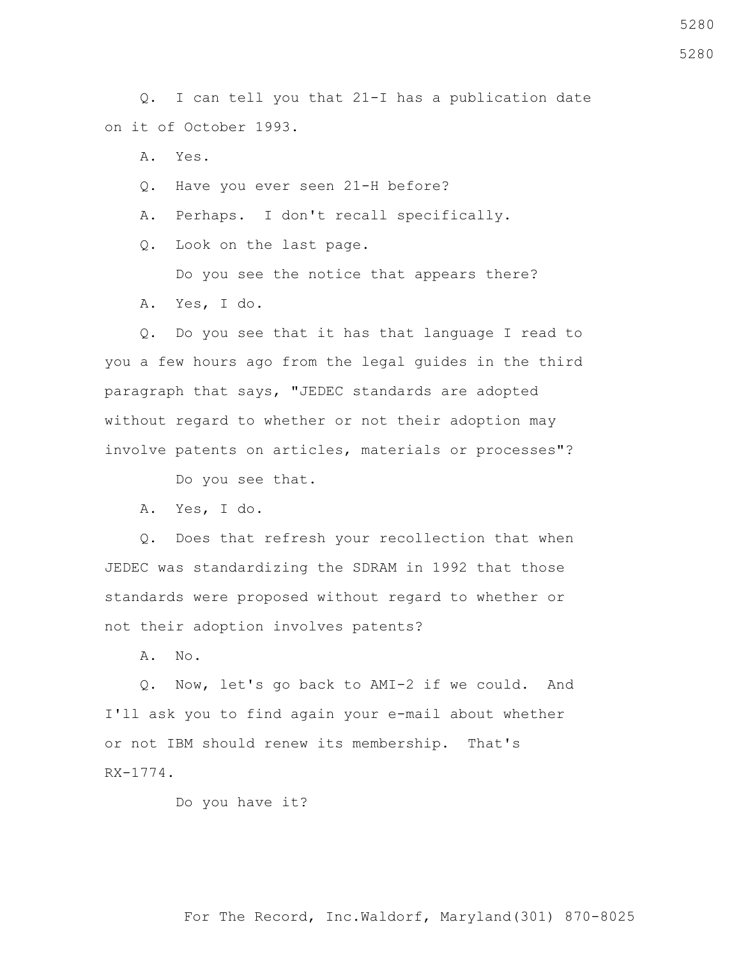Q. I can tell you that 21-I has a publication date on it of October 1993.

A. Yes.

Q. Have you ever seen 21-H before?

A. Perhaps. I don't recall specifically.

Q. Look on the last page.

Do you see the notice that appears there?

A. Yes, I do.

 Q. Do you see that it has that language I read to you a few hours ago from the legal guides in the third paragraph that says, "JEDEC standards are adopted without regard to whether or not their adoption may involve patents on articles, materials or processes"?

Do you see that.

A. Yes, I do.

 Q. Does that refresh your recollection that when JEDEC was standardizing the SDRAM in 1992 that those standards were proposed without regard to whether or not their adoption involves patents?

A. No.

 Q. Now, let's go back to AMI-2 if we could. And I'll ask you to find again your e-mail about whether or not IBM should renew its membership. That's RX-1774.

Do you have it?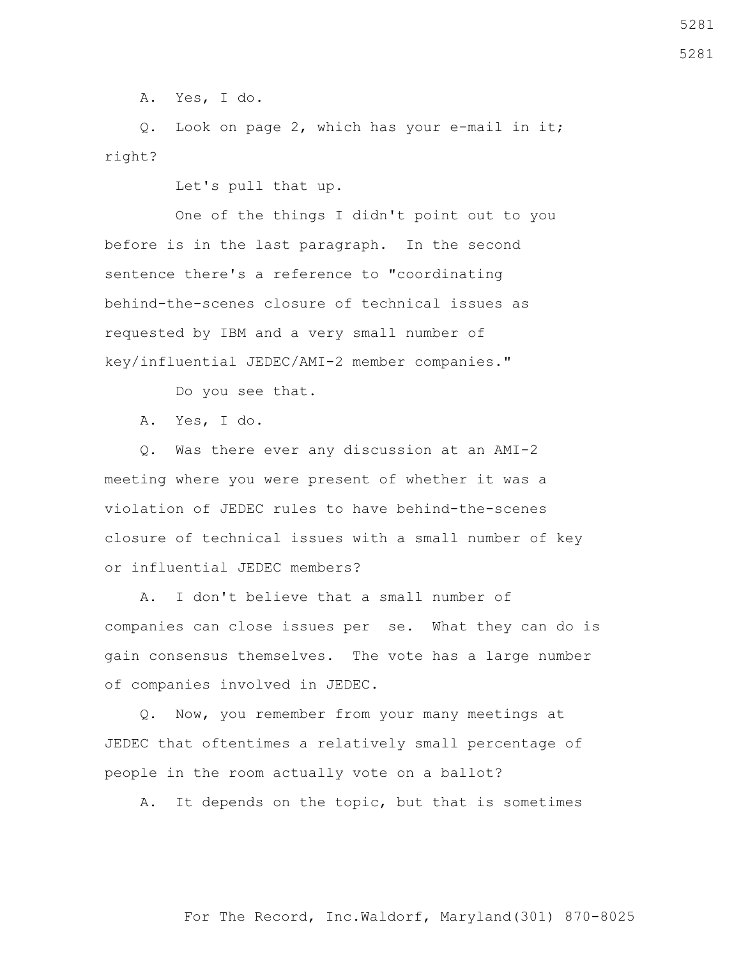A. Yes, I do.

 Q. Look on page 2, which has your e-mail in it; right?

Let's pull that up.

 One of the things I didn't point out to you before is in the last paragraph. In the second sentence there's a reference to "coordinating behind-the-scenes closure of technical issues as requested by IBM and a very small number of key/influential JEDEC/AMI-2 member companies."

Do you see that.

A. Yes, I do.

 Q. Was there ever any discussion at an AMI-2 meeting where you were present of whether it was a violation of JEDEC rules to have behind-the-scenes closure of technical issues with a small number of key or influential JEDEC members?

 A. I don't believe that a small number of companies can close issues per se. What they can do is gain consensus themselves. The vote has a large number of companies involved in JEDEC.

 Q. Now, you remember from your many meetings at JEDEC that oftentimes a relatively small percentage of people in the room actually vote on a ballot?

A. It depends on the topic, but that is sometimes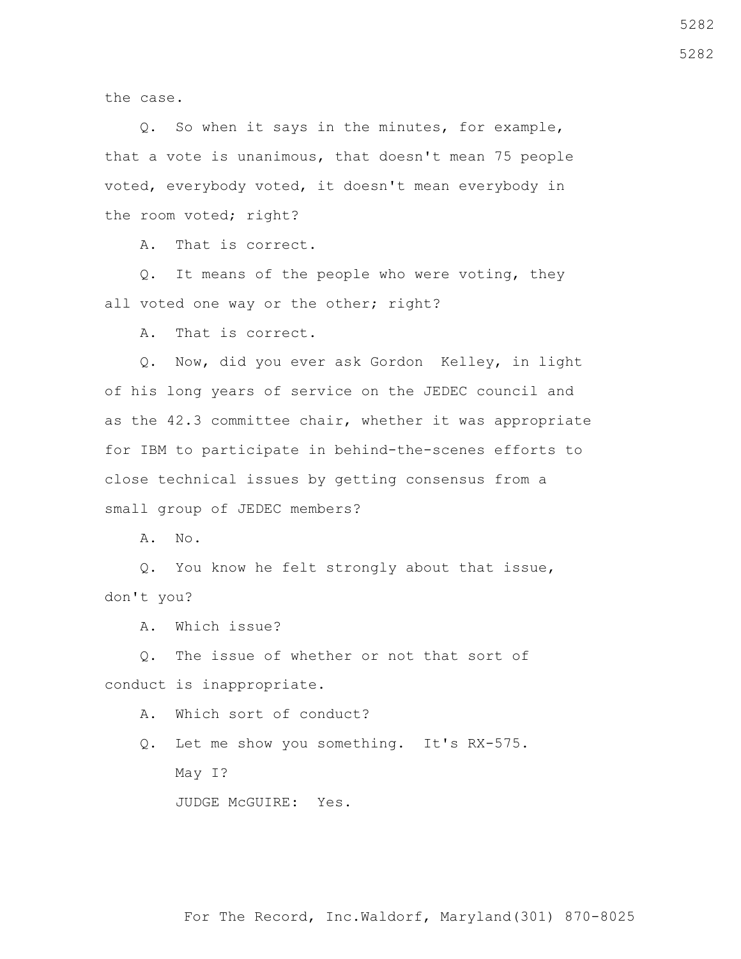the case.

 Q. So when it says in the minutes, for example, that a vote is unanimous, that doesn't mean 75 people voted, everybody voted, it doesn't mean everybody in the room voted; right?

A. That is correct.

 Q. It means of the people who were voting, they all voted one way or the other; right?

A. That is correct.

 Q. Now, did you ever ask Gordon Kelley, in light of his long years of service on the JEDEC council and as the 42.3 committee chair, whether it was appropriate for IBM to participate in behind-the-scenes efforts to close technical issues by getting consensus from a small group of JEDEC members?

 $A. \tNo.$ 

 Q. You know he felt strongly about that issue, don't you?

A. Which issue?

 Q. The issue of whether or not that sort of conduct is inappropriate.

A. Which sort of conduct?

 Q. Let me show you something. It's RX-575. May I? JUDGE McGUIRE: Yes.

For The Record, Inc.Waldorf, Maryland(301) 870-8025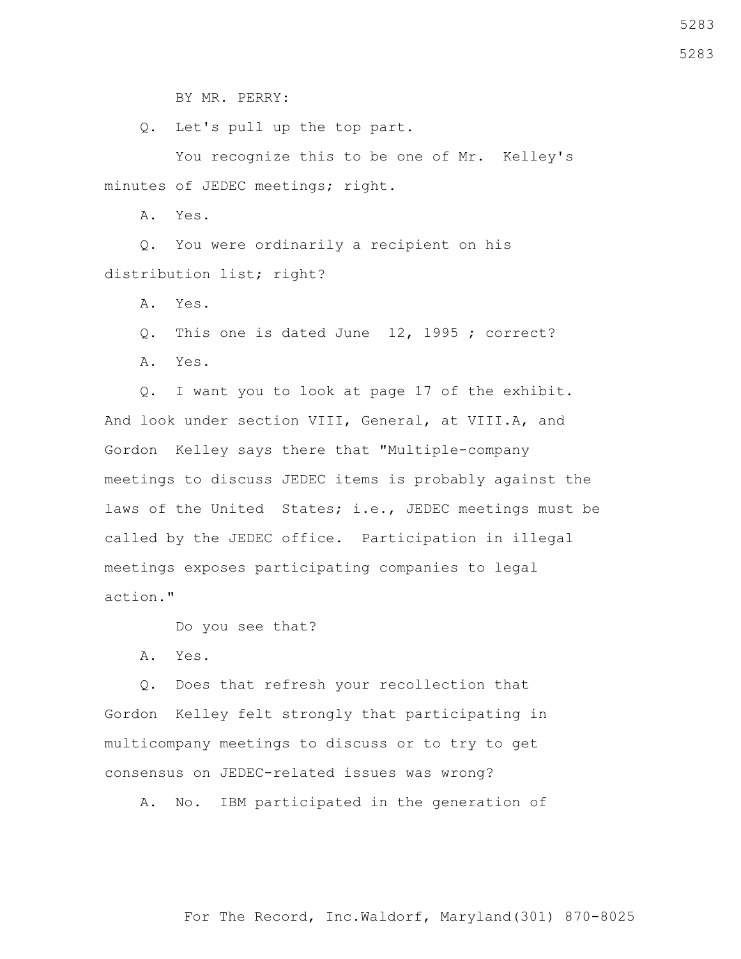BY MR. PERRY:

Q. Let's pull up the top part.

 You recognize this to be one of Mr. Kelley's minutes of JEDEC meetings; right.

A. Yes.

 Q. You were ordinarily a recipient on his distribution list; right?

A. Yes.

Q. This one is dated June 12, 1995 ; correct?

A. Yes.

 Q. I want you to look at page 17 of the exhibit. And look under section VIII, General, at VIII.A, and Gordon Kelley says there that "Multiple-company meetings to discuss JEDEC items is probably against the laws of the United States; i.e., JEDEC meetings must be called by the JEDEC office. Participation in illegal meetings exposes participating companies to legal action."

Do you see that?

A. Yes.

 Q. Does that refresh your recollection that Gordon Kelley felt strongly that participating in multicompany meetings to discuss or to try to get consensus on JEDEC-related issues was wrong?

A. No. IBM participated in the generation of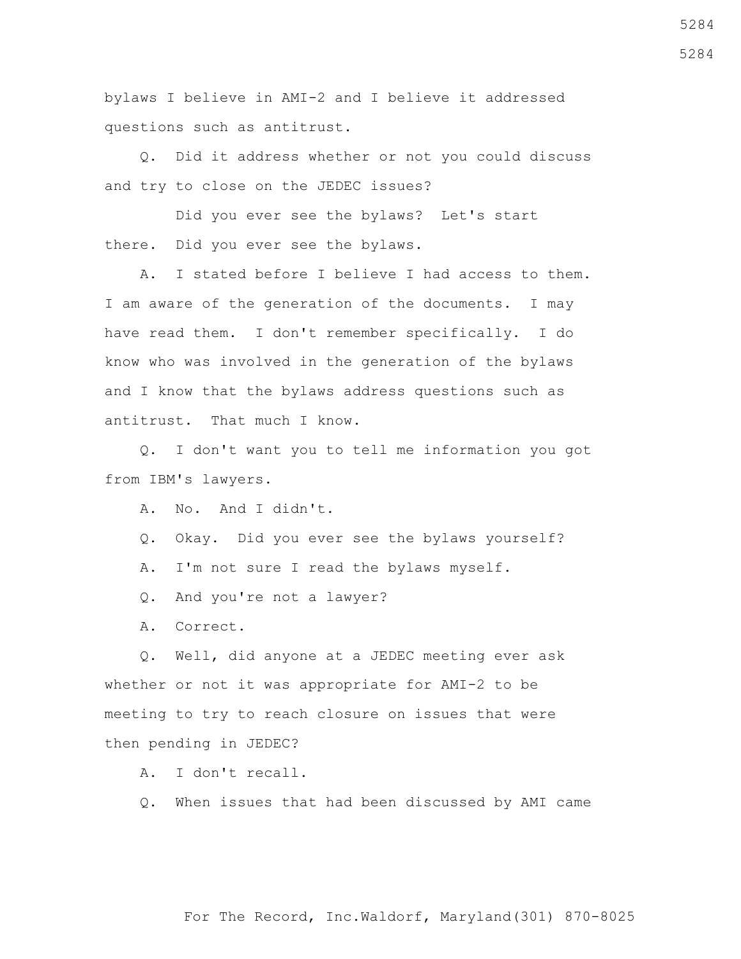bylaws I believe in AMI-2 and I believe it addressed questions such as antitrust.

 Q. Did it address whether or not you could discuss and try to close on the JEDEC issues?

 Did you ever see the bylaws? Let's start there. Did you ever see the bylaws.

 A. I stated before I believe I had access to them. I am aware of the generation of the documents. I may have read them. I don't remember specifically. I do know who was involved in the generation of the bylaws and I know that the bylaws address questions such as antitrust. That much I know.

 Q. I don't want you to tell me information you got from IBM's lawyers.

A. No. And I didn't.

Q. Okay. Did you ever see the bylaws yourself?

A. I'm not sure I read the bylaws myself.

Q. And you're not a lawyer?

A. Correct.

 Q. Well, did anyone at a JEDEC meeting ever ask whether or not it was appropriate for AMI-2 to be meeting to try to reach closure on issues that were then pending in JEDEC?

A. I don't recall.

Q. When issues that had been discussed by AMI came

For The Record, Inc.Waldorf, Maryland(301) 870-8025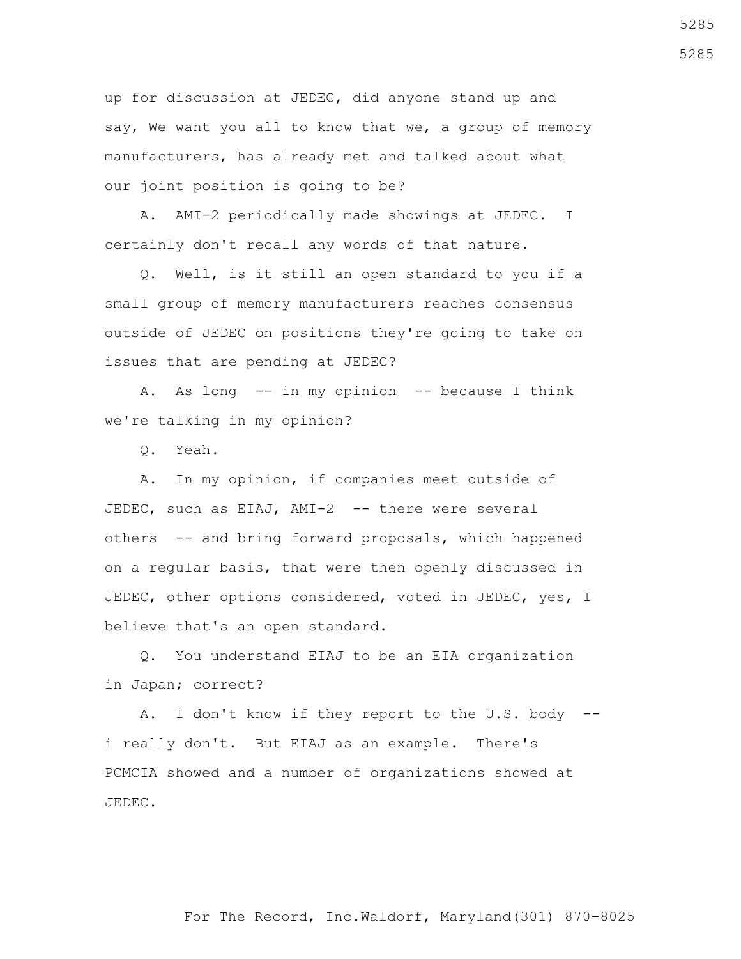up for discussion at JEDEC, did anyone stand up and say, We want you all to know that we, a group of memory manufacturers, has already met and talked about what our joint position is going to be?

 A. AMI-2 periodically made showings at JEDEC. I certainly don't recall any words of that nature.

 Q. Well, is it still an open standard to you if a small group of memory manufacturers reaches consensus outside of JEDEC on positions they're going to take on issues that are pending at JEDEC?

 A. As long -- in my opinion -- because I think we're talking in my opinion?

Q. Yeah.

 A. In my opinion, if companies meet outside of JEDEC, such as EIAJ, AMI-2 -- there were several others -- and bring forward proposals, which happened on a regular basis, that were then openly discussed in JEDEC, other options considered, voted in JEDEC, yes, I believe that's an open standard.

 Q. You understand EIAJ to be an EIA organization in Japan; correct?

 A. I don't know if they report to the U.S. body - i really don't. But EIAJ as an example. There's PCMCIA showed and a number of organizations showed at JEDEC.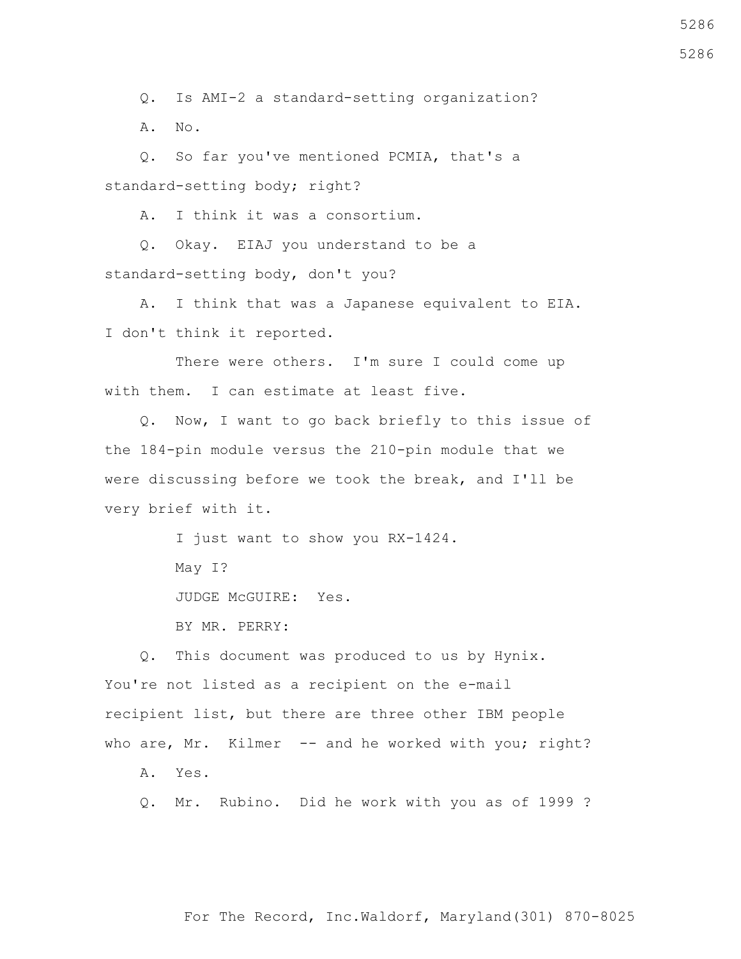Q. Is AMI-2 a standard-setting organization?

A. No.

 Q. So far you've mentioned PCMIA, that's a standard-setting body; right?

A. I think it was a consortium.

 Q. Okay. EIAJ you understand to be a standard-setting body, don't you?

 A. I think that was a Japanese equivalent to EIA. I don't think it reported.

There were others. I'm sure I could come up with them. I can estimate at least five.

 Q. Now, I want to go back briefly to this issue of the 184-pin module versus the 210-pin module that we were discussing before we took the break, and I'll be very brief with it.

I just want to show you RX-1424.

May I?

JUDGE McGUIRE: Yes.

BY MR. PERRY:

 Q. This document was produced to us by Hynix. You're not listed as a recipient on the e-mail recipient list, but there are three other IBM people who are, Mr. Kilmer -- and he worked with you; right?

A. Yes.

Q. Mr. Rubino. Did he work with you as of 1999 ?

For The Record, Inc.Waldorf, Maryland(301) 870-8025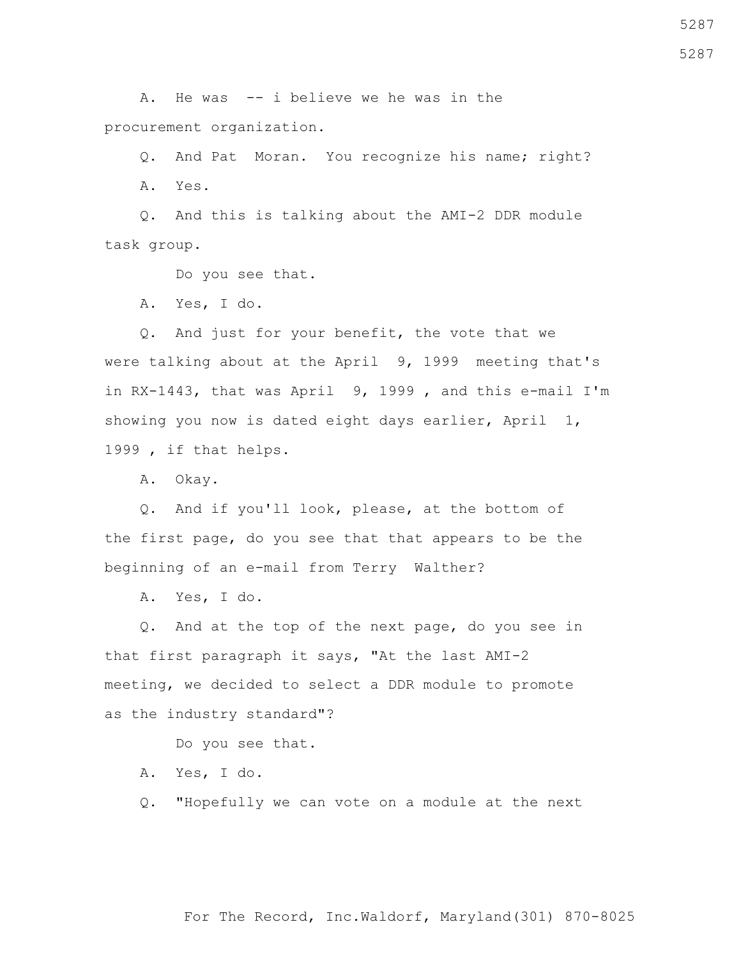A. He was -- i believe we he was in the procurement organization.

 Q. And Pat Moran. You recognize his name; right? A. Yes.

 Q. And this is talking about the AMI-2 DDR module task group.

Do you see that.

A. Yes, I do.

 Q. And just for your benefit, the vote that we were talking about at the April 9, 1999 meeting that's in RX-1443, that was April 9, 1999 , and this e-mail I'm showing you now is dated eight days earlier, April 1, 1999 , if that helps.

A. Okay.

 Q. And if you'll look, please, at the bottom of the first page, do you see that that appears to be the beginning of an e-mail from Terry Walther?

A. Yes, I do.

 Q. And at the top of the next page, do you see in that first paragraph it says, "At the last AMI-2 meeting, we decided to select a DDR module to promote as the industry standard"?

Do you see that.

A. Yes, I do.

Q. "Hopefully we can vote on a module at the next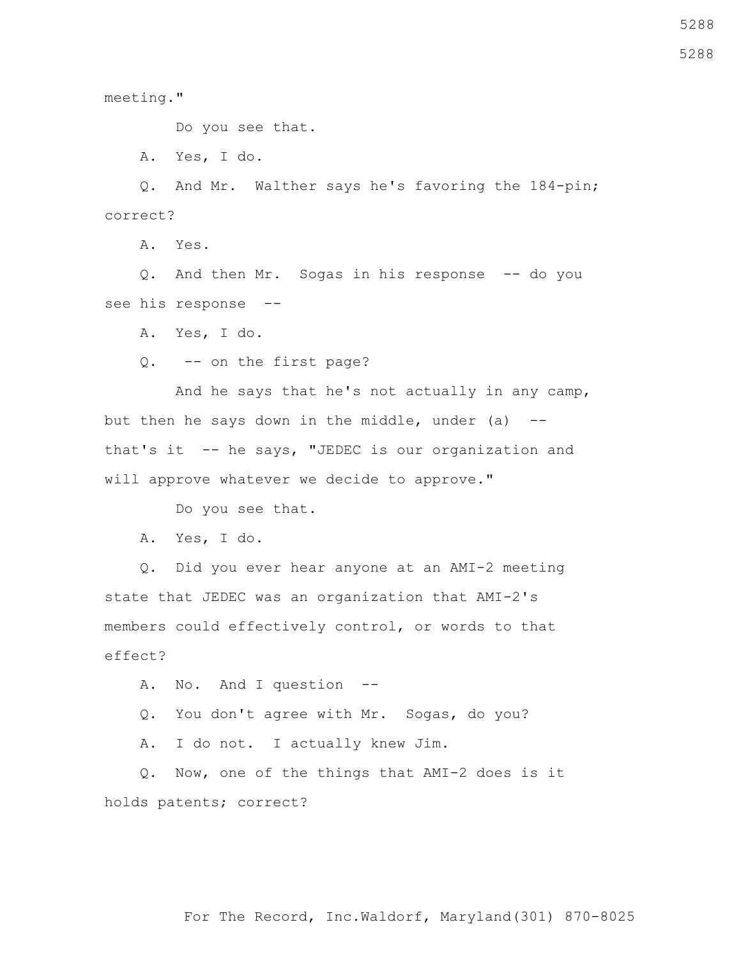meeting."

Do you see that.

A. Yes, I do.

 Q. And Mr. Walther says he's favoring the 184-pin; correct?

A. Yes.

 Q. And then Mr. Sogas in his response -- do you see his response --

A. Yes, I do.

Q. -- on the first page?

 And he says that he's not actually in any camp, but then he says down in the middle, under  $(a)$  -that's it -- he says, "JEDEC is our organization and will approve whatever we decide to approve."

Do you see that.

A. Yes, I do.

 Q. Did you ever hear anyone at an AMI-2 meeting state that JEDEC was an organization that AMI-2's members could effectively control, or words to that effect?

A. No. And I question --

Q. You don't agree with Mr. Sogas, do you?

A. I do not. I actually knew Jim.

 Q. Now, one of the things that AMI-2 does is it holds patents; correct?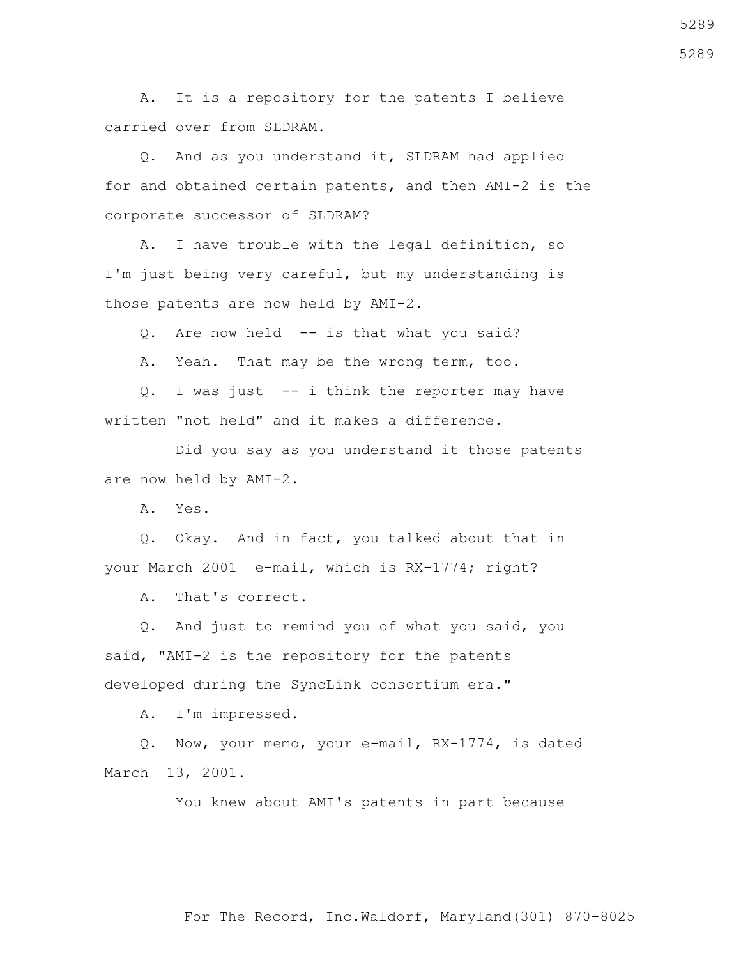A. It is a repository for the patents I believe carried over from SLDRAM.

 Q. And as you understand it, SLDRAM had applied for and obtained certain patents, and then AMI-2 is the corporate successor of SLDRAM?

 A. I have trouble with the legal definition, so I'm just being very careful, but my understanding is those patents are now held by AMI-2.

Q. Are now held -- is that what you said?

A. Yeah. That may be the wrong term, too.

 Q. I was just -- i think the reporter may have written "not held" and it makes a difference.

 Did you say as you understand it those patents are now held by AMI-2.

A. Yes.

 Q. Okay. And in fact, you talked about that in your March 2001 e-mail, which is RX-1774; right?

A. That's correct.

 Q. And just to remind you of what you said, you said, "AMI-2 is the repository for the patents developed during the SyncLink consortium era."

A. I'm impressed.

 Q. Now, your memo, your e-mail, RX-1774, is dated March 13, 2001.

You knew about AMI's patents in part because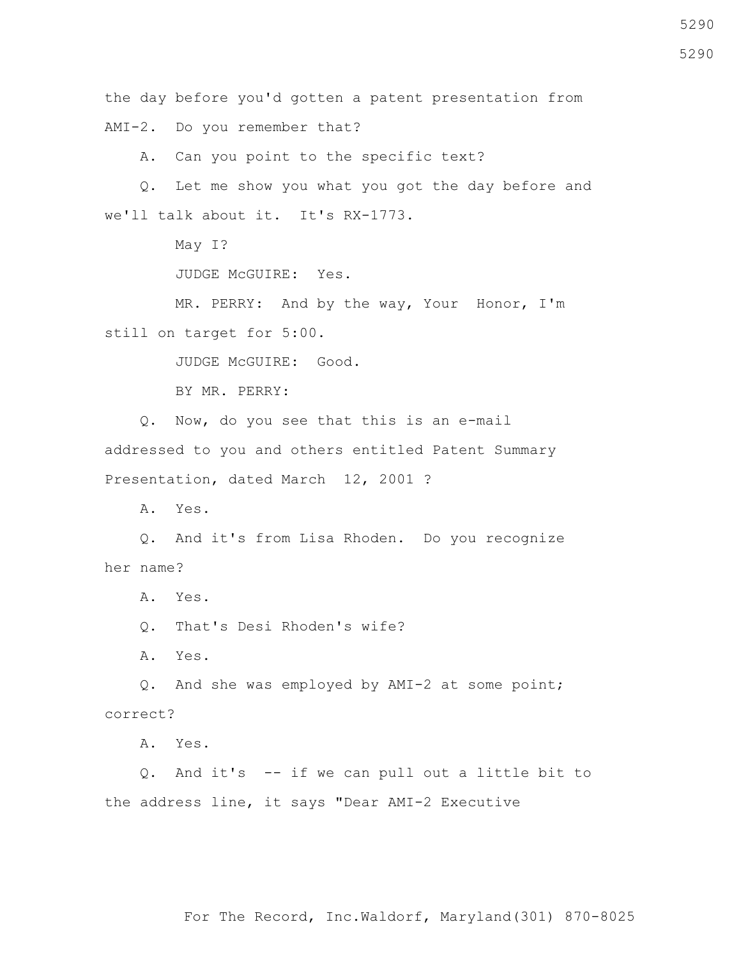the day before you'd gotten a patent presentation from

AMI-2. Do you remember that?

A. Can you point to the specific text?

 Q. Let me show you what you got the day before and we'll talk about it. It's RX-1773.

May I?

JUDGE McGUIRE: Yes.

 MR. PERRY: And by the way, Your Honor, I'm still on target for 5:00.

JUDGE McGUIRE: Good.

BY MR. PERRY:

 Q. Now, do you see that this is an e-mail addressed to you and others entitled Patent Summary Presentation, dated March 12, 2001 ?

A. Yes.

 Q. And it's from Lisa Rhoden. Do you recognize her name?

A. Yes.

Q. That's Desi Rhoden's wife?

A. Yes.

 Q. And she was employed by AMI-2 at some point; correct?

A. Yes.

 Q. And it's -- if we can pull out a little bit to the address line, it says "Dear AMI-2 Executive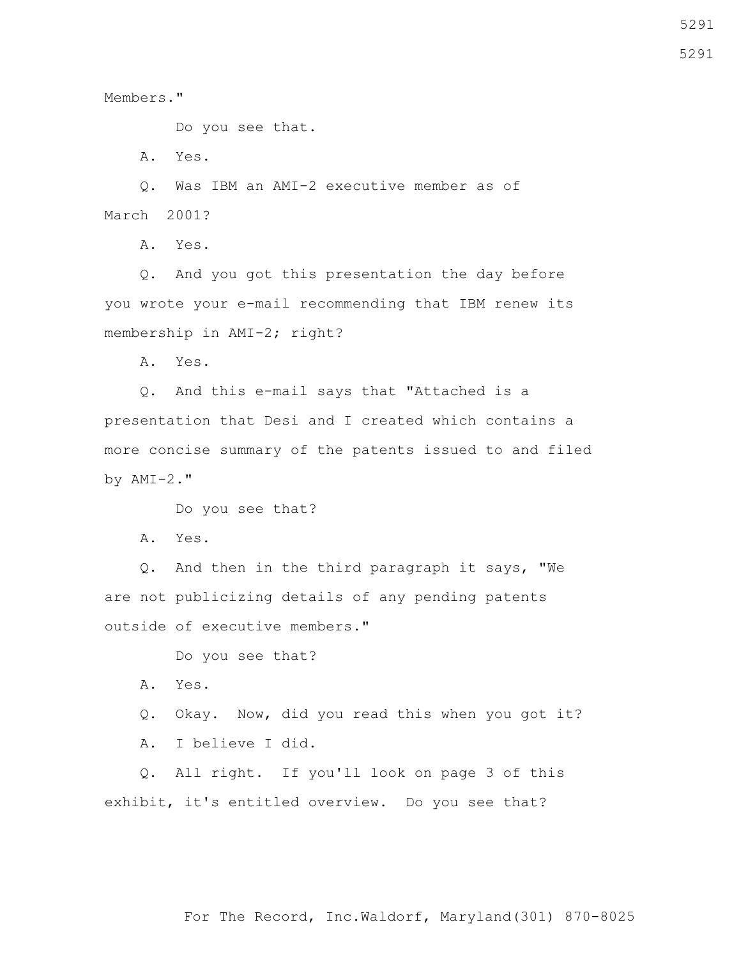5291

5291

Members."

Do you see that.

A. Yes.

 Q. Was IBM an AMI-2 executive member as of March 2001?

A. Yes.

 Q. And you got this presentation the day before you wrote your e-mail recommending that IBM renew its membership in AMI-2; right?

A. Yes.

 Q. And this e-mail says that "Attached is a presentation that Desi and I created which contains a more concise summary of the patents issued to and filed by AMI-2."

Do you see that?

A. Yes.

 Q. And then in the third paragraph it says, "We are not publicizing details of any pending patents outside of executive members."

Do you see that?

A. Yes.

Q. Okay. Now, did you read this when you got it?

A. I believe I did.

 Q. All right. If you'll look on page 3 of this exhibit, it's entitled overview. Do you see that?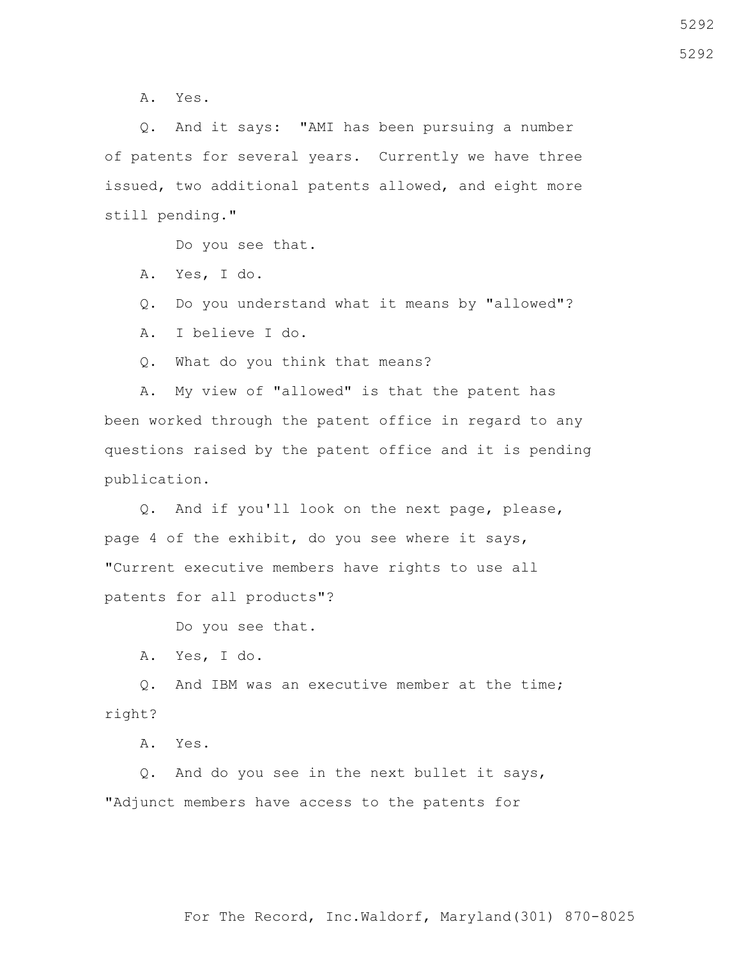A. Yes.

 Q. And it says: "AMI has been pursuing a number of patents for several years. Currently we have three issued, two additional patents allowed, and eight more still pending."

Do you see that.

A. Yes, I do.

Q. Do you understand what it means by "allowed"?

A. I believe I do.

Q. What do you think that means?

 A. My view of "allowed" is that the patent has been worked through the patent office in regard to any questions raised by the patent office and it is pending publication.

 Q. And if you'll look on the next page, please, page 4 of the exhibit, do you see where it says, "Current executive members have rights to use all patents for all products"?

Do you see that.

A. Yes, I do.

 Q. And IBM was an executive member at the time; right?

A. Yes.

 Q. And do you see in the next bullet it says, "Adjunct members have access to the patents for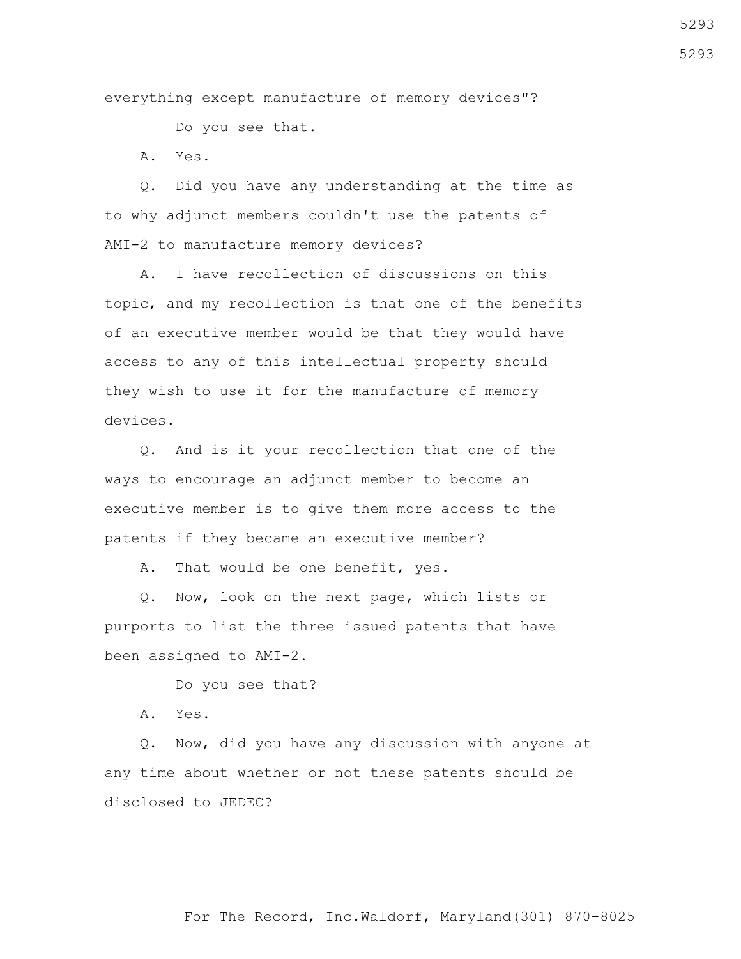everything except manufacture of memory devices"?

Do you see that.

A. Yes.

 Q. Did you have any understanding at the time as to why adjunct members couldn't use the patents of AMI-2 to manufacture memory devices?

 A. I have recollection of discussions on this topic, and my recollection is that one of the benefits of an executive member would be that they would have access to any of this intellectual property should they wish to use it for the manufacture of memory devices.

 Q. And is it your recollection that one of the ways to encourage an adjunct member to become an executive member is to give them more access to the patents if they became an executive member?

A. That would be one benefit, yes.

 Q. Now, look on the next page, which lists or purports to list the three issued patents that have been assigned to AMI-2.

Do you see that?

A. Yes.

 Q. Now, did you have any discussion with anyone at any time about whether or not these patents should be disclosed to JEDEC?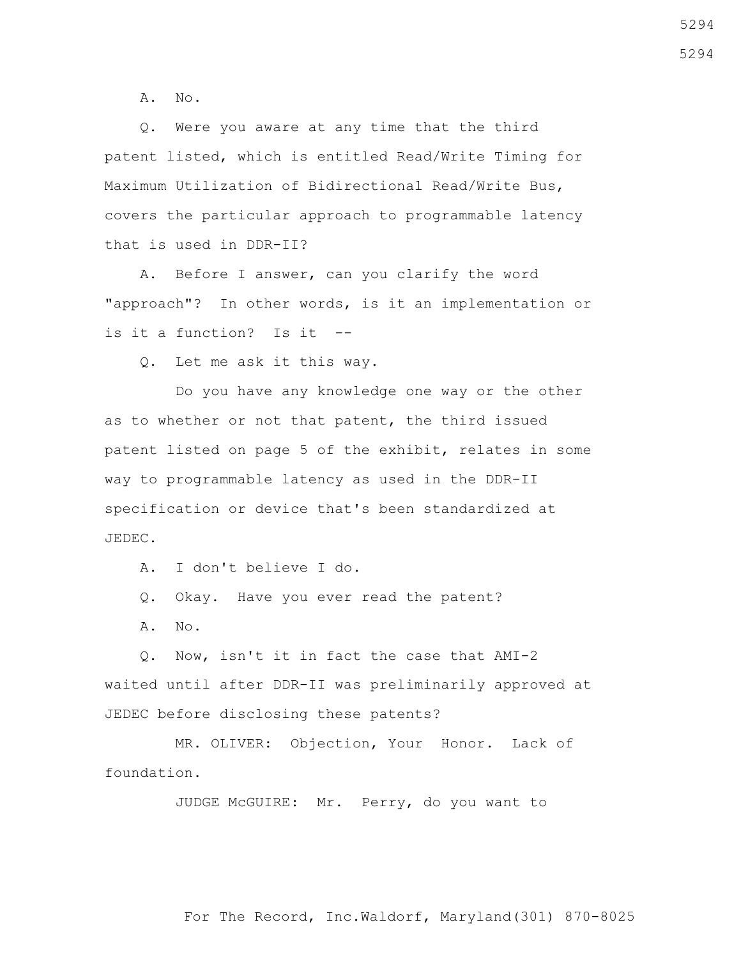A. No.

 Q. Were you aware at any time that the third patent listed, which is entitled Read/Write Timing for Maximum Utilization of Bidirectional Read/Write Bus, covers the particular approach to programmable latency that is used in DDR-II?

 A. Before I answer, can you clarify the word "approach"? In other words, is it an implementation or is it a function? Is it --

Q. Let me ask it this way.

 Do you have any knowledge one way or the other as to whether or not that patent, the third issued patent listed on page 5 of the exhibit, relates in some way to programmable latency as used in the DDR-II specification or device that's been standardized at JEDEC.

A. I don't believe I do.

Q. Okay. Have you ever read the patent?

A. No.

 Q. Now, isn't it in fact the case that AMI-2 waited until after DDR-II was preliminarily approved at JEDEC before disclosing these patents?

 MR. OLIVER: Objection, Your Honor. Lack of foundation.

JUDGE McGUIRE: Mr. Perry, do you want to

For The Record, Inc.Waldorf, Maryland(301) 870-8025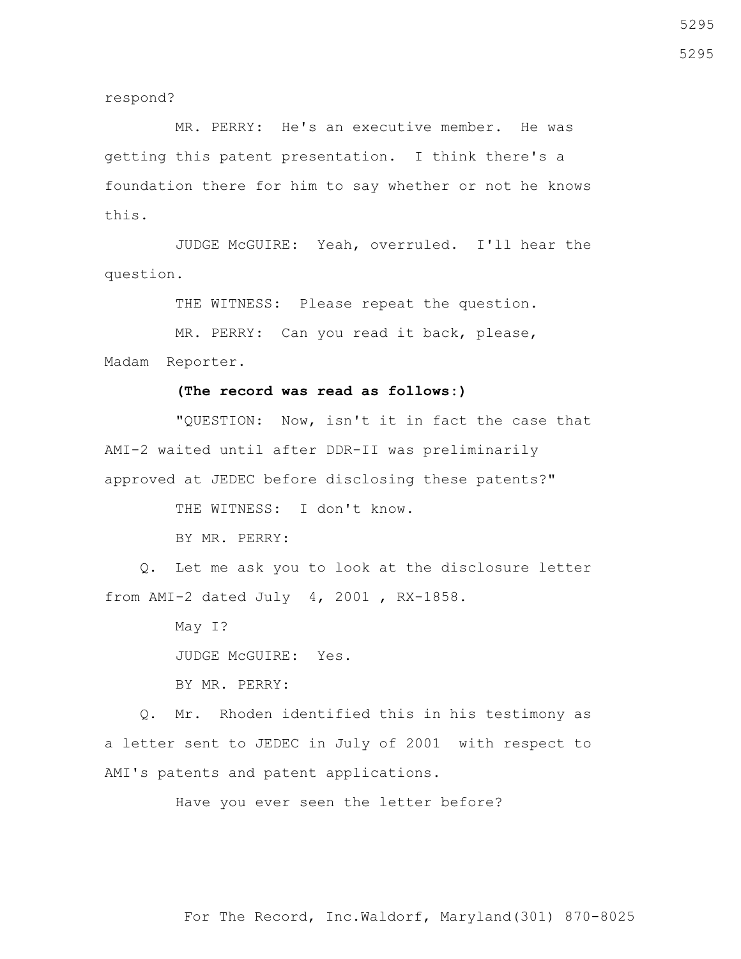respond?

 MR. PERRY: He's an executive member. He was getting this patent presentation. I think there's a foundation there for him to say whether or not he knows this.

 JUDGE McGUIRE: Yeah, overruled. I'll hear the question.

THE WITNESS: Please repeat the question.

 MR. PERRY: Can you read it back, please, Madam Reporter.

## **(The record was read as follows:)**

 "QUESTION: Now, isn't it in fact the case that AMI-2 waited until after DDR-II was preliminarily approved at JEDEC before disclosing these patents?"

THE WITNESS: I don't know.

BY MR. PERRY:

 Q. Let me ask you to look at the disclosure letter from AMI-2 dated July 4, 2001 , RX-1858.

May I?

JUDGE McGUIRE: Yes.

BY MR. PERRY:

 Q. Mr. Rhoden identified this in his testimony as a letter sent to JEDEC in July of 2001 with respect to AMI's patents and patent applications.

Have you ever seen the letter before?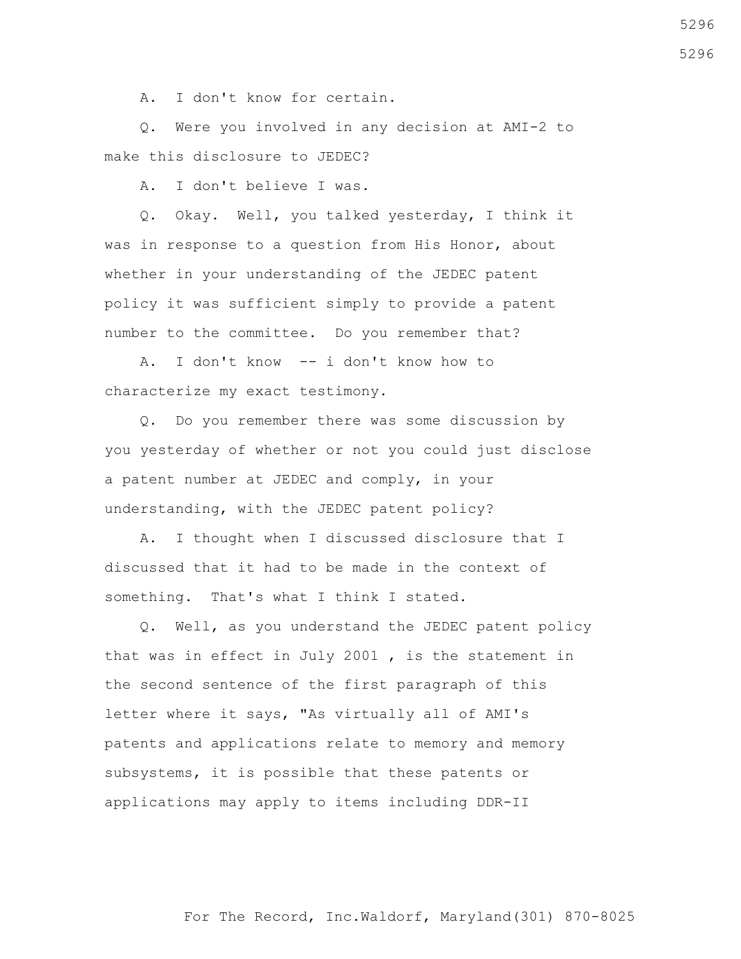A. I don't know for certain.

 Q. Were you involved in any decision at AMI-2 to make this disclosure to JEDEC?

A. I don't believe I was.

 Q. Okay. Well, you talked yesterday, I think it was in response to a question from His Honor, about whether in your understanding of the JEDEC patent policy it was sufficient simply to provide a patent number to the committee. Do you remember that?

 A. I don't know -- i don't know how to characterize my exact testimony.

 Q. Do you remember there was some discussion by you yesterday of whether or not you could just disclose a patent number at JEDEC and comply, in your understanding, with the JEDEC patent policy?

 A. I thought when I discussed disclosure that I discussed that it had to be made in the context of something. That's what I think I stated.

 Q. Well, as you understand the JEDEC patent policy that was in effect in July 2001 , is the statement in the second sentence of the first paragraph of this letter where it says, "As virtually all of AMI's patents and applications relate to memory and memory subsystems, it is possible that these patents or applications may apply to items including DDR-II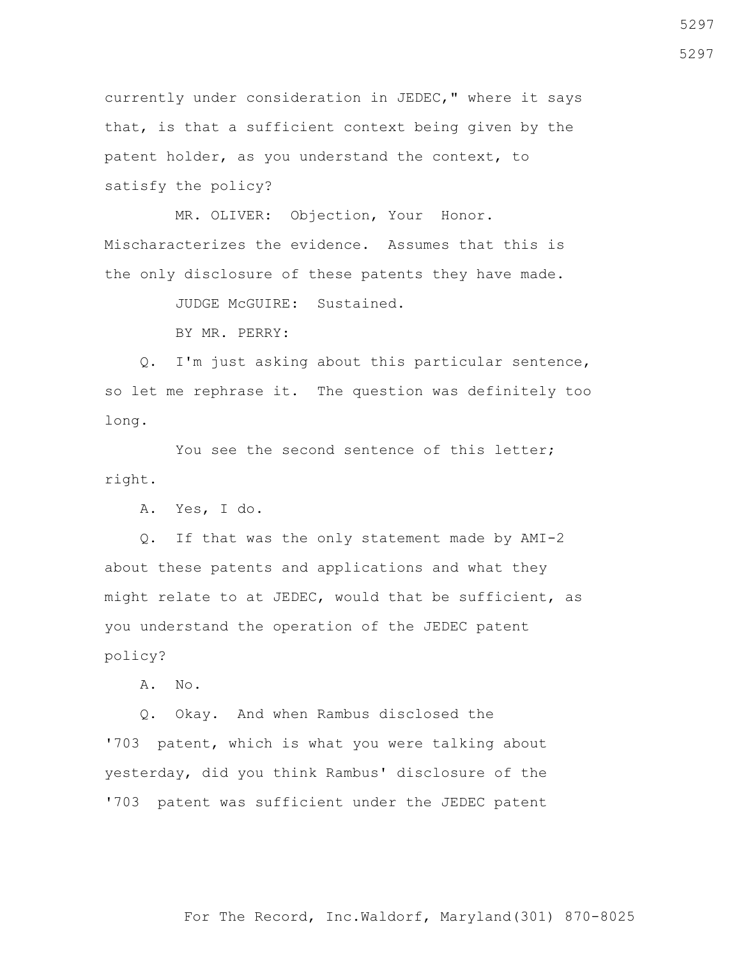currently under consideration in JEDEC," where it says that, is that a sufficient context being given by the patent holder, as you understand the context, to satisfy the policy?

 MR. OLIVER: Objection, Your Honor. Mischaracterizes the evidence. Assumes that this is the only disclosure of these patents they have made.

JUDGE McGUIRE: Sustained.

BY MR. PERRY:

 Q. I'm just asking about this particular sentence, so let me rephrase it. The question was definitely too long.

You see the second sentence of this letter; right.

A. Yes, I do.

 Q. If that was the only statement made by AMI-2 about these patents and applications and what they might relate to at JEDEC, would that be sufficient, as you understand the operation of the JEDEC patent policy?

A. No.

 Q. Okay. And when Rambus disclosed the '703 patent, which is what you were talking about yesterday, did you think Rambus' disclosure of the '703 patent was sufficient under the JEDEC patent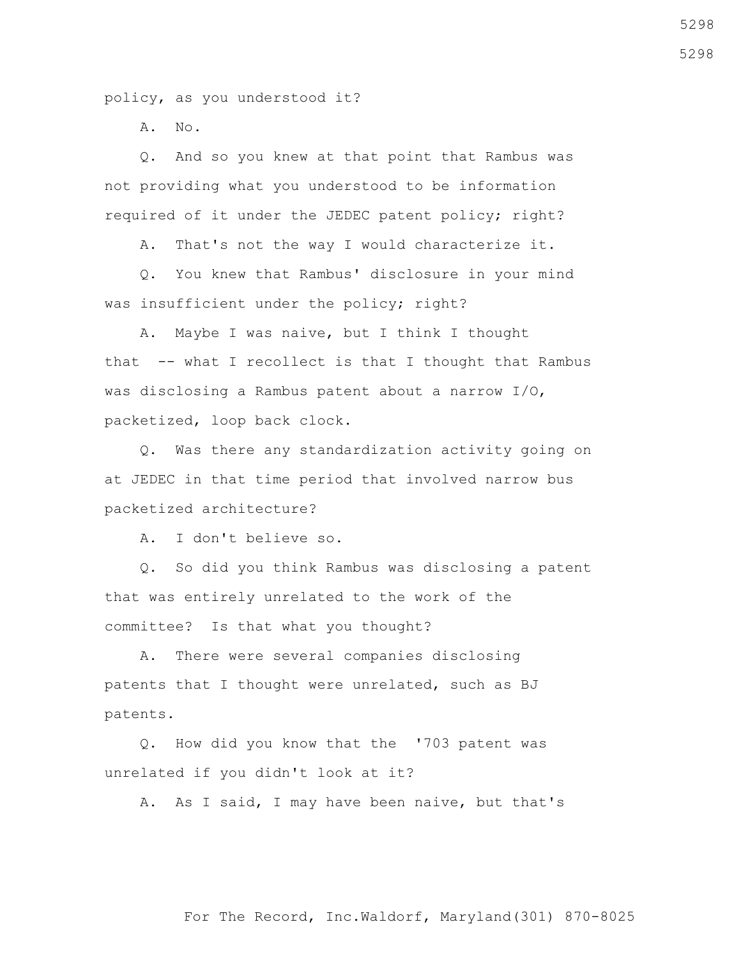policy, as you understood it?

A. No.

 Q. And so you knew at that point that Rambus was not providing what you understood to be information required of it under the JEDEC patent policy; right?

A. That's not the way I would characterize it.

 Q. You knew that Rambus' disclosure in your mind was insufficient under the policy; right?

 A. Maybe I was naive, but I think I thought that -- what I recollect is that I thought that Rambus was disclosing a Rambus patent about a narrow I/O, packetized, loop back clock.

 Q. Was there any standardization activity going on at JEDEC in that time period that involved narrow bus packetized architecture?

A. I don't believe so.

 Q. So did you think Rambus was disclosing a patent that was entirely unrelated to the work of the committee? Is that what you thought?

 A. There were several companies disclosing patents that I thought were unrelated, such as BJ patents.

 Q. How did you know that the '703 patent was unrelated if you didn't look at it?

A. As I said, I may have been naive, but that's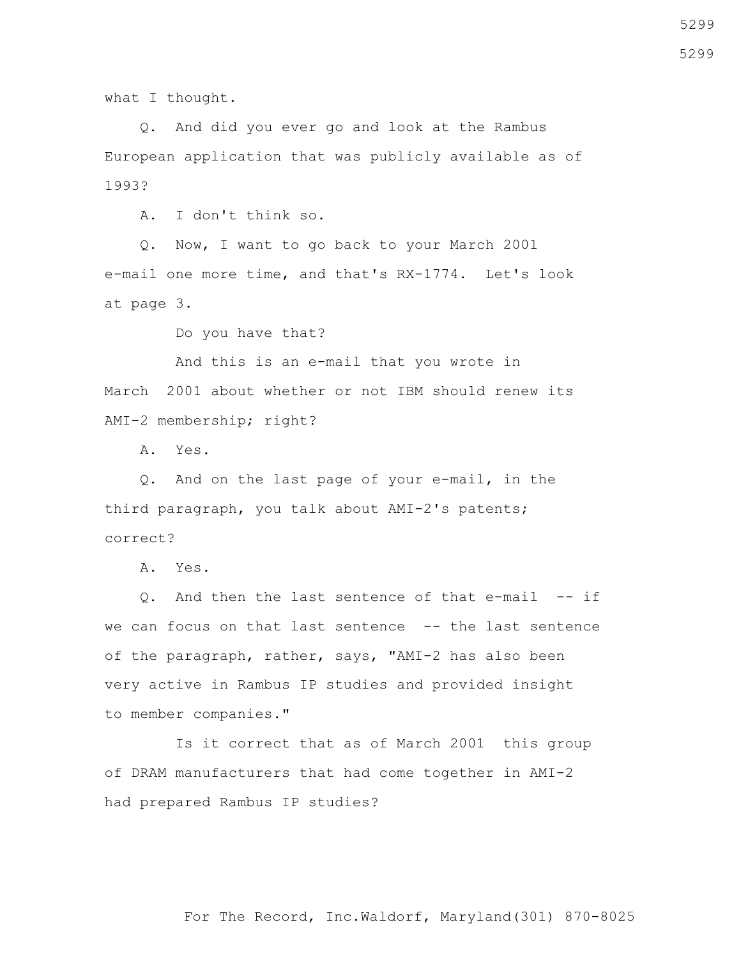what I thought.

 Q. And did you ever go and look at the Rambus European application that was publicly available as of 1993?

A. I don't think so.

 Q. Now, I want to go back to your March 2001 e-mail one more time, and that's RX-1774. Let's look at page 3.

Do you have that?

 And this is an e-mail that you wrote in March 2001 about whether or not IBM should renew its AMI-2 membership; right?

A. Yes.

 Q. And on the last page of your e-mail, in the third paragraph, you talk about AMI-2's patents; correct?

A. Yes.

 Q. And then the last sentence of that e-mail -- if we can focus on that last sentence -- the last sentence of the paragraph, rather, says, "AMI-2 has also been very active in Rambus IP studies and provided insight to member companies."

 Is it correct that as of March 2001 this group of DRAM manufacturers that had come together in AMI-2 had prepared Rambus IP studies?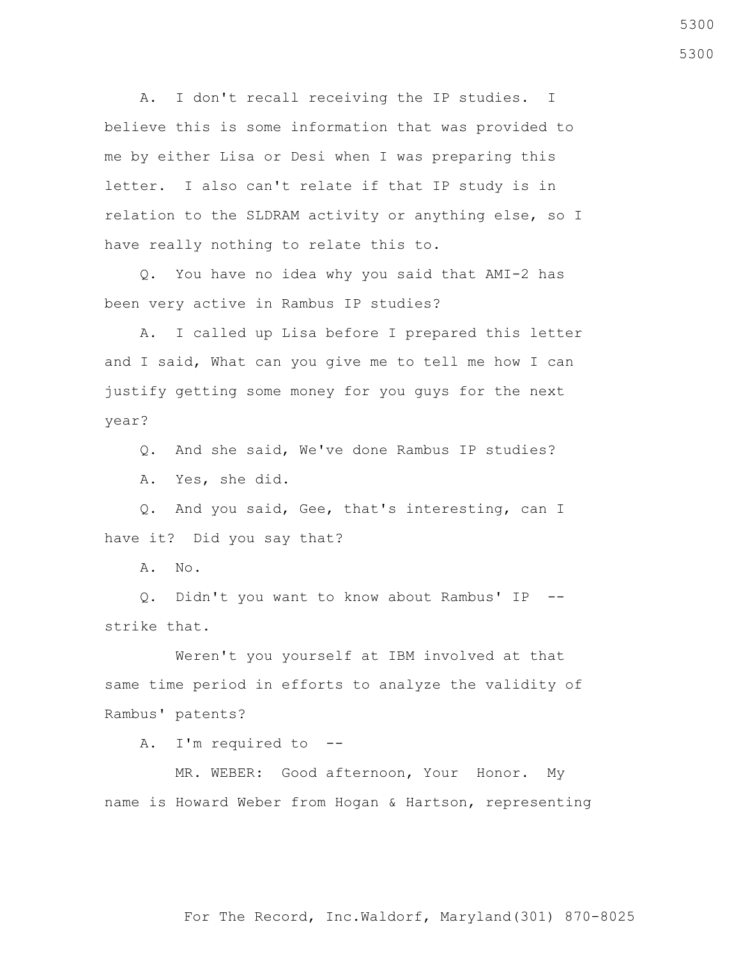A. I don't recall receiving the IP studies. I believe this is some information that was provided to me by either Lisa or Desi when I was preparing this letter. I also can't relate if that IP study is in relation to the SLDRAM activity or anything else, so I have really nothing to relate this to.

 Q. You have no idea why you said that AMI-2 has been very active in Rambus IP studies?

 A. I called up Lisa before I prepared this letter and I said, What can you give me to tell me how I can justify getting some money for you guys for the next year?

Q. And she said, We've done Rambus IP studies?

A. Yes, she did.

 Q. And you said, Gee, that's interesting, can I have it? Did you say that?

A. No.

 Q. Didn't you want to know about Rambus' IP - strike that.

 Weren't you yourself at IBM involved at that same time period in efforts to analyze the validity of Rambus' patents?

A. I'm required to --

 MR. WEBER: Good afternoon, Your Honor. My name is Howard Weber from Hogan & Hartson, representing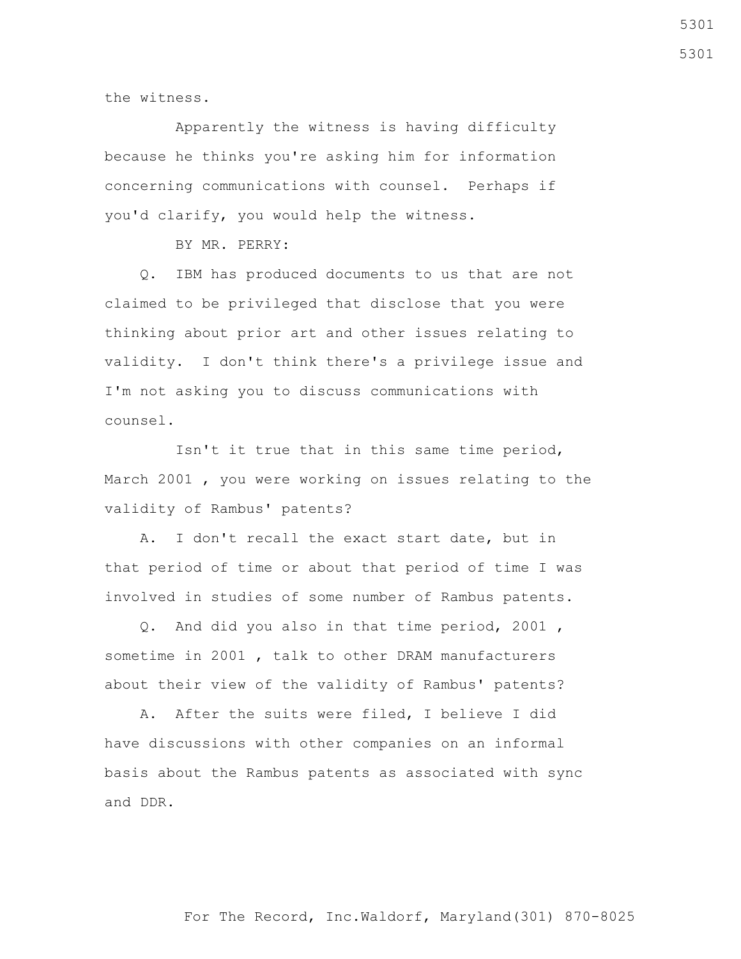the witness.

 Apparently the witness is having difficulty because he thinks you're asking him for information concerning communications with counsel. Perhaps if you'd clarify, you would help the witness.

BY MR. PERRY:

 Q. IBM has produced documents to us that are not claimed to be privileged that disclose that you were thinking about prior art and other issues relating to validity. I don't think there's a privilege issue and I'm not asking you to discuss communications with counsel.

 Isn't it true that in this same time period, March 2001 , you were working on issues relating to the validity of Rambus' patents?

 A. I don't recall the exact start date, but in that period of time or about that period of time I was involved in studies of some number of Rambus patents.

 Q. And did you also in that time period, 2001 , sometime in 2001 , talk to other DRAM manufacturers about their view of the validity of Rambus' patents?

 A. After the suits were filed, I believe I did have discussions with other companies on an informal basis about the Rambus patents as associated with sync and DDR.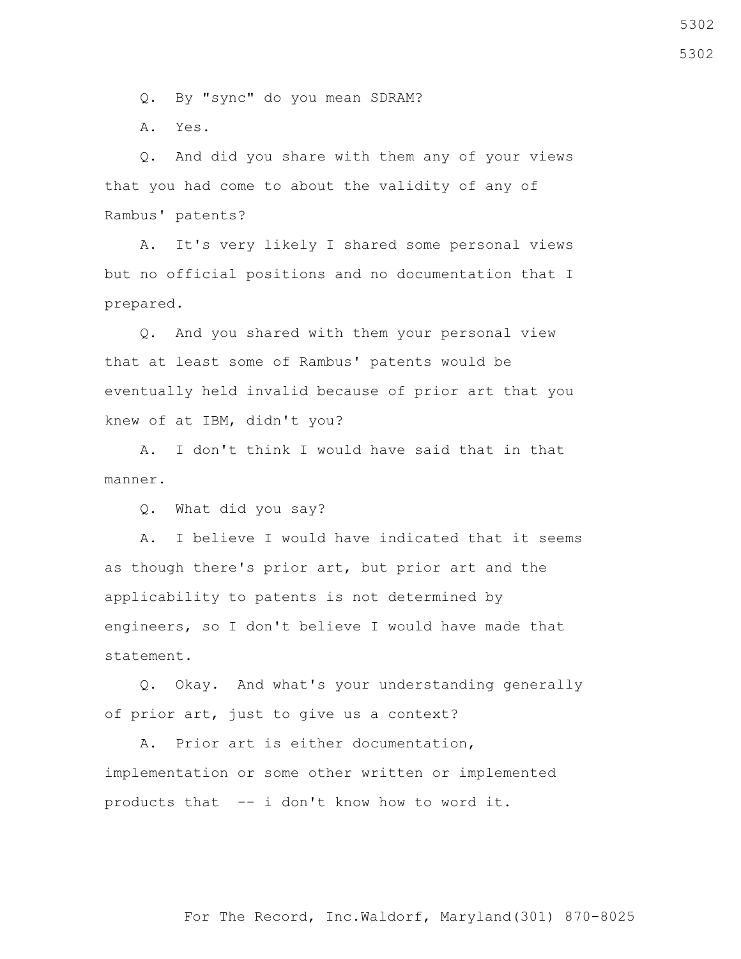Q. By "sync" do you mean SDRAM?

A. Yes.

 Q. And did you share with them any of your views that you had come to about the validity of any of Rambus' patents?

 A. It's very likely I shared some personal views but no official positions and no documentation that I prepared.

 Q. And you shared with them your personal view that at least some of Rambus' patents would be eventually held invalid because of prior art that you knew of at IBM, didn't you?

 A. I don't think I would have said that in that manner.

Q. What did you say?

 A. I believe I would have indicated that it seems as though there's prior art, but prior art and the applicability to patents is not determined by engineers, so I don't believe I would have made that statement.

 Q. Okay. And what's your understanding generally of prior art, just to give us a context?

 A. Prior art is either documentation, implementation or some other written or implemented products that -- i don't know how to word it.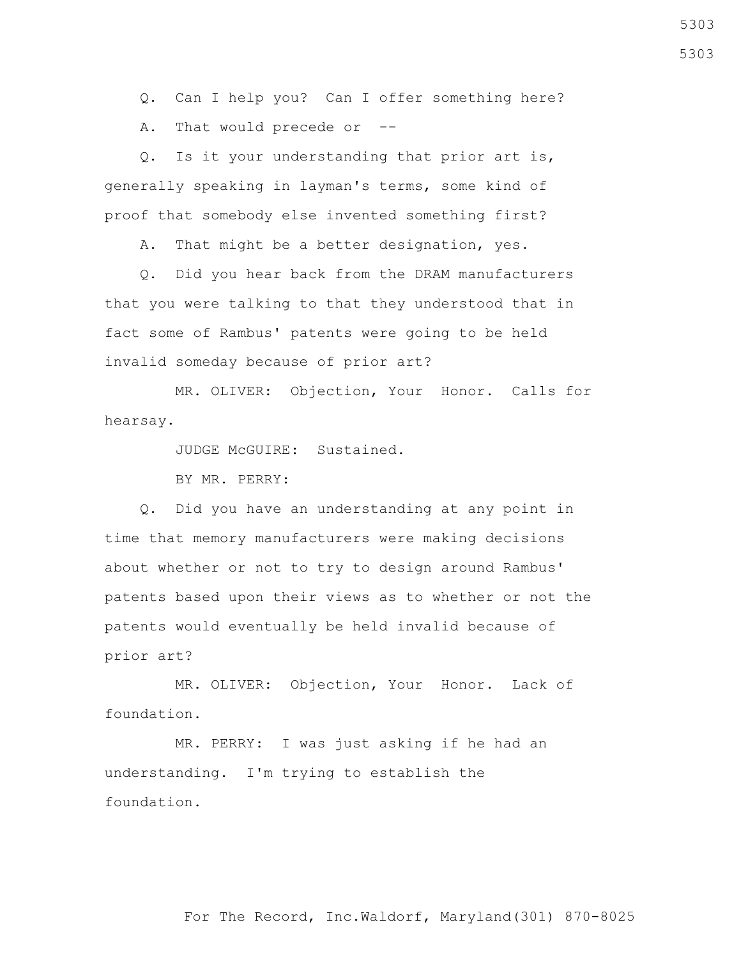Q. Can I help you? Can I offer something here?

A. That would precede or --

 Q. Is it your understanding that prior art is, generally speaking in layman's terms, some kind of proof that somebody else invented something first?

A. That might be a better designation, yes.

 Q. Did you hear back from the DRAM manufacturers that you were talking to that they understood that in fact some of Rambus' patents were going to be held invalid someday because of prior art?

 MR. OLIVER: Objection, Your Honor. Calls for hearsay.

JUDGE McGUIRE: Sustained.

BY MR. PERRY:

 Q. Did you have an understanding at any point in time that memory manufacturers were making decisions about whether or not to try to design around Rambus' patents based upon their views as to whether or not the patents would eventually be held invalid because of prior art?

 MR. OLIVER: Objection, Your Honor. Lack of foundation.

 MR. PERRY: I was just asking if he had an understanding. I'm trying to establish the foundation.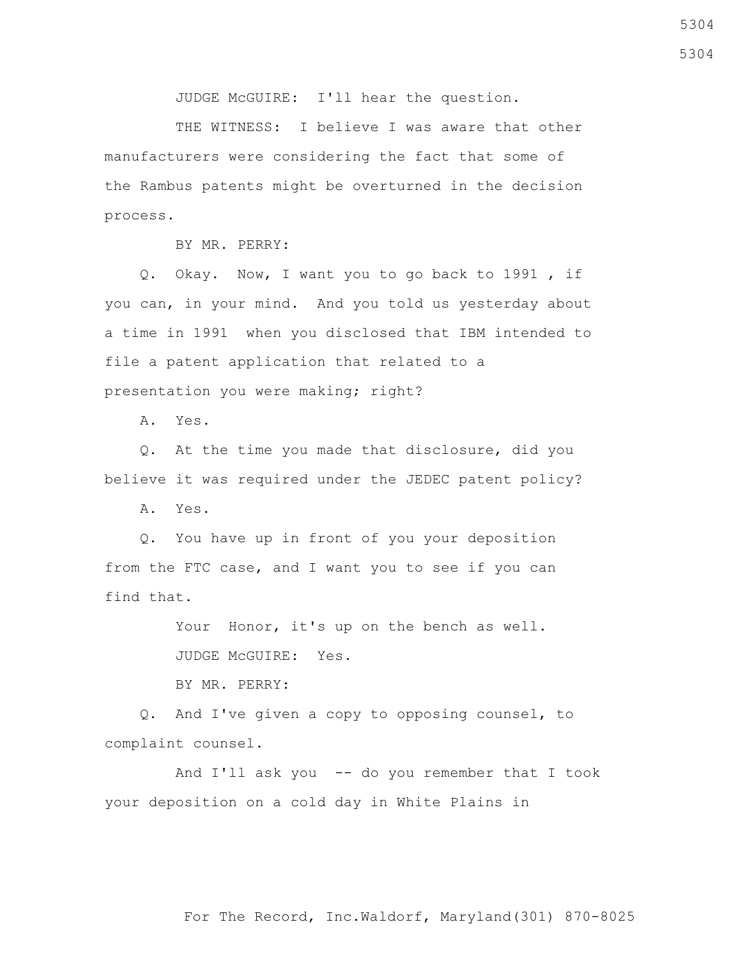JUDGE McGUIRE: I'll hear the question.

THE WITNESS: I believe I was aware that other manufacturers were considering the fact that some of the Rambus patents might be overturned in the decision process.

BY MR. PERRY:

 Q. Okay. Now, I want you to go back to 1991 , if you can, in your mind. And you told us yesterday about a time in 1991 when you disclosed that IBM intended to file a patent application that related to a presentation you were making; right?

A. Yes.

 Q. At the time you made that disclosure, did you believe it was required under the JEDEC patent policy?

A. Yes.

 Q. You have up in front of you your deposition from the FTC case, and I want you to see if you can find that.

Your Honor, it's up on the bench as well.

JUDGE McGUIRE: Yes.

BY MR. PERRY:

 Q. And I've given a copy to opposing counsel, to complaint counsel.

 And I'll ask you -- do you remember that I took your deposition on a cold day in White Plains in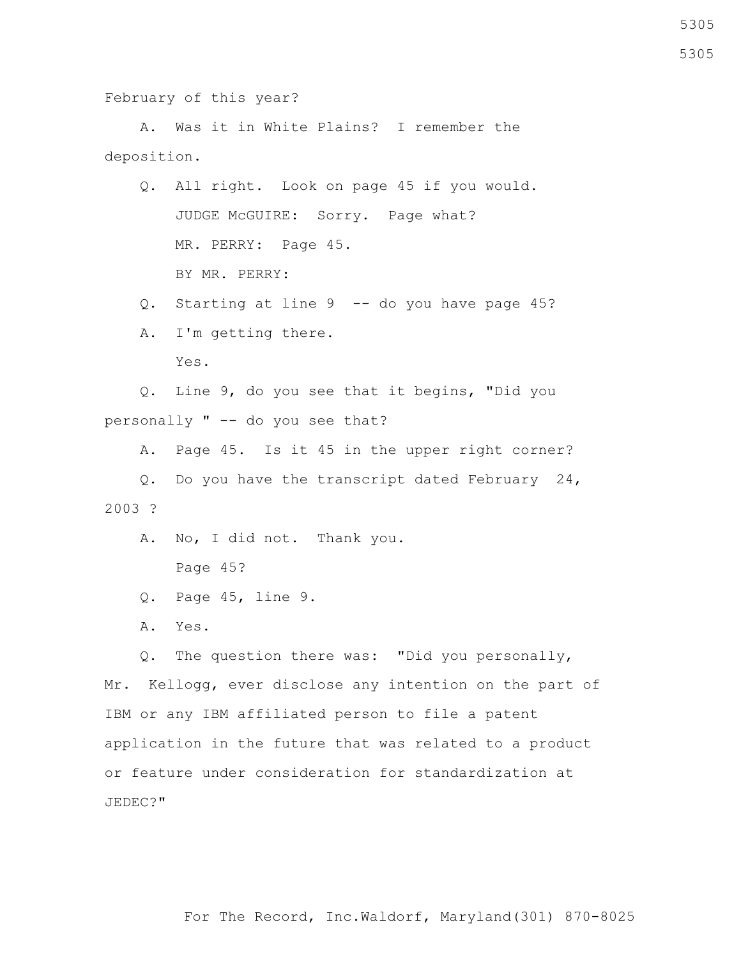February of this year?

 A. Was it in White Plains? I remember the deposition.

- Q. All right. Look on page 45 if you would. JUDGE McGUIRE: Sorry. Page what? MR. PERRY: Page 45. BY MR. PERRY:
- Q. Starting at line 9 -- do you have page 45?

 A. I'm getting there. Yes.

 Q. Line 9, do you see that it begins, "Did you personally " -- do you see that?

A. Page 45. Is it 45 in the upper right corner?

 Q. Do you have the transcript dated February 24, 2003 ?

 A. No, I did not. Thank you. Page 45?

Q. Page 45, line 9.

A. Yes.

 Q. The question there was: "Did you personally, Mr. Kellogg, ever disclose any intention on the part of IBM or any IBM affiliated person to file a patent application in the future that was related to a product or feature under consideration for standardization at JEDEC?"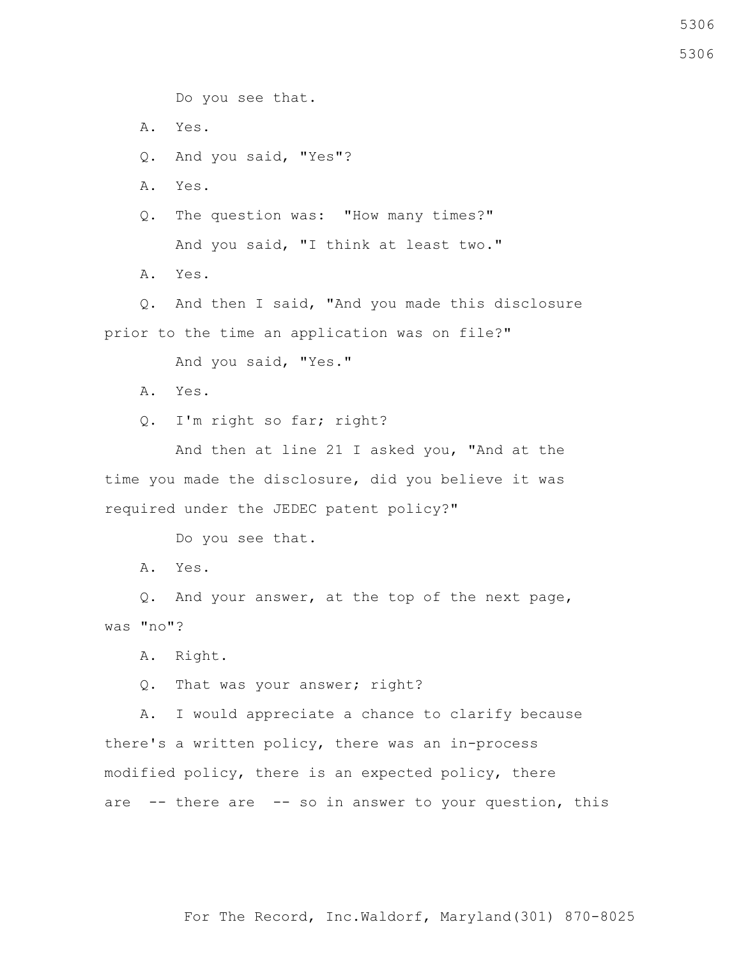Do you see that.

A. Yes.

Q. And you said, "Yes"?

A. Yes.

 Q. The question was: "How many times?" And you said, "I think at least two."

A. Yes.

 Q. And then I said, "And you made this disclosure prior to the time an application was on file?"

And you said, "Yes."

A. Yes.

Q. I'm right so far; right?

 And then at line 21 I asked you, "And at the time you made the disclosure, did you believe it was required under the JEDEC patent policy?"

Do you see that.

A. Yes.

 Q. And your answer, at the top of the next page, was "no"?

A. Right.

Q. That was your answer; right?

 A. I would appreciate a chance to clarify because there's a written policy, there was an in-process modified policy, there is an expected policy, there are -- there are -- so in answer to your question, this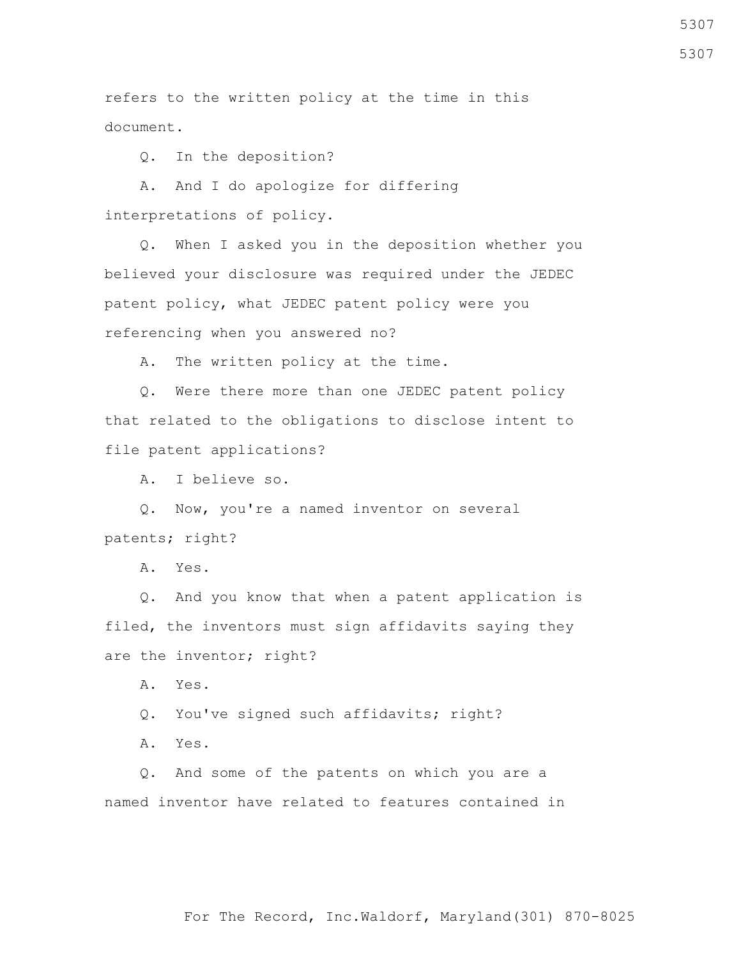refers to the written policy at the time in this document.

Q. In the deposition?

 A. And I do apologize for differing interpretations of policy.

 Q. When I asked you in the deposition whether you believed your disclosure was required under the JEDEC patent policy, what JEDEC patent policy were you referencing when you answered no?

A. The written policy at the time.

 Q. Were there more than one JEDEC patent policy that related to the obligations to disclose intent to file patent applications?

A. I believe so.

 Q. Now, you're a named inventor on several patents; right?

A. Yes.

 Q. And you know that when a patent application is filed, the inventors must sign affidavits saying they are the inventor; right?

A. Yes.

Q. You've signed such affidavits; right?

A. Yes.

 Q. And some of the patents on which you are a named inventor have related to features contained in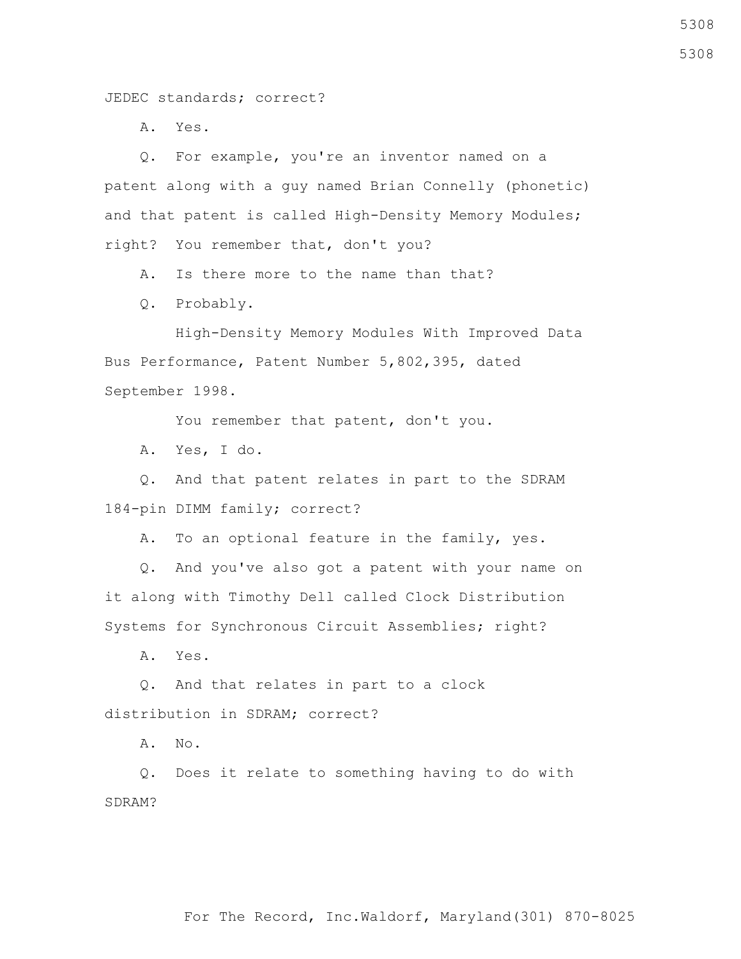JEDEC standards; correct?

A. Yes.

 Q. For example, you're an inventor named on a patent along with a guy named Brian Connelly (phonetic) and that patent is called High-Density Memory Modules; right? You remember that, don't you?

A. Is there more to the name than that?

Q. Probably.

 High-Density Memory Modules With Improved Data Bus Performance, Patent Number 5,802,395, dated September 1998.

You remember that patent, don't you.

A. Yes, I do.

 Q. And that patent relates in part to the SDRAM 184-pin DIMM family; correct?

A. To an optional feature in the family, yes.

 Q. And you've also got a patent with your name on it along with Timothy Dell called Clock Distribution Systems for Synchronous Circuit Assemblies; right?

A. Yes.

 Q. And that relates in part to a clock distribution in SDRAM; correct?

A. No.

 Q. Does it relate to something having to do with SDRAM?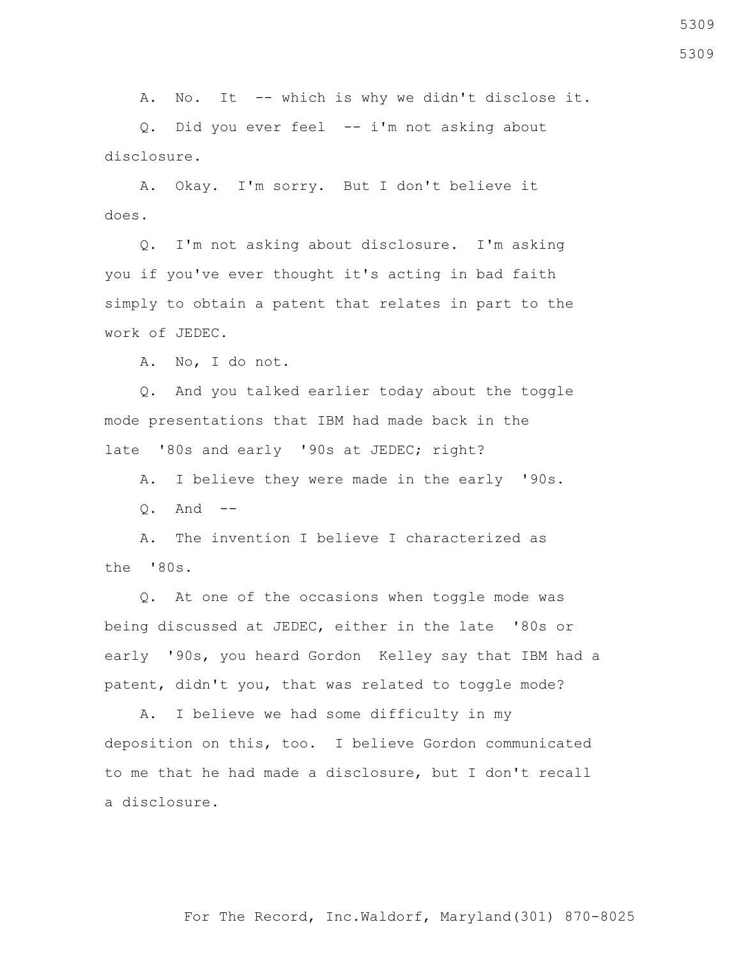A. No. It -- which is why we didn't disclose it.

 Q. Did you ever feel -- i'm not asking about disclosure.

 A. Okay. I'm sorry. But I don't believe it does.

 Q. I'm not asking about disclosure. I'm asking you if you've ever thought it's acting in bad faith simply to obtain a patent that relates in part to the work of JEDEC.

A. No, I do not.

 Q. And you talked earlier today about the toggle mode presentations that IBM had made back in the late '80s and early '90s at JEDEC; right?

A. I believe they were made in the early '90s.

 $0.$  And  $-$ 

 A. The invention I believe I characterized as the '80s.

 Q. At one of the occasions when toggle mode was being discussed at JEDEC, either in the late '80s or early '90s, you heard Gordon Kelley say that IBM had a patent, didn't you, that was related to toggle mode?

 A. I believe we had some difficulty in my deposition on this, too. I believe Gordon communicated to me that he had made a disclosure, but I don't recall a disclosure.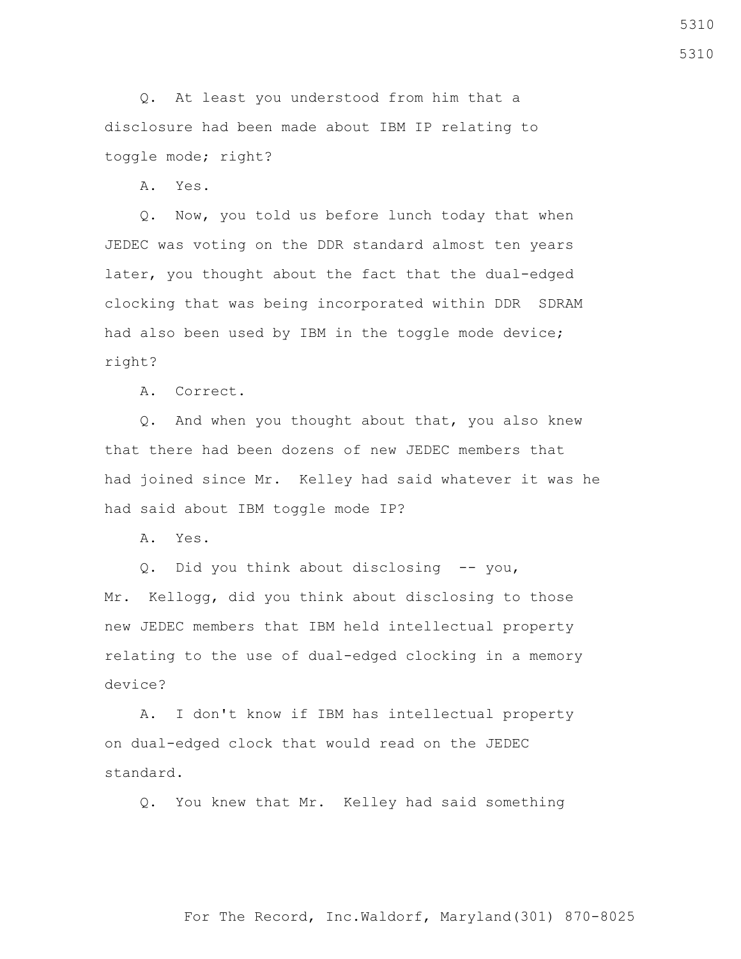Q. At least you understood from him that a disclosure had been made about IBM IP relating to toggle mode; right?

A. Yes.

 Q. Now, you told us before lunch today that when JEDEC was voting on the DDR standard almost ten years later, you thought about the fact that the dual-edged clocking that was being incorporated within DDR SDRAM had also been used by IBM in the toggle mode device; right?

A. Correct.

 Q. And when you thought about that, you also knew that there had been dozens of new JEDEC members that had joined since Mr. Kelley had said whatever it was he had said about IBM toggle mode IP?

A. Yes.

 Q. Did you think about disclosing -- you, Mr. Kellogg, did you think about disclosing to those new JEDEC members that IBM held intellectual property relating to the use of dual-edged clocking in a memory device?

 A. I don't know if IBM has intellectual property on dual-edged clock that would read on the JEDEC standard.

Q. You knew that Mr. Kelley had said something

For The Record, Inc.Waldorf, Maryland(301) 870-8025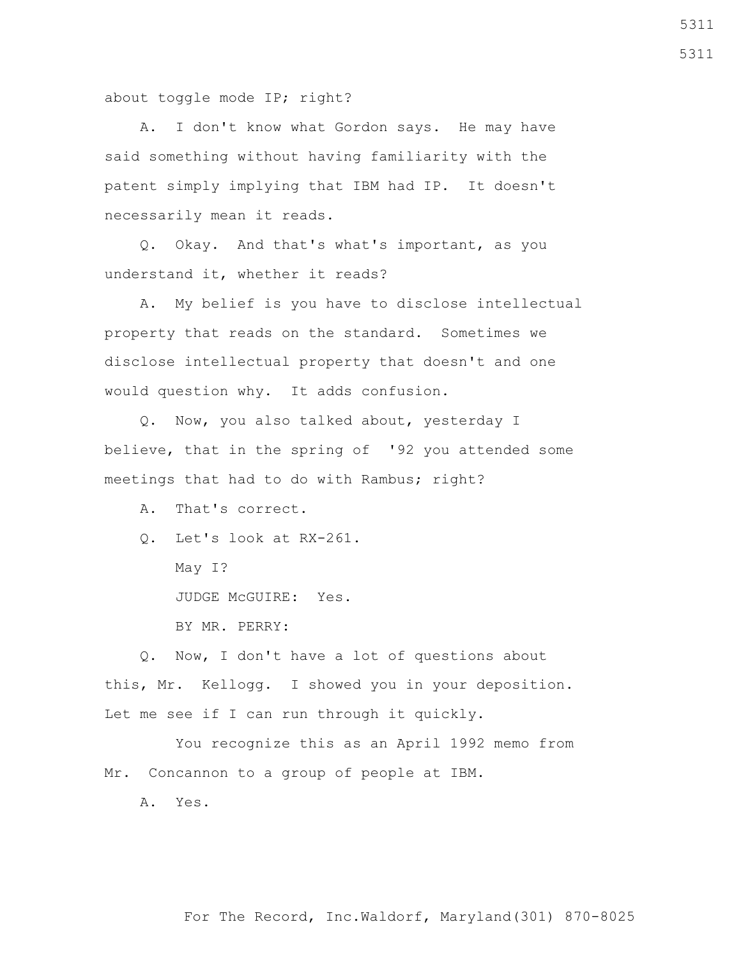about toggle mode IP; right?

 A. I don't know what Gordon says. He may have said something without having familiarity with the patent simply implying that IBM had IP. It doesn't necessarily mean it reads.

 Q. Okay. And that's what's important, as you understand it, whether it reads?

 A. My belief is you have to disclose intellectual property that reads on the standard. Sometimes we disclose intellectual property that doesn't and one would question why. It adds confusion.

 Q. Now, you also talked about, yesterday I believe, that in the spring of '92 you attended some meetings that had to do with Rambus; right?

A. That's correct.

Q. Let's look at RX-261.

May I?

JUDGE McGUIRE: Yes.

BY MR. PERRY:

 Q. Now, I don't have a lot of questions about this, Mr. Kellogg. I showed you in your deposition. Let me see if I can run through it quickly.

 You recognize this as an April 1992 memo from Mr. Concannon to a group of people at IBM.

A. Yes.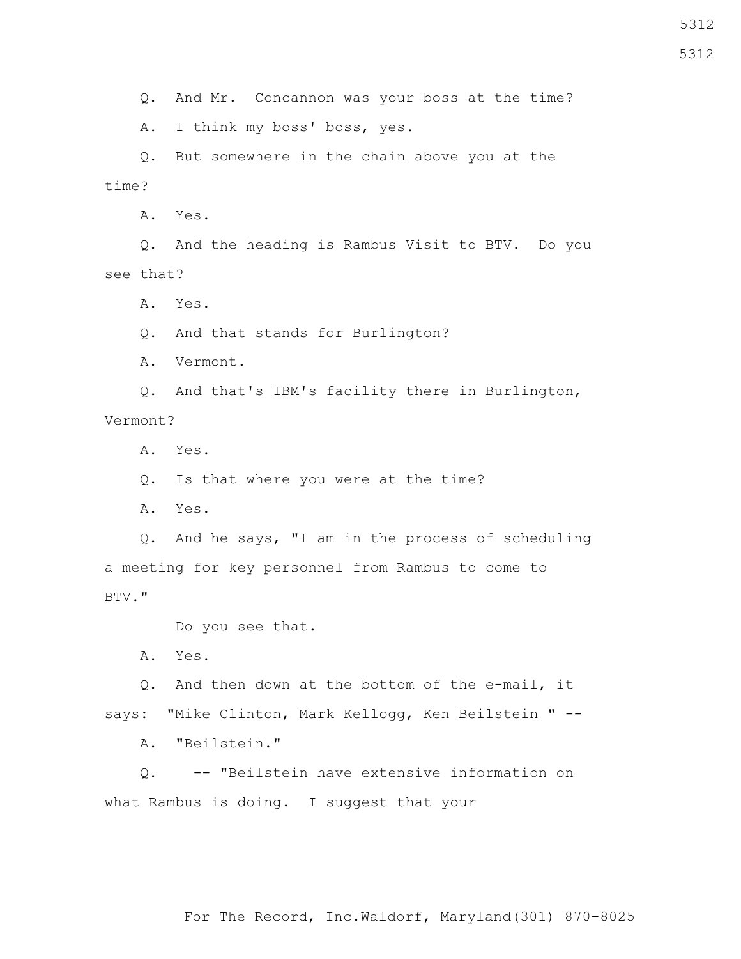Q. And Mr. Concannon was your boss at the time?

A. I think my boss' boss, yes.

 Q. But somewhere in the chain above you at the time?

A. Yes.

 Q. And the heading is Rambus Visit to BTV. Do you see that?

A. Yes.

Q. And that stands for Burlington?

A. Vermont.

 Q. And that's IBM's facility there in Burlington, Vermont?

A. Yes.

Q. Is that where you were at the time?

A. Yes.

 Q. And he says, "I am in the process of scheduling a meeting for key personnel from Rambus to come to BTV."

Do you see that.

A. Yes.

 Q. And then down at the bottom of the e-mail, it says: "Mike Clinton, Mark Kellogg, Ken Beilstein " --

A. "Beilstein."

 Q. -- "Beilstein have extensive information on what Rambus is doing. I suggest that your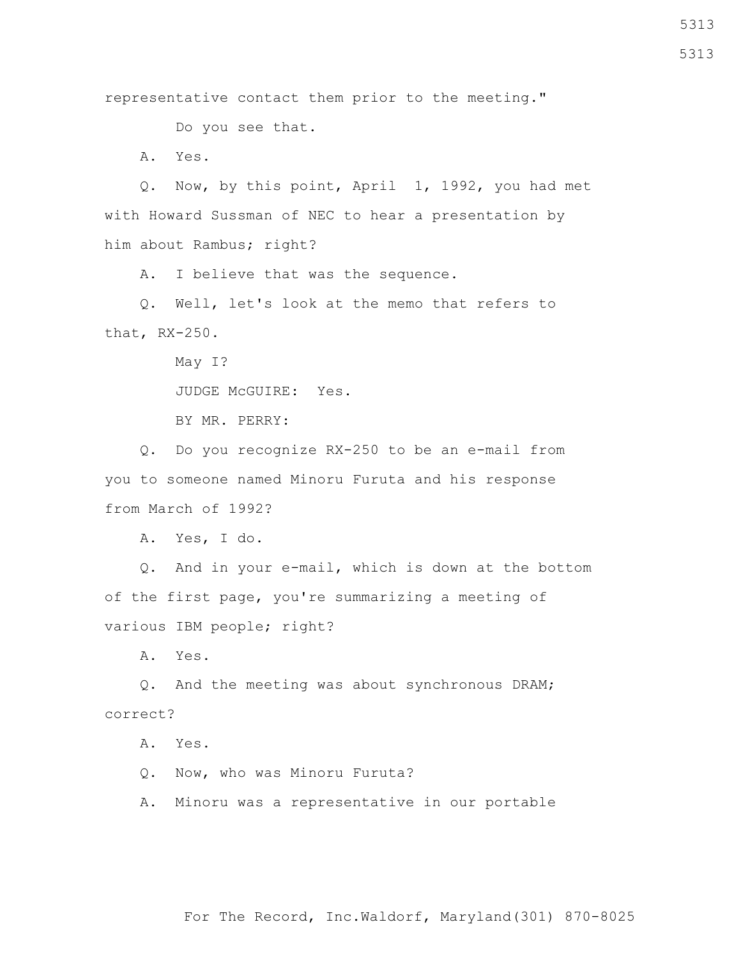representative contact them prior to the meeting."

Do you see that.

A. Yes.

 Q. Now, by this point, April 1, 1992, you had met with Howard Sussman of NEC to hear a presentation by him about Rambus; right?

A. I believe that was the sequence.

 Q. Well, let's look at the memo that refers to that, RX-250.

May I?

JUDGE McGUIRE: Yes.

BY MR. PERRY:

 Q. Do you recognize RX-250 to be an e-mail from you to someone named Minoru Furuta and his response from March of 1992?

A. Yes, I do.

 Q. And in your e-mail, which is down at the bottom of the first page, you're summarizing a meeting of various IBM people; right?

A. Yes.

 Q. And the meeting was about synchronous DRAM; correct?

A. Yes.

Q. Now, who was Minoru Furuta?

A. Minoru was a representative in our portable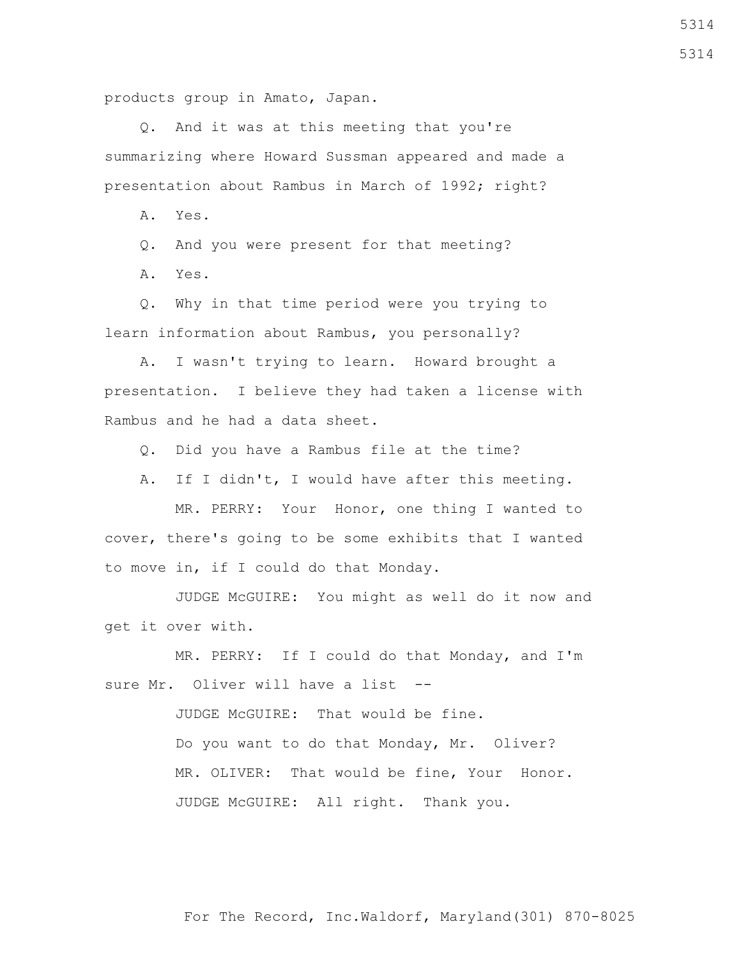products group in Amato, Japan.

 Q. And it was at this meeting that you're summarizing where Howard Sussman appeared and made a presentation about Rambus in March of 1992; right?

A. Yes.

Q. And you were present for that meeting?

A. Yes.

 Q. Why in that time period were you trying to learn information about Rambus, you personally?

 A. I wasn't trying to learn. Howard brought a presentation. I believe they had taken a license with Rambus and he had a data sheet.

Q. Did you have a Rambus file at the time?

A. If I didn't, I would have after this meeting.

 MR. PERRY: Your Honor, one thing I wanted to cover, there's going to be some exhibits that I wanted to move in, if I could do that Monday.

 JUDGE McGUIRE: You might as well do it now and get it over with.

 MR. PERRY: If I could do that Monday, and I'm sure Mr. Oliver will have a list --

> JUDGE McGUIRE: That would be fine. Do you want to do that Monday, Mr. Oliver? MR. OLIVER: That would be fine, Your Honor. JUDGE McGUIRE: All right. Thank you.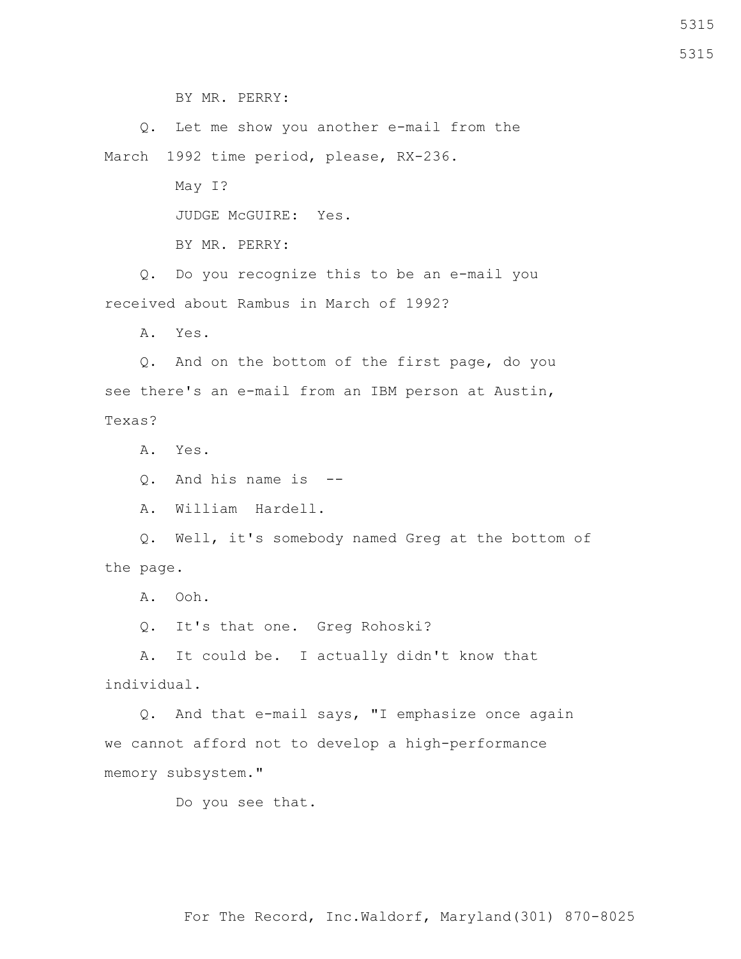BY MR. PERRY:

 Q. Let me show you another e-mail from the March 1992 time period, please, RX-236.

> May I? JUDGE McGUIRE: Yes.

BY MR. PERRY:

 Q. Do you recognize this to be an e-mail you received about Rambus in March of 1992?

A. Yes.

 Q. And on the bottom of the first page, do you see there's an e-mail from an IBM person at Austin, Texas?

A. Yes.

Q. And his name is --

A. William Hardell.

 Q. Well, it's somebody named Greg at the bottom of the page.

A. Ooh.

Q. It's that one. Greg Rohoski?

 A. It could be. I actually didn't know that individual.

 Q. And that e-mail says, "I emphasize once again we cannot afford not to develop a high-performance memory subsystem."

Do you see that.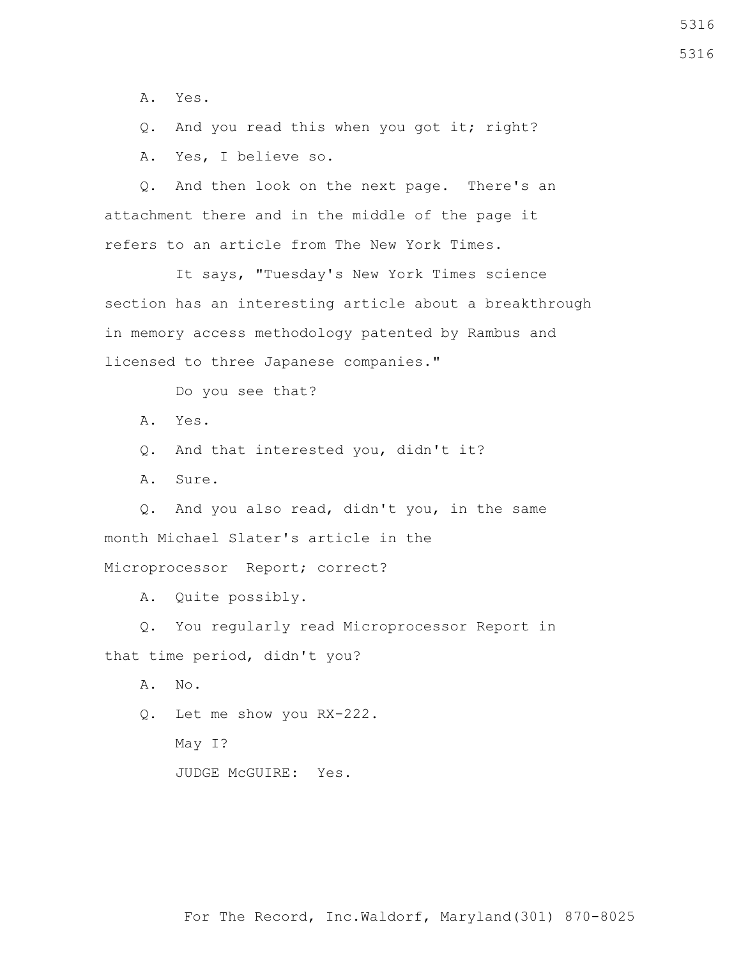A. Yes.

Q. And you read this when you got it; right?

A. Yes, I believe so.

 Q. And then look on the next page. There's an attachment there and in the middle of the page it refers to an article from The New York Times.

 It says, "Tuesday's New York Times science section has an interesting article about a breakthrough in memory access methodology patented by Rambus and licensed to three Japanese companies."

Do you see that?

A. Yes.

Q. And that interested you, didn't it?

A. Sure.

 Q. And you also read, didn't you, in the same month Michael Slater's article in the Microprocessor Report; correct?

A. Quite possibly.

 Q. You regularly read Microprocessor Report in that time period, didn't you?

A. No.

 Q. Let me show you RX-222. May I? JUDGE McGUIRE: Yes.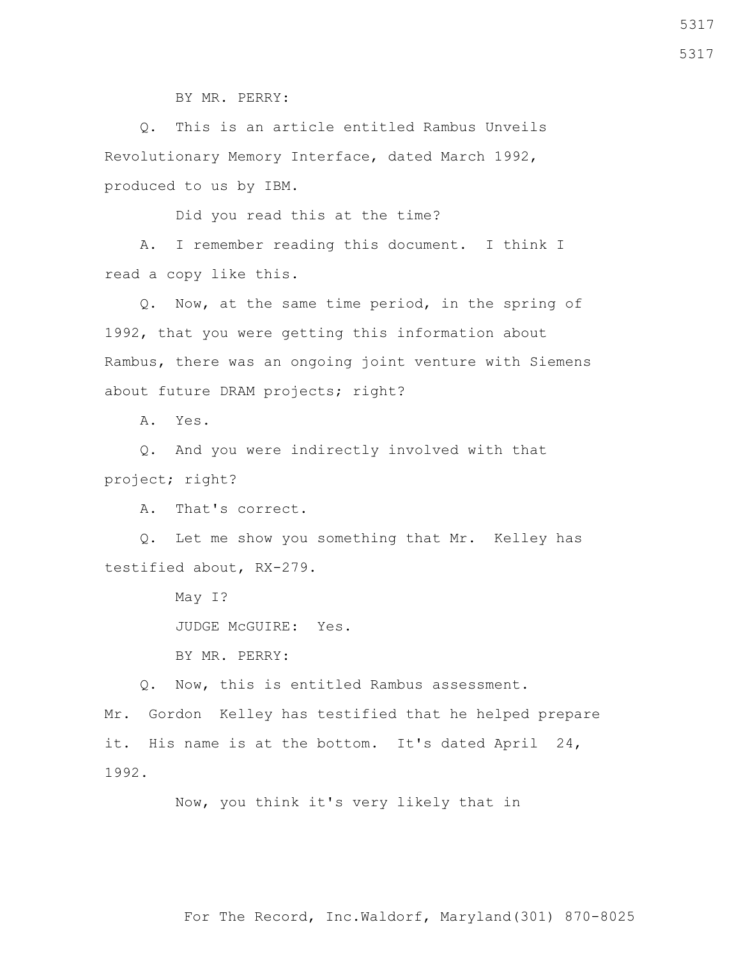BY MR. PERRY:

 Q. This is an article entitled Rambus Unveils Revolutionary Memory Interface, dated March 1992, produced to us by IBM.

Did you read this at the time?

 A. I remember reading this document. I think I read a copy like this.

 Q. Now, at the same time period, in the spring of 1992, that you were getting this information about Rambus, there was an ongoing joint venture with Siemens about future DRAM projects; right?

A. Yes.

 Q. And you were indirectly involved with that project; right?

A. That's correct.

 Q. Let me show you something that Mr. Kelley has testified about, RX-279.

May I?

JUDGE McGUIRE: Yes.

BY MR. PERRY:

Q. Now, this is entitled Rambus assessment.

Mr. Gordon Kelley has testified that he helped prepare it. His name is at the bottom. It's dated April 24, 1992.

Now, you think it's very likely that in

For The Record, Inc.Waldorf, Maryland(301) 870-8025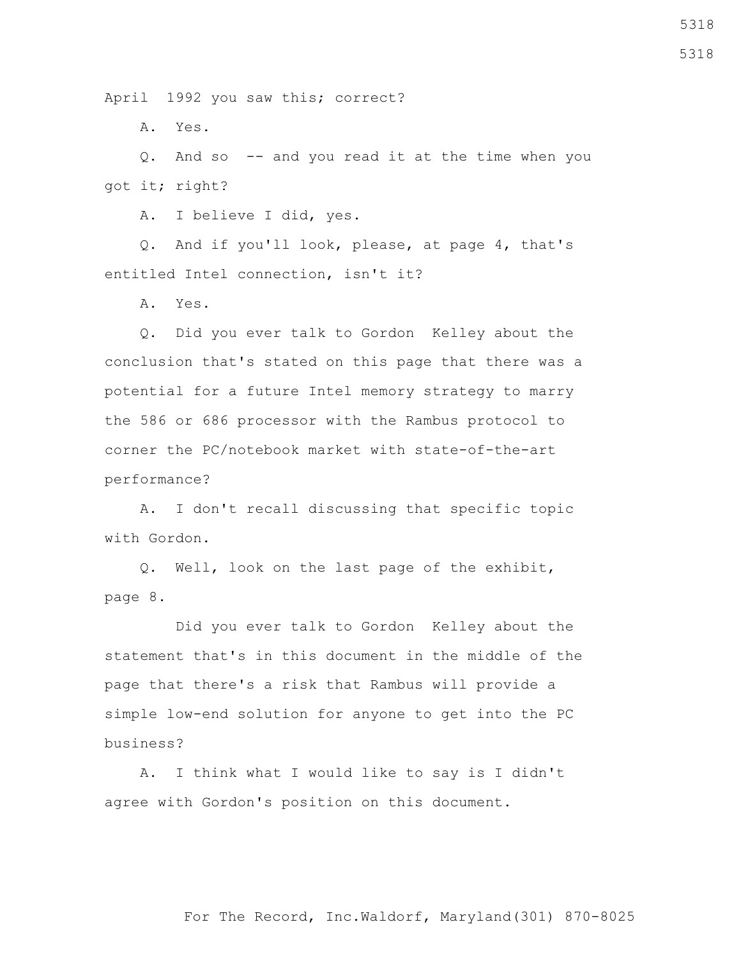April 1992 you saw this; correct?

A. Yes.

 Q. And so -- and you read it at the time when you got it; right?

A. I believe I did, yes.

 Q. And if you'll look, please, at page 4, that's entitled Intel connection, isn't it?

A. Yes.

 Q. Did you ever talk to Gordon Kelley about the conclusion that's stated on this page that there was a potential for a future Intel memory strategy to marry the 586 or 686 processor with the Rambus protocol to corner the PC/notebook market with state-of-the-art performance?

 A. I don't recall discussing that specific topic with Gordon.

 Q. Well, look on the last page of the exhibit, page 8.

 Did you ever talk to Gordon Kelley about the statement that's in this document in the middle of the page that there's a risk that Rambus will provide a simple low-end solution for anyone to get into the PC business?

 A. I think what I would like to say is I didn't agree with Gordon's position on this document.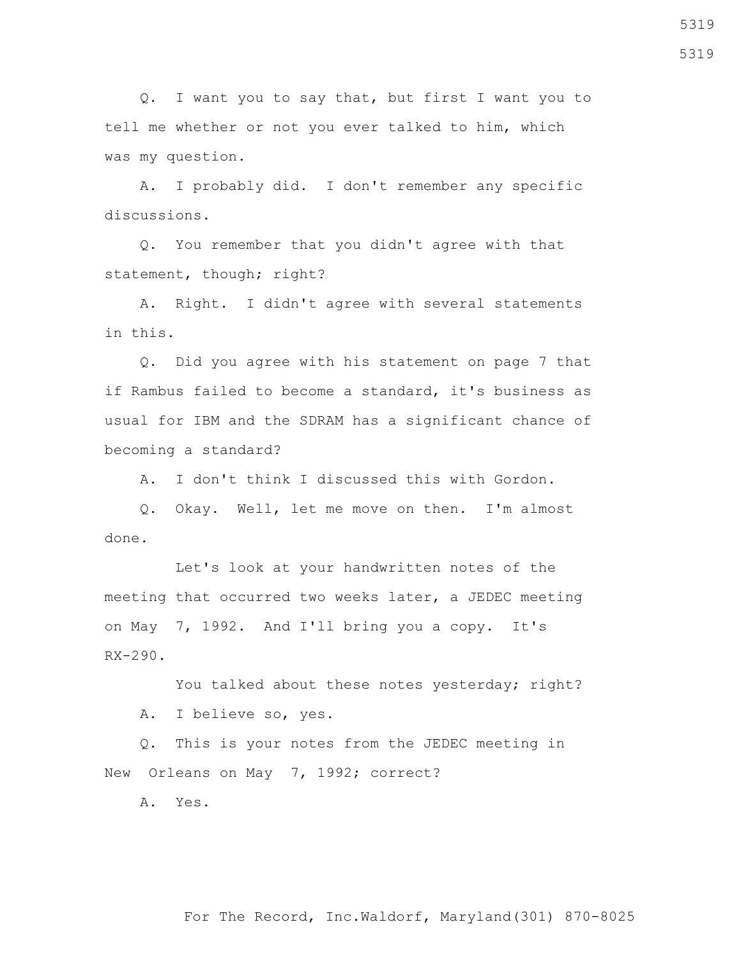Q. I want you to say that, but first I want you to tell me whether or not you ever talked to him, which was my question.

 A. I probably did. I don't remember any specific discussions.

 Q. You remember that you didn't agree with that statement, though; right?

 A. Right. I didn't agree with several statements in this.

 Q. Did you agree with his statement on page 7 that if Rambus failed to become a standard, it's business as usual for IBM and the SDRAM has a significant chance of becoming a standard?

A. I don't think I discussed this with Gordon.

 Q. Okay. Well, let me move on then. I'm almost done.

 Let's look at your handwritten notes of the meeting that occurred two weeks later, a JEDEC meeting on May 7, 1992. And I'll bring you a copy. It's  $RX-290$ .

You talked about these notes yesterday; right? A. I believe so, yes.

 Q. This is your notes from the JEDEC meeting in New Orleans on May 7, 1992; correct?

A. Yes.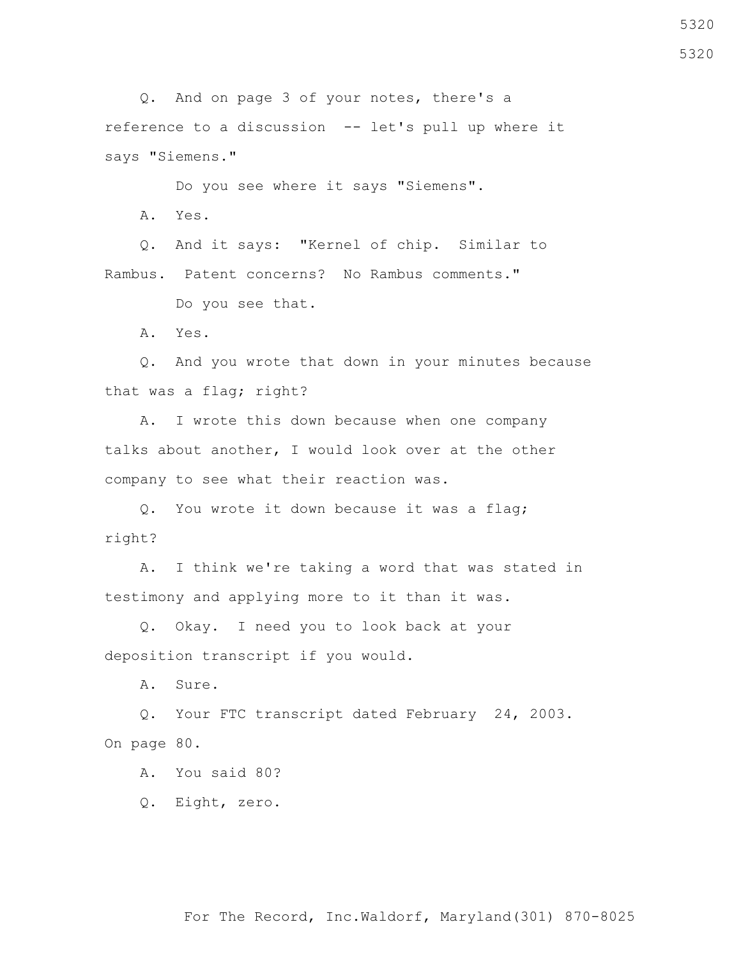Q. And on page 3 of your notes, there's a reference to a discussion -- let's pull up where it says "Siemens."

Do you see where it says "Siemens".

A. Yes.

 Q. And it says: "Kernel of chip. Similar to Rambus. Patent concerns? No Rambus comments."

Do you see that.

A. Yes.

 Q. And you wrote that down in your minutes because that was a flag; right?

 A. I wrote this down because when one company talks about another, I would look over at the other company to see what their reaction was.

 Q. You wrote it down because it was a flag; right?

 A. I think we're taking a word that was stated in testimony and applying more to it than it was.

 Q. Okay. I need you to look back at your deposition transcript if you would.

A. Sure.

 Q. Your FTC transcript dated February 24, 2003. On page 80.

A. You said 80?

Q. Eight, zero.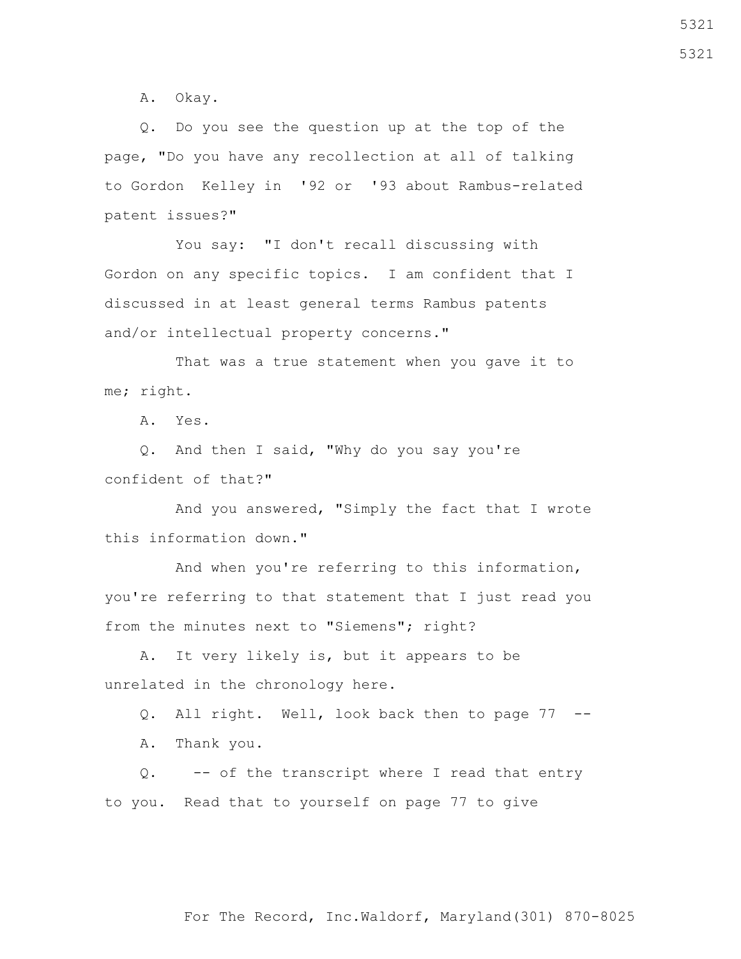A. Okay.

 Q. Do you see the question up at the top of the page, "Do you have any recollection at all of talking to Gordon Kelley in '92 or '93 about Rambus-related patent issues?"

 You say: "I don't recall discussing with Gordon on any specific topics. I am confident that I discussed in at least general terms Rambus patents and/or intellectual property concerns."

 That was a true statement when you gave it to me; right.

A. Yes.

 Q. And then I said, "Why do you say you're confident of that?"

 And you answered, "Simply the fact that I wrote this information down."

 And when you're referring to this information, you're referring to that statement that I just read you from the minutes next to "Siemens"; right?

 A. It very likely is, but it appears to be unrelated in the chronology here.

Q. All right. Well, look back then to page 77 --

A. Thank you.

 Q. -- of the transcript where I read that entry to you. Read that to yourself on page 77 to give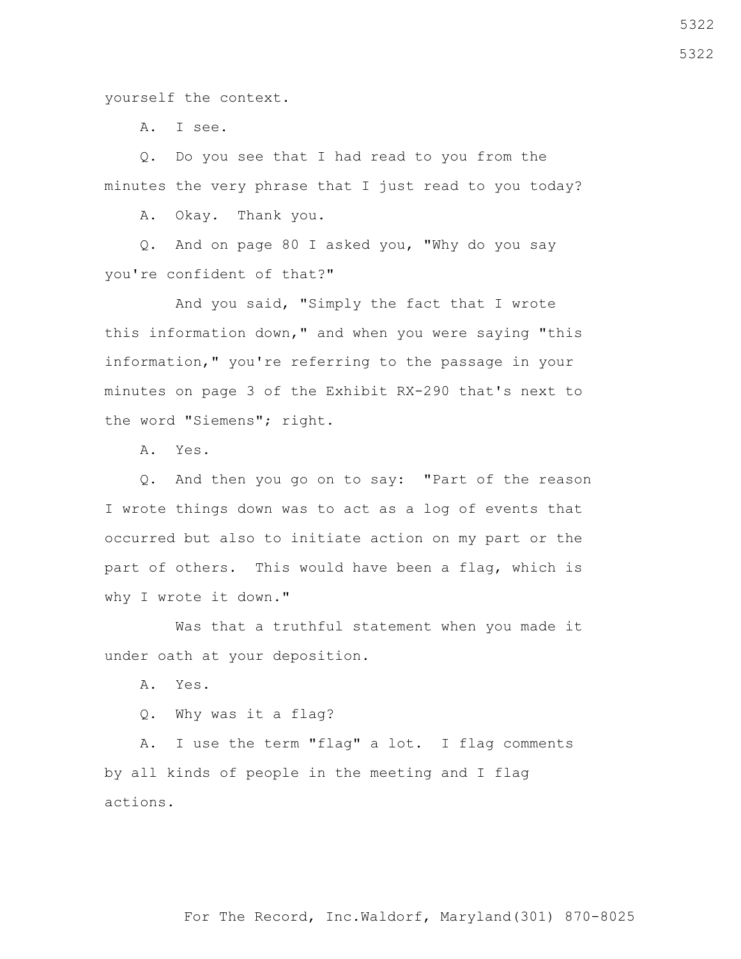yourself the context.

A. I see.

 Q. Do you see that I had read to you from the minutes the very phrase that I just read to you today?

A. Okay. Thank you.

 Q. And on page 80 I asked you, "Why do you say you're confident of that?"

 And you said, "Simply the fact that I wrote this information down," and when you were saying "this information," you're referring to the passage in your minutes on page 3 of the Exhibit RX-290 that's next to the word "Siemens"; right.

A. Yes.

 Q. And then you go on to say: "Part of the reason I wrote things down was to act as a log of events that occurred but also to initiate action on my part or the part of others. This would have been a flag, which is why I wrote it down."

 Was that a truthful statement when you made it under oath at your deposition.

A. Yes.

Q. Why was it a flag?

 A. I use the term "flag" a lot. I flag comments by all kinds of people in the meeting and I flag actions.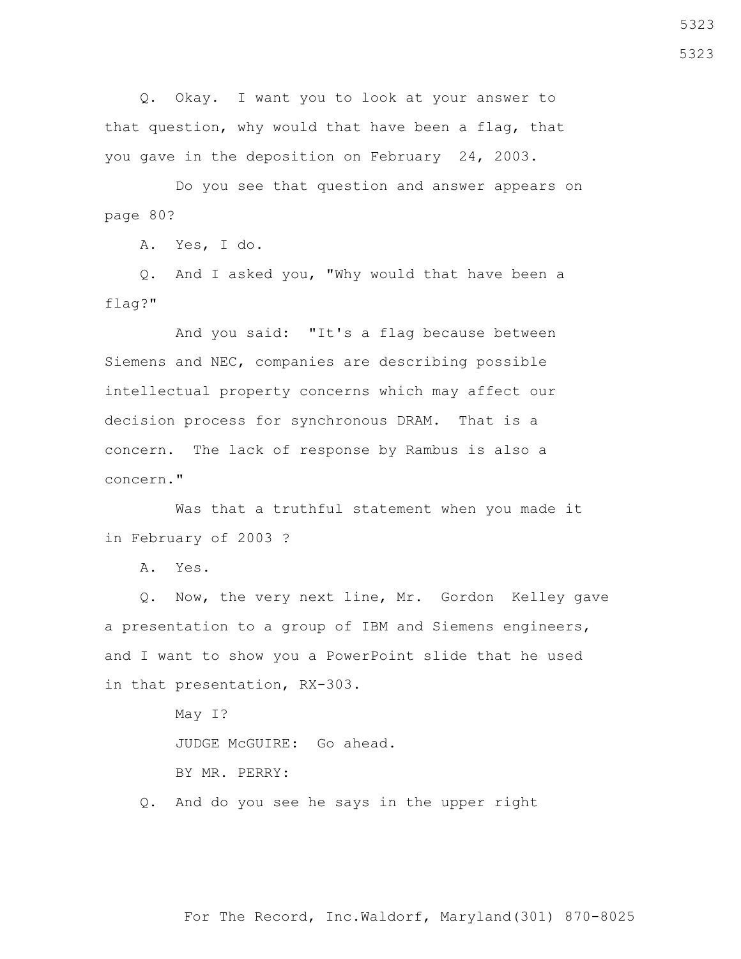Q. Okay. I want you to look at your answer to that question, why would that have been a flag, that you gave in the deposition on February 24, 2003.

 Do you see that question and answer appears on page 80?

A. Yes, I do.

 Q. And I asked you, "Why would that have been a flag?"

 And you said: "It's a flag because between Siemens and NEC, companies are describing possible intellectual property concerns which may affect our decision process for synchronous DRAM. That is a concern. The lack of response by Rambus is also a concern."

 Was that a truthful statement when you made it in February of 2003 ?

A. Yes.

 Q. Now, the very next line, Mr. Gordon Kelley gave a presentation to a group of IBM and Siemens engineers, and I want to show you a PowerPoint slide that he used in that presentation, RX-303.

> May I? JUDGE McGUIRE: Go ahead. BY MR. PERRY:

Q. And do you see he says in the upper right

For The Record, Inc.Waldorf, Maryland(301) 870-8025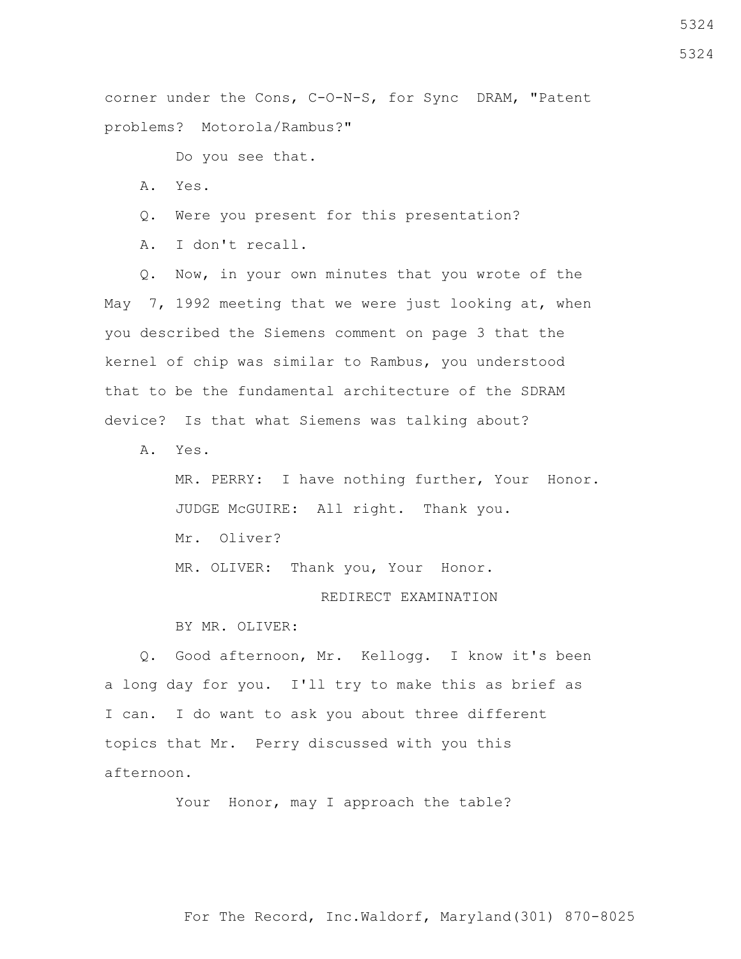corner under the Cons, C-O-N-S, for Sync DRAM, "Patent problems? Motorola/Rambus?"

Do you see that.

A. Yes.

Q. Were you present for this presentation?

A. I don't recall.

 Q. Now, in your own minutes that you wrote of the May 7, 1992 meeting that we were just looking at, when you described the Siemens comment on page 3 that the kernel of chip was similar to Rambus, you understood that to be the fundamental architecture of the SDRAM device? Is that what Siemens was talking about?

A. Yes.

 MR. PERRY: I have nothing further, Your Honor. JUDGE McGUIRE: All right. Thank you. Mr. Oliver? MR. OLIVER: Thank you, Your Honor.

REDIRECT EXAMINATION

BY MR. OLIVER:

 Q. Good afternoon, Mr. Kellogg. I know it's been a long day for you. I'll try to make this as brief as I can. I do want to ask you about three different topics that Mr. Perry discussed with you this afternoon.

Your Honor, may I approach the table?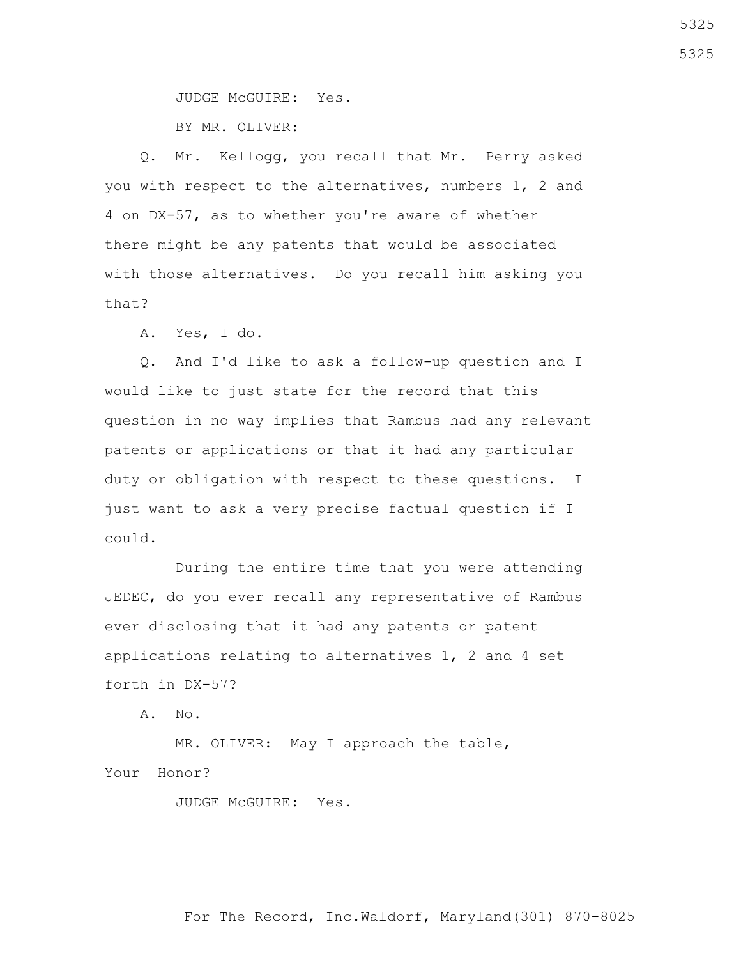JUDGE McGUIRE: Yes.

BY MR. OLIVER:

 Q. Mr. Kellogg, you recall that Mr. Perry asked you with respect to the alternatives, numbers 1, 2 and 4 on DX-57, as to whether you're aware of whether there might be any patents that would be associated with those alternatives. Do you recall him asking you that?

A. Yes, I do.

 Q. And I'd like to ask a follow-up question and I would like to just state for the record that this question in no way implies that Rambus had any relevant patents or applications or that it had any particular duty or obligation with respect to these questions. I just want to ask a very precise factual question if I could.

 During the entire time that you were attending JEDEC, do you ever recall any representative of Rambus ever disclosing that it had any patents or patent applications relating to alternatives 1, 2 and 4 set forth in DX-57?

A. No.

 MR. OLIVER: May I approach the table, Your Honor?

JUDGE McGUIRE: Yes.

5325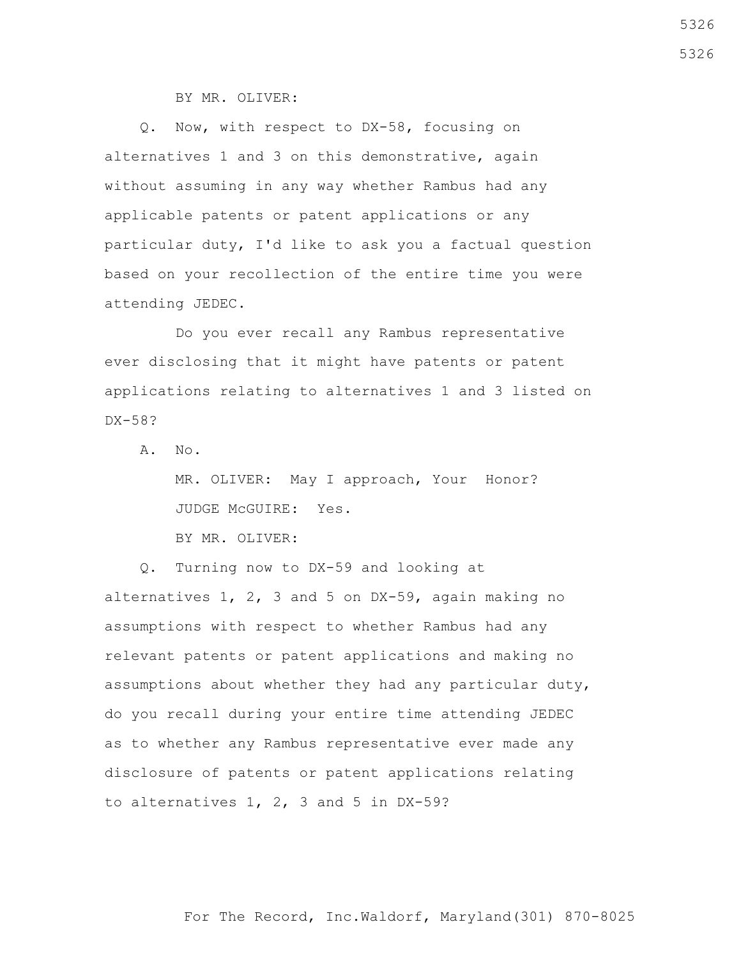BY MR. OLIVER:

 Q. Now, with respect to DX-58, focusing on alternatives 1 and 3 on this demonstrative, again without assuming in any way whether Rambus had any applicable patents or patent applications or any particular duty, I'd like to ask you a factual question based on your recollection of the entire time you were attending JEDEC.

 Do you ever recall any Rambus representative ever disclosing that it might have patents or patent applications relating to alternatives 1 and 3 listed on DX-58?

A. No.

 MR. OLIVER: May I approach, Your Honor? JUDGE McGUIRE: Yes.

BY MR. OLIVER:

 Q. Turning now to DX-59 and looking at alternatives 1, 2, 3 and 5 on DX-59, again making no assumptions with respect to whether Rambus had any relevant patents or patent applications and making no assumptions about whether they had any particular duty, do you recall during your entire time attending JEDEC as to whether any Rambus representative ever made any disclosure of patents or patent applications relating to alternatives 1, 2, 3 and 5 in DX-59?

For The Record, Inc.Waldorf, Maryland(301) 870-8025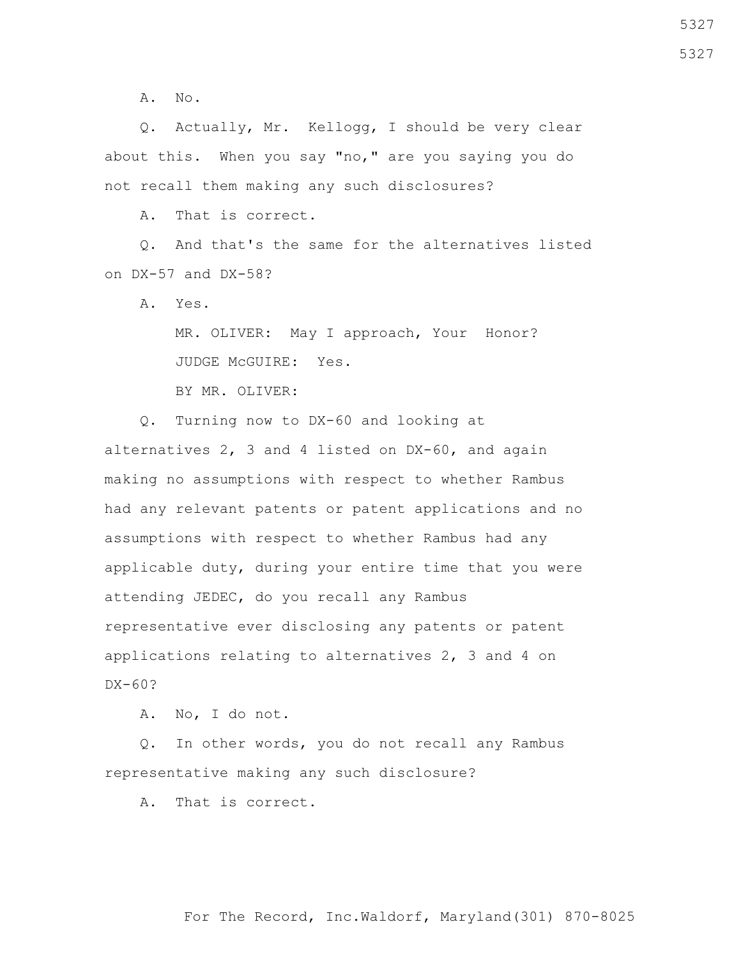A. No.

 Q. Actually, Mr. Kellogg, I should be very clear about this. When you say "no," are you saying you do not recall them making any such disclosures?

A. That is correct.

 Q. And that's the same for the alternatives listed on DX-57 and DX-58?

A. Yes.

 MR. OLIVER: May I approach, Your Honor? JUDGE McGUIRE: Yes.

BY MR. OLIVER:

 Q. Turning now to DX-60 and looking at alternatives 2, 3 and 4 listed on DX-60, and again making no assumptions with respect to whether Rambus had any relevant patents or patent applications and no assumptions with respect to whether Rambus had any applicable duty, during your entire time that you were attending JEDEC, do you recall any Rambus representative ever disclosing any patents or patent applications relating to alternatives 2, 3 and 4 on  $DX-60?$ 

A. No, I do not.

 Q. In other words, you do not recall any Rambus representative making any such disclosure?

A. That is correct.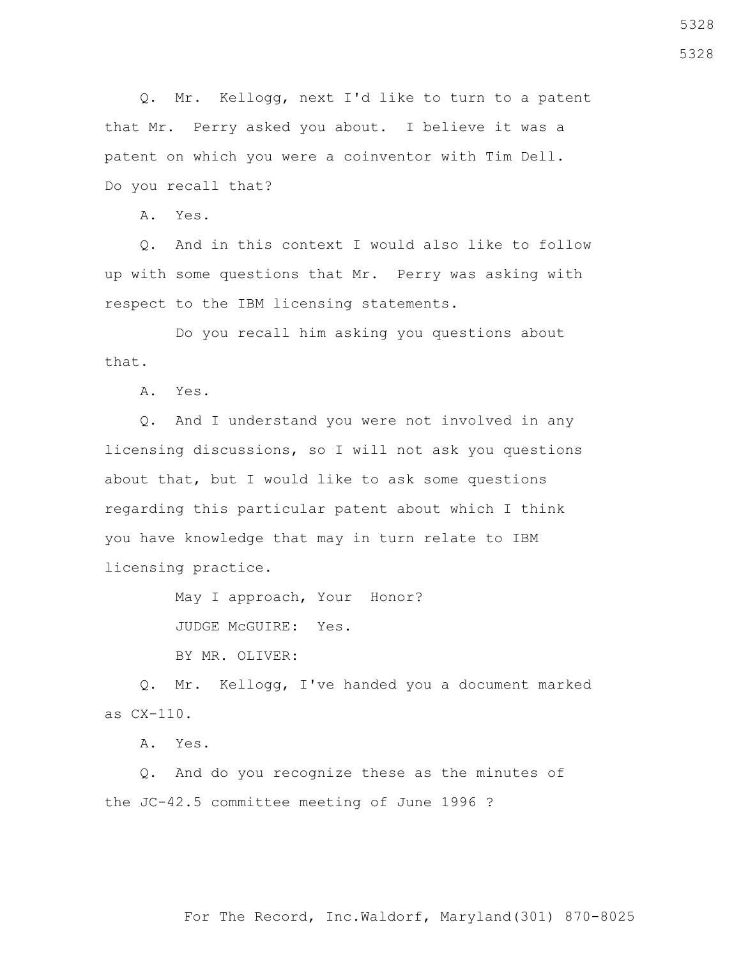Q. Mr. Kellogg, next I'd like to turn to a patent that Mr. Perry asked you about. I believe it was a patent on which you were a coinventor with Tim Dell. Do you recall that?

A. Yes.

 Q. And in this context I would also like to follow up with some questions that Mr. Perry was asking with respect to the IBM licensing statements.

 Do you recall him asking you questions about that.

A. Yes.

 Q. And I understand you were not involved in any licensing discussions, so I will not ask you questions about that, but I would like to ask some questions regarding this particular patent about which I think you have knowledge that may in turn relate to IBM licensing practice.

May I approach, Your Honor?

JUDGE McGUIRE: Yes.

BY MR. OLIVER:

 Q. Mr. Kellogg, I've handed you a document marked as CX-110.

A. Yes.

 Q. And do you recognize these as the minutes of the JC-42.5 committee meeting of June 1996 ?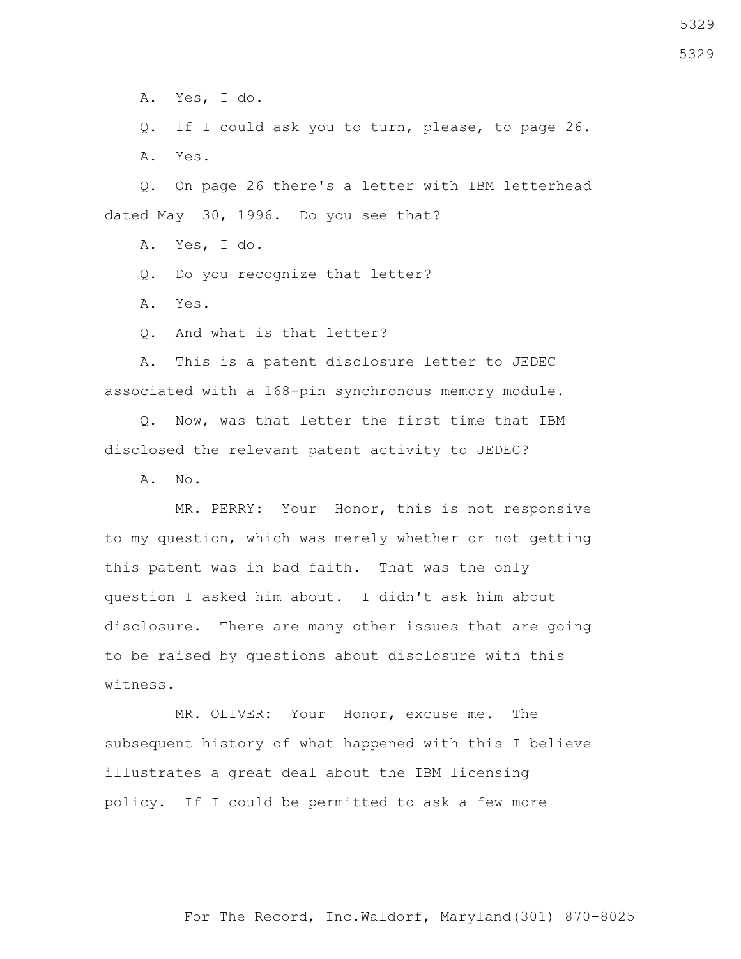A. Yes, I do.

 Q. If I could ask you to turn, please, to page 26. A. Yes.

 Q. On page 26 there's a letter with IBM letterhead dated May 30, 1996. Do you see that?

A. Yes, I do.

Q. Do you recognize that letter?

A. Yes.

Q. And what is that letter?

 A. This is a patent disclosure letter to JEDEC associated with a 168-pin synchronous memory module.

 Q. Now, was that letter the first time that IBM disclosed the relevant patent activity to JEDEC?

A. No.

 MR. PERRY: Your Honor, this is not responsive to my question, which was merely whether or not getting this patent was in bad faith. That was the only question I asked him about. I didn't ask him about disclosure. There are many other issues that are going to be raised by questions about disclosure with this witness.

 MR. OLIVER: Your Honor, excuse me. The subsequent history of what happened with this I believe illustrates a great deal about the IBM licensing policy. If I could be permitted to ask a few more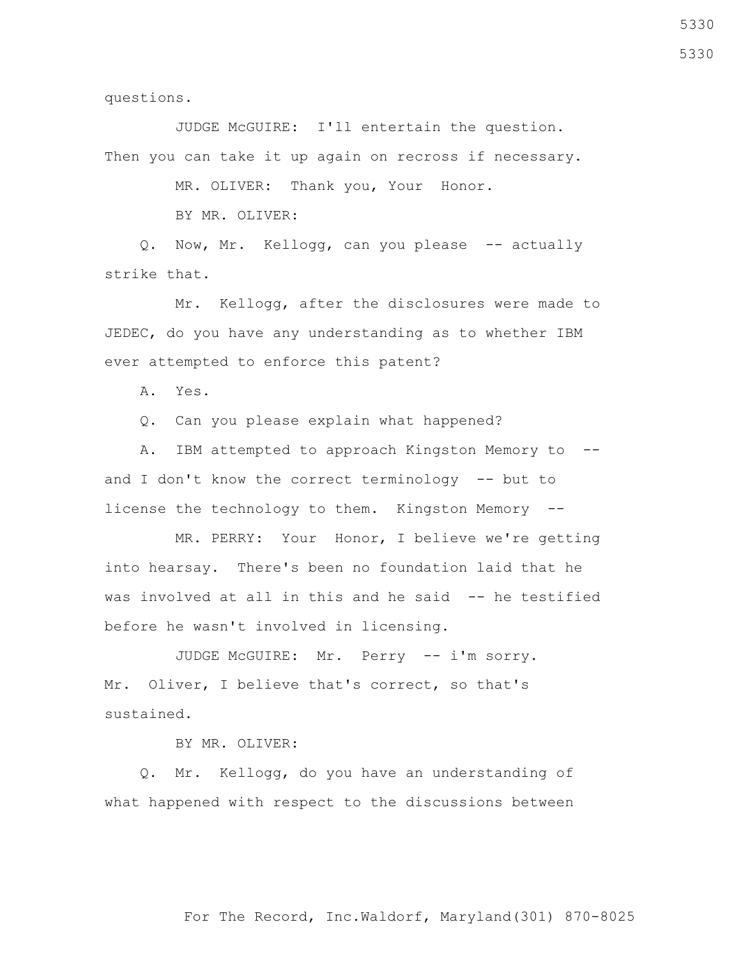questions.

 JUDGE McGUIRE: I'll entertain the question. Then you can take it up again on recross if necessary.

MR. OLIVER: Thank you, Your Honor.

BY MR. OLIVER:

Q. Now, Mr. Kellogg, can you please -- actually strike that.

 Mr. Kellogg, after the disclosures were made to JEDEC, do you have any understanding as to whether IBM ever attempted to enforce this patent?

A. Yes.

Q. Can you please explain what happened?

 A. IBM attempted to approach Kingston Memory to - and I don't know the correct terminology -- but to license the technology to them. Kingston Memory --

 MR. PERRY: Your Honor, I believe we're getting into hearsay. There's been no foundation laid that he was involved at all in this and he said -- he testified before he wasn't involved in licensing.

JUDGE McGUIRE: Mr. Perry -- i'm sorry. Mr. Oliver, I believe that's correct, so that's sustained.

BY MR. OLIVER:

 Q. Mr. Kellogg, do you have an understanding of what happened with respect to the discussions between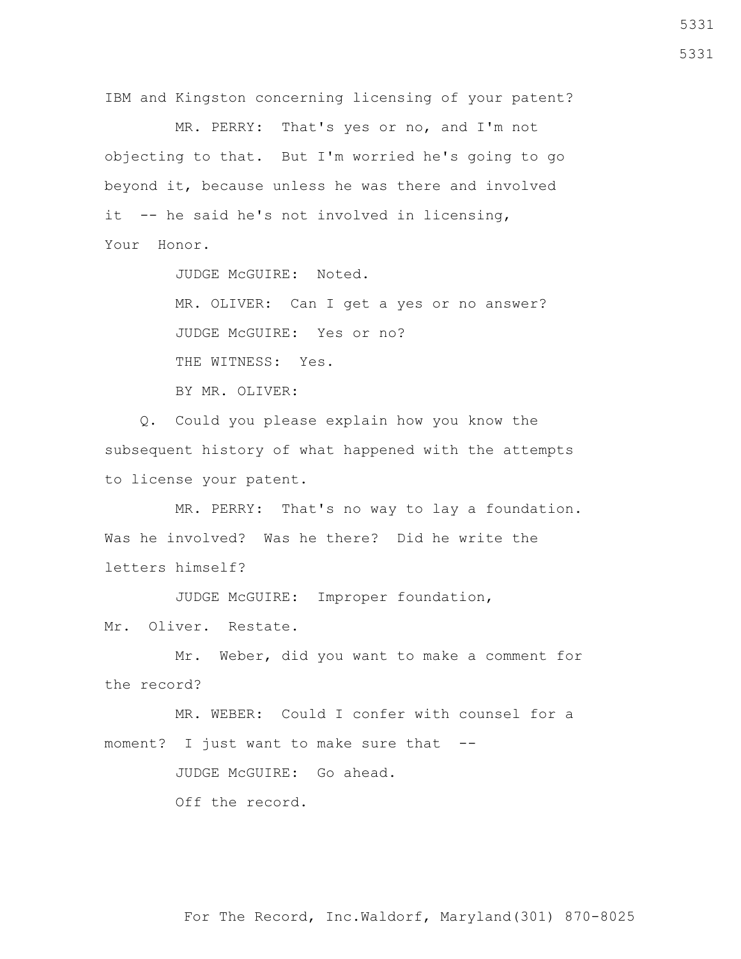IBM and Kingston concerning licensing of your patent?

 MR. PERRY: That's yes or no, and I'm not objecting to that. But I'm worried he's going to go beyond it, because unless he was there and involved it -- he said he's not involved in licensing, Your Honor.

JUDGE McGUIRE: Noted.

 MR. OLIVER: Can I get a yes or no answer? JUDGE McGUIRE: Yes or no? THE WITNESS: Yes. BY MR. OLIVER:

 Q. Could you please explain how you know the subsequent history of what happened with the attempts to license your patent.

 MR. PERRY: That's no way to lay a foundation. Was he involved? Was he there? Did he write the letters himself?

JUDGE McGUIRE: Improper foundation,

Mr. Oliver. Restate.

 Mr. Weber, did you want to make a comment for the record?

 MR. WEBER: Could I confer with counsel for a moment? I just want to make sure that --

JUDGE McGUIRE: Go ahead.

Off the record.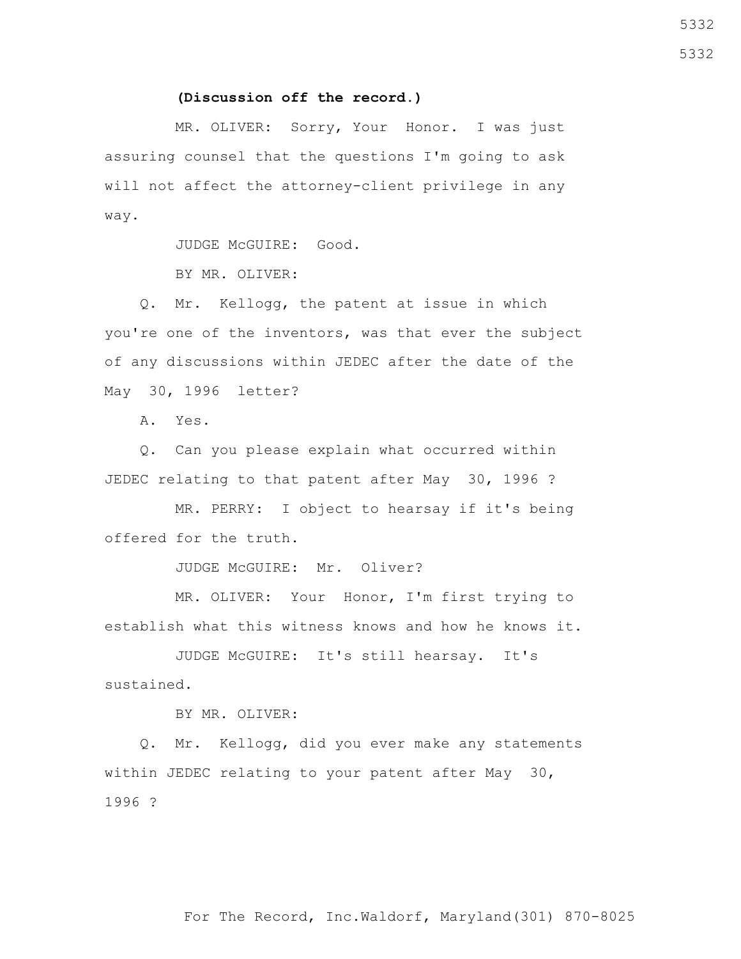## **(Discussion off the record.)**

 MR. OLIVER: Sorry, Your Honor. I was just assuring counsel that the questions I'm going to ask will not affect the attorney-client privilege in any way.

JUDGE McGUIRE: Good.

BY MR. OLIVER:

 Q. Mr. Kellogg, the patent at issue in which you're one of the inventors, was that ever the subject of any discussions within JEDEC after the date of the May 30, 1996 letter?

A. Yes.

 Q. Can you please explain what occurred within JEDEC relating to that patent after May 30, 1996 ?

 MR. PERRY: I object to hearsay if it's being offered for the truth.

JUDGE McGUIRE: Mr. Oliver?

 MR. OLIVER: Your Honor, I'm first trying to establish what this witness knows and how he knows it.

 JUDGE McGUIRE: It's still hearsay. It's sustained.

BY MR. OLIVER:

 Q. Mr. Kellogg, did you ever make any statements within JEDEC relating to your patent after May 30, 1996 ?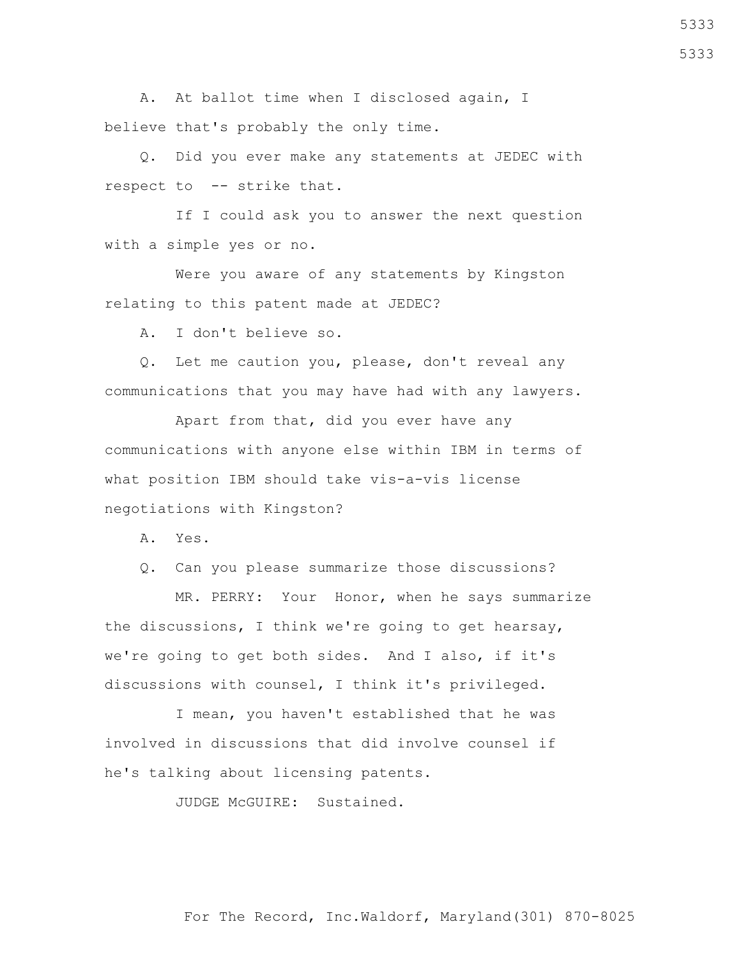A. At ballot time when I disclosed again, I believe that's probably the only time.

 Q. Did you ever make any statements at JEDEC with respect to -- strike that.

 If I could ask you to answer the next question with a simple yes or no.

 Were you aware of any statements by Kingston relating to this patent made at JEDEC?

A. I don't believe so.

 Q. Let me caution you, please, don't reveal any communications that you may have had with any lawyers.

 Apart from that, did you ever have any communications with anyone else within IBM in terms of what position IBM should take vis-a-vis license negotiations with Kingston?

A. Yes.

Q. Can you please summarize those discussions?

 MR. PERRY: Your Honor, when he says summarize the discussions, I think we're going to get hearsay, we're going to get both sides. And I also, if it's discussions with counsel, I think it's privileged.

 I mean, you haven't established that he was involved in discussions that did involve counsel if he's talking about licensing patents.

JUDGE McGUIRE: Sustained.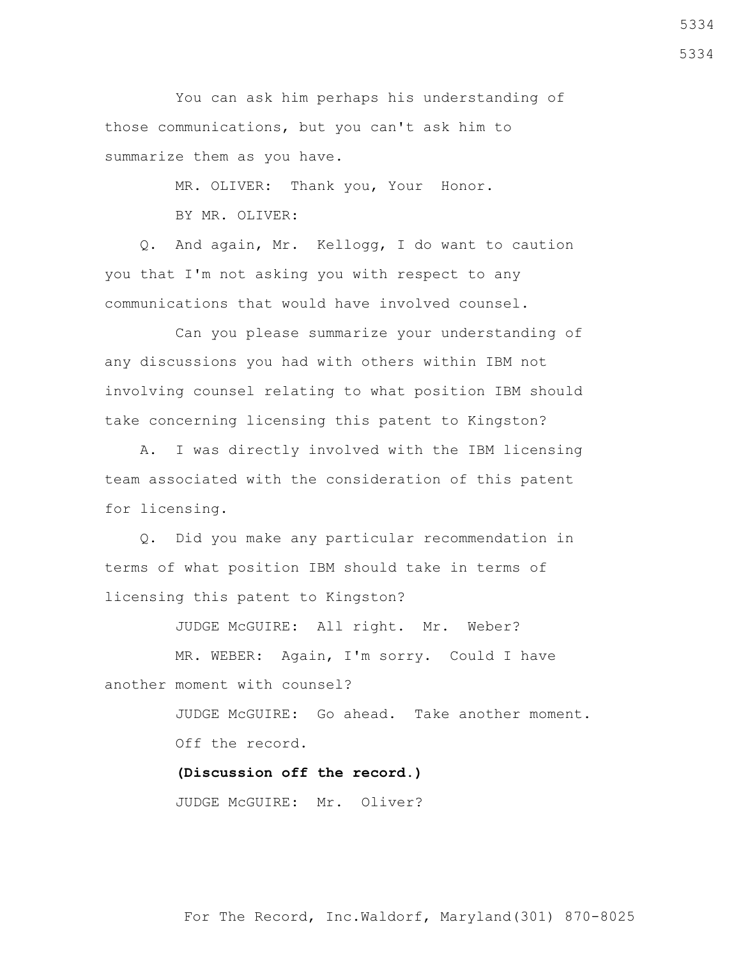You can ask him perhaps his understanding of those communications, but you can't ask him to summarize them as you have.

MR. OLIVER: Thank you, Your Honor.

BY MR. OLIVER:

 Q. And again, Mr. Kellogg, I do want to caution you that I'm not asking you with respect to any communications that would have involved counsel.

 Can you please summarize your understanding of any discussions you had with others within IBM not involving counsel relating to what position IBM should take concerning licensing this patent to Kingston?

 A. I was directly involved with the IBM licensing team associated with the consideration of this patent for licensing.

 Q. Did you make any particular recommendation in terms of what position IBM should take in terms of licensing this patent to Kingston?

JUDGE McGUIRE: All right. Mr. Weber?

 MR. WEBER: Again, I'm sorry. Could I have another moment with counsel?

> JUDGE McGUIRE: Go ahead. Take another moment. Off the record.

**(Discussion off the record.)**

JUDGE McGUIRE: Mr. Oliver?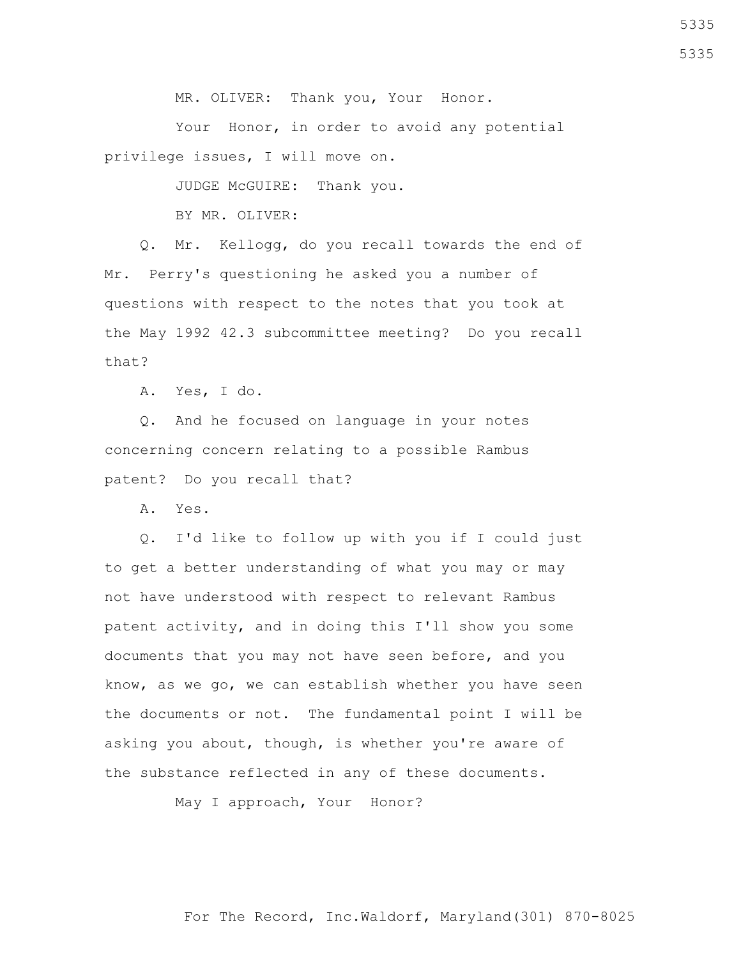MR. OLIVER: Thank you, Your Honor.

Your Honor, in order to avoid any potential privilege issues, I will move on.

JUDGE McGUIRE: Thank you.

BY MR. OLIVER:

 Q. Mr. Kellogg, do you recall towards the end of Mr. Perry's questioning he asked you a number of questions with respect to the notes that you took at the May 1992 42.3 subcommittee meeting? Do you recall that?

A. Yes, I do.

 Q. And he focused on language in your notes concerning concern relating to a possible Rambus patent? Do you recall that?

A. Yes.

 Q. I'd like to follow up with you if I could just to get a better understanding of what you may or may not have understood with respect to relevant Rambus patent activity, and in doing this I'll show you some documents that you may not have seen before, and you know, as we go, we can establish whether you have seen the documents or not. The fundamental point I will be asking you about, though, is whether you're aware of the substance reflected in any of these documents.

May I approach, Your Honor?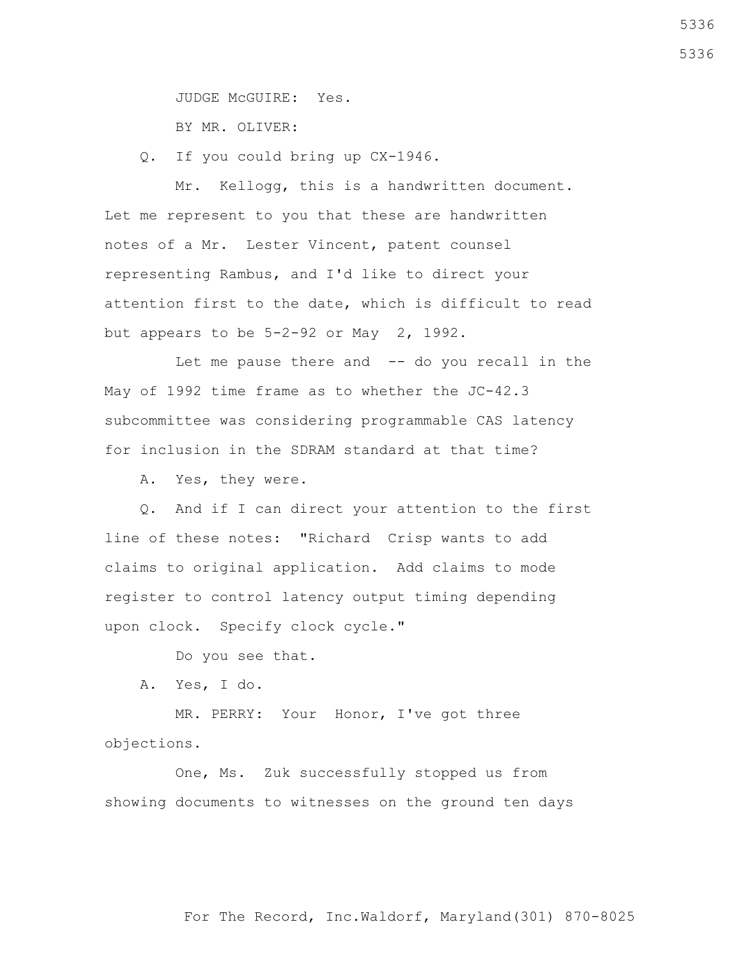JUDGE McGUIRE: Yes. BY MR. OLIVER:

Q. If you could bring up CX-1946.

Mr. Kellogg, this is a handwritten document. Let me represent to you that these are handwritten notes of a Mr. Lester Vincent, patent counsel representing Rambus, and I'd like to direct your attention first to the date, which is difficult to read but appears to be 5-2-92 or May 2, 1992.

Let me pause there and  $-$ - do you recall in the May of 1992 time frame as to whether the JC-42.3 subcommittee was considering programmable CAS latency for inclusion in the SDRAM standard at that time?

A. Yes, they were.

 Q. And if I can direct your attention to the first line of these notes: "Richard Crisp wants to add claims to original application. Add claims to mode register to control latency output timing depending upon clock. Specify clock cycle."

Do you see that.

A. Yes, I do.

 MR. PERRY: Your Honor, I've got three objections.

 One, Ms. Zuk successfully stopped us from showing documents to witnesses on the ground ten days 5336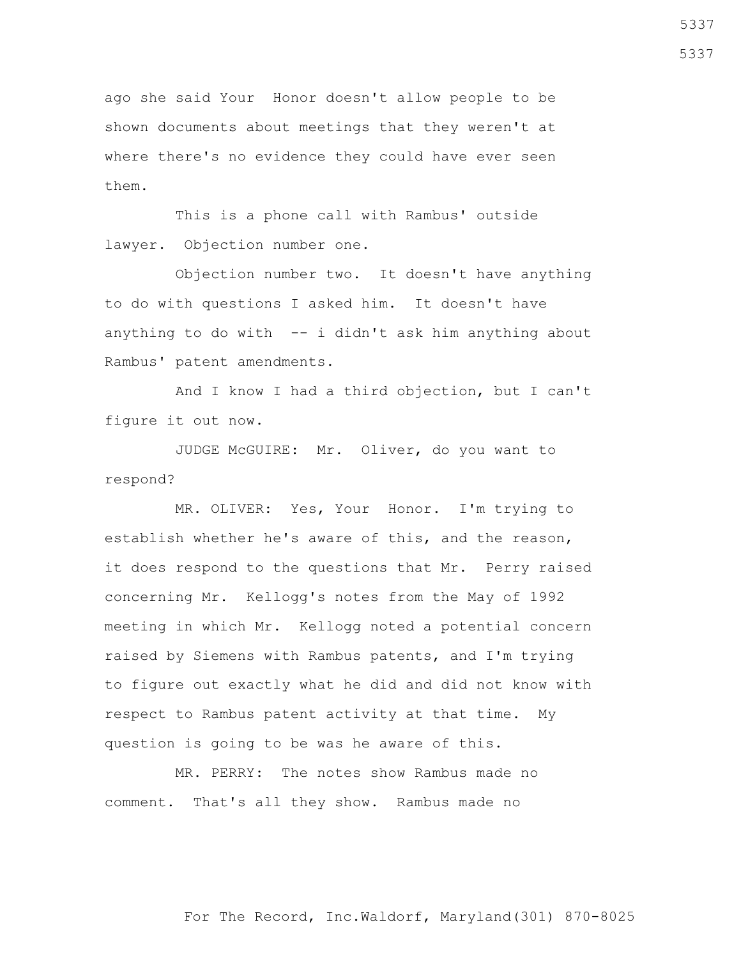ago she said Your Honor doesn't allow people to be shown documents about meetings that they weren't at where there's no evidence they could have ever seen them.

 This is a phone call with Rambus' outside lawyer. Objection number one.

 Objection number two. It doesn't have anything to do with questions I asked him. It doesn't have anything to do with -- i didn't ask him anything about Rambus' patent amendments.

 And I know I had a third objection, but I can't figure it out now.

 JUDGE McGUIRE: Mr. Oliver, do you want to respond?

 MR. OLIVER: Yes, Your Honor. I'm trying to establish whether he's aware of this, and the reason, it does respond to the questions that Mr. Perry raised concerning Mr. Kellogg's notes from the May of 1992 meeting in which Mr. Kellogg noted a potential concern raised by Siemens with Rambus patents, and I'm trying to figure out exactly what he did and did not know with respect to Rambus patent activity at that time. My question is going to be was he aware of this.

 MR. PERRY: The notes show Rambus made no comment. That's all they show. Rambus made no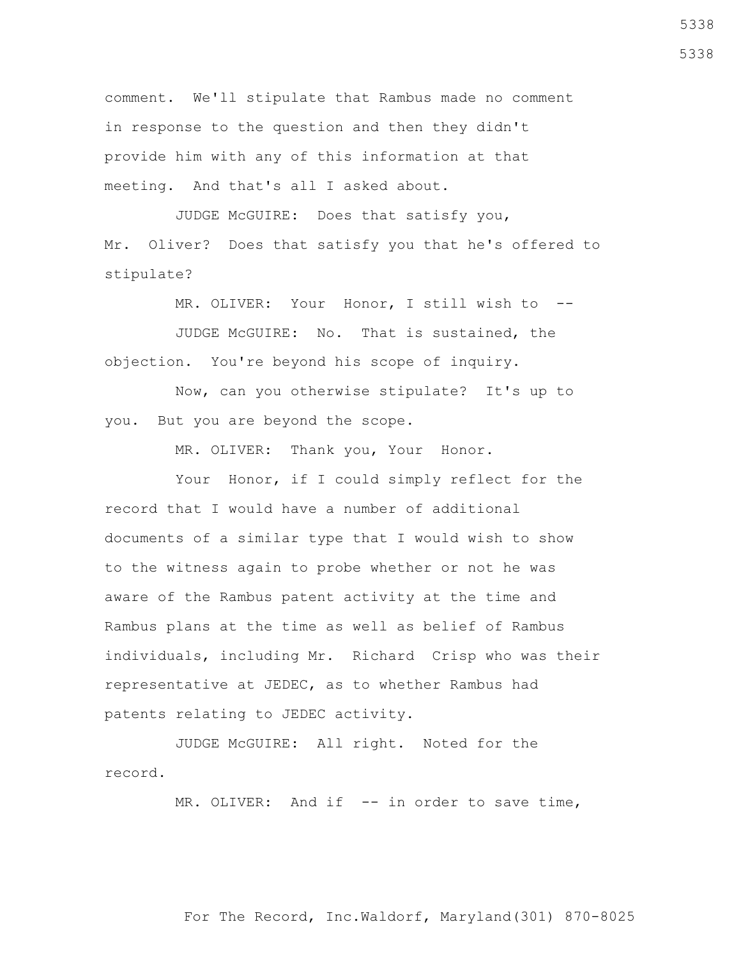comment. We'll stipulate that Rambus made no comment in response to the question and then they didn't provide him with any of this information at that meeting. And that's all I asked about.

 JUDGE McGUIRE: Does that satisfy you, Mr. Oliver? Does that satisfy you that he's offered to stipulate?

MR. OLIVER: Your Honor, I still wish to --

 JUDGE McGUIRE: No. That is sustained, the objection. You're beyond his scope of inquiry.

 Now, can you otherwise stipulate? It's up to you. But you are beyond the scope.

MR. OLIVER: Thank you, Your Honor.

 Your Honor, if I could simply reflect for the record that I would have a number of additional documents of a similar type that I would wish to show to the witness again to probe whether or not he was aware of the Rambus patent activity at the time and Rambus plans at the time as well as belief of Rambus individuals, including Mr. Richard Crisp who was their representative at JEDEC, as to whether Rambus had patents relating to JEDEC activity.

 JUDGE McGUIRE: All right. Noted for the record.

MR. OLIVER: And if -- in order to save time,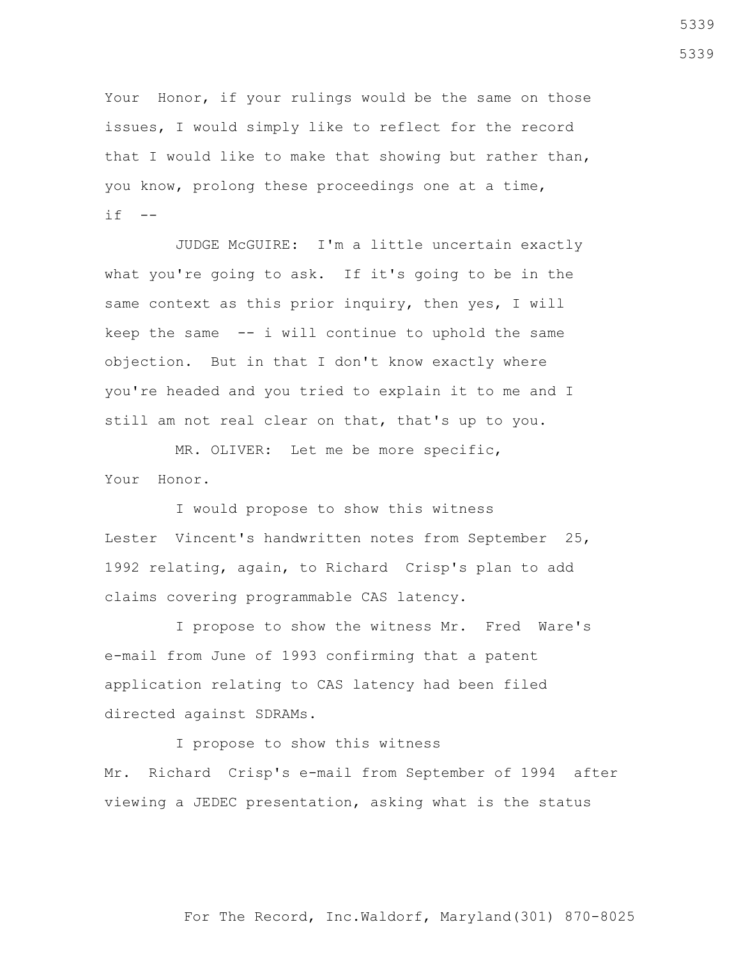Your Honor, if your rulings would be the same on those issues, I would simply like to reflect for the record that I would like to make that showing but rather than, you know, prolong these proceedings one at a time,  $i f$   $-$ 

 JUDGE McGUIRE: I'm a little uncertain exactly what you're going to ask. If it's going to be in the same context as this prior inquiry, then yes, I will keep the same  $-$ - i will continue to uphold the same objection. But in that I don't know exactly where you're headed and you tried to explain it to me and I still am not real clear on that, that's up to you.

 MR. OLIVER: Let me be more specific, Your Honor.

 I would propose to show this witness Lester Vincent's handwritten notes from September 25, 1992 relating, again, to Richard Crisp's plan to add claims covering programmable CAS latency.

 I propose to show the witness Mr. Fred Ware's e-mail from June of 1993 confirming that a patent application relating to CAS latency had been filed directed against SDRAMs.

 I propose to show this witness Mr. Richard Crisp's e-mail from September of 1994 after viewing a JEDEC presentation, asking what is the status

For The Record, Inc.Waldorf, Maryland(301) 870-8025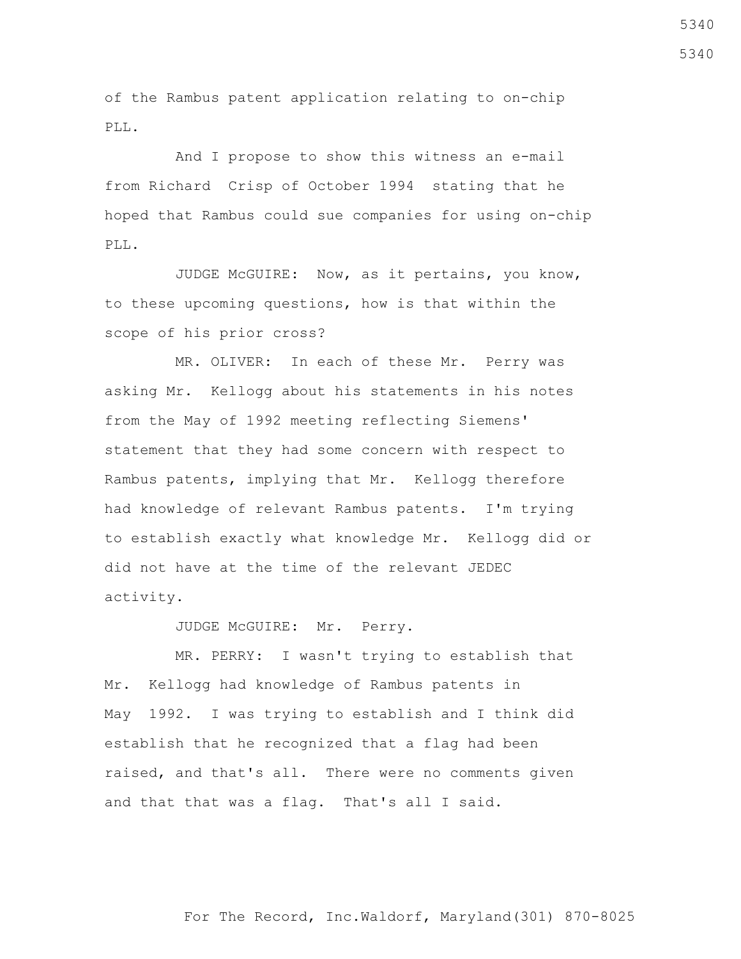of the Rambus patent application relating to on-chip PLL.

 And I propose to show this witness an e-mail from Richard Crisp of October 1994 stating that he hoped that Rambus could sue companies for using on-chip PLL.

 JUDGE McGUIRE: Now, as it pertains, you know, to these upcoming questions, how is that within the scope of his prior cross?

 MR. OLIVER: In each of these Mr. Perry was asking Mr. Kellogg about his statements in his notes from the May of 1992 meeting reflecting Siemens' statement that they had some concern with respect to Rambus patents, implying that Mr. Kellogg therefore had knowledge of relevant Rambus patents. I'm trying to establish exactly what knowledge Mr. Kellogg did or did not have at the time of the relevant JEDEC activity.

JUDGE McGUIRE: Mr. Perry.

 MR. PERRY: I wasn't trying to establish that Mr. Kellogg had knowledge of Rambus patents in May 1992. I was trying to establish and I think did establish that he recognized that a flag had been raised, and that's all. There were no comments given and that that was a flag. That's all I said.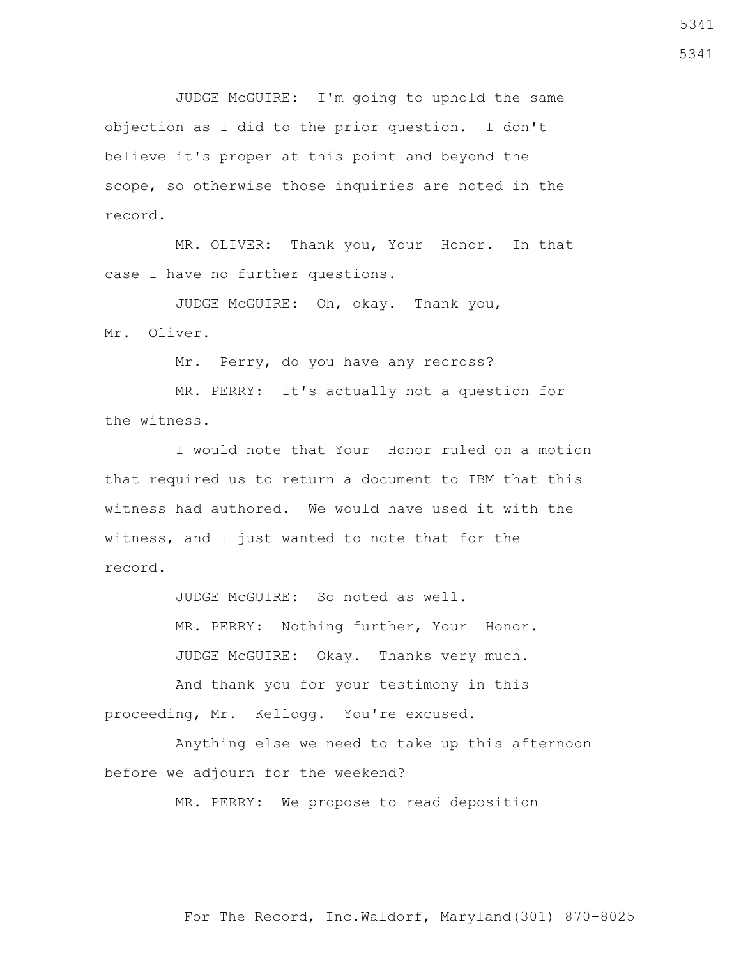JUDGE McGUIRE: I'm going to uphold the same objection as I did to the prior question. I don't believe it's proper at this point and beyond the scope, so otherwise those inquiries are noted in the record.

 MR. OLIVER: Thank you, Your Honor. In that case I have no further questions.

 JUDGE McGUIRE: Oh, okay. Thank you, Mr. Oliver.

Mr. Perry, do you have any recross?

 MR. PERRY: It's actually not a question for the witness.

 I would note that Your Honor ruled on a motion that required us to return a document to IBM that this witness had authored. We would have used it with the witness, and I just wanted to note that for the record.

> JUDGE McGUIRE: So noted as well. MR. PERRY: Nothing further, Your Honor. JUDGE McGUIRE: Okay. Thanks very much.

 And thank you for your testimony in this proceeding, Mr. Kellogg. You're excused.

 Anything else we need to take up this afternoon before we adjourn for the weekend?

MR. PERRY: We propose to read deposition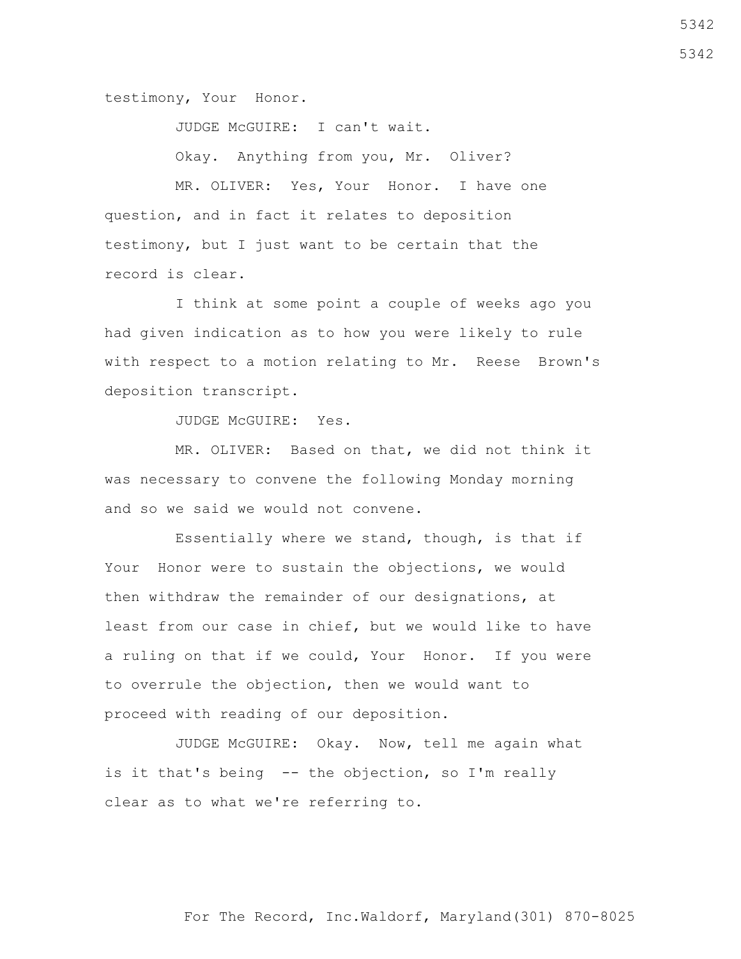testimony, Your Honor.

JUDGE McGUIRE: I can't wait.

Okay. Anything from you, Mr. Oliver?

 MR. OLIVER: Yes, Your Honor. I have one question, and in fact it relates to deposition testimony, but I just want to be certain that the record is clear.

 I think at some point a couple of weeks ago you had given indication as to how you were likely to rule with respect to a motion relating to Mr. Reese Brown's deposition transcript.

JUDGE McGUIRE: Yes.

 MR. OLIVER: Based on that, we did not think it was necessary to convene the following Monday morning and so we said we would not convene.

 Essentially where we stand, though, is that if Your Honor were to sustain the objections, we would then withdraw the remainder of our designations, at least from our case in chief, but we would like to have a ruling on that if we could, Your Honor. If you were to overrule the objection, then we would want to proceed with reading of our deposition.

 JUDGE McGUIRE: Okay. Now, tell me again what is it that's being -- the objection, so I'm really clear as to what we're referring to.

For The Record, Inc.Waldorf, Maryland(301) 870-8025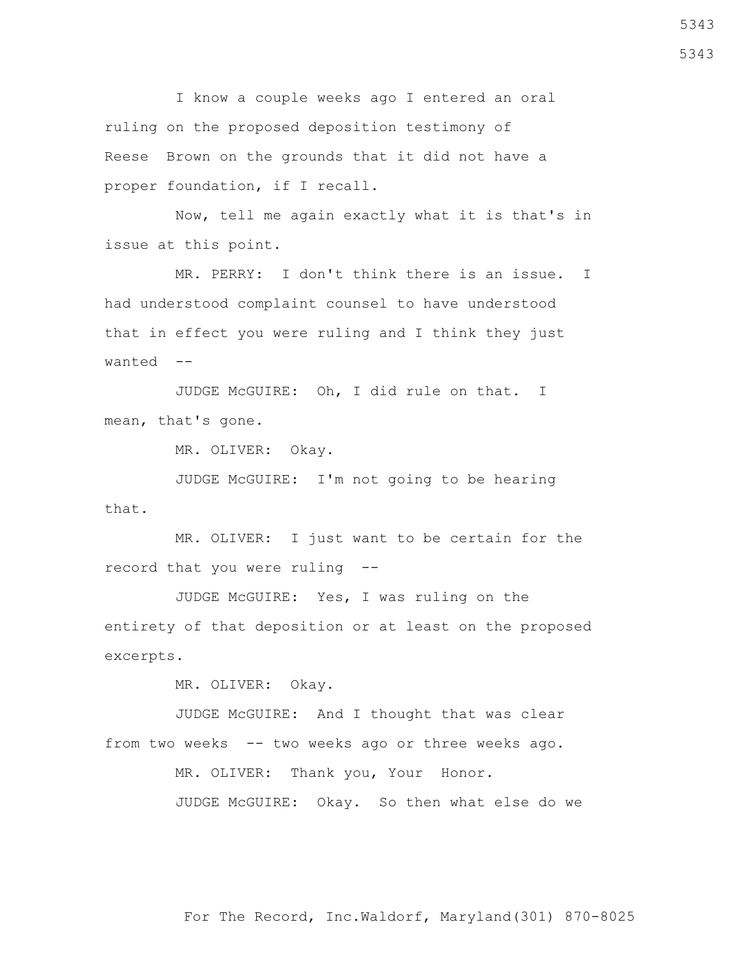I know a couple weeks ago I entered an oral ruling on the proposed deposition testimony of Reese Brown on the grounds that it did not have a proper foundation, if I recall.

 Now, tell me again exactly what it is that's in issue at this point.

 MR. PERRY: I don't think there is an issue. I had understood complaint counsel to have understood that in effect you were ruling and I think they just wanted --

 JUDGE McGUIRE: Oh, I did rule on that. I mean, that's gone.

MR. OLIVER: Okay.

 JUDGE McGUIRE: I'm not going to be hearing that.

 MR. OLIVER: I just want to be certain for the record that you were ruling --

 JUDGE McGUIRE: Yes, I was ruling on the entirety of that deposition or at least on the proposed excerpts.

MR. OLIVER: Okay.

 JUDGE McGUIRE: And I thought that was clear from two weeks -- two weeks ago or three weeks ago.

> MR. OLIVER: Thank you, Your Honor. JUDGE McGUIRE: Okay. So then what else do we

For The Record, Inc.Waldorf, Maryland(301) 870-8025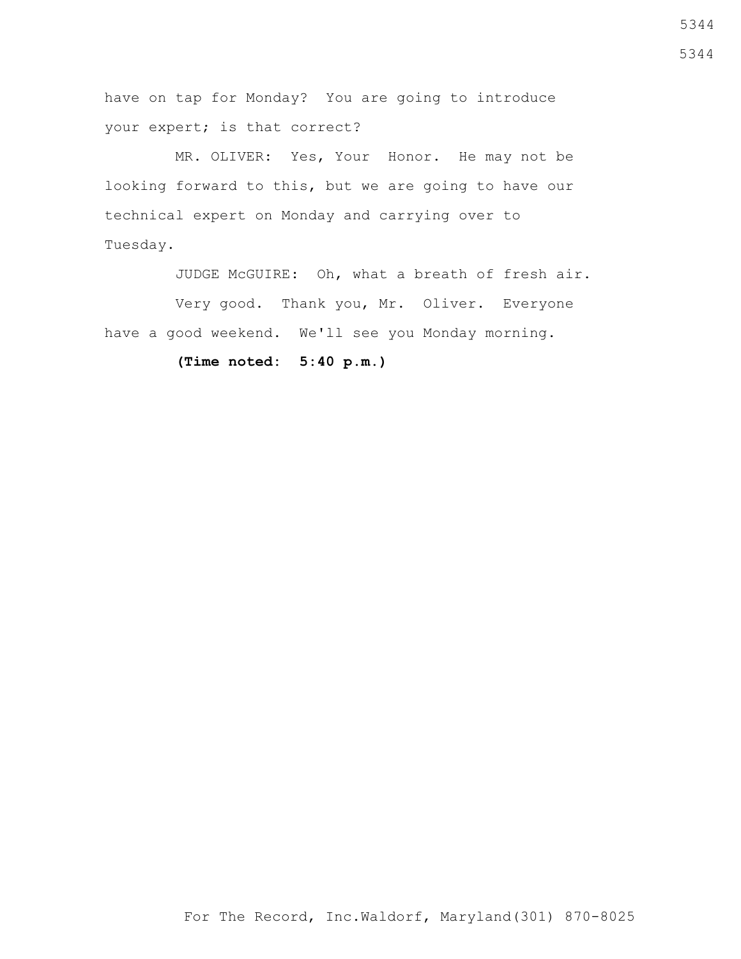have on tap for Monday? You are going to introduce your expert; is that correct?

 MR. OLIVER: Yes, Your Honor. He may not be looking forward to this, but we are going to have our technical expert on Monday and carrying over to Tuesday.

JUDGE McGUIRE: Oh, what a breath of fresh air.

 Very good. Thank you, Mr. Oliver. Everyone have a good weekend. We'll see you Monday morning.

**(Time noted: 5:40 p.m.)**